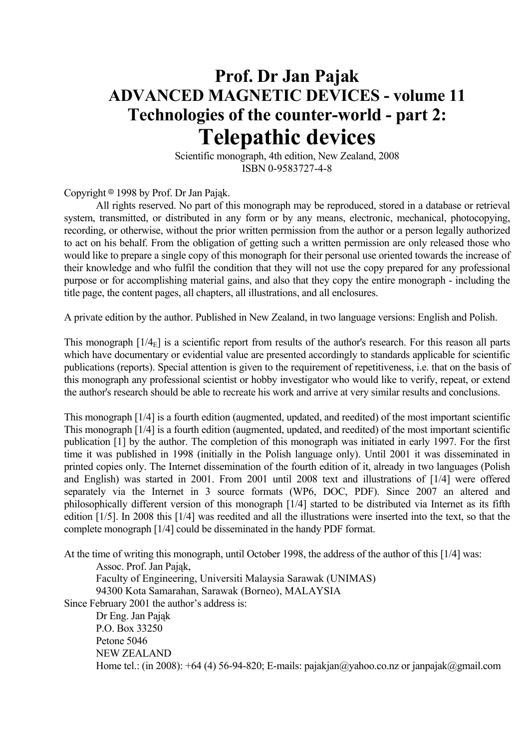# **Prof. Dr Jan Pajak ADVANCED MAGNETIC DEVICES - volume 11 Technologies of the counter-world - part 2: Telepathic devices**

 Scientific monograph, 4th edition, New Zealand, 2008 ISBN 0-9583727-4-8

Copyright  $\circ$  1998 by Prof. Dr Jan Pajak.

 All rights reserved. No part of this monograph may be reproduced, stored in a database or retrieval system, transmitted, or distributed in any form or by any means, electronic, mechanical, photocopying, recording, or otherwise, without the prior written permission from the author or a person legally authorized to act on his behalf. From the obligation of getting such a written permission are only released those who would like to prepare a single copy of this monograph for their personal use oriented towards the increase of their knowledge and who fulfil the condition that they will not use the copy prepared for any professional purpose or for accomplishing material gains, and also that they copy the entire monograph - including the title page, the content pages, all chapters, all illustrations, and all enclosures.

A private edition by the author. Published in New Zealand, in two language versions: English and Polish.

This monograph  $[1/4<sub>E</sub>]$  is a scientific report from results of the author's research. For this reason all parts which have documentary or evidential value are presented accordingly to standards applicable for scientific publications (reports). Special attention is given to the requirement of repetitiveness, i.e. that on the basis of this monograph any professional scientist or hobby investigator who would like to verify, repeat, or extend the author's research should be able to recreate his work and arrive at very similar results and conclusions.

This monograph [1/4] is a fourth edition (augmented, updated, and reedited) of the most important scientific This monograph [1/4] is a fourth edition (augmented, updated, and reedited) of the most important scientific publication [1] by the author. The completion of this monograph was initiated in early 1997. For the first time it was published in 1998 (initially in the Polish language only). Until 2001 it was disseminated in printed copies only. The Internet dissemination of the fourth edition of it, already in two languages (Polish and English) was started in 2001. From 2001 until 2008 text and illustrations of [1/4] were offered separately via the Internet in 3 source formats (WP6, DOC, PDF). Since 2007 an altered and philosophically different version of this monograph [1/4] started to be distributed via Internet as its fifth edition [1/5]. In 2008 this [1/4] was reedited and all the illustrations were inserted into the text, so that the complete monograph [1/4] could be disseminated in the handy PDF format.

At the time of writing this monograph, until October 1998, the address of the author of this [1/4] was:

Assoc. Prof. Jan Pająk,

Faculty of Engineering, Universiti Malaysia Sarawak (UNIMAS)

94300 Kota Samarahan, Sarawak (Borneo), MALAYSIA

Since February 2001 the author's address is:

 Dr Eng. Jan Pająk P.O. Box 33250 Petone 5046 NEW ZEALAND Home tel.: (in 2008):  $+64$  (4) 56-94-820; E-mails: pajakjan@yahoo.co.nz or janpajak@gmail.com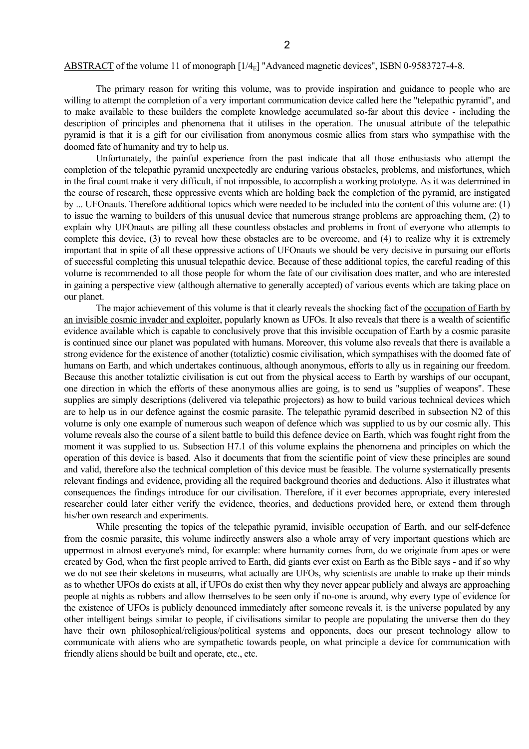The primary reason for writing this volume, was to provide inspiration and guidance to people who are willing to attempt the completion of a very important communication device called here the "telepathic pyramid", and to make available to these builders the complete knowledge accumulated so-far about this device - including the description of principles and phenomena that it utilises in the operation. The unusual attribute of the telepathic pyramid is that it is a gift for our civilisation from anonymous cosmic allies from stars who sympathise with the doomed fate of humanity and try to help us.

 Unfortunately, the painful experience from the past indicate that all those enthusiasts who attempt the completion of the telepathic pyramid unexpectedly are enduring various obstacles, problems, and misfortunes, which in the final count make it very difficult, if not impossible, to accomplish a working prototype. As it was determined in the course of research, these oppressive events which are holding back the completion of the pyramid, are instigated by ... UFOnauts. Therefore additional topics which were needed to be included into the content of this volume are: (1) to issue the warning to builders of this unusual device that numerous strange problems are approaching them, (2) to explain why UFOnauts are pilling all these countless obstacles and problems in front of everyone who attempts to complete this device, (3) to reveal how these obstacles are to be overcome, and (4) to realize why it is extremely important that in spite of all these oppressive actions of UFOnauts we should be very decisive in pursuing our efforts of successful completing this unusual telepathic device. Because of these additional topics, the careful reading of this volume is recommended to all those people for whom the fate of our civilisation does matter, and who are interested in gaining a perspective view (although alternative to generally accepted) of various events which are taking place on our planet.

 The major achievement of this volume is that it clearly reveals the shocking fact of the occupation of Earth by an invisible cosmic invader and exploiter, popularly known as UFOs. It also reveals that there is a wealth of scientific evidence available which is capable to conclusively prove that this invisible occupation of Earth by a cosmic parasite is continued since our planet was populated with humans. Moreover, this volume also reveals that there is available a strong evidence for the existence of another (totaliztic) cosmic civilisation, which sympathises with the doomed fate of humans on Earth, and which undertakes continuous, although anonymous, efforts to ally us in regaining our freedom. Because this another totaliztic civilisation is cut out from the physical access to Earth by warships of our occupant, one direction in which the efforts of these anonymous allies are going, is to send us "supplies of weapons". These supplies are simply descriptions (delivered via telepathic projectors) as how to build various technical devices which are to help us in our defence against the cosmic parasite. The telepathic pyramid described in subsection N2 of this volume is only one example of numerous such weapon of defence which was supplied to us by our cosmic ally. This volume reveals also the course of a silent battle to build this defence device on Earth, which was fought right from the moment it was supplied to us. Subsection H7.1 of this volume explains the phenomena and principles on which the operation of this device is based. Also it documents that from the scientific point of view these principles are sound and valid, therefore also the technical completion of this device must be feasible. The volume systematically presents relevant findings and evidence, providing all the required background theories and deductions. Also it illustrates what consequences the findings introduce for our civilisation. Therefore, if it ever becomes appropriate, every interested researcher could later either verify the evidence, theories, and deductions provided here, or extend them through his/her own research and experiments.

 While presenting the topics of the telepathic pyramid, invisible occupation of Earth, and our self-defence from the cosmic parasite, this volume indirectly answers also a whole array of very important questions which are uppermost in almost everyone's mind, for example: where humanity comes from, do we originate from apes or were created by God, when the first people arrived to Earth, did giants ever exist on Earth as the Bible says - and if so why we do not see their skeletons in museums, what actually are UFOs, why scientists are unable to make up their minds as to whether UFOs do exists at all, if UFOs do exist then why they never appear publicly and always are approaching people at nights as robbers and allow themselves to be seen only if no-one is around, why every type of evidence for the existence of UFOs is publicly denounced immediately after someone reveals it, is the universe populated by any other intelligent beings similar to people, if civilisations similar to people are populating the universe then do they have their own philosophical/religious/political systems and opponents, does our present technology allow to communicate with aliens who are sympathetic towards people, on what principle a device for communication with friendly aliens should be built and operate, etc., etc.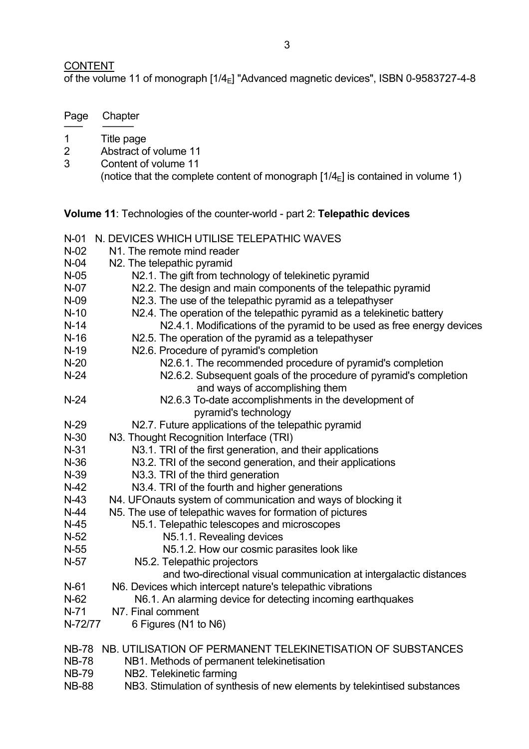# **CONTENT**

Page Chapter ─── ─────

of the volume 11 of monograph [1/4<sub>E</sub>] "Advanced magnetic devices", ISBN 0-9583727-4-8

| $\mathbf 1$                                                               | Title page                                                                               |
|---------------------------------------------------------------------------|------------------------------------------------------------------------------------------|
| $\overline{2}$                                                            | Abstract of volume 11                                                                    |
| 3                                                                         | Content of volume 11                                                                     |
|                                                                           | (notice that the complete content of monograph $[1/4_{\rm E}]$ is contained in volume 1) |
|                                                                           |                                                                                          |
| Volume 11: Technologies of the counter-world - part 2: Telepathic devices |                                                                                          |
| $N-01$                                                                    | N. DEVICES WHICH UTILISE TELEPATHIC WAVES                                                |
| $N-02$                                                                    | N1. The remote mind reader                                                               |
| $N-04$                                                                    | N2. The telepathic pyramid                                                               |
| $N-05$                                                                    | N2.1. The gift from technology of telekinetic pyramid                                    |
| $N-07$                                                                    | N2.2. The design and main components of the telepathic pyramid                           |
| $N-09$                                                                    | N2.3. The use of the telepathic pyramid as a telepathyser                                |
| $N-10$                                                                    | N2.4. The operation of the telepathic pyramid as a telekinetic battery                   |
| $N-14$                                                                    | N2.4.1. Modifications of the pyramid to be used as free energy devices                   |
| $N-16$                                                                    | N2.5. The operation of the pyramid as a telepathyser                                     |
| $N-19$                                                                    | N2.6. Procedure of pyramid's completion                                                  |
| $N-20$                                                                    | N2.6.1. The recommended procedure of pyramid's completion                                |
| $N-24$                                                                    | N2.6.2. Subsequent goals of the procedure of pyramid's completion                        |
|                                                                           | and ways of accomplishing them                                                           |
| $N-24$                                                                    | N2.6.3 To-date accomplishments in the development of                                     |
|                                                                           | pyramid's technology                                                                     |
| $N-29$                                                                    | N2.7. Future applications of the telepathic pyramid                                      |
| $N-30$                                                                    | N3. Thought Recognition Interface (TRI)                                                  |
| $N-31$                                                                    | N3.1. TRI of the first generation, and their applications                                |
| $N-36$                                                                    | N3.2. TRI of the second generation, and their applications                               |
| $N-39$                                                                    | N3.3. TRI of the third generation                                                        |
| $N-42$                                                                    | N3.4. TRI of the fourth and higher generations                                           |
| $N-43$                                                                    | N4. UFOnauts system of communication and ways of blocking it                             |
| $N-44$<br>$N-45$                                                          | N5. The use of telepathic waves for formation of pictures                                |
| $N-52$                                                                    | N5.1. Telepathic telescopes and microscopes                                              |
| $N-55$                                                                    | N5.1.1. Revealing devices<br>N5.1.2. How our cosmic parasites look like                  |
| $N-57$                                                                    | N5.2. Telepathic projectors                                                              |
|                                                                           | and two-directional visual communication at intergalactic distances                      |
| $N-61$                                                                    | N6. Devices which intercept nature's telepathic vibrations                               |
| $N-62$                                                                    | N6.1. An alarming device for detecting incoming earthquakes                              |
| $N-71$                                                                    | N7. Final comment                                                                        |
| N-72/77                                                                   | 6 Figures (N1 to N6)                                                                     |
|                                                                           |                                                                                          |
| <b>NB-78</b>                                                              | NB. UTILISATION OF PERMANENT TELEKINETISATION OF SUBSTANCES                              |
| <b>NB-78</b>                                                              | NB1. Methods of permanent telekinetisation                                               |
| <b>NB-79</b>                                                              | NB2. Telekinetic farming                                                                 |

NB-88 NB3. Stimulation of synthesis of new elements by telekintised substances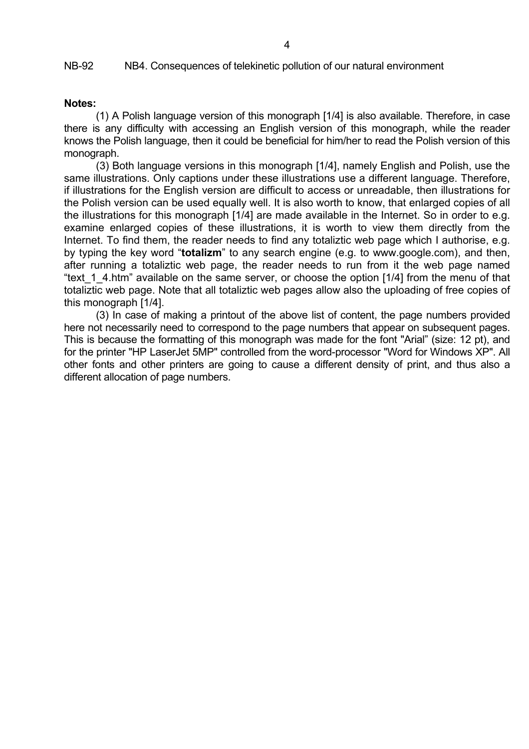### NB-92 NB4. Consequences of telekinetic pollution of our natural environment

#### **Notes:**

 (1) A Polish language version of this monograph [1/4] is also available. Therefore, in case there is any difficulty with accessing an English version of this monograph, while the reader knows the Polish language, then it could be beneficial for him/her to read the Polish version of this monograph.

 (3) Both language versions in this monograph [1/4], namely English and Polish, use the same illustrations. Only captions under these illustrations use a different language. Therefore, if illustrations for the English version are difficult to access or unreadable, then illustrations for the Polish version can be used equally well. It is also worth to know, that enlarged copies of all the illustrations for this monograph [1/4] are made available in the Internet. So in order to e.g. examine enlarged copies of these illustrations, it is worth to view them directly from the Internet. To find them, the reader needs to find any totaliztic web page which I authorise, e.g. by typing the key word "**totalizm**" to any search engine (e.g. to www.google.com), and then, after running a totaliztic web page, the reader needs to run from it the web page named "text 1 4.htm" available on the same server, or choose the option [1/4] from the menu of that totaliztic web page. Note that all totaliztic web pages allow also the uploading of free copies of this monograph [1/4].

 (3) In case of making a printout of the above list of content, the page numbers provided here not necessarily need to correspond to the page numbers that appear on subsequent pages. This is because the formatting of this monograph was made for the font "Arial" (size: 12 pt), and for the printer "HP LaserJet 5MP" controlled from the word-processor "Word for Windows XP". All other fonts and other printers are going to cause a different density of print, and thus also a different allocation of page numbers.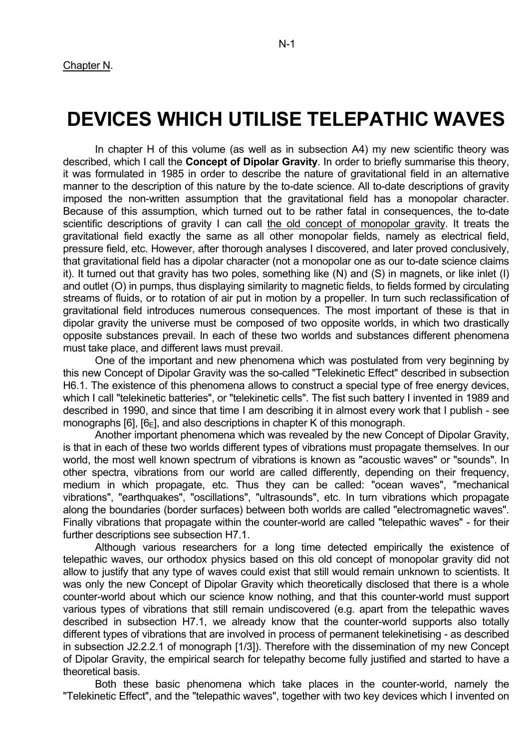# **DEVICES WHICH UTILISE TELEPATHIC WAVES**

 In chapter H of this volume (as well as in subsection A4) my new scientific theory was described, which I call the **Concept of Dipolar Gravity**. In order to briefly summarise this theory, it was formulated in 1985 in order to describe the nature of gravitational field in an alternative manner to the description of this nature by the to-date science. All to-date descriptions of gravity imposed the non-written assumption that the gravitational field has a monopolar character. Because of this assumption, which turned out to be rather fatal in consequences, the to-date scientific descriptions of gravity I can call the old concept of monopolar gravity. It treats the gravitational field exactly the same as all other monopolar fields, namely as electrical field, pressure field, etc. However, after thorough analyses I discovered, and later proved conclusively, that gravitational field has a dipolar character (not a monopolar one as our to-date science claims it). It turned out that gravity has two poles, something like (N) and (S) in magnets, or like inlet (I) and outlet (O) in pumps, thus displaying similarity to magnetic fields, to fields formed by circulating streams of fluids, or to rotation of air put in motion by a propeller. In turn such reclassification of gravitational field introduces numerous consequences. The most important of these is that in dipolar gravity the universe must be composed of two opposite worlds, in which two drastically opposite substances prevail. In each of these two worlds and substances different phenomena must take place, and different laws must prevail.

 One of the important and new phenomena which was postulated from very beginning by this new Concept of Dipolar Gravity was the so-called "Telekinetic Effect" described in subsection H6.1. The existence of this phenomena allows to construct a special type of free energy devices, which I call "telekinetic batteries", or "telekinetic cells". The fist such battery I invented in 1989 and described in 1990, and since that time I am describing it in almost every work that I publish - see monographs  $[6]$ ,  $[6_F]$ , and also descriptions in chapter K of this monograph.

 Another important phenomena which was revealed by the new Concept of Dipolar Gravity, is that in each of these two worlds different types of vibrations must propagate themselves. In our world, the most well known spectrum of vibrations is known as "acoustic waves" or "sounds". In other spectra, vibrations from our world are called differently, depending on their frequency, medium in which propagate, etc. Thus they can be called: "ocean waves", "mechanical vibrations", "earthquakes", "oscillations", "ultrasounds", etc. In turn vibrations which propagate along the boundaries (border surfaces) between both worlds are called "electromagnetic waves". Finally vibrations that propagate within the counter-world are called "telepathic waves" - for their further descriptions see subsection H7.1.

 Although various researchers for a long time detected empirically the existence of telepathic waves, our orthodox physics based on this old concept of monopolar gravity did not allow to justify that any type of waves could exist that still would remain unknown to scientists. It was only the new Concept of Dipolar Gravity which theoretically disclosed that there is a whole counter-world about which our science know nothing, and that this counter-world must support various types of vibrations that still remain undiscovered (e.g. apart from the telepathic waves described in subsection H7.1, we already know that the counter-world supports also totally different types of vibrations that are involved in process of permanent telekinetising - as described in subsection J2.2.2.1 of monograph [1/3]). Therefore with the dissemination of my new Concept of Dipolar Gravity, the empirical search for telepathy become fully justified and started to have a theoretical basis.

 Both these basic phenomena which take places in the counter-world, namely the "Telekinetic Effect", and the "telepathic waves", together with two key devices which I invented on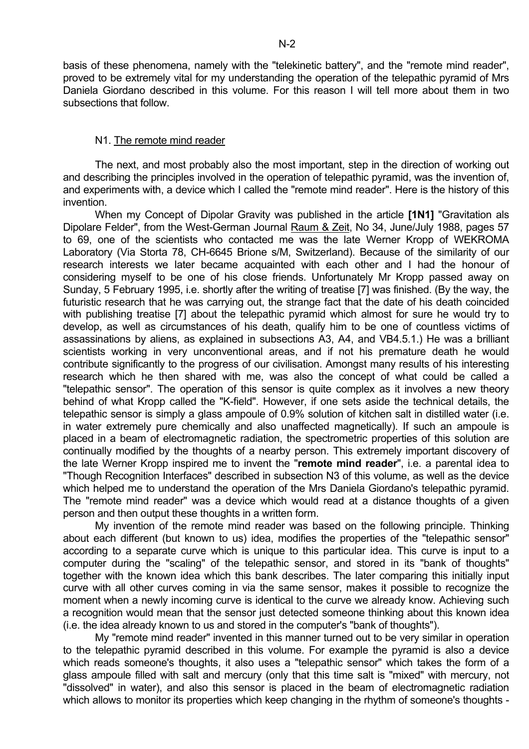basis of these phenomena, namely with the "telekinetic battery", and the "remote mind reader", proved to be extremely vital for my understanding the operation of the telepathic pyramid of Mrs Daniela Giordano described in this volume. For this reason I will tell more about them in two subsections that follow.

#### N1. The remote mind reader

 The next, and most probably also the most important, step in the direction of working out and describing the principles involved in the operation of telepathic pyramid, was the invention of, and experiments with, a device which I called the "remote mind reader". Here is the history of this invention.

 When my Concept of Dipolar Gravity was published in the article **[1N1]** "Gravitation als Dipolare Felder", from the West-German Journal Raum & Zeit, No 34, June/July 1988, pages 57 to 69, one of the scientists who contacted me was the late Werner Kropp of WEKROMA Laboratory (Via Storta 78, CH-6645 Brione s/M, Switzerland). Because of the similarity of our research interests we later became acquainted with each other and I had the honour of considering myself to be one of his close friends. Unfortunately Mr Kropp passed away on Sunday, 5 February 1995, i.e. shortly after the writing of treatise [7] was finished. (By the way, the futuristic research that he was carrying out, the strange fact that the date of his death coincided with publishing treatise [7] about the telepathic pyramid which almost for sure he would try to develop, as well as circumstances of his death, qualify him to be one of countless victims of assassinations by aliens, as explained in subsections A3, A4, and VB4.5.1.) He was a brilliant scientists working in very unconventional areas, and if not his premature death he would contribute significantly to the progress of our civilisation. Amongst many results of his interesting research which he then shared with me, was also the concept of what could be called a "telepathic sensor". The operation of this sensor is quite complex as it involves a new theory behind of what Kropp called the "K-field". However, if one sets aside the technical details, the telepathic sensor is simply a glass ampoule of 0.9% solution of kitchen salt in distilled water (i.e. in water extremely pure chemically and also unaffected magnetically). If such an ampoule is placed in a beam of electromagnetic radiation, the spectrometric properties of this solution are continually modified by the thoughts of a nearby person. This extremely important discovery of the late Werner Kropp inspired me to invent the "**remote mind reader**", i.e. a parental idea to "Though Recognition Interfaces" described in subsection N3 of this volume, as well as the device which helped me to understand the operation of the Mrs Daniela Giordano's telepathic pyramid. The "remote mind reader" was a device which would read at a distance thoughts of a given person and then output these thoughts in a written form.

 My invention of the remote mind reader was based on the following principle. Thinking about each different (but known to us) idea, modifies the properties of the "telepathic sensor" according to a separate curve which is unique to this particular idea. This curve is input to a computer during the "scaling" of the telepathic sensor, and stored in its "bank of thoughts" together with the known idea which this bank describes. The later comparing this initially input curve with all other curves coming in via the same sensor, makes it possible to recognize the moment when a newly incoming curve is identical to the curve we already know. Achieving such a recognition would mean that the sensor just detected someone thinking about this known idea (i.e. the idea already known to us and stored in the computer's "bank of thoughts").

 My "remote mind reader" invented in this manner turned out to be very similar in operation to the telepathic pyramid described in this volume. For example the pyramid is also a device which reads someone's thoughts, it also uses a "telepathic sensor" which takes the form of a glass ampoule filled with salt and mercury (only that this time salt is "mixed" with mercury, not "dissolved" in water), and also this sensor is placed in the beam of electromagnetic radiation which allows to monitor its properties which keep changing in the rhythm of someone's thoughts -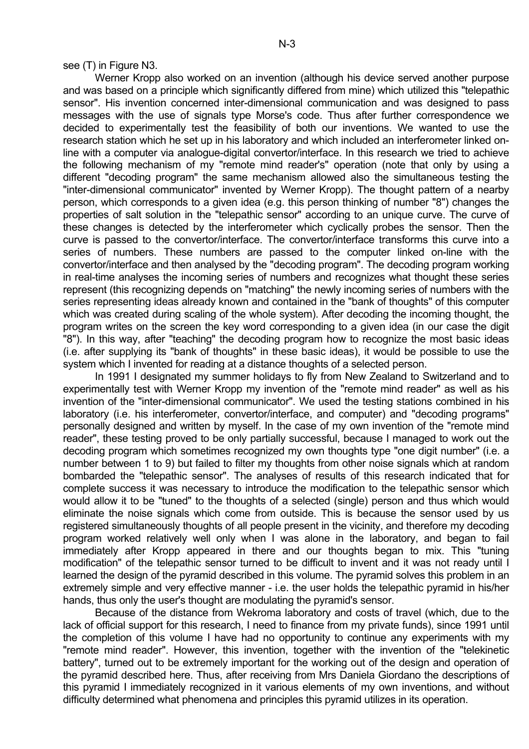see (T) in Figure N3.

 Werner Kropp also worked on an invention (although his device served another purpose and was based on a principle which significantly differed from mine) which utilized this "telepathic sensor". His invention concerned inter-dimensional communication and was designed to pass messages with the use of signals type Morse's code. Thus after further correspondence we decided to experimentally test the feasibility of both our inventions. We wanted to use the research station which he set up in his laboratory and which included an interferometer linked online with a computer via analogue-digital convertor/interface. In this research we tried to achieve the following mechanism of my "remote mind reader's" operation (note that only by using a different "decoding program" the same mechanism allowed also the simultaneous testing the "inter-dimensional communicator" invented by Werner Kropp). The thought pattern of a nearby person, which corresponds to a given idea (e.g. this person thinking of number "8") changes the properties of salt solution in the "telepathic sensor" according to an unique curve. The curve of these changes is detected by the interferometer which cyclically probes the sensor. Then the curve is passed to the convertor/interface. The convertor/interface transforms this curve into a series of numbers. These numbers are passed to the computer linked on-line with the convertor/interface and then analysed by the "decoding program". The decoding program working in real-time analyses the incoming series of numbers and recognizes what thought these series represent (this recognizing depends on "matching" the newly incoming series of numbers with the series representing ideas already known and contained in the "bank of thoughts" of this computer which was created during scaling of the whole system). After decoding the incoming thought, the program writes on the screen the key word corresponding to a given idea (in our case the digit "8"). In this way, after "teaching" the decoding program how to recognize the most basic ideas (i.e. after supplying its "bank of thoughts" in these basic ideas), it would be possible to use the system which I invented for reading at a distance thoughts of a selected person.

 In 1991 I designated my summer holidays to fly from New Zealand to Switzerland and to experimentally test with Werner Kropp my invention of the "remote mind reader" as well as his invention of the "inter-dimensional communicator". We used the testing stations combined in his laboratory (i.e. his interferometer, convertor/interface, and computer) and "decoding programs" personally designed and written by myself. In the case of my own invention of the "remote mind reader", these testing proved to be only partially successful, because I managed to work out the decoding program which sometimes recognized my own thoughts type "one digit number" (i.e. a number between 1 to 9) but failed to filter my thoughts from other noise signals which at random bombarded the "telepathic sensor". The analyses of results of this research indicated that for complete success it was necessary to introduce the modification to the telepathic sensor which would allow it to be "tuned" to the thoughts of a selected (single) person and thus which would eliminate the noise signals which come from outside. This is because the sensor used by us registered simultaneously thoughts of all people present in the vicinity, and therefore my decoding program worked relatively well only when I was alone in the laboratory, and began to fail immediately after Kropp appeared in there and our thoughts began to mix. This "tuning modification" of the telepathic sensor turned to be difficult to invent and it was not ready until I learned the design of the pyramid described in this volume. The pyramid solves this problem in an extremely simple and very effective manner - i.e. the user holds the telepathic pyramid in his/her hands, thus only the user's thought are modulating the pyramid's sensor.

 Because of the distance from Wekroma laboratory and costs of travel (which, due to the lack of official support for this research, I need to finance from my private funds), since 1991 until the completion of this volume I have had no opportunity to continue any experiments with my "remote mind reader". However, this invention, together with the invention of the "telekinetic battery", turned out to be extremely important for the working out of the design and operation of the pyramid described here. Thus, after receiving from Mrs Daniela Giordano the descriptions of this pyramid I immediately recognized in it various elements of my own inventions, and without difficulty determined what phenomena and principles this pyramid utilizes in its operation.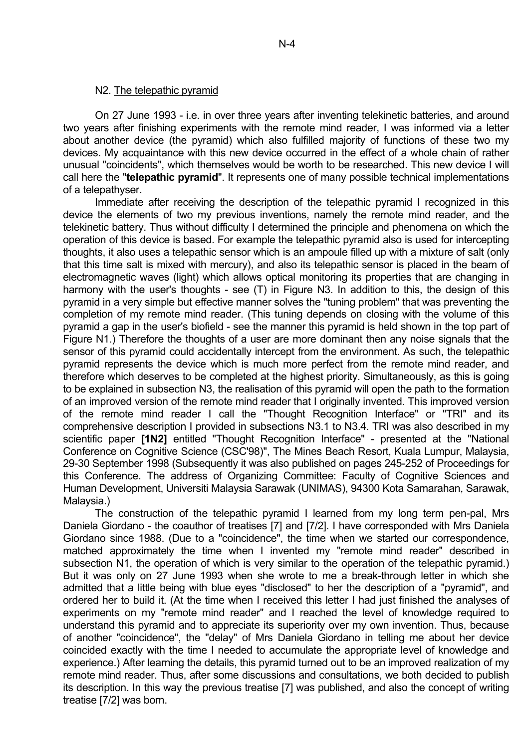#### N2. The telepathic pyramid

 On 27 June 1993 - i.e. in over three years after inventing telekinetic batteries, and around two years after finishing experiments with the remote mind reader, I was informed via a letter about another device (the pyramid) which also fulfilled majority of functions of these two my devices. My acquaintance with this new device occurred in the effect of a whole chain of rather unusual "coincidents", which themselves would be worth to be researched. This new device I will call here the "**telepathic pyramid**". It represents one of many possible technical implementations of a telepathyser.

 Immediate after receiving the description of the telepathic pyramid I recognized in this device the elements of two my previous inventions, namely the remote mind reader, and the telekinetic battery. Thus without difficulty I determined the principle and phenomena on which the operation of this device is based. For example the telepathic pyramid also is used for intercepting thoughts, it also uses a telepathic sensor which is an ampoule filled up with a mixture of salt (only that this time salt is mixed with mercury), and also its telepathic sensor is placed in the beam of electromagnetic waves (light) which allows optical monitoring its properties that are changing in harmony with the user's thoughts - see (T) in Figure N3. In addition to this, the design of this pyramid in a very simple but effective manner solves the "tuning problem" that was preventing the completion of my remote mind reader. (This tuning depends on closing with the volume of this pyramid a gap in the user's biofield - see the manner this pyramid is held shown in the top part of Figure N1.) Therefore the thoughts of a user are more dominant then any noise signals that the sensor of this pyramid could accidentally intercept from the environment. As such, the telepathic pyramid represents the device which is much more perfect from the remote mind reader, and therefore which deserves to be completed at the highest priority. Simultaneously, as this is going to be explained in subsection N3, the realisation of this pyramid will open the path to the formation of an improved version of the remote mind reader that I originally invented. This improved version of the remote mind reader I call the "Thought Recognition Interface" or "TRI" and its comprehensive description I provided in subsections N3.1 to N3.4. TRI was also described in my scientific paper **[1N2]** entitled "Thought Recognition Interface" - presented at the "National Conference on Cognitive Science (CSC'98)", The Mines Beach Resort, Kuala Lumpur, Malaysia, 29-30 September 1998 (Subsequently it was also published on pages 245-252 of Proceedings for this Conference. The address of Organizing Committee: Faculty of Cognitive Sciences and Human Development, Universiti Malaysia Sarawak (UNIMAS), 94300 Kota Samarahan, Sarawak, Malaysia.)

 The construction of the telepathic pyramid I learned from my long term pen-pal, Mrs Daniela Giordano - the coauthor of treatises [7] and [7/2]. I have corresponded with Mrs Daniela Giordano since 1988. (Due to a "coincidence", the time when we started our correspondence, matched approximately the time when I invented my "remote mind reader" described in subsection N1, the operation of which is very similar to the operation of the telepathic pyramid.) But it was only on 27 June 1993 when she wrote to me a break-through letter in which she admitted that a little being with blue eyes "disclosed" to her the description of a "pyramid", and ordered her to build it. (At the time when I received this letter I had just finished the analyses of experiments on my "remote mind reader" and I reached the level of knowledge required to understand this pyramid and to appreciate its superiority over my own invention. Thus, because of another "coincidence", the "delay" of Mrs Daniela Giordano in telling me about her device coincided exactly with the time I needed to accumulate the appropriate level of knowledge and experience.) After learning the details, this pyramid turned out to be an improved realization of my remote mind reader. Thus, after some discussions and consultations, we both decided to publish its description. In this way the previous treatise [7] was published, and also the concept of writing treatise [7/2] was born.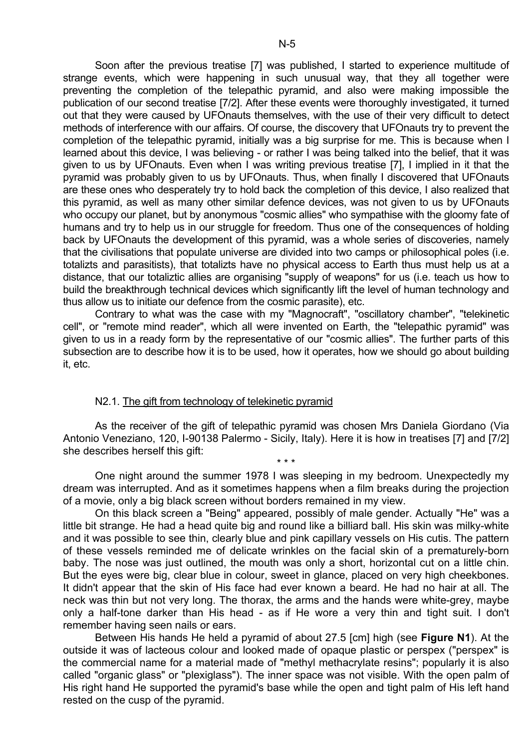Soon after the previous treatise [7] was published, I started to experience multitude of strange events, which were happening in such unusual way, that they all together were preventing the completion of the telepathic pyramid, and also were making impossible the publication of our second treatise [7/2]. After these events were thoroughly investigated, it turned out that they were caused by UFOnauts themselves, with the use of their very difficult to detect methods of interference with our affairs. Of course, the discovery that UFOnauts try to prevent the completion of the telepathic pyramid, initially was a big surprise for me. This is because when I learned about this device, I was believing - or rather I was being talked into the belief, that it was given to us by UFOnauts. Even when I was writing previous treatise [7], I implied in it that the pyramid was probably given to us by UFOnauts. Thus, when finally I discovered that UFOnauts are these ones who desperately try to hold back the completion of this device, I also realized that this pyramid, as well as many other similar defence devices, was not given to us by UFOnauts who occupy our planet, but by anonymous "cosmic allies" who sympathise with the gloomy fate of humans and try to help us in our struggle for freedom. Thus one of the consequences of holding back by UFOnauts the development of this pyramid, was a whole series of discoveries, namely that the civilisations that populate universe are divided into two camps or philosophical poles (i.e. totalizts and parasitists), that totalizts have no physical access to Earth thus must help us at a distance, that our totaliztic allies are organising "supply of weapons" for us (i.e. teach us how to build the breakthrough technical devices which significantly lift the level of human technology and thus allow us to initiate our defence from the cosmic parasite), etc.

 Contrary to what was the case with my "Magnocraft", "oscillatory chamber", "telekinetic cell", or "remote mind reader", which all were invented on Earth, the "telepathic pyramid" was given to us in a ready form by the representative of our "cosmic allies". The further parts of this subsection are to describe how it is to be used, how it operates, how we should go about building it, etc.

#### N2.1. The gift from technology of telekinetic pyramid

 As the receiver of the gift of telepathic pyramid was chosen Mrs Daniela Giordano (Via Antonio Veneziano, 120, I-90138 Palermo - Sicily, Italy). Here it is how in treatises [7] and [7/2] she describes herself this gift: \* \* \*

 One night around the summer 1978 I was sleeping in my bedroom. Unexpectedly my dream was interrupted. And as it sometimes happens when a film breaks during the projection of a movie, only a big black screen without borders remained in my view.

 On this black screen a "Being" appeared, possibly of male gender. Actually "He" was a little bit strange. He had a head quite big and round like a billiard ball. His skin was milky-white and it was possible to see thin, clearly blue and pink capillary vessels on His cutis. The pattern of these vessels reminded me of delicate wrinkles on the facial skin of a prematurely-born baby. The nose was just outlined, the mouth was only a short, horizontal cut on a little chin. But the eyes were big, clear blue in colour, sweet in glance, placed on very high cheekbones. It didn't appear that the skin of His face had ever known a beard. He had no hair at all. The neck was thin but not very long. The thorax, the arms and the hands were white-grey, maybe only a half-tone darker than His head - as if He wore a very thin and tight suit. I don't remember having seen nails or ears.

 Between His hands He held a pyramid of about 27.5 [cm] high (see **Figure N1**). At the outside it was of lacteous colour and looked made of opaque plastic or perspex ("perspex" is the commercial name for a material made of "methyl methacrylate resins"; popularly it is also called "organic glass" or "plexiglass"). The inner space was not visible. With the open palm of His right hand He supported the pyramid's base while the open and tight palm of His left hand rested on the cusp of the pyramid.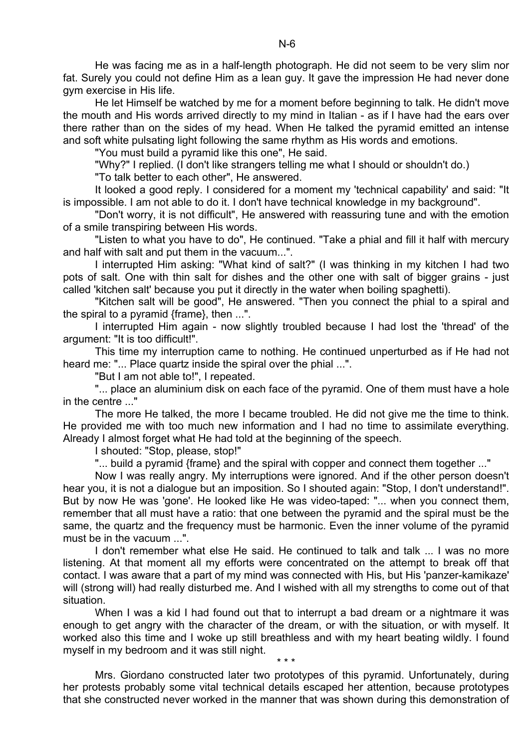He was facing me as in a half-length photograph. He did not seem to be very slim nor fat. Surely you could not define Him as a lean guy. It gave the impression He had never done gym exercise in His life.

 He let Himself be watched by me for a moment before beginning to talk. He didn't move the mouth and His words arrived directly to my mind in Italian - as if I have had the ears over there rather than on the sides of my head. When He talked the pyramid emitted an intense and soft white pulsating light following the same rhythm as His words and emotions.

"You must build a pyramid like this one", He said.

"Why?" I replied. (I don't like strangers telling me what I should or shouldn't do.)

"To talk better to each other", He answered.

 It looked a good reply. I considered for a moment my 'technical capability' and said: "It is impossible. I am not able to do it. I don't have technical knowledge in my background".

 "Don't worry, it is not difficult", He answered with reassuring tune and with the emotion of a smile transpiring between His words.

 "Listen to what you have to do", He continued. "Take a phial and fill it half with mercury and half with salt and put them in the vacuum...".

 I interrupted Him asking: "What kind of salt?" (I was thinking in my kitchen I had two pots of salt. One with thin salt for dishes and the other one with salt of bigger grains - just called 'kitchen salt' because you put it directly in the water when boiling spaghetti).

 "Kitchen salt will be good", He answered. "Then you connect the phial to a spiral and the spiral to a pyramid {frame}, then ...".

 I interrupted Him again - now slightly troubled because I had lost the 'thread' of the argument: "It is too difficult!".

 This time my interruption came to nothing. He continued unperturbed as if He had not heard me: "... Place quartz inside the spiral over the phial ...".

"But I am not able to!", I repeated.

 "... place an aluminium disk on each face of the pyramid. One of them must have a hole in the centre ..."

 The more He talked, the more I became troubled. He did not give me the time to think. He provided me with too much new information and I had no time to assimilate everything. Already I almost forget what He had told at the beginning of the speech.

I shouted: "Stop, please, stop!"

"... build a pyramid {frame} and the spiral with copper and connect them together ..."

 Now I was really angry. My interruptions were ignored. And if the other person doesn't hear you, it is not a dialogue but an imposition. So I shouted again: "Stop, I don't understand!". But by now He was 'gone'. He looked like He was video-taped: "... when you connect them, remember that all must have a ratio: that one between the pyramid and the spiral must be the same, the quartz and the frequency must be harmonic. Even the inner volume of the pyramid must be in the vacuum ...".

 I don't remember what else He said. He continued to talk and talk ... I was no more listening. At that moment all my efforts were concentrated on the attempt to break off that contact. I was aware that a part of my mind was connected with His, but His 'panzer-kamikaze' will (strong will) had really disturbed me. And I wished with all my strengths to come out of that situation.

When I was a kid I had found out that to interrupt a bad dream or a nightmare it was enough to get angry with the character of the dream, or with the situation, or with myself. It worked also this time and I woke up still breathless and with my heart beating wildly. I found myself in my bedroom and it was still night.

 Mrs. Giordano constructed later two prototypes of this pyramid. Unfortunately, during her protests probably some vital technical details escaped her attention, because prototypes that she constructed never worked in the manner that was shown during this demonstration of

\* \* \*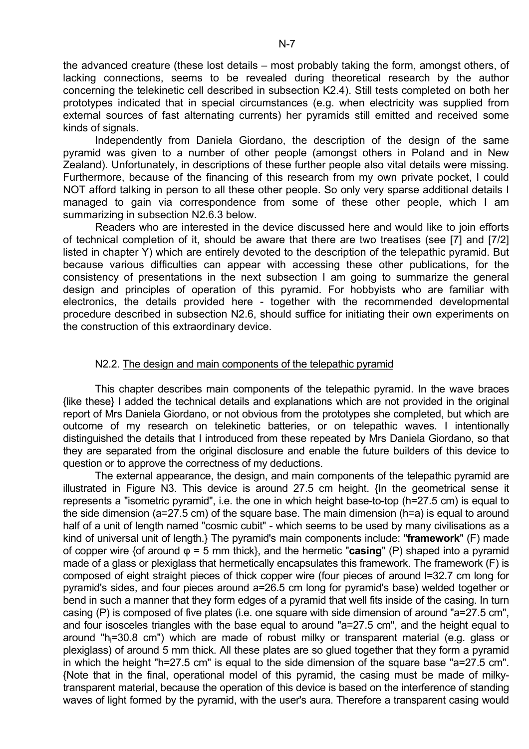the advanced creature (these lost details – most probably taking the form, amongst others, of lacking connections, seems to be revealed during theoretical research by the author concerning the telekinetic cell described in subsection K2.4). Still tests completed on both her prototypes indicated that in special circumstances (e.g. when electricity was supplied from external sources of fast alternating currents) her pyramids still emitted and received some kinds of signals.

 Independently from Daniela Giordano, the description of the design of the same pyramid was given to a number of other people (amongst others in Poland and in New Zealand). Unfortunately, in descriptions of these further people also vital details were missing. Furthermore, because of the financing of this research from my own private pocket, I could NOT afford talking in person to all these other people. So only very sparse additional details I managed to gain via correspondence from some of these other people, which I am summarizing in subsection N2.6.3 below.

 Readers who are interested in the device discussed here and would like to join efforts of technical completion of it, should be aware that there are two treatises (see [7] and [7/2] listed in chapter Y) which are entirely devoted to the description of the telepathic pyramid. But because various difficulties can appear with accessing these other publications, for the consistency of presentations in the next subsection I am going to summarize the general design and principles of operation of this pyramid. For hobbyists who are familiar with electronics, the details provided here - together with the recommended developmental procedure described in subsection N2.6, should suffice for initiating their own experiments on the construction of this extraordinary device.

#### N2.2. The design and main components of the telepathic pyramid

 This chapter describes main components of the telepathic pyramid. In the wave braces {like these} I added the technical details and explanations which are not provided in the original report of Mrs Daniela Giordano, or not obvious from the prototypes she completed, but which are outcome of my research on telekinetic batteries, or on telepathic waves. I intentionally distinguished the details that I introduced from these repeated by Mrs Daniela Giordano, so that they are separated from the original disclosure and enable the future builders of this device to question or to approve the correctness of my deductions.

 The external appearance, the design, and main components of the telepathic pyramid are illustrated in Figure N3. This device is around 27.5 cm height. {In the geometrical sense it represents a "isometric pyramid", i.e. the one in which height base-to-top (h=27.5 cm) is equal to the side dimension (a=27.5 cm) of the square base. The main dimension (h=a) is equal to around half of a unit of length named "cosmic cubit" - which seems to be used by many civilisations as a kind of universal unit of length.} The pyramid's main components include: "**framework**" (F) made of copper wire {of around φ = 5 mm thick}, and the hermetic "**casing**" (P) shaped into a pyramid made of a glass or plexiglass that hermetically encapsulates this framework. The framework (F) is composed of eight straight pieces of thick copper wire (four pieces of around l=32.7 cm long for pyramid's sides, and four pieces around a=26.5 cm long for pyramid's base) welded together or bend in such a manner that they form edges of a pyramid that well fits inside of the casing. In turn casing (P) is composed of five plates (i.e. one square with side dimension of around "a=27.5 cm", and four isosceles triangles with the base equal to around "a=27.5 cm", and the height equal to around "h $=30.8$  cm") which are made of robust milky or transparent material (e.g. glass or plexiglass) of around 5 mm thick. All these plates are so glued together that they form a pyramid in which the height "h=27.5 cm" is equal to the side dimension of the square base "a=27.5 cm". {Note that in the final, operational model of this pyramid, the casing must be made of milkytransparent material, because the operation of this device is based on the interference of standing waves of light formed by the pyramid, with the user's aura. Therefore a transparent casing would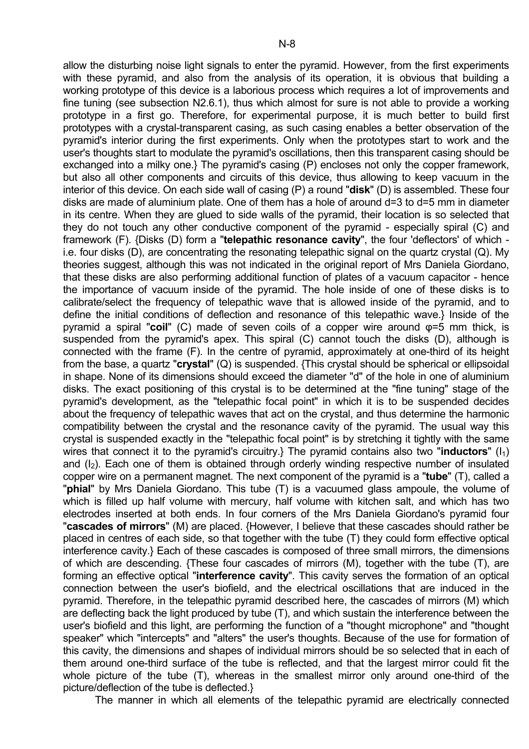allow the disturbing noise light signals to enter the pyramid. However, from the first experiments with these pyramid, and also from the analysis of its operation, it is obvious that building a working prototype of this device is a laborious process which requires a lot of improvements and fine tuning (see subsection N2.6.1), thus which almost for sure is not able to provide a working prototype in a first go. Therefore, for experimental purpose, it is much better to build first prototypes with a crystal-transparent casing, as such casing enables a better observation of the pyramid's interior during the first experiments. Only when the prototypes start to work and the user's thoughts start to modulate the pyramid's oscillations, then this transparent casing should be exchanged into a milky one.} The pyramid's casing (P) encloses not only the copper framework, but also all other components and circuits of this device, thus allowing to keep vacuum in the interior of this device. On each side wall of casing (P) a round "**disk**" (D) is assembled. These four disks are made of aluminium plate. One of them has a hole of around d=3 to d=5 mm in diameter in its centre. When they are glued to side walls of the pyramid, their location is so selected that they do not touch any other conductive component of the pyramid - especially spiral (C) and framework (F). {Disks (D) form a "**telepathic resonance cavity**", the four 'deflectors' of which i.e. four disks (D), are concentrating the resonating telepathic signal on the quartz crystal (Q). My theories suggest, although this was not indicated in the original report of Mrs Daniela Giordano, that these disks are also performing additional function of plates of a vacuum capacitor - hence the importance of vacuum inside of the pyramid. The hole inside of one of these disks is to calibrate/select the frequency of telepathic wave that is allowed inside of the pyramid, and to define the initial conditions of deflection and resonance of this telepathic wave.} Inside of the pyramid a spiral "**coil**" (C) made of seven coils of a copper wire around φ=5 mm thick, is suspended from the pyramid's apex. This spiral (C) cannot touch the disks (D), although is connected with the frame (F). In the centre of pyramid, approximately at one-third of its height from the base, a quartz "**crystal**" (Q) is suspended. {This crystal should be spherical or ellipsoidal in shape. None of its dimensions should exceed the diameter "d" of the hole in one of aluminium disks. The exact positioning of this crystal is to be determined at the "fine tuning" stage of the pyramid's development, as the "telepathic focal point" in which it is to be suspended decides about the frequency of telepathic waves that act on the crystal, and thus determine the harmonic compatibility between the crystal and the resonance cavity of the pyramid. The usual way this crystal is suspended exactly in the "telepathic focal point" is by stretching it tightly with the same wires that connect it to the pyramid's circuitry.} The pyramid contains also two "**inductors**"  $(I_1)$ and  $(I_2)$ . Each one of them is obtained through orderly winding respective number of insulated copper wire on a permanent magnet. The next component of the pyramid is a "**tube**" (T), called a "**phial**" by Mrs Daniela Giordano. This tube (T) is a vacuumed glass ampoule, the volume of which is filled up half volume with mercury, half volume with kitchen salt, and which has two electrodes inserted at both ends. In four corners of the Mrs Daniela Giordano's pyramid four "**cascades of mirrors**" (M) are placed. {However, I believe that these cascades should rather be placed in centres of each side, so that together with the tube (T) they could form effective optical interference cavity.} Each of these cascades is composed of three small mirrors, the dimensions of which are descending. {These four cascades of mirrors (M), together with the tube (T), are forming an effective optical "**interference cavity**". This cavity serves the formation of an optical connection between the user's biofield, and the electrical oscillations that are induced in the pyramid. Therefore, in the telepathic pyramid described here, the cascades of mirrors (M) which are deflecting back the light produced by tube (T), and which sustain the interference between the user's biofield and this light, are performing the function of a "thought microphone" and "thought speaker" which "intercepts" and "alters" the user's thoughts. Because of the use for formation of this cavity, the dimensions and shapes of individual mirrors should be so selected that in each of them around one-third surface of the tube is reflected, and that the largest mirror could fit the whole picture of the tube (T), whereas in the smallest mirror only around one-third of the picture/deflection of the tube is deflected.}

The manner in which all elements of the telepathic pyramid are electrically connected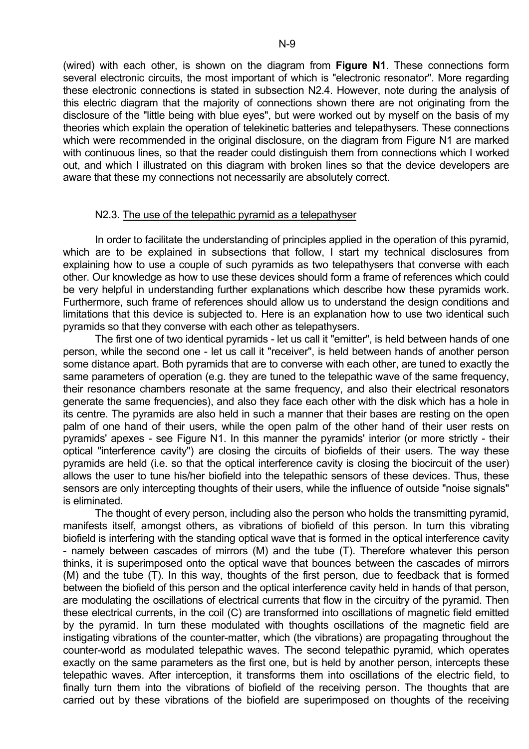(wired) with each other, is shown on the diagram from **Figure N1**. These connections form several electronic circuits, the most important of which is "electronic resonator". More regarding these electronic connections is stated in subsection N2.4. However, note during the analysis of this electric diagram that the majority of connections shown there are not originating from the disclosure of the "little being with blue eyes", but were worked out by myself on the basis of my theories which explain the operation of telekinetic batteries and telepathysers. These connections which were recommended in the original disclosure, on the diagram from Figure N1 are marked with continuous lines, so that the reader could distinguish them from connections which I worked out, and which I illustrated on this diagram with broken lines so that the device developers are aware that these my connections not necessarily are absolutely correct.

#### N2.3. The use of the telepathic pyramid as a telepathyser

 In order to facilitate the understanding of principles applied in the operation of this pyramid, which are to be explained in subsections that follow, I start my technical disclosures from explaining how to use a couple of such pyramids as two telepathysers that converse with each other. Our knowledge as how to use these devices should form a frame of references which could be very helpful in understanding further explanations which describe how these pyramids work. Furthermore, such frame of references should allow us to understand the design conditions and limitations that this device is subjected to. Here is an explanation how to use two identical such pyramids so that they converse with each other as telepathysers.

 The first one of two identical pyramids - let us call it "emitter", is held between hands of one person, while the second one - let us call it "receiver", is held between hands of another person some distance apart. Both pyramids that are to converse with each other, are tuned to exactly the same parameters of operation (e.g. they are tuned to the telepathic wave of the same frequency, their resonance chambers resonate at the same frequency, and also their electrical resonators generate the same frequencies), and also they face each other with the disk which has a hole in its centre. The pyramids are also held in such a manner that their bases are resting on the open palm of one hand of their users, while the open palm of the other hand of their user rests on pyramids' apexes - see Figure N1. In this manner the pyramids' interior (or more strictly - their optical "interference cavity") are closing the circuits of biofields of their users. The way these pyramids are held (i.e. so that the optical interference cavity is closing the biocircuit of the user) allows the user to tune his/her biofield into the telepathic sensors of these devices. Thus, these sensors are only intercepting thoughts of their users, while the influence of outside "noise signals" is eliminated.

 The thought of every person, including also the person who holds the transmitting pyramid, manifests itself, amongst others, as vibrations of biofield of this person. In turn this vibrating biofield is interfering with the standing optical wave that is formed in the optical interference cavity - namely between cascades of mirrors (M) and the tube (T). Therefore whatever this person thinks, it is superimposed onto the optical wave that bounces between the cascades of mirrors (M) and the tube (T). In this way, thoughts of the first person, due to feedback that is formed between the biofield of this person and the optical interference cavity held in hands of that person, are modulating the oscillations of electrical currents that flow in the circuitry of the pyramid. Then these electrical currents, in the coil (C) are transformed into oscillations of magnetic field emitted by the pyramid. In turn these modulated with thoughts oscillations of the magnetic field are instigating vibrations of the counter-matter, which (the vibrations) are propagating throughout the counter-world as modulated telepathic waves. The second telepathic pyramid, which operates exactly on the same parameters as the first one, but is held by another person, intercepts these telepathic waves. After interception, it transforms them into oscillations of the electric field, to finally turn them into the vibrations of biofield of the receiving person. The thoughts that are carried out by these vibrations of the biofield are superimposed on thoughts of the receiving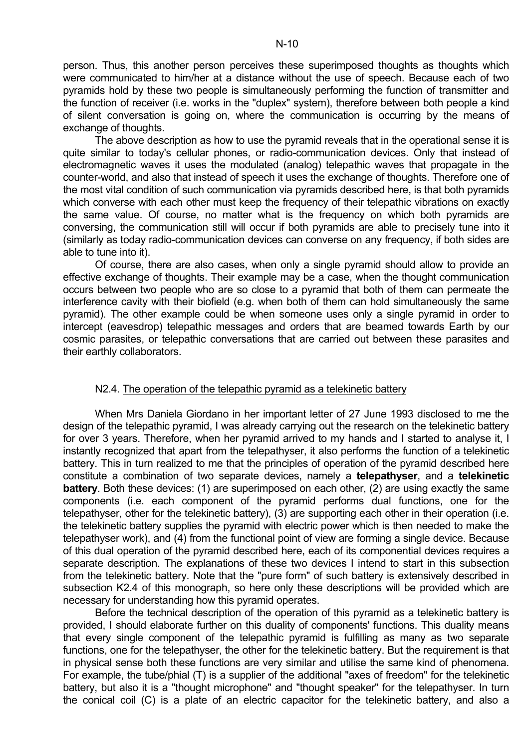person. Thus, this another person perceives these superimposed thoughts as thoughts which were communicated to him/her at a distance without the use of speech. Because each of two pyramids hold by these two people is simultaneously performing the function of transmitter and the function of receiver (i.e. works in the "duplex" system), therefore between both people a kind of silent conversation is going on, where the communication is occurring by the means of exchange of thoughts.

 The above description as how to use the pyramid reveals that in the operational sense it is quite similar to today's cellular phones, or radio-communication devices. Only that instead of electromagnetic waves it uses the modulated (analog) telepathic waves that propagate in the counter-world, and also that instead of speech it uses the exchange of thoughts. Therefore one of the most vital condition of such communication via pyramids described here, is that both pyramids which converse with each other must keep the frequency of their telepathic vibrations on exactly the same value. Of course, no matter what is the frequency on which both pyramids are conversing, the communication still will occur if both pyramids are able to precisely tune into it (similarly as today radio-communication devices can converse on any frequency, if both sides are able to tune into it).

 Of course, there are also cases, when only a single pyramid should allow to provide an effective exchange of thoughts. Their example may be a case, when the thought communication occurs between two people who are so close to a pyramid that both of them can permeate the interference cavity with their biofield (e.g. when both of them can hold simultaneously the same pyramid). The other example could be when someone uses only a single pyramid in order to intercept (eavesdrop) telepathic messages and orders that are beamed towards Earth by our cosmic parasites, or telepathic conversations that are carried out between these parasites and their earthly collaborators.

#### N2.4. The operation of the telepathic pyramid as a telekinetic battery

 When Mrs Daniela Giordano in her important letter of 27 June 1993 disclosed to me the design of the telepathic pyramid, I was already carrying out the research on the telekinetic battery for over 3 years. Therefore, when her pyramid arrived to my hands and I started to analyse it, I instantly recognized that apart from the telepathyser, it also performs the function of a telekinetic battery. This in turn realized to me that the principles of operation of the pyramid described here constitute a combination of two separate devices, namely a **telepathyser**, and a **telekinetic battery**. Both these devices: (1) are superimposed on each other, (2) are using exactly the same components (i.e. each component of the pyramid performs dual functions, one for the telepathyser, other for the telekinetic battery), (3) are supporting each other in their operation (i.e. the telekinetic battery supplies the pyramid with electric power which is then needed to make the telepathyser work), and (4) from the functional point of view are forming a single device. Because of this dual operation of the pyramid described here, each of its componential devices requires a separate description. The explanations of these two devices I intend to start in this subsection from the telekinetic battery. Note that the "pure form" of such battery is extensively described in subsection K2.4 of this monograph, so here only these descriptions will be provided which are necessary for understanding how this pyramid operates.

 Before the technical description of the operation of this pyramid as a telekinetic battery is provided, I should elaborate further on this duality of components' functions. This duality means that every single component of the telepathic pyramid is fulfilling as many as two separate functions, one for the telepathyser, the other for the telekinetic battery. But the requirement is that in physical sense both these functions are very similar and utilise the same kind of phenomena. For example, the tube/phial (T) is a supplier of the additional "axes of freedom" for the telekinetic battery, but also it is a "thought microphone" and "thought speaker" for the telepathyser. In turn the conical coil (C) is a plate of an electric capacitor for the telekinetic battery, and also a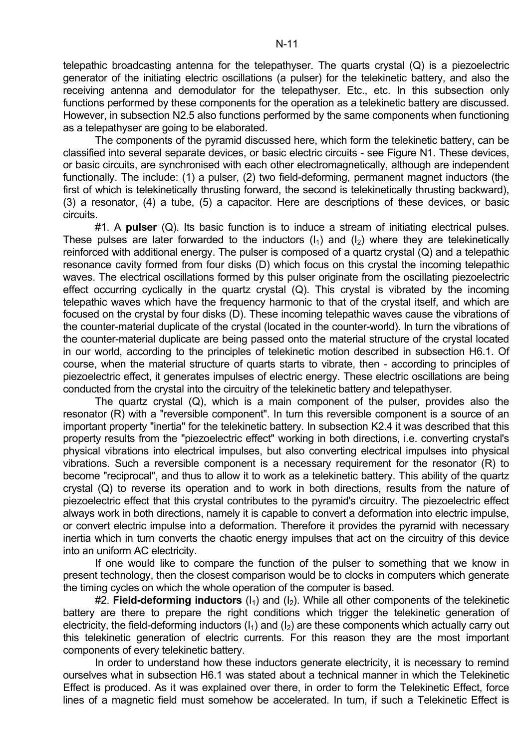telepathic broadcasting antenna for the telepathyser. The quarts crystal (Q) is a piezoelectric generator of the initiating electric oscillations (a pulser) for the telekinetic battery, and also the receiving antenna and demodulator for the telepathyser. Etc., etc. In this subsection only functions performed by these components for the operation as a telekinetic battery are discussed. However, in subsection N2.5 also functions performed by the same components when functioning as a telepathyser are going to be elaborated.

 The components of the pyramid discussed here, which form the telekinetic battery, can be classified into several separate devices, or basic electric circuits - see Figure N1. These devices, or basic circuits, are synchronised with each other electromagnetically, although are independent functionally. The include: (1) a pulser, (2) two field-deforming, permanent magnet inductors (the first of which is telekinetically thrusting forward, the second is telekinetically thrusting backward), (3) a resonator, (4) a tube, (5) a capacitor. Here are descriptions of these devices, or basic circuits.

 #1. A **pulser** (Q). Its basic function is to induce a stream of initiating electrical pulses. These pulses are later forwarded to the inductors  $(I_1)$  and  $(I_2)$  where they are telekinetically reinforced with additional energy. The pulser is composed of a quartz crystal (Q) and a telepathic resonance cavity formed from four disks (D) which focus on this crystal the incoming telepathic waves. The electrical oscillations formed by this pulser originate from the oscillating piezoelectric effect occurring cyclically in the quartz crystal (Q). This crystal is vibrated by the incoming telepathic waves which have the frequency harmonic to that of the crystal itself, and which are focused on the crystal by four disks (D). These incoming telepathic waves cause the vibrations of the counter-material duplicate of the crystal (located in the counter-world). In turn the vibrations of the counter-material duplicate are being passed onto the material structure of the crystal located in our world, according to the principles of telekinetic motion described in subsection H6.1. Of course, when the material structure of quarts starts to vibrate, then - according to principles of piezoelectric effect, it generates impulses of electric energy. These electric oscillations are being conducted from the crystal into the circuitry of the telekinetic battery and telepathyser.

 The quartz crystal (Q), which is a main component of the pulser, provides also the resonator (R) with a "reversible component". In turn this reversible component is a source of an important property "inertia" for the telekinetic battery. In subsection K2.4 it was described that this property results from the "piezoelectric effect" working in both directions, i.e. converting crystal's physical vibrations into electrical impulses, but also converting electrical impulses into physical vibrations. Such a reversible component is a necessary requirement for the resonator (R) to become "reciprocal", and thus to allow it to work as a telekinetic battery. This ability of the quartz crystal (Q) to reverse its operation and to work in both directions, results from the nature of piezoelectric effect that this crystal contributes to the pyramid's circuitry. The piezoelectric effect always work in both directions, namely it is capable to convert a deformation into electric impulse, or convert electric impulse into a deformation. Therefore it provides the pyramid with necessary inertia which in turn converts the chaotic energy impulses that act on the circuitry of this device into an uniform AC electricity.

 If one would like to compare the function of the pulser to something that we know in present technology, then the closest comparison would be to clocks in computers which generate the timing cycles on which the whole operation of the computer is based.

#2. **Field-deforming inductors** (I<sub>1</sub>) and (I<sub>2</sub>). While all other components of the telekinetic battery are there to prepare the right conditions which trigger the telekinetic generation of electricity, the field-deforming inductors  $(I_1)$  and  $(I_2)$  are these components which actually carry out this telekinetic generation of electric currents. For this reason they are the most important components of every telekinetic battery.

 In order to understand how these inductors generate electricity, it is necessary to remind ourselves what in subsection H6.1 was stated about a technical manner in which the Telekinetic Effect is produced. As it was explained over there, in order to form the Telekinetic Effect, force lines of a magnetic field must somehow be accelerated. In turn, if such a Telekinetic Effect is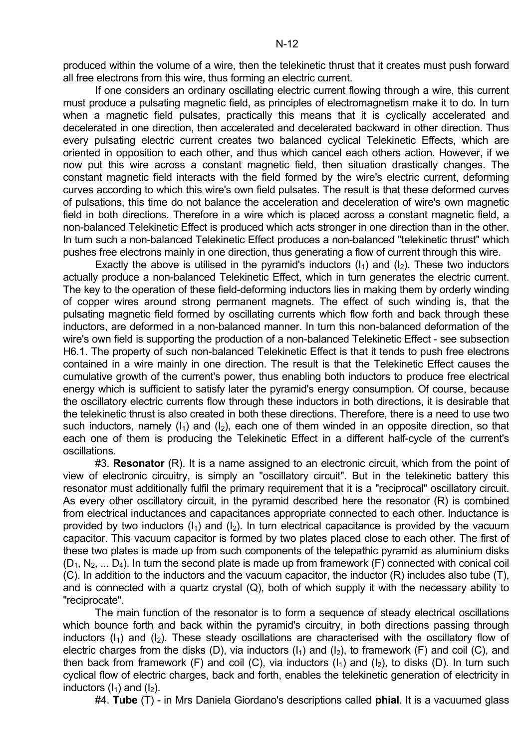If one considers an ordinary oscillating electric current flowing through a wire, this current must produce a pulsating magnetic field, as principles of electromagnetism make it to do. In turn when a magnetic field pulsates, practically this means that it is cyclically accelerated and decelerated in one direction, then accelerated and decelerated backward in other direction. Thus every pulsating electric current creates two balanced cyclical Telekinetic Effects, which are oriented in opposition to each other, and thus which cancel each others action. However, if we now put this wire across a constant magnetic field, then situation drastically changes. The constant magnetic field interacts with the field formed by the wire's electric current, deforming curves according to which this wire's own field pulsates. The result is that these deformed curves of pulsations, this time do not balance the acceleration and deceleration of wire's own magnetic field in both directions. Therefore in a wire which is placed across a constant magnetic field, a non-balanced Telekinetic Effect is produced which acts stronger in one direction than in the other. In turn such a non-balanced Telekinetic Effect produces a non-balanced "telekinetic thrust" which pushes free electrons mainly in one direction, thus generating a flow of current through this wire.

Exactly the above is utilised in the pyramid's inductors  $(I_1)$  and  $(I_2)$ . These two inductors actually produce a non-balanced Telekinetic Effect, which in turn generates the electric current. The key to the operation of these field-deforming inductors lies in making them by orderly winding of copper wires around strong permanent magnets. The effect of such winding is, that the pulsating magnetic field formed by oscillating currents which flow forth and back through these inductors, are deformed in a non-balanced manner. In turn this non-balanced deformation of the wire's own field is supporting the production of a non-balanced Telekinetic Effect - see subsection H6.1. The property of such non-balanced Telekinetic Effect is that it tends to push free electrons contained in a wire mainly in one direction. The result is that the Telekinetic Effect causes the cumulative growth of the current's power, thus enabling both inductors to produce free electrical energy which is sufficient to satisfy later the pyramid's energy consumption. Of course, because the oscillatory electric currents flow through these inductors in both directions, it is desirable that the telekinetic thrust is also created in both these directions. Therefore, there is a need to use two such inductors, namely  $(I_1)$  and  $(I_2)$ , each one of them winded in an opposite direction, so that each one of them is producing the Telekinetic Effect in a different half-cycle of the current's oscillations.

 #3. **Resonator** (R). It is a name assigned to an electronic circuit, which from the point of view of electronic circuitry, is simply an "oscillatory circuit". But in the telekinetic battery this resonator must additionally fulfil the primary requirement that it is a "reciprocal" oscillatory circuit. As every other oscillatory circuit, in the pyramid described here the resonator (R) is combined from electrical inductances and capacitances appropriate connected to each other. Inductance is provided by two inductors  $(I_1)$  and  $(I_2)$ . In turn electrical capacitance is provided by the vacuum capacitor. This vacuum capacitor is formed by two plates placed close to each other. The first of these two plates is made up from such components of the telepathic pyramid as aluminium disks  $(D_1, N_2, \ldots, D_4)$ . In turn the second plate is made up from framework (F) connected with conical coil (C). In addition to the inductors and the vacuum capacitor, the inductor (R) includes also tube (T), and is connected with a quartz crystal (Q), both of which supply it with the necessary ability to "reciprocate".

 The main function of the resonator is to form a sequence of steady electrical oscillations which bounce forth and back within the pyramid's circuitry, in both directions passing through inductors  $(I_1)$  and  $(I_2)$ . These steady oscillations are characterised with the oscillatory flow of electric charges from the disks (D), via inductors  $(I_1)$  and  $(I_2)$ , to framework (F) and coil (C), and then back from framework (F) and coil (C), via inductors  $(I_1)$  and  $(I_2)$ , to disks (D). In turn such cyclical flow of electric charges, back and forth, enables the telekinetic generation of electricity in inductors  $(I_1)$  and  $(I_2)$ .

#4. **Tube** (T) - in Mrs Daniela Giordano's descriptions called **phial**. It is a vacuumed glass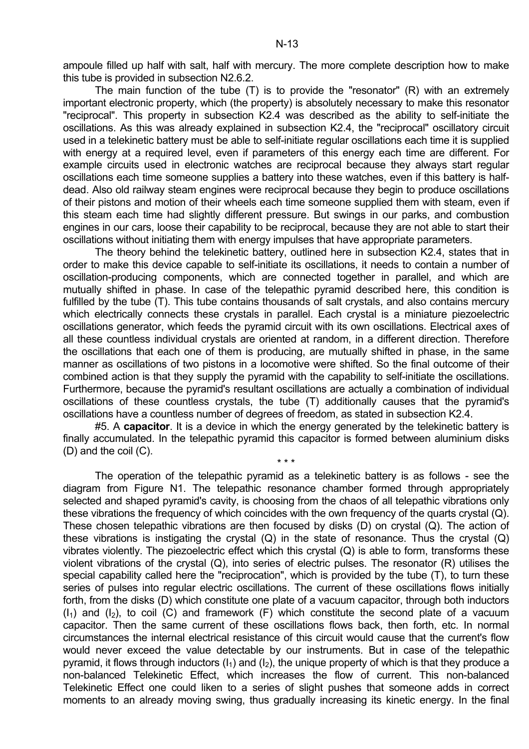ampoule filled up half with salt, half with mercury. The more complete description how to make this tube is provided in subsection N2.6.2.

 The main function of the tube (T) is to provide the "resonator" (R) with an extremely important electronic property, which (the property) is absolutely necessary to make this resonator "reciprocal". This property in subsection K2.4 was described as the ability to self-initiate the oscillations. As this was already explained in subsection K2.4, the "reciprocal" oscillatory circuit used in a telekinetic battery must be able to self-initiate regular oscillations each time it is supplied with energy at a required level, even if parameters of this energy each time are different. For example circuits used in electronic watches are reciprocal because they always start regular oscillations each time someone supplies a battery into these watches, even if this battery is halfdead. Also old railway steam engines were reciprocal because they begin to produce oscillations of their pistons and motion of their wheels each time someone supplied them with steam, even if this steam each time had slightly different pressure. But swings in our parks, and combustion engines in our cars, loose their capability to be reciprocal, because they are not able to start their oscillations without initiating them with energy impulses that have appropriate parameters.

 The theory behind the telekinetic battery, outlined here in subsection K2.4, states that in order to make this device capable to self-initiate its oscillations, it needs to contain a number of oscillation-producing components, which are connected together in parallel, and which are mutually shifted in phase. In case of the telepathic pyramid described here, this condition is fulfilled by the tube (T). This tube contains thousands of salt crystals, and also contains mercury which electrically connects these crystals in parallel. Each crystal is a miniature piezoelectric oscillations generator, which feeds the pyramid circuit with its own oscillations. Electrical axes of all these countless individual crystals are oriented at random, in a different direction. Therefore the oscillations that each one of them is producing, are mutually shifted in phase, in the same manner as oscillations of two pistons in a locomotive were shifted. So the final outcome of their combined action is that they supply the pyramid with the capability to self-initiate the oscillations. Furthermore, because the pyramid's resultant oscillations are actually a combination of individual oscillations of these countless crystals, the tube (T) additionally causes that the pyramid's oscillations have a countless number of degrees of freedom, as stated in subsection K2.4.

 #5. A **capacitor**. It is a device in which the energy generated by the telekinetic battery is finally accumulated. In the telepathic pyramid this capacitor is formed between aluminium disks (D) and the coil (C).

\* \* \*

 The operation of the telepathic pyramid as a telekinetic battery is as follows - see the diagram from Figure N1. The telepathic resonance chamber formed through appropriately selected and shaped pyramid's cavity, is choosing from the chaos of all telepathic vibrations only these vibrations the frequency of which coincides with the own frequency of the quarts crystal (Q). These chosen telepathic vibrations are then focused by disks (D) on crystal (Q). The action of these vibrations is instigating the crystal (Q) in the state of resonance. Thus the crystal (Q) vibrates violently. The piezoelectric effect which this crystal (Q) is able to form, transforms these violent vibrations of the crystal (Q), into series of electric pulses. The resonator (R) utilises the special capability called here the "reciprocation", which is provided by the tube (T), to turn these series of pulses into regular electric oscillations. The current of these oscillations flows initially forth, from the disks (D) which constitute one plate of a vacuum capacitor, through both inductors  $(I_1)$  and  $(I_2)$ , to coil (C) and framework (F) which constitute the second plate of a vacuum capacitor. Then the same current of these oscillations flows back, then forth, etc. In normal circumstances the internal electrical resistance of this circuit would cause that the current's flow would never exceed the value detectable by our instruments. But in case of the telepathic pyramid, it flows through inductors  $(I_1)$  and  $(I_2)$ , the unique property of which is that they produce a non-balanced Telekinetic Effect, which increases the flow of current. This non-balanced Telekinetic Effect one could liken to a series of slight pushes that someone adds in correct moments to an already moving swing, thus gradually increasing its kinetic energy. In the final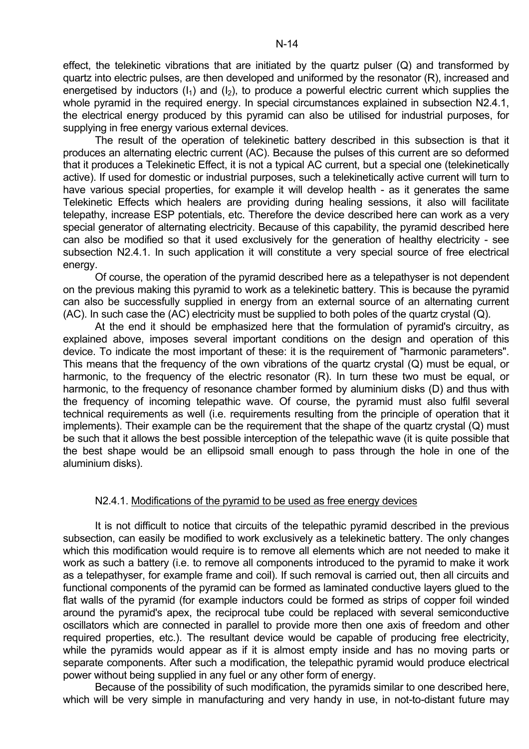effect, the telekinetic vibrations that are initiated by the quartz pulser (Q) and transformed by quartz into electric pulses, are then developed and uniformed by the resonator (R), increased and energetised by inductors  $(I_1)$  and  $(I_2)$ , to produce a powerful electric current which supplies the whole pyramid in the required energy. In special circumstances explained in subsection N2.4.1, the electrical energy produced by this pyramid can also be utilised for industrial purposes, for supplying in free energy various external devices.

 The result of the operation of telekinetic battery described in this subsection is that it produces an alternating electric current (AC). Because the pulses of this current are so deformed that it produces a Telekinetic Effect, it is not a typical AC current, but a special one (telekinetically active). If used for domestic or industrial purposes, such a telekinetically active current will turn to have various special properties, for example it will develop health - as it generates the same Telekinetic Effects which healers are providing during healing sessions, it also will facilitate telepathy, increase ESP potentials, etc. Therefore the device described here can work as a very special generator of alternating electricity. Because of this capability, the pyramid described here can also be modified so that it used exclusively for the generation of healthy electricity - see subsection N2.4.1. In such application it will constitute a very special source of free electrical energy.

 Of course, the operation of the pyramid described here as a telepathyser is not dependent on the previous making this pyramid to work as a telekinetic battery. This is because the pyramid can also be successfully supplied in energy from an external source of an alternating current (AC). In such case the (AC) electricity must be supplied to both poles of the quartz crystal (Q).

 At the end it should be emphasized here that the formulation of pyramid's circuitry, as explained above, imposes several important conditions on the design and operation of this device. To indicate the most important of these: it is the requirement of "harmonic parameters". This means that the frequency of the own vibrations of the quartz crystal (Q) must be equal, or harmonic, to the frequency of the electric resonator (R). In turn these two must be equal, or harmonic, to the frequency of resonance chamber formed by aluminium disks (D) and thus with the frequency of incoming telepathic wave. Of course, the pyramid must also fulfil several technical requirements as well (i.e. requirements resulting from the principle of operation that it implements). Their example can be the requirement that the shape of the quartz crystal (Q) must be such that it allows the best possible interception of the telepathic wave (it is quite possible that the best shape would be an ellipsoid small enough to pass through the hole in one of the aluminium disks).

#### N2.4.1. Modifications of the pyramid to be used as free energy devices

 It is not difficult to notice that circuits of the telepathic pyramid described in the previous subsection, can easily be modified to work exclusively as a telekinetic battery. The only changes which this modification would require is to remove all elements which are not needed to make it work as such a battery (i.e. to remove all components introduced to the pyramid to make it work as a telepathyser, for example frame and coil). If such removal is carried out, then all circuits and functional components of the pyramid can be formed as laminated conductive layers glued to the flat walls of the pyramid (for example inductors could be formed as strips of copper foil winded around the pyramid's apex, the reciprocal tube could be replaced with several semiconductive oscillators which are connected in parallel to provide more then one axis of freedom and other required properties, etc.). The resultant device would be capable of producing free electricity, while the pyramids would appear as if it is almost empty inside and has no moving parts or separate components. After such a modification, the telepathic pyramid would produce electrical power without being supplied in any fuel or any other form of energy.

 Because of the possibility of such modification, the pyramids similar to one described here, which will be very simple in manufacturing and very handy in use, in not-to-distant future may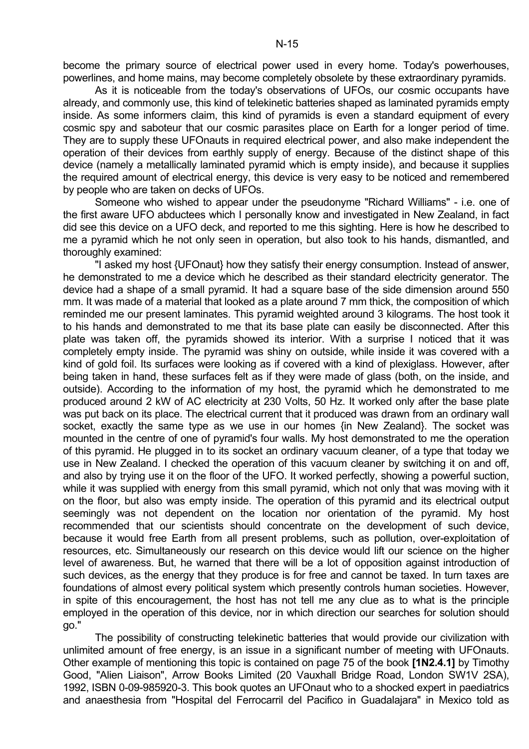become the primary source of electrical power used in every home. Today's powerhouses, powerlines, and home mains, may become completely obsolete by these extraordinary pyramids.

 As it is noticeable from the today's observations of UFOs, our cosmic occupants have already, and commonly use, this kind of telekinetic batteries shaped as laminated pyramids empty inside. As some informers claim, this kind of pyramids is even a standard equipment of every cosmic spy and saboteur that our cosmic parasites place on Earth for a longer period of time. They are to supply these UFOnauts in required electrical power, and also make independent the operation of their devices from earthly supply of energy. Because of the distinct shape of this device (namely a metallically laminated pyramid which is empty inside), and because it supplies the required amount of electrical energy, this device is very easy to be noticed and remembered by people who are taken on decks of UFOs.

 Someone who wished to appear under the pseudonyme "Richard Williams" - i.e. one of the first aware UFO abductees which I personally know and investigated in New Zealand, in fact did see this device on a UFO deck, and reported to me this sighting. Here is how he described to me a pyramid which he not only seen in operation, but also took to his hands, dismantled, and thoroughly examined:

 "I asked my host {UFOnaut} how they satisfy their energy consumption. Instead of answer, he demonstrated to me a device which he described as their standard electricity generator. The device had a shape of a small pyramid. It had a square base of the side dimension around 550 mm. It was made of a material that looked as a plate around 7 mm thick, the composition of which reminded me our present laminates. This pyramid weighted around 3 kilograms. The host took it to his hands and demonstrated to me that its base plate can easily be disconnected. After this plate was taken off, the pyramids showed its interior. With a surprise I noticed that it was completely empty inside. The pyramid was shiny on outside, while inside it was covered with a kind of gold foil. Its surfaces were looking as if covered with a kind of plexiglass. However, after being taken in hand, these surfaces felt as if they were made of glass (both, on the inside, and outside). According to the information of my host, the pyramid which he demonstrated to me produced around 2 kW of AC electricity at 230 Volts, 50 Hz. It worked only after the base plate was put back on its place. The electrical current that it produced was drawn from an ordinary wall socket, exactly the same type as we use in our homes {in New Zealand}. The socket was mounted in the centre of one of pyramid's four walls. My host demonstrated to me the operation of this pyramid. He plugged in to its socket an ordinary vacuum cleaner, of a type that today we use in New Zealand. I checked the operation of this vacuum cleaner by switching it on and off, and also by trying use it on the floor of the UFO. It worked perfectly, showing a powerful suction, while it was supplied with energy from this small pyramid, which not only that was moving with it on the floor, but also was empty inside. The operation of this pyramid and its electrical output seemingly was not dependent on the location nor orientation of the pyramid. My host recommended that our scientists should concentrate on the development of such device, because it would free Earth from all present problems, such as pollution, over-exploitation of resources, etc. Simultaneously our research on this device would lift our science on the higher level of awareness. But, he warned that there will be a lot of opposition against introduction of such devices, as the energy that they produce is for free and cannot be taxed. In turn taxes are foundations of almost every political system which presently controls human societies. However, in spite of this encouragement, the host has not tell me any clue as to what is the principle employed in the operation of this device, nor in which direction our searches for solution should go."

 The possibility of constructing telekinetic batteries that would provide our civilization with unlimited amount of free energy, is an issue in a significant number of meeting with UFOnauts. Other example of mentioning this topic is contained on page 75 of the book **[1N2.4.1]** by Timothy Good, "Alien Liaison", Arrow Books Limited (20 Vauxhall Bridge Road, London SW1V 2SA), 1992, ISBN 0-09-985920-3. This book quotes an UFOnaut who to a shocked expert in paediatrics and anaesthesia from "Hospital del Ferrocarril del Pacifico in Guadalajara" in Mexico told as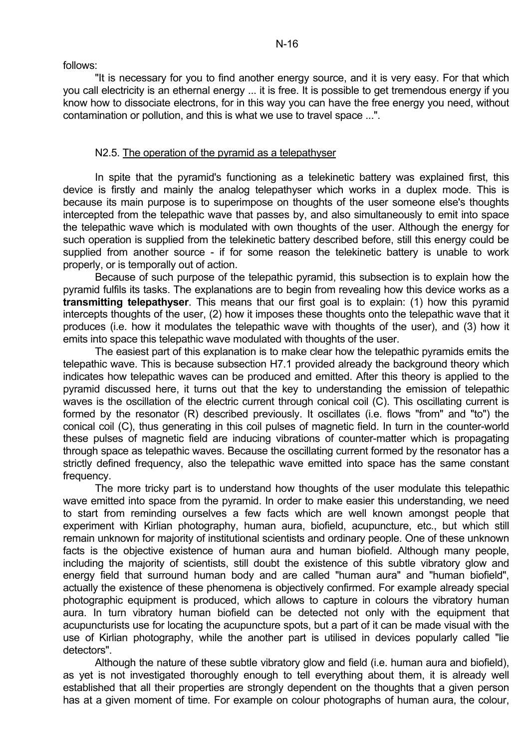follows:

 "It is necessary for you to find another energy source, and it is very easy. For that which you call electricity is an ethernal energy ... it is free. It is possible to get tremendous energy if you know how to dissociate electrons, for in this way you can have the free energy you need, without contamination or pollution, and this is what we use to travel space ...".

# N2.5. The operation of the pyramid as a telepathyser

 In spite that the pyramid's functioning as a telekinetic battery was explained first, this device is firstly and mainly the analog telepathyser which works in a duplex mode. This is because its main purpose is to superimpose on thoughts of the user someone else's thoughts intercepted from the telepathic wave that passes by, and also simultaneously to emit into space the telepathic wave which is modulated with own thoughts of the user. Although the energy for such operation is supplied from the telekinetic battery described before, still this energy could be supplied from another source - if for some reason the telekinetic battery is unable to work properly, or is temporally out of action.

 Because of such purpose of the telepathic pyramid, this subsection is to explain how the pyramid fulfils its tasks. The explanations are to begin from revealing how this device works as a **transmitting telepathyser**. This means that our first goal is to explain: (1) how this pyramid intercepts thoughts of the user, (2) how it imposes these thoughts onto the telepathic wave that it produces (i.e. how it modulates the telepathic wave with thoughts of the user), and (3) how it emits into space this telepathic wave modulated with thoughts of the user.

 The easiest part of this explanation is to make clear how the telepathic pyramids emits the telepathic wave. This is because subsection H7.1 provided already the background theory which indicates how telepathic waves can be produced and emitted. After this theory is applied to the pyramid discussed here, it turns out that the key to understanding the emission of telepathic waves is the oscillation of the electric current through conical coil (C). This oscillating current is formed by the resonator (R) described previously. It oscillates (i.e. flows "from" and "to") the conical coil (C), thus generating in this coil pulses of magnetic field. In turn in the counter-world these pulses of magnetic field are inducing vibrations of counter-matter which is propagating through space as telepathic waves. Because the oscillating current formed by the resonator has a strictly defined frequency, also the telepathic wave emitted into space has the same constant frequency.

 The more tricky part is to understand how thoughts of the user modulate this telepathic wave emitted into space from the pyramid. In order to make easier this understanding, we need to start from reminding ourselves a few facts which are well known amongst people that experiment with Kirlian photography, human aura, biofield, acupuncture, etc., but which still remain unknown for majority of institutional scientists and ordinary people. One of these unknown facts is the objective existence of human aura and human biofield. Although many people, including the majority of scientists, still doubt the existence of this subtle vibratory glow and energy field that surround human body and are called "human aura" and "human biofield", actually the existence of these phenomena is objectively confirmed. For example already special photographic equipment is produced, which allows to capture in colours the vibratory human aura. In turn vibratory human biofield can be detected not only with the equipment that acupuncturists use for locating the acupuncture spots, but a part of it can be made visual with the use of Kirlian photography, while the another part is utilised in devices popularly called "lie detectors".

 Although the nature of these subtle vibratory glow and field (i.e. human aura and biofield), as yet is not investigated thoroughly enough to tell everything about them, it is already well established that all their properties are strongly dependent on the thoughts that a given person has at a given moment of time. For example on colour photographs of human aura, the colour,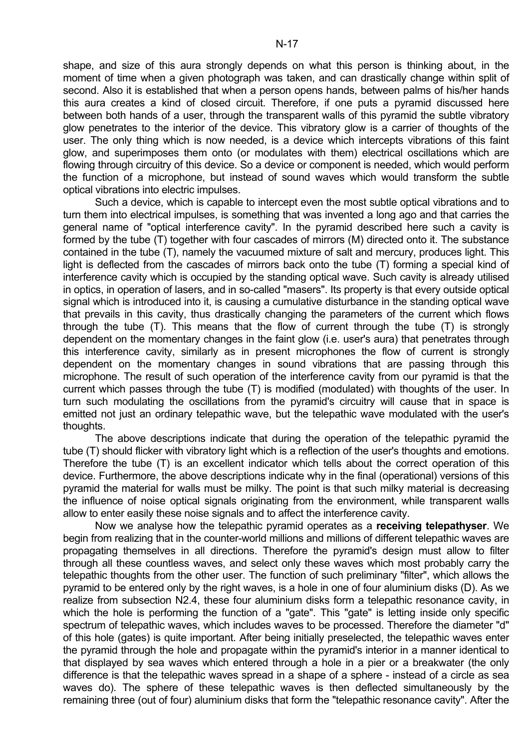shape, and size of this aura strongly depends on what this person is thinking about, in the moment of time when a given photograph was taken, and can drastically change within split of second. Also it is established that when a person opens hands, between palms of his/her hands this aura creates a kind of closed circuit. Therefore, if one puts a pyramid discussed here between both hands of a user, through the transparent walls of this pyramid the subtle vibratory glow penetrates to the interior of the device. This vibratory glow is a carrier of thoughts of the user. The only thing which is now needed, is a device which intercepts vibrations of this faint glow, and superimposes them onto (or modulates with them) electrical oscillations which are flowing through circuitry of this device. So a device or component is needed, which would perform the function of a microphone, but instead of sound waves which would transform the subtle optical vibrations into electric impulses.

 Such a device, which is capable to intercept even the most subtle optical vibrations and to turn them into electrical impulses, is something that was invented a long ago and that carries the general name of "optical interference cavity". In the pyramid described here such a cavity is formed by the tube (T) together with four cascades of mirrors (M) directed onto it. The substance contained in the tube (T), namely the vacuumed mixture of salt and mercury, produces light. This light is deflected from the cascades of mirrors back onto the tube (T) forming a special kind of interference cavity which is occupied by the standing optical wave. Such cavity is already utilised in optics, in operation of lasers, and in so-called "masers". Its property is that every outside optical signal which is introduced into it, is causing a cumulative disturbance in the standing optical wave that prevails in this cavity, thus drastically changing the parameters of the current which flows through the tube (T). This means that the flow of current through the tube (T) is strongly dependent on the momentary changes in the faint glow (i.e. user's aura) that penetrates through this interference cavity, similarly as in present microphones the flow of current is strongly dependent on the momentary changes in sound vibrations that are passing through this microphone. The result of such operation of the interference cavity from our pyramid is that the current which passes through the tube (T) is modified (modulated) with thoughts of the user. In turn such modulating the oscillations from the pyramid's circuitry will cause that in space is emitted not just an ordinary telepathic wave, but the telepathic wave modulated with the user's thoughts.

 The above descriptions indicate that during the operation of the telepathic pyramid the tube (T) should flicker with vibratory light which is a reflection of the user's thoughts and emotions. Therefore the tube (T) is an excellent indicator which tells about the correct operation of this device. Furthermore, the above descriptions indicate why in the final (operational) versions of this pyramid the material for walls must be milky. The point is that such milky material is decreasing the influence of noise optical signals originating from the environment, while transparent walls allow to enter easily these noise signals and to affect the interference cavity.

 Now we analyse how the telepathic pyramid operates as a **receiving telepathyser**. We begin from realizing that in the counter-world millions and millions of different telepathic waves are propagating themselves in all directions. Therefore the pyramid's design must allow to filter through all these countless waves, and select only these waves which most probably carry the telepathic thoughts from the other user. The function of such preliminary "filter", which allows the pyramid to be entered only by the right waves, is a hole in one of four aluminium disks (D). As we realize from subsection N2.4, these four aluminium disks form a telepathic resonance cavity, in which the hole is performing the function of a "gate". This "gate" is letting inside only specific spectrum of telepathic waves, which includes waves to be processed. Therefore the diameter "d" of this hole (gates) is quite important. After being initially preselected, the telepathic waves enter the pyramid through the hole and propagate within the pyramid's interior in a manner identical to that displayed by sea waves which entered through a hole in a pier or a breakwater (the only difference is that the telepathic waves spread in a shape of a sphere - instead of a circle as sea waves do). The sphere of these telepathic waves is then deflected simultaneously by the remaining three (out of four) aluminium disks that form the "telepathic resonance cavity". After the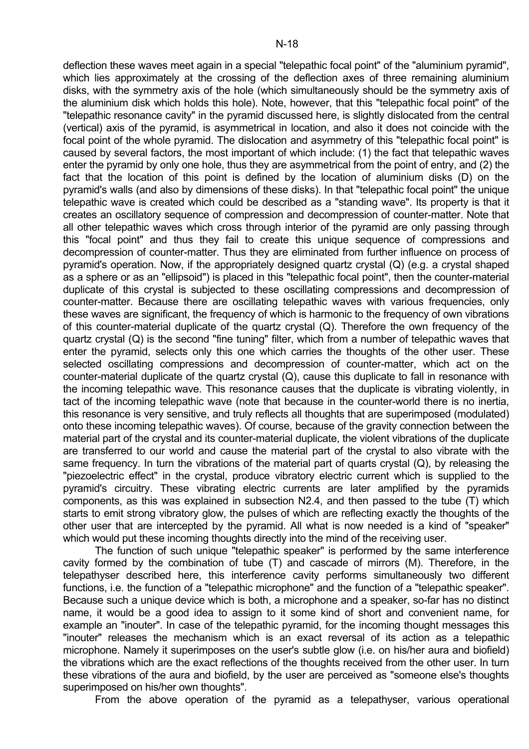deflection these waves meet again in a special "telepathic focal point" of the "aluminium pyramid", which lies approximately at the crossing of the deflection axes of three remaining aluminium disks, with the symmetry axis of the hole (which simultaneously should be the symmetry axis of the aluminium disk which holds this hole). Note, however, that this "telepathic focal point" of the "telepathic resonance cavity" in the pyramid discussed here, is slightly dislocated from the central (vertical) axis of the pyramid, is asymmetrical in location, and also it does not coincide with the focal point of the whole pyramid. The dislocation and asymmetry of this "telepathic focal point" is caused by several factors, the most important of which include: (1) the fact that telepathic waves enter the pyramid by only one hole, thus they are asymmetrical from the point of entry, and (2) the fact that the location of this point is defined by the location of aluminium disks (D) on the pyramid's walls (and also by dimensions of these disks). In that "telepathic focal point" the unique telepathic wave is created which could be described as a "standing wave". Its property is that it creates an oscillatory sequence of compression and decompression of counter-matter. Note that all other telepathic waves which cross through interior of the pyramid are only passing through this "focal point" and thus they fail to create this unique sequence of compressions and decompression of counter-matter. Thus they are eliminated from further influence on process of pyramid's operation. Now, if the appropriately designed quartz crystal (Q) (e.g. a crystal shaped as a sphere or as an "ellipsoid") is placed in this "telepathic focal point", then the counter-material duplicate of this crystal is subjected to these oscillating compressions and decompression of counter-matter. Because there are oscillating telepathic waves with various frequencies, only these waves are significant, the frequency of which is harmonic to the frequency of own vibrations of this counter-material duplicate of the quartz crystal (Q). Therefore the own frequency of the quartz crystal (Q) is the second "fine tuning" filter, which from a number of telepathic waves that enter the pyramid, selects only this one which carries the thoughts of the other user. These selected oscillating compressions and decompression of counter-matter, which act on the counter-material duplicate of the quartz crystal (Q), cause this duplicate to fall in resonance with the incoming telepathic wave. This resonance causes that the duplicate is vibrating violently, in tact of the incoming telepathic wave (note that because in the counter-world there is no inertia, this resonance is very sensitive, and truly reflects all thoughts that are superimposed (modulated) onto these incoming telepathic waves). Of course, because of the gravity connection between the material part of the crystal and its counter-material duplicate, the violent vibrations of the duplicate are transferred to our world and cause the material part of the crystal to also vibrate with the same frequency. In turn the vibrations of the material part of quarts crystal (Q), by releasing the "piezoelectric effect" in the crystal, produce vibratory electric current which is supplied to the pyramid's circuitry. These vibrating electric currents are later amplified by the pyramids components, as this was explained in subsection N2.4, and then passed to the tube (T) which starts to emit strong vibratory glow, the pulses of which are reflecting exactly the thoughts of the other user that are intercepted by the pyramid. All what is now needed is a kind of "speaker" which would put these incoming thoughts directly into the mind of the receiving user.

 The function of such unique "telepathic speaker" is performed by the same interference cavity formed by the combination of tube (T) and cascade of mirrors (M). Therefore, in the telepathyser described here, this interference cavity performs simultaneously two different functions, i.e. the function of a "telepathic microphone" and the function of a "telepathic speaker". Because such a unique device which is both, a microphone and a speaker, so-far has no distinct name, it would be a good idea to assign to it some kind of short and convenient name, for example an "inouter". In case of the telepathic pyramid, for the incoming thought messages this "inouter" releases the mechanism which is an exact reversal of its action as a telepathic microphone. Namely it superimposes on the user's subtle glow (i.e. on his/her aura and biofield) the vibrations which are the exact reflections of the thoughts received from the other user. In turn these vibrations of the aura and biofield, by the user are perceived as "someone else's thoughts superimposed on his/her own thoughts".

From the above operation of the pyramid as a telepathyser, various operational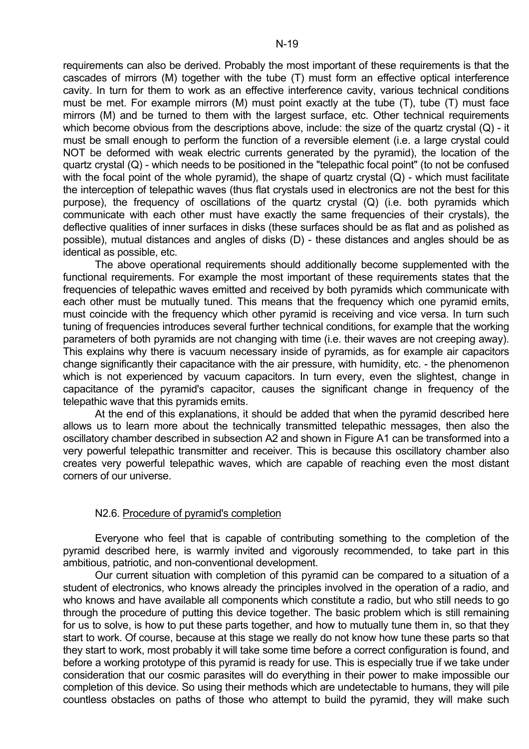requirements can also be derived. Probably the most important of these requirements is that the cascades of mirrors (M) together with the tube (T) must form an effective optical interference cavity. In turn for them to work as an effective interference cavity, various technical conditions must be met. For example mirrors (M) must point exactly at the tube (T), tube (T) must face mirrors (M) and be turned to them with the largest surface, etc. Other technical requirements which become obvious from the descriptions above, include: the size of the quartz crystal (Q) - it must be small enough to perform the function of a reversible element (i.e. a large crystal could NOT be deformed with weak electric currents generated by the pyramid), the location of the quartz crystal (Q) - which needs to be positioned in the "telepathic focal point" (to not be confused with the focal point of the whole pyramid), the shape of quartz crystal (Q) - which must facilitate the interception of telepathic waves (thus flat crystals used in electronics are not the best for this purpose), the frequency of oscillations of the quartz crystal (Q) (i.e. both pyramids which communicate with each other must have exactly the same frequencies of their crystals), the deflective qualities of inner surfaces in disks (these surfaces should be as flat and as polished as possible), mutual distances and angles of disks (D) - these distances and angles should be as identical as possible, etc.

 The above operational requirements should additionally become supplemented with the functional requirements. For example the most important of these requirements states that the frequencies of telepathic waves emitted and received by both pyramids which communicate with each other must be mutually tuned. This means that the frequency which one pyramid emits, must coincide with the frequency which other pyramid is receiving and vice versa. In turn such tuning of frequencies introduces several further technical conditions, for example that the working parameters of both pyramids are not changing with time (i.e. their waves are not creeping away). This explains why there is vacuum necessary inside of pyramids, as for example air capacitors change significantly their capacitance with the air pressure, with humidity, etc. - the phenomenon which is not experienced by vacuum capacitors. In turn every, even the slightest, change in capacitance of the pyramid's capacitor, causes the significant change in frequency of the telepathic wave that this pyramids emits.

 At the end of this explanations, it should be added that when the pyramid described here allows us to learn more about the technically transmitted telepathic messages, then also the oscillatory chamber described in subsection A2 and shown in Figure A1 can be transformed into a very powerful telepathic transmitter and receiver. This is because this oscillatory chamber also creates very powerful telepathic waves, which are capable of reaching even the most distant corners of our universe.

# N2.6. Procedure of pyramid's completion

 Everyone who feel that is capable of contributing something to the completion of the pyramid described here, is warmly invited and vigorously recommended, to take part in this ambitious, patriotic, and non-conventional development.

 Our current situation with completion of this pyramid can be compared to a situation of a student of electronics, who knows already the principles involved in the operation of a radio, and who knows and have available all components which constitute a radio, but who still needs to go through the procedure of putting this device together. The basic problem which is still remaining for us to solve, is how to put these parts together, and how to mutually tune them in, so that they start to work. Of course, because at this stage we really do not know how tune these parts so that they start to work, most probably it will take some time before a correct configuration is found, and before a working prototype of this pyramid is ready for use. This is especially true if we take under consideration that our cosmic parasites will do everything in their power to make impossible our completion of this device. So using their methods which are undetectable to humans, they will pile countless obstacles on paths of those who attempt to build the pyramid, they will make such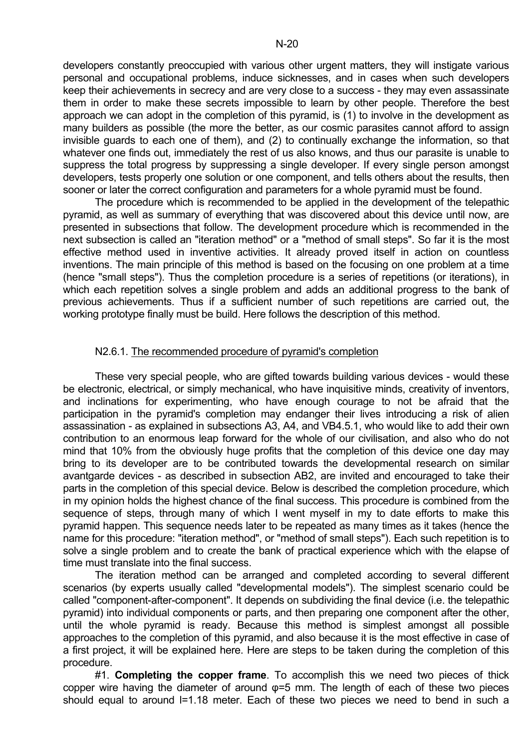developers constantly preoccupied with various other urgent matters, they will instigate various personal and occupational problems, induce sicknesses, and in cases when such developers keep their achievements in secrecy and are very close to a success - they may even assassinate them in order to make these secrets impossible to learn by other people. Therefore the best approach we can adopt in the completion of this pyramid, is (1) to involve in the development as many builders as possible (the more the better, as our cosmic parasites cannot afford to assign invisible guards to each one of them), and (2) to continually exchange the information, so that whatever one finds out, immediately the rest of us also knows, and thus our parasite is unable to suppress the total progress by suppressing a single developer. If every single person amongst developers, tests properly one solution or one component, and tells others about the results, then sooner or later the correct configuration and parameters for a whole pyramid must be found.

 The procedure which is recommended to be applied in the development of the telepathic pyramid, as well as summary of everything that was discovered about this device until now, are presented in subsections that follow. The development procedure which is recommended in the next subsection is called an "iteration method" or a "method of small steps". So far it is the most effective method used in inventive activities. It already proved itself in action on countless inventions. The main principle of this method is based on the focusing on one problem at a time (hence "small steps"). Thus the completion procedure is a series of repetitions (or iterations), in which each repetition solves a single problem and adds an additional progress to the bank of previous achievements. Thus if a sufficient number of such repetitions are carried out, the working prototype finally must be build. Here follows the description of this method.

#### N<sub>2.6.1</sub>. The recommended procedure of pyramid's completion

 These very special people, who are gifted towards building various devices - would these be electronic, electrical, or simply mechanical, who have inquisitive minds, creativity of inventors, and inclinations for experimenting, who have enough courage to not be afraid that the participation in the pyramid's completion may endanger their lives introducing a risk of alien assassination - as explained in subsections A3, A4, and VB4.5.1, who would like to add their own contribution to an enormous leap forward for the whole of our civilisation, and also who do not mind that 10% from the obviously huge profits that the completion of this device one day may bring to its developer are to be contributed towards the developmental research on similar avantgarde devices - as described in subsection AB2, are invited and encouraged to take their parts in the completion of this special device. Below is described the completion procedure, which in my opinion holds the highest chance of the final success. This procedure is combined from the sequence of steps, through many of which I went myself in my to date efforts to make this pyramid happen. This sequence needs later to be repeated as many times as it takes (hence the name for this procedure: "iteration method", or "method of small steps"). Each such repetition is to solve a single problem and to create the bank of practical experience which with the elapse of time must translate into the final success.

 The iteration method can be arranged and completed according to several different scenarios (by experts usually called "developmental models"). The simplest scenario could be called "component-after-component". It depends on subdividing the final device (i.e. the telepathic pyramid) into individual components or parts, and then preparing one component after the other, until the whole pyramid is ready. Because this method is simplest amongst all possible approaches to the completion of this pyramid, and also because it is the most effective in case of a first project, it will be explained here. Here are steps to be taken during the completion of this procedure.

 #1. **Completing the copper frame**. To accomplish this we need two pieces of thick copper wire having the diameter of around φ=5 mm. The length of each of these two pieces should equal to around I=1.18 meter. Each of these two pieces we need to bend in such a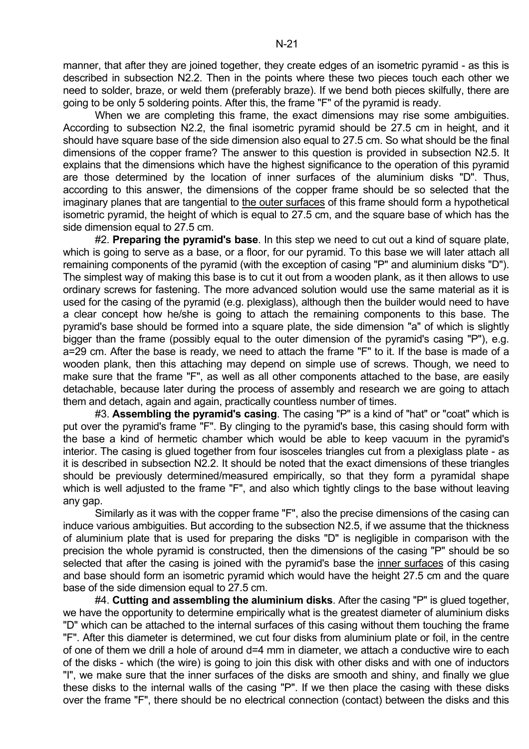manner, that after they are joined together, they create edges of an isometric pyramid - as this is described in subsection N2.2. Then in the points where these two pieces touch each other we need to solder, braze, or weld them (preferably braze). If we bend both pieces skilfully, there are going to be only 5 soldering points. After this, the frame "F" of the pyramid is ready.

 When we are completing this frame, the exact dimensions may rise some ambiguities. According to subsection N2.2, the final isometric pyramid should be 27.5 cm in height, and it should have square base of the side dimension also equal to 27.5 cm. So what should be the final dimensions of the copper frame? The answer to this question is provided in subsection N2.5. It explains that the dimensions which have the highest significance to the operation of this pyramid are those determined by the location of inner surfaces of the aluminium disks "D". Thus, according to this answer, the dimensions of the copper frame should be so selected that the imaginary planes that are tangential to the outer surfaces of this frame should form a hypothetical isometric pyramid, the height of which is equal to 27.5 cm, and the square base of which has the side dimension equal to 27.5 cm.

 #2. **Preparing the pyramid's base**. In this step we need to cut out a kind of square plate, which is going to serve as a base, or a floor, for our pyramid. To this base we will later attach all remaining components of the pyramid (with the exception of casing "P" and aluminium disks "D"). The simplest way of making this base is to cut it out from a wooden plank, as it then allows to use ordinary screws for fastening. The more advanced solution would use the same material as it is used for the casing of the pyramid (e.g. plexiglass), although then the builder would need to have a clear concept how he/she is going to attach the remaining components to this base. The pyramid's base should be formed into a square plate, the side dimension "a" of which is slightly bigger than the frame (possibly equal to the outer dimension of the pyramid's casing "P"), e.g. a=29 cm. After the base is ready, we need to attach the frame "F" to it. If the base is made of a wooden plank, then this attaching may depend on simple use of screws. Though, we need to make sure that the frame "F", as well as all other components attached to the base, are easily detachable, because later during the process of assembly and research we are going to attach them and detach, again and again, practically countless number of times.

 #3. **Assembling the pyramid's casing**. The casing "P" is a kind of "hat" or "coat" which is put over the pyramid's frame "F". By clinging to the pyramid's base, this casing should form with the base a kind of hermetic chamber which would be able to keep vacuum in the pyramid's interior. The casing is glued together from four isosceles triangles cut from a plexiglass plate - as it is described in subsection N2.2. It should be noted that the exact dimensions of these triangles should be previously determined/measured empirically, so that they form a pyramidal shape which is well adjusted to the frame "F", and also which tightly clings to the base without leaving any gap.

 Similarly as it was with the copper frame "F", also the precise dimensions of the casing can induce various ambiguities. But according to the subsection N2.5, if we assume that the thickness of aluminium plate that is used for preparing the disks "D" is negligible in comparison with the precision the whole pyramid is constructed, then the dimensions of the casing "P" should be so selected that after the casing is joined with the pyramid's base the inner surfaces of this casing and base should form an isometric pyramid which would have the height 27.5 cm and the quare base of the side dimension equal to 27.5 cm.

 #4. **Cutting and assembling the aluminium disks**. After the casing "P" is glued together, we have the opportunity to determine empirically what is the greatest diameter of aluminium disks "D" which can be attached to the internal surfaces of this casing without them touching the frame "F". After this diameter is determined, we cut four disks from aluminium plate or foil, in the centre of one of them we drill a hole of around d=4 mm in diameter, we attach a conductive wire to each of the disks - which (the wire) is going to join this disk with other disks and with one of inductors "I", we make sure that the inner surfaces of the disks are smooth and shiny, and finally we glue these disks to the internal walls of the casing "P". If we then place the casing with these disks over the frame "F", there should be no electrical connection (contact) between the disks and this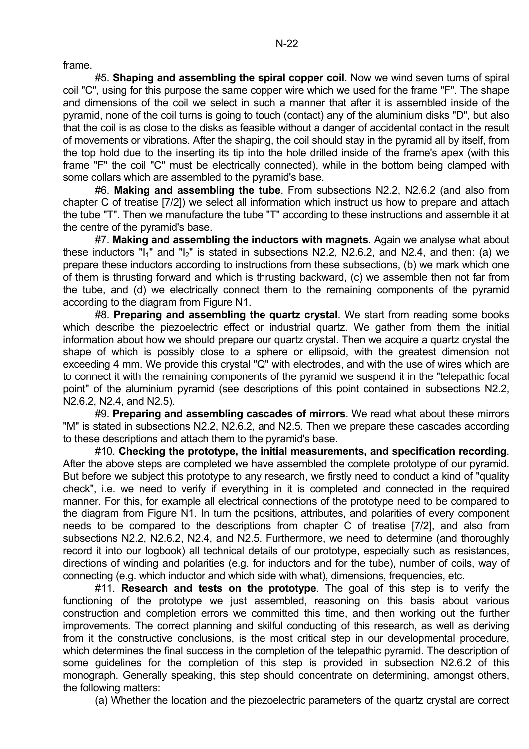frame.

 #5. **Shaping and assembling the spiral copper coil**. Now we wind seven turns of spiral coil "C", using for this purpose the same copper wire which we used for the frame "F". The shape and dimensions of the coil we select in such a manner that after it is assembled inside of the pyramid, none of the coil turns is going to touch (contact) any of the aluminium disks "D", but also that the coil is as close to the disks as feasible without a danger of accidental contact in the result of movements or vibrations. After the shaping, the coil should stay in the pyramid all by itself, from the top hold due to the inserting its tip into the hole drilled inside of the frame's apex (with this frame "F" the coil "C" must be electrically connected), while in the bottom being clamped with some collars which are assembled to the pyramid's base.

 #6. **Making and assembling the tube**. From subsections N2.2, N2.6.2 (and also from chapter C of treatise [7/2]) we select all information which instruct us how to prepare and attach the tube "T". Then we manufacture the tube "T" according to these instructions and assemble it at the centre of the pyramid's base.

 #7. **Making and assembling the inductors with magnets**. Again we analyse what about these inductors " $I_1$ " and " $I_2$ " is stated in subsections N2.2, N2.6.2, and N2.4, and then: (a) we prepare these inductors according to instructions from these subsections, (b) we mark which one of them is thrusting forward and which is thrusting backward, (c) we assemble then not far from the tube, and (d) we electrically connect them to the remaining components of the pyramid according to the diagram from Figure N1.

 #8. **Preparing and assembling the quartz crystal**. We start from reading some books which describe the piezoelectric effect or industrial quartz. We gather from them the initial information about how we should prepare our quartz crystal. Then we acquire a quartz crystal the shape of which is possibly close to a sphere or ellipsoid, with the greatest dimension not exceeding 4 mm. We provide this crystal "Q" with electrodes, and with the use of wires which are to connect it with the remaining components of the pyramid we suspend it in the "telepathic focal point" of the aluminium pyramid (see descriptions of this point contained in subsections N2.2, N2.6.2, N2.4, and N2.5).

 #9. **Preparing and assembling cascades of mirrors**. We read what about these mirrors "M" is stated in subsections N2.2, N2.6.2, and N2.5. Then we prepare these cascades according to these descriptions and attach them to the pyramid's base.

 #10. **Checking the prototype, the initial measurements, and specification recording**. After the above steps are completed we have assembled the complete prototype of our pyramid. But before we subject this prototype to any research, we firstly need to conduct a kind of "quality check", i.e. we need to verify if everything in it is completed and connected in the required manner. For this, for example all electrical connections of the prototype need to be compared to the diagram from Figure N1. In turn the positions, attributes, and polarities of every component needs to be compared to the descriptions from chapter C of treatise [7/2], and also from subsections N2.2, N2.6.2, N2.4, and N2.5. Furthermore, we need to determine (and thoroughly record it into our logbook) all technical details of our prototype, especially such as resistances, directions of winding and polarities (e.g. for inductors and for the tube), number of coils, way of connecting (e.g. which inductor and which side with what), dimensions, frequencies, etc.

 #11. **Research and tests on the prototype**. The goal of this step is to verify the functioning of the prototype we just assembled, reasoning on this basis about various construction and completion errors we committed this time, and then working out the further improvements. The correct planning and skilful conducting of this research, as well as deriving from it the constructive conclusions, is the most critical step in our developmental procedure, which determines the final success in the completion of the telepathic pyramid. The description of some guidelines for the completion of this step is provided in subsection N2.6.2 of this monograph. Generally speaking, this step should concentrate on determining, amongst others, the following matters:

(a) Whether the location and the piezoelectric parameters of the quartz crystal are correct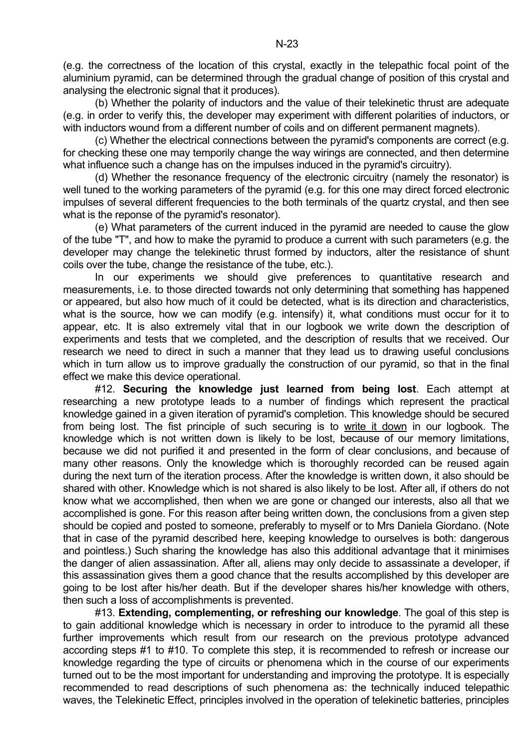(e.g. the correctness of the location of this crystal, exactly in the telepathic focal point of the aluminium pyramid, can be determined through the gradual change of position of this crystal and analysing the electronic signal that it produces).

 (b) Whether the polarity of inductors and the value of their telekinetic thrust are adequate (e.g. in order to verify this, the developer may experiment with different polarities of inductors, or with inductors wound from a different number of coils and on different permanent magnets).

 (c) Whether the electrical connections between the pyramid's components are correct (e.g. for checking these one may temporily change the way wirings are connected, and then determine what influence such a change has on the impulses induced in the pyramid's circuitry).

 (d) Whether the resonance frequency of the electronic circuitry (namely the resonator) is well tuned to the working parameters of the pyramid (e.g. for this one may direct forced electronic impulses of several different frequencies to the both terminals of the quartz crystal, and then see what is the reponse of the pyramid's resonator).

 (e) What parameters of the current induced in the pyramid are needed to cause the glow of the tube "T", and how to make the pyramid to produce a current with such parameters (e.g. the developer may change the telekinetic thrust formed by inductors, alter the resistance of shunt coils over the tube, change the resistance of the tube, etc.).

 In our experiments we should give preferences to quantitative research and measurements, i.e. to those directed towards not only determining that something has happened or appeared, but also how much of it could be detected, what is its direction and characteristics, what is the source, how we can modify (e.g. intensify) it, what conditions must occur for it to appear, etc. It is also extremely vital that in our logbook we write down the description of experiments and tests that we completed, and the description of results that we received. Our research we need to direct in such a manner that they lead us to drawing useful conclusions which in turn allow us to improve gradually the construction of our pyramid, so that in the final effect we make this device operational.

 #12. **Securing the knowledge just learned from being lost**. Each attempt at researching a new prototype leads to a number of findings which represent the practical knowledge gained in a given iteration of pyramid's completion. This knowledge should be secured from being lost. The fist principle of such securing is to write it down in our logbook. The knowledge which is not written down is likely to be lost, because of our memory limitations, because we did not purified it and presented in the form of clear conclusions, and because of many other reasons. Only the knowledge which is thoroughly recorded can be reused again during the next turn of the iteration process. After the knowledge is written down, it also should be shared with other. Knowledge which is not shared is also likely to be lost. After all, if others do not know what we accomplished, then when we are gone or changed our interests, also all that we accomplished is gone. For this reason after being written down, the conclusions from a given step should be copied and posted to someone, preferably to myself or to Mrs Daniela Giordano. (Note that in case of the pyramid described here, keeping knowledge to ourselves is both: dangerous and pointless.) Such sharing the knowledge has also this additional advantage that it minimises the danger of alien assassination. After all, aliens may only decide to assassinate a developer, if this assassination gives them a good chance that the results accomplished by this developer are going to be lost after his/her death. But if the developer shares his/her knowledge with others, then such a loss of accomplishments is prevented.

 #13. **Extending, complementing, or refreshing our knowledge**. The goal of this step is to gain additional knowledge which is necessary in order to introduce to the pyramid all these further improvements which result from our research on the previous prototype advanced according steps #1 to #10. To complete this step, it is recommended to refresh or increase our knowledge regarding the type of circuits or phenomena which in the course of our experiments turned out to be the most important for understanding and improving the prototype. It is especially recommended to read descriptions of such phenomena as: the technically induced telepathic waves, the Telekinetic Effect, principles involved in the operation of telekinetic batteries, principles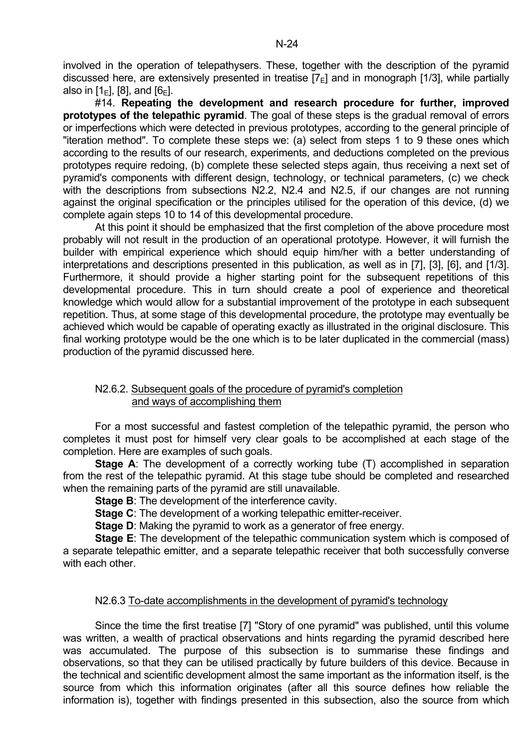involved in the operation of telepathysers. These, together with the description of the pyramid discussed here, are extensively presented in treatise  $[7<sub>E</sub>]$  and in monograph [1/3], while partially also in  $[1<sub>E</sub>], [8]$ , and  $[6<sub>E</sub>].$ 

 #14. **Repeating the development and research procedure for further, improved prototypes of the telepathic pyramid**. The goal of these steps is the gradual removal of errors or imperfections which were detected in previous prototypes, according to the general principle of "iteration method". To complete these steps we: (a) select from steps 1 to 9 these ones which according to the results of our research, experiments, and deductions completed on the previous prototypes require redoing, (b) complete these selected steps again, thus receiving a next set of pyramid's components with different design, technology, or technical parameters, (c) we check with the descriptions from subsections N2.2, N2.4 and N2.5, if our changes are not running against the original specification or the principles utilised for the operation of this device, (d) we complete again steps 10 to 14 of this developmental procedure.

 At this point it should be emphasized that the first completion of the above procedure most probably will not result in the production of an operational prototype. However, it will furnish the builder with empirical experience which should equip him/her with a better understanding of interpretations and descriptions presented in this publication, as well as in [7], [3], [6], and [1/3]. Furthermore, it should provide a higher starting point for the subsequent repetitions of this developmental procedure. This in turn should create a pool of experience and theoretical knowledge which would allow for a substantial improvement of the prototype in each subsequent repetition. Thus, at some stage of this developmental procedure, the prototype may eventually be achieved which would be capable of operating exactly as illustrated in the original disclosure. This final working prototype would be the one which is to be later duplicated in the commercial (mass) production of the pyramid discussed here.

### N2.6.2. Subsequent goals of the procedure of pyramid's completion and ways of accomplishing them

 For a most successful and fastest completion of the telepathic pyramid, the person who completes it must post for himself very clear goals to be accomplished at each stage of the completion. Here are examples of such goals.

**Stage A:** The development of a correctly working tube (T) accomplished in separation from the rest of the telepathic pyramid. At this stage tube should be completed and researched when the remaining parts of the pyramid are still unavailable.

**Stage B**: The development of the interference cavity.

**Stage C**: The development of a working telepathic emitter-receiver.

**Stage D:** Making the pyramid to work as a generator of free energy.

**Stage E**: The development of the telepathic communication system which is composed of a separate telepathic emitter, and a separate telepathic receiver that both successfully converse with each other.

#### N2.6.3 To-date accomplishments in the development of pyramid's technology

 Since the time the first treatise [7] "Story of one pyramid" was published, until this volume was written, a wealth of practical observations and hints regarding the pyramid described here was accumulated. The purpose of this subsection is to summarise these findings and observations, so that they can be utilised practically by future builders of this device. Because in the technical and scientific development almost the same important as the information itself, is the source from which this information originates (after all this source defines how reliable the information is), together with findings presented in this subsection, also the source from which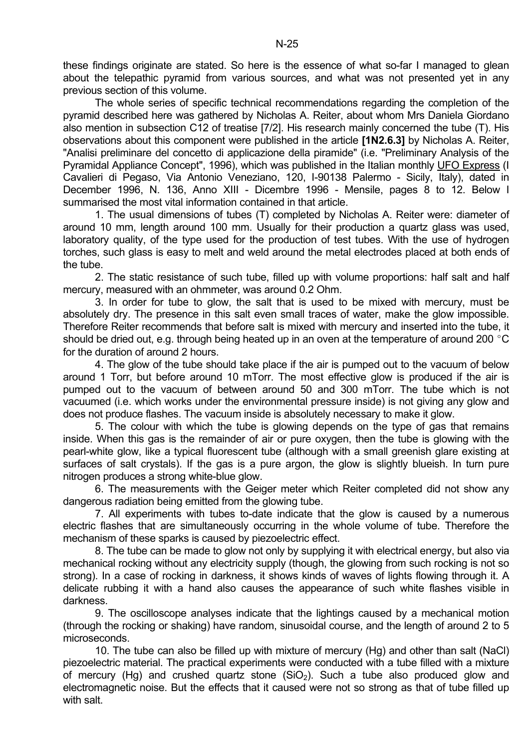these findings originate are stated. So here is the essence of what so-far I managed to glean about the telepathic pyramid from various sources, and what was not presented yet in any previous section of this volume.

 The whole series of specific technical recommendations regarding the completion of the pyramid described here was gathered by Nicholas A. Reiter, about whom Mrs Daniela Giordano also mention in subsection C12 of treatise [7/2]. His research mainly concerned the tube (T). His observations about this component were published in the article **[1N2.6.3]** by Nicholas A. Reiter, "Analisi preliminare del concetto di applicazione della piramide" (i.e. "Preliminary Analysis of the Pyramidal Appliance Concept", 1996), which was published in the Italian monthly UFO Express (I Cavalieri di Pegaso, Via Antonio Veneziano, 120, I-90138 Palermo - Sicily, Italy), dated in December 1996, N. 136, Anno XIII - Dicembre 1996 - Mensile, pages 8 to 12. Below I summarised the most vital information contained in that article.

 1. The usual dimensions of tubes (T) completed by Nicholas A. Reiter were: diameter of around 10 mm, length around 100 mm. Usually for their production a quartz glass was used, laboratory quality, of the type used for the production of test tubes. With the use of hydrogen torches, such glass is easy to melt and weld around the metal electrodes placed at both ends of the tube.

 2. The static resistance of such tube, filled up with volume proportions: half salt and half mercury, measured with an ohmmeter, was around 0.2 Ohm.

 3. In order for tube to glow, the salt that is used to be mixed with mercury, must be absolutely dry. The presence in this salt even small traces of water, make the glow impossible. Therefore Reiter recommends that before salt is mixed with mercury and inserted into the tube, it should be dried out, e.g. through being heated up in an oven at the temperature of around 200  $^{\circ}$ C for the duration of around 2 hours.

 4. The glow of the tube should take place if the air is pumped out to the vacuum of below around 1 Torr, but before around 10 mTorr. The most effective glow is produced if the air is pumped out to the vacuum of between around 50 and 300 mTorr. The tube which is not vacuumed (i.e. which works under the environmental pressure inside) is not giving any glow and does not produce flashes. The vacuum inside is absolutely necessary to make it glow.

 5. The colour with which the tube is glowing depends on the type of gas that remains inside. When this gas is the remainder of air or pure oxygen, then the tube is glowing with the pearl-white glow, like a typical fluorescent tube (although with a small greenish glare existing at surfaces of salt crystals). If the gas is a pure argon, the glow is slightly blueish. In turn pure nitrogen produces a strong white-blue glow.

 6. The measurements with the Geiger meter which Reiter completed did not show any dangerous radiation being emitted from the glowing tube.

 7. All experiments with tubes to-date indicate that the glow is caused by a numerous electric flashes that are simultaneously occurring in the whole volume of tube. Therefore the mechanism of these sparks is caused by piezoelectric effect.

 8. The tube can be made to glow not only by supplying it with electrical energy, but also via mechanical rocking without any electricity supply (though, the glowing from such rocking is not so strong). In a case of rocking in darkness, it shows kinds of waves of lights flowing through it. A delicate rubbing it with a hand also causes the appearance of such white flashes visible in darkness.

 9. The oscilloscope analyses indicate that the lightings caused by a mechanical motion (through the rocking or shaking) have random, sinusoidal course, and the length of around 2 to 5 microseconds.

 10. The tube can also be filled up with mixture of mercury (Hg) and other than salt (NaCl) piezoelectric material. The practical experiments were conducted with a tube filled with a mixture of mercury (Hg) and crushed quartz stone  $(SiO<sub>2</sub>)$ . Such a tube also produced glow and electromagnetic noise. But the effects that it caused were not so strong as that of tube filled up with salt.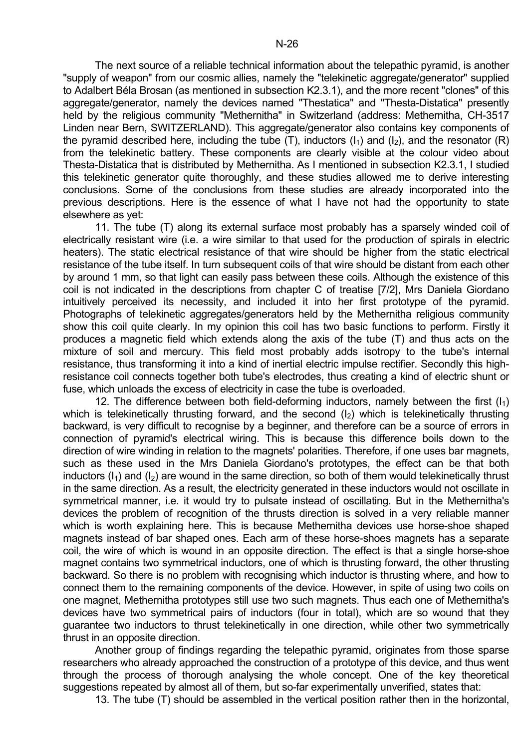The next source of a reliable technical information about the telepathic pyramid, is another "supply of weapon" from our cosmic allies, namely the "telekinetic aggregate/generator" supplied to Adalbert Béla Brosan (as mentioned in subsection K2.3.1), and the more recent "clones" of this aggregate/generator, namely the devices named "Thestatica" and "Thesta-Distatica" presently held by the religious community "Methernitha" in Switzerland (address: Methernitha, CH-3517 Linden near Bern, SWITZERLAND). This aggregate/generator also contains key components of the pyramid described here, including the tube (T), inductors  $(I_1)$  and  $(I_2)$ , and the resonator (R) from the telekinetic battery. These components are clearly visible at the colour video about Thesta-Distatica that is distributed by Methernitha. As I mentioned in subsection K2.3.1, I studied this telekinetic generator quite thoroughly, and these studies allowed me to derive interesting conclusions. Some of the conclusions from these studies are already incorporated into the previous descriptions. Here is the essence of what I have not had the opportunity to state elsewhere as yet:

 11. The tube (T) along its external surface most probably has a sparsely winded coil of electrically resistant wire (i.e. a wire similar to that used for the production of spirals in electric heaters). The static electrical resistance of that wire should be higher from the static electrical resistance of the tube itself. In turn subsequent coils of that wire should be distant from each other by around 1 mm, so that light can easily pass between these coils. Although the existence of this coil is not indicated in the descriptions from chapter C of treatise [7/2], Mrs Daniela Giordano intuitively perceived its necessity, and included it into her first prototype of the pyramid. Photographs of telekinetic aggregates/generators held by the Methernitha religious community show this coil quite clearly. In my opinion this coil has two basic functions to perform. Firstly it produces a magnetic field which extends along the axis of the tube (T) and thus acts on the mixture of soil and mercury. This field most probably adds isotropy to the tube's internal resistance, thus transforming it into a kind of inertial electric impulse rectifier. Secondly this highresistance coil connects together both tube's electrodes, thus creating a kind of electric shunt or fuse, which unloads the excess of electricity in case the tube is overloaded.

12. The difference between both field-deforming inductors, namely between the first  $(I_1)$ which is telekinetically thrusting forward, and the second  $(I_2)$  which is telekinetically thrusting backward, is very difficult to recognise by a beginner, and therefore can be a source of errors in connection of pyramid's electrical wiring. This is because this difference boils down to the direction of wire winding in relation to the magnets' polarities. Therefore, if one uses bar magnets, such as these used in the Mrs Daniela Giordano's prototypes, the effect can be that both inductors  $(I_1)$  and  $(I_2)$  are wound in the same direction, so both of them would telekinetically thrust in the same direction. As a result, the electricity generated in these inductors would not oscillate in symmetrical manner, i.e. it would try to pulsate instead of oscillating. But in the Methernitha's devices the problem of recognition of the thrusts direction is solved in a very reliable manner which is worth explaining here. This is because Methernitha devices use horse-shoe shaped magnets instead of bar shaped ones. Each arm of these horse-shoes magnets has a separate coil, the wire of which is wound in an opposite direction. The effect is that a single horse-shoe magnet contains two symmetrical inductors, one of which is thrusting forward, the other thrusting backward. So there is no problem with recognising which inductor is thrusting where, and how to connect them to the remaining components of the device. However, in spite of using two coils on one magnet, Methernitha prototypes still use two such magnets. Thus each one of Methernitha's devices have two symmetrical pairs of inductors (four in total), which are so wound that they guarantee two inductors to thrust telekinetically in one direction, while other two symmetrically thrust in an opposite direction.

 Another group of findings regarding the telepathic pyramid, originates from those sparse researchers who already approached the construction of a prototype of this device, and thus went through the process of thorough analysing the whole concept. One of the key theoretical suggestions repeated by almost all of them, but so-far experimentally unverified, states that:

13. The tube (T) should be assembled in the vertical position rather then in the horizontal,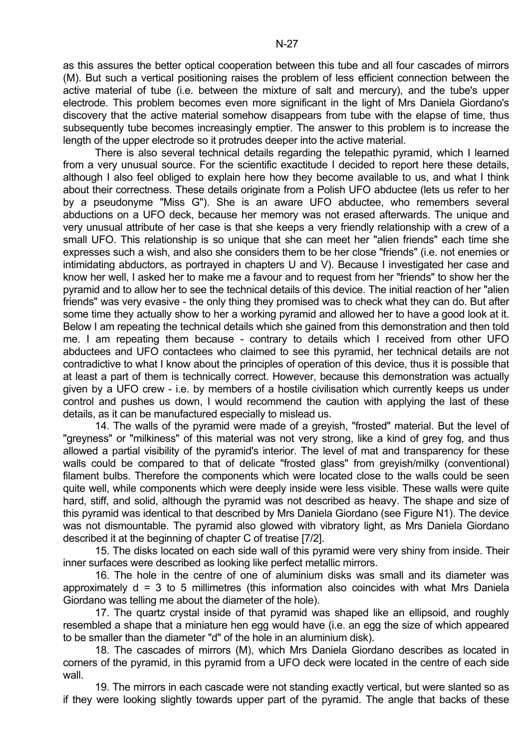as this assures the better optical cooperation between this tube and all four cascades of mirrors (M). But such a vertical positioning raises the problem of less efficient connection between the active material of tube (i.e. between the mixture of salt and mercury), and the tube's upper electrode. This problem becomes even more significant in the light of Mrs Daniela Giordano's discovery that the active material somehow disappears from tube with the elapse of time, thus subsequently tube becomes increasingly emptier. The answer to this problem is to increase the length of the upper electrode so it protrudes deeper into the active material.

 There is also several technical details regarding the telepathic pyramid, which I learned from a very unusual source. For the scientific exactitude I decided to report here these details, although I also feel obliged to explain here how they become available to us, and what I think about their correctness. These details originate from a Polish UFO abductee (lets us refer to her by a pseudonyme "Miss G"). She is an aware UFO abductee, who remembers several abductions on a UFO deck, because her memory was not erased afterwards. The unique and very unusual attribute of her case is that she keeps a very friendly relationship with a crew of a small UFO. This relationship is so unique that she can meet her "alien friends" each time she expresses such a wish, and also she considers them to be her close "friends" (i.e. not enemies or intimidating abductors, as portrayed in chapters U and V). Because I investigated her case and know her well, I asked her to make me a favour and to request from her "friends" to show her the pyramid and to allow her to see the technical details of this device. The initial reaction of her "alien friends" was very evasive - the only thing they promised was to check what they can do. But after some time they actually show to her a working pyramid and allowed her to have a good look at it. Below I am repeating the technical details which she gained from this demonstration and then told me. I am repeating them because - contrary to details which I received from other UFO abductees and UFO contactees who claimed to see this pyramid, her technical details are not contradictive to what I know about the principles of operation of this device, thus it is possible that at least a part of them is technically correct. However, because this demonstration was actually given by a UFO crew - i.e. by members of a hostile civilisation which currently keeps us under control and pushes us down, I would recommend the caution with applying the last of these details, as it can be manufactured especially to mislead us.

 14. The walls of the pyramid were made of a greyish, "frosted" material. But the level of "greyness" or "milkiness" of this material was not very strong, like a kind of grey fog, and thus allowed a partial visibility of the pyramid's interior. The level of mat and transparency for these walls could be compared to that of delicate "frosted glass" from greyish/milky (conventional) filament bulbs. Therefore the components which were located close to the walls could be seen quite well, while components which were deeply inside were less visible. These walls were quite hard, stiff, and solid, although the pyramid was not described as heavy. The shape and size of this pyramid was identical to that described by Mrs Daniela Giordano (see Figure N1). The device was not dismountable. The pyramid also glowed with vibratory light, as Mrs Daniela Giordano described it at the beginning of chapter C of treatise [7/2].

 15. The disks located on each side wall of this pyramid were very shiny from inside. Their inner surfaces were described as looking like perfect metallic mirrors.

 16. The hole in the centre of one of aluminium disks was small and its diameter was approximately  $d = 3$  to 5 millimetres (this information also coincides with what Mrs Daniela Giordano was telling me about the diameter of the hole).

 17. The quartz crystal inside of that pyramid was shaped like an ellipsoid, and roughly resembled a shape that a miniature hen egg would have (i.e. an egg the size of which appeared to be smaller than the diameter "d" of the hole in an aluminium disk).

 18. The cascades of mirrors (M), which Mrs Daniela Giordano describes as located in corners of the pyramid, in this pyramid from a UFO deck were located in the centre of each side wall.

 19. The mirrors in each cascade were not standing exactly vertical, but were slanted so as if they were looking slightly towards upper part of the pyramid. The angle that backs of these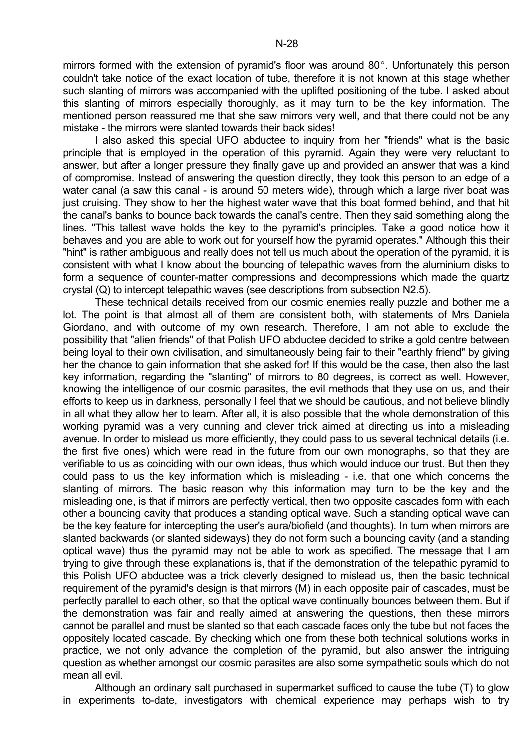mirrors formed with the extension of pyramid's floor was around  $80^\circ$ . Unfortunately this person couldn't take notice of the exact location of tube, therefore it is not known at this stage whether such slanting of mirrors was accompanied with the uplifted positioning of the tube. I asked about this slanting of mirrors especially thoroughly, as it may turn to be the key information. The mentioned person reassured me that she saw mirrors very well, and that there could not be any mistake - the mirrors were slanted towards their back sides!

 I also asked this special UFO abductee to inquiry from her "friends" what is the basic principle that is employed in the operation of this pyramid. Again they were very reluctant to answer, but after a longer pressure they finally gave up and provided an answer that was a kind of compromise. Instead of answering the question directly, they took this person to an edge of a water canal (a saw this canal - is around 50 meters wide), through which a large river boat was just cruising. They show to her the highest water wave that this boat formed behind, and that hit the canal's banks to bounce back towards the canal's centre. Then they said something along the lines. "This tallest wave holds the key to the pyramid's principles. Take a good notice how it behaves and you are able to work out for yourself how the pyramid operates." Although this their "hint" is rather ambiguous and really does not tell us much about the operation of the pyramid, it is consistent with what I know about the bouncing of telepathic waves from the aluminium disks to form a sequence of counter-matter compressions and decompressions which made the quartz crystal (Q) to intercept telepathic waves (see descriptions from subsection N2.5).

 These technical details received from our cosmic enemies really puzzle and bother me a lot. The point is that almost all of them are consistent both, with statements of Mrs Daniela Giordano, and with outcome of my own research. Therefore, I am not able to exclude the possibility that "alien friends" of that Polish UFO abductee decided to strike a gold centre between being loyal to their own civilisation, and simultaneously being fair to their "earthly friend" by giving her the chance to gain information that she asked for! If this would be the case, then also the last key information, regarding the "slanting" of mirrors to 80 degrees, is correct as well. However, knowing the intelligence of our cosmic parasites, the evil methods that they use on us, and their efforts to keep us in darkness, personally I feel that we should be cautious, and not believe blindly in all what they allow her to learn. After all, it is also possible that the whole demonstration of this working pyramid was a very cunning and clever trick aimed at directing us into a misleading avenue. In order to mislead us more efficiently, they could pass to us several technical details (i.e. the first five ones) which were read in the future from our own monographs, so that they are verifiable to us as coinciding with our own ideas, thus which would induce our trust. But then they could pass to us the key information which is misleading - i.e. that one which concerns the slanting of mirrors. The basic reason why this information may turn to be the key and the misleading one, is that if mirrors are perfectly vertical, then two opposite cascades form with each other a bouncing cavity that produces a standing optical wave. Such a standing optical wave can be the key feature for intercepting the user's aura/biofield (and thoughts). In turn when mirrors are slanted backwards (or slanted sideways) they do not form such a bouncing cavity (and a standing optical wave) thus the pyramid may not be able to work as specified. The message that I am trying to give through these explanations is, that if the demonstration of the telepathic pyramid to this Polish UFO abductee was a trick cleverly designed to mislead us, then the basic technical requirement of the pyramid's design is that mirrors (M) in each opposite pair of cascades, must be perfectly parallel to each other, so that the optical wave continually bounces between them. But if the demonstration was fair and really aimed at answering the questions, then these mirrors cannot be parallel and must be slanted so that each cascade faces only the tube but not faces the oppositely located cascade. By checking which one from these both technical solutions works in practice, we not only advance the completion of the pyramid, but also answer the intriguing question as whether amongst our cosmic parasites are also some sympathetic souls which do not mean all evil.

 Although an ordinary salt purchased in supermarket sufficed to cause the tube (T) to glow in experiments to-date, investigators with chemical experience may perhaps wish to try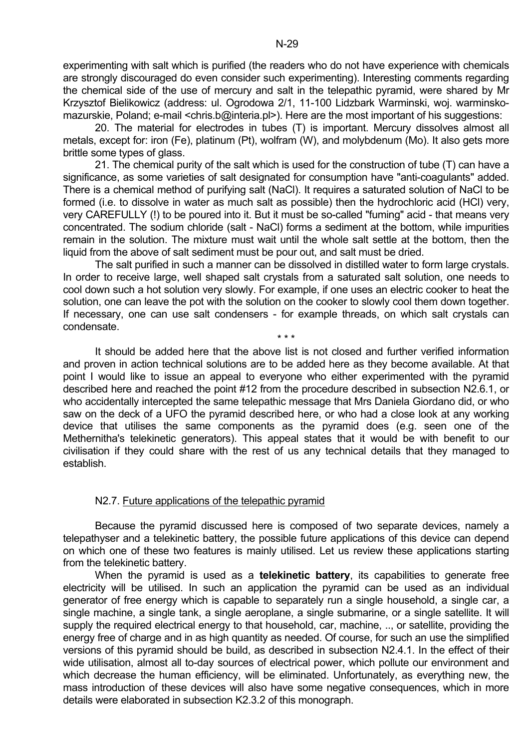experimenting with salt which is purified (the readers who do not have experience with chemicals are strongly discouraged do even consider such experimenting). Interesting comments regarding the chemical side of the use of mercury and salt in the telepathic pyramid, were shared by Mr Krzysztof Bielikowicz (address: ul. Ogrodowa 2/1, 11-100 Lidzbark Warminski, woj. warminskomazurskie, Poland; e-mail <chris.b@interia.pl>). Here are the most important of his suggestions:

 20. The material for electrodes in tubes (T) is important. Mercury dissolves almost all metals, except for: iron (Fe), platinum (Pt), wolfram (W), and molybdenum (Mo). It also gets more brittle some types of glass.

 21. The chemical purity of the salt which is used for the construction of tube (T) can have a significance, as some varieties of salt designated for consumption have "anti-coagulants" added. There is a chemical method of purifying salt (NaCl). It requires a saturated solution of NaCl to be formed (i.e. to dissolve in water as much salt as possible) then the hydrochloric acid (HCl) very, very CAREFULLY (!) to be poured into it. But it must be so-called "fuming" acid - that means very concentrated. The sodium chloride (salt - NaCl) forms a sediment at the bottom, while impurities remain in the solution. The mixture must wait until the whole salt settle at the bottom, then the liquid from the above of salt sediment must be pour out, and salt must be dried.

 The salt purified in such a manner can be dissolved in distilled water to form large crystals. In order to receive large, well shaped salt crystals from a saturated salt solution, one needs to cool down such a hot solution very slowly. For example, if one uses an electric cooker to heat the solution, one can leave the pot with the solution on the cooker to slowly cool them down together. If necessary, one can use salt condensers - for example threads, on which salt crystals can condensate.

 It should be added here that the above list is not closed and further verified information and proven in action technical solutions are to be added here as they become available. At that point I would like to issue an appeal to everyone who either experimented with the pyramid described here and reached the point #12 from the procedure described in subsection N2.6.1, or who accidentally intercepted the same telepathic message that Mrs Daniela Giordano did, or who saw on the deck of a UFO the pyramid described here, or who had a close look at any working device that utilises the same components as the pyramid does (e.g. seen one of the Methernitha's telekinetic generators). This appeal states that it would be with benefit to our civilisation if they could share with the rest of us any technical details that they managed to establish.

#### N2.7. Future applications of the telepathic pyramid

 $\star \star \star$ 

 Because the pyramid discussed here is composed of two separate devices, namely a telepathyser and a telekinetic battery, the possible future applications of this device can depend on which one of these two features is mainly utilised. Let us review these applications starting from the telekinetic battery.

 When the pyramid is used as a **telekinetic battery**, its capabilities to generate free electricity will be utilised. In such an application the pyramid can be used as an individual generator of free energy which is capable to separately run a single household, a single car, a single machine, a single tank, a single aeroplane, a single submarine, or a single satellite. It will supply the required electrical energy to that household, car, machine, .., or satellite, providing the energy free of charge and in as high quantity as needed. Of course, for such an use the simplified versions of this pyramid should be build, as described in subsection N2.4.1. In the effect of their wide utilisation, almost all to-day sources of electrical power, which pollute our environment and which decrease the human efficiency, will be eliminated. Unfortunately, as everything new, the mass introduction of these devices will also have some negative consequences, which in more details were elaborated in subsection K2.3.2 of this monograph.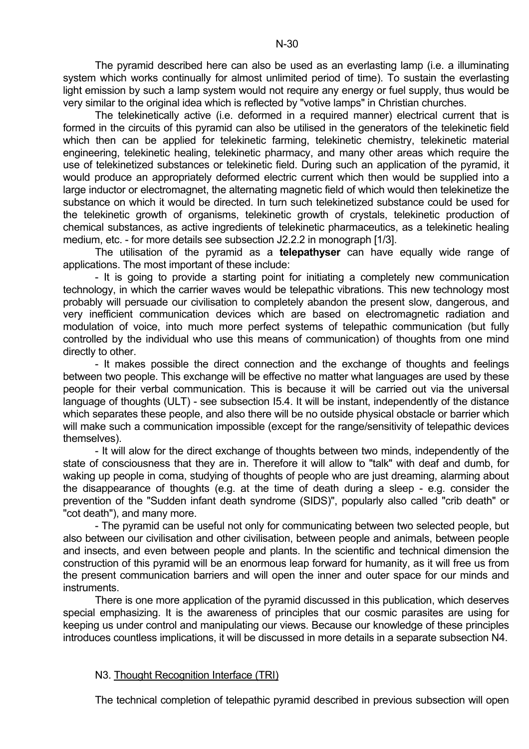The pyramid described here can also be used as an everlasting lamp (i.e. a illuminating system which works continually for almost unlimited period of time). To sustain the everlasting light emission by such a lamp system would not require any energy or fuel supply, thus would be very similar to the original idea which is reflected by "votive lamps" in Christian churches.

 The telekinetically active (i.e. deformed in a required manner) electrical current that is formed in the circuits of this pyramid can also be utilised in the generators of the telekinetic field which then can be applied for telekinetic farming, telekinetic chemistry, telekinetic material engineering, telekinetic healing, telekinetic pharmacy, and many other areas which require the use of telekinetized substances or telekinetic field. During such an application of the pyramid, it would produce an appropriately deformed electric current which then would be supplied into a large inductor or electromagnet, the alternating magnetic field of which would then telekinetize the substance on which it would be directed. In turn such telekinetized substance could be used for the telekinetic growth of organisms, telekinetic growth of crystals, telekinetic production of chemical substances, as active ingredients of telekinetic pharmaceutics, as a telekinetic healing medium, etc. - for more details see subsection J2.2.2 in monograph [1/3].

 The utilisation of the pyramid as a **telepathyser** can have equally wide range of applications. The most important of these include:

 - It is going to provide a starting point for initiating a completely new communication technology, in which the carrier waves would be telepathic vibrations. This new technology most probably will persuade our civilisation to completely abandon the present slow, dangerous, and very inefficient communication devices which are based on electromagnetic radiation and modulation of voice, into much more perfect systems of telepathic communication (but fully controlled by the individual who use this means of communication) of thoughts from one mind directly to other.

 - It makes possible the direct connection and the exchange of thoughts and feelings between two people. This exchange will be effective no matter what languages are used by these people for their verbal communication. This is because it will be carried out via the universal language of thoughts (ULT) - see subsection I5.4. It will be instant, independently of the distance which separates these people, and also there will be no outside physical obstacle or barrier which will make such a communication impossible (except for the range/sensitivity of telepathic devices themselves).

 - It will alow for the direct exchange of thoughts between two minds, independently of the state of consciousness that they are in. Therefore it will allow to "talk" with deaf and dumb, for waking up people in coma, studying of thoughts of people who are just dreaming, alarming about the disappearance of thoughts (e.g. at the time of death during a sleep - e.g. consider the prevention of the "Sudden infant death syndrome (SIDS)", popularly also called "crib death" or "cot death"), and many more.

 - The pyramid can be useful not only for communicating between two selected people, but also between our civilisation and other civilisation, between people and animals, between people and insects, and even between people and plants. In the scientific and technical dimension the construction of this pyramid will be an enormous leap forward for humanity, as it will free us from the present communication barriers and will open the inner and outer space for our minds and instruments.

 There is one more application of the pyramid discussed in this publication, which deserves special emphasizing. It is the awareness of principles that our cosmic parasites are using for keeping us under control and manipulating our views. Because our knowledge of these principles introduces countless implications, it will be discussed in more details in a separate subsection N4.

#### N3. Thought Recognition Interface (TRI)

The technical completion of telepathic pyramid described in previous subsection will open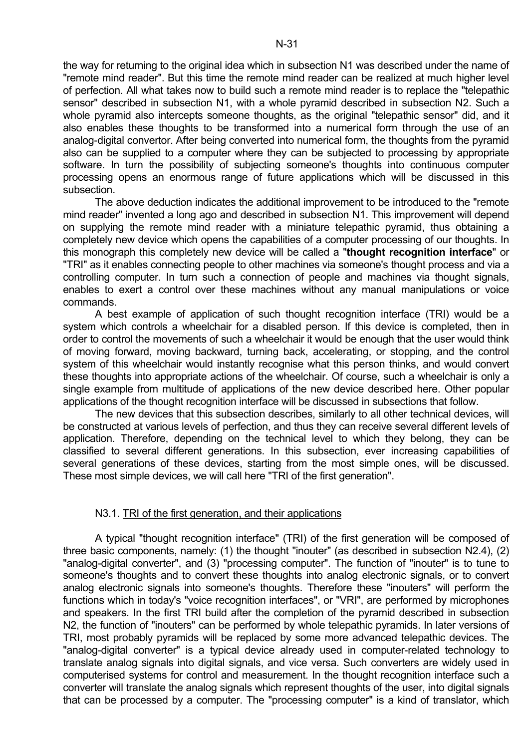the way for returning to the original idea which in subsection N1 was described under the name of "remote mind reader". But this time the remote mind reader can be realized at much higher level of perfection. All what takes now to build such a remote mind reader is to replace the "telepathic sensor" described in subsection N1, with a whole pyramid described in subsection N2. Such a whole pyramid also intercepts someone thoughts, as the original "telepathic sensor" did, and it also enables these thoughts to be transformed into a numerical form through the use of an analog-digital convertor. After being converted into numerical form, the thoughts from the pyramid also can be supplied to a computer where they can be subjected to processing by appropriate software. In turn the possibility of subjecting someone's thoughts into continuous computer processing opens an enormous range of future applications which will be discussed in this subsection.

 The above deduction indicates the additional improvement to be introduced to the "remote mind reader" invented a long ago and described in subsection N1. This improvement will depend on supplying the remote mind reader with a miniature telepathic pyramid, thus obtaining a completely new device which opens the capabilities of a computer processing of our thoughts. In this monograph this completely new device will be called a "**thought recognition interface**" or "TRI" as it enables connecting people to other machines via someone's thought process and via a controlling computer. In turn such a connection of people and machines via thought signals, enables to exert a control over these machines without any manual manipulations or voice commands.

 A best example of application of such thought recognition interface (TRI) would be a system which controls a wheelchair for a disabled person. If this device is completed, then in order to control the movements of such a wheelchair it would be enough that the user would think of moving forward, moving backward, turning back, accelerating, or stopping, and the control system of this wheelchair would instantly recognise what this person thinks, and would convert these thoughts into appropriate actions of the wheelchair. Of course, such a wheelchair is only a single example from multitude of applications of the new device described here. Other popular applications of the thought recognition interface will be discussed in subsections that follow.

 The new devices that this subsection describes, similarly to all other technical devices, will be constructed at various levels of perfection, and thus they can receive several different levels of application. Therefore, depending on the technical level to which they belong, they can be classified to several different generations. In this subsection, ever increasing capabilities of several generations of these devices, starting from the most simple ones, will be discussed. These most simple devices, we will call here "TRI of the first generation".

# N3.1. TRI of the first generation, and their applications

 A typical "thought recognition interface" (TRI) of the first generation will be composed of three basic components, namely: (1) the thought "inouter" (as described in subsection N2.4), (2) "analog-digital converter", and (3) "processing computer". The function of "inouter" is to tune to someone's thoughts and to convert these thoughts into analog electronic signals, or to convert analog electronic signals into someone's thoughts. Therefore these "inouters" will perform the functions which in today's "voice recognition interfaces", or "VRI", are performed by microphones and speakers. In the first TRI build after the completion of the pyramid described in subsection N2, the function of "inouters" can be performed by whole telepathic pyramids. In later versions of TRI, most probably pyramids will be replaced by some more advanced telepathic devices. The "analog-digital converter" is a typical device already used in computer-related technology to translate analog signals into digital signals, and vice versa. Such converters are widely used in computerised systems for control and measurement. In the thought recognition interface such a converter will translate the analog signals which represent thoughts of the user, into digital signals that can be processed by a computer. The "processing computer" is a kind of translator, which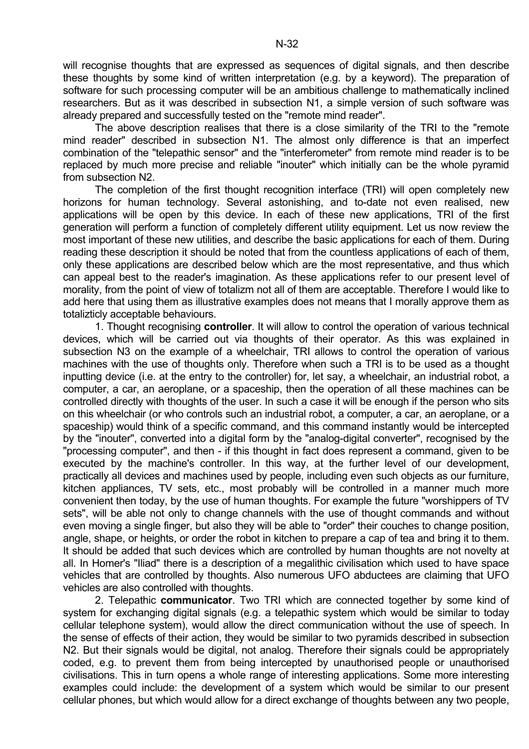will recognise thoughts that are expressed as sequences of digital signals, and then describe these thoughts by some kind of written interpretation (e.g. by a keyword). The preparation of software for such processing computer will be an ambitious challenge to mathematically inclined researchers. But as it was described in subsection N1, a simple version of such software was already prepared and successfully tested on the "remote mind reader".

 The above description realises that there is a close similarity of the TRI to the "remote mind reader" described in subsection N1. The almost only difference is that an imperfect combination of the "telepathic sensor" and the "interferometer" from remote mind reader is to be replaced by much more precise and reliable "inouter" which initially can be the whole pyramid from subsection N2.

 The completion of the first thought recognition interface (TRI) will open completely new horizons for human technology. Several astonishing, and to-date not even realised, new applications will be open by this device. In each of these new applications, TRI of the first generation will perform a function of completely different utility equipment. Let us now review the most important of these new utilities, and describe the basic applications for each of them. During reading these description it should be noted that from the countless applications of each of them, only these applications are described below which are the most representative, and thus which can appeal best to the reader's imagination. As these applications refer to our present level of morality, from the point of view of totalizm not all of them are acceptable. Therefore I would like to add here that using them as illustrative examples does not means that I morally approve them as totalizticly acceptable behaviours.

 1. Thought recognising **controller**. It will allow to control the operation of various technical devices, which will be carried out via thoughts of their operator. As this was explained in subsection N3 on the example of a wheelchair, TRI allows to control the operation of various machines with the use of thoughts only. Therefore when such a TRI is to be used as a thought inputting device (i.e. at the entry to the controller) for, let say, a wheelchair, an industrial robot, a computer, a car, an aeroplane, or a spaceship, then the operation of all these machines can be controlled directly with thoughts of the user. In such a case it will be enough if the person who sits on this wheelchair (or who controls such an industrial robot, a computer, a car, an aeroplane, or a spaceship) would think of a specific command, and this command instantly would be intercepted by the "inouter", converted into a digital form by the "analog-digital converter", recognised by the "processing computer", and then - if this thought in fact does represent a command, given to be executed by the machine's controller. In this way, at the further level of our development, practically all devices and machines used by people, including even such objects as our furniture, kitchen appliances, TV sets, etc., most probably will be controlled in a manner much more convenient then today, by the use of human thoughts. For example the future "worshippers of TV sets", will be able not only to change channels with the use of thought commands and without even moving a single finger, but also they will be able to "order" their couches to change position, angle, shape, or heights, or order the robot in kitchen to prepare a cap of tea and bring it to them. It should be added that such devices which are controlled by human thoughts are not novelty at all. In Homer's "Iliad" there is a description of a megalithic civilisation which used to have space vehicles that are controlled by thoughts. Also numerous UFO abductees are claiming that UFO vehicles are also controlled with thoughts.

 2. Telepathic **communicator**. Two TRI which are connected together by some kind of system for exchanging digital signals (e.g. a telepathic system which would be similar to today cellular telephone system), would allow the direct communication without the use of speech. In the sense of effects of their action, they would be similar to two pyramids described in subsection N2. But their signals would be digital, not analog. Therefore their signals could be appropriately coded, e.g. to prevent them from being intercepted by unauthorised people or unauthorised civilisations. This in turn opens a whole range of interesting applications. Some more interesting examples could include: the development of a system which would be similar to our present cellular phones, but which would allow for a direct exchange of thoughts between any two people,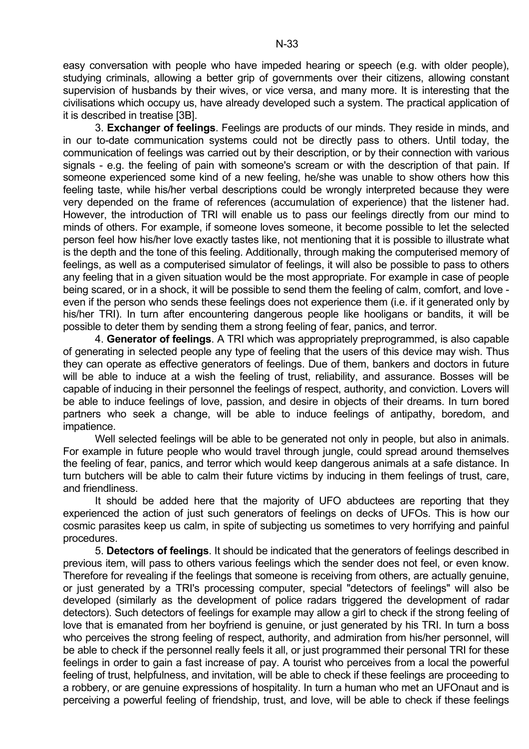easy conversation with people who have impeded hearing or speech (e.g. with older people), studying criminals, allowing a better grip of governments over their citizens, allowing constant supervision of husbands by their wives, or vice versa, and many more. It is interesting that the civilisations which occupy us, have already developed such a system. The practical application of it is described in treatise [3B].

 3. **Exchanger of feelings**. Feelings are products of our minds. They reside in minds, and in our to-date communication systems could not be directly pass to others. Until today, the communication of feelings was carried out by their description, or by their connection with various signals - e.g. the feeling of pain with someone's scream or with the description of that pain. If someone experienced some kind of a new feeling, he/she was unable to show others how this feeling taste, while his/her verbal descriptions could be wrongly interpreted because they were very depended on the frame of references (accumulation of experience) that the listener had. However, the introduction of TRI will enable us to pass our feelings directly from our mind to minds of others. For example, if someone loves someone, it become possible to let the selected person feel how his/her love exactly tastes like, not mentioning that it is possible to illustrate what is the depth and the tone of this feeling. Additionally, through making the computerised memory of feelings, as well as a computerised simulator of feelings, it will also be possible to pass to others any feeling that in a given situation would be the most appropriate. For example in case of people being scared, or in a shock, it will be possible to send them the feeling of calm, comfort, and love even if the person who sends these feelings does not experience them (i.e. if it generated only by his/her TRI). In turn after encountering dangerous people like hooligans or bandits, it will be possible to deter them by sending them a strong feeling of fear, panics, and terror.

 4. **Generator of feelings**. A TRI which was appropriately preprogrammed, is also capable of generating in selected people any type of feeling that the users of this device may wish. Thus they can operate as effective generators of feelings. Due of them, bankers and doctors in future will be able to induce at a wish the feeling of trust, reliability, and assurance. Bosses will be capable of inducing in their personnel the feelings of respect, authority, and conviction. Lovers will be able to induce feelings of love, passion, and desire in objects of their dreams. In turn bored partners who seek a change, will be able to induce feelings of antipathy, boredom, and impatience.

 Well selected feelings will be able to be generated not only in people, but also in animals. For example in future people who would travel through jungle, could spread around themselves the feeling of fear, panics, and terror which would keep dangerous animals at a safe distance. In turn butchers will be able to calm their future victims by inducing in them feelings of trust, care, and friendliness.

 It should be added here that the majority of UFO abductees are reporting that they experienced the action of just such generators of feelings on decks of UFOs. This is how our cosmic parasites keep us calm, in spite of subjecting us sometimes to very horrifying and painful procedures.

 5. **Detectors of feelings**. It should be indicated that the generators of feelings described in previous item, will pass to others various feelings which the sender does not feel, or even know. Therefore for revealing if the feelings that someone is receiving from others, are actually genuine, or just generated by a TRI's processing computer, special "detectors of feelings" will also be developed (similarly as the development of police radars triggered the development of radar detectors). Such detectors of feelings for example may allow a girl to check if the strong feeling of love that is emanated from her boyfriend is genuine, or just generated by his TRI. In turn a boss who perceives the strong feeling of respect, authority, and admiration from his/her personnel, will be able to check if the personnel really feels it all, or just programmed their personal TRI for these feelings in order to gain a fast increase of pay. A tourist who perceives from a local the powerful feeling of trust, helpfulness, and invitation, will be able to check if these feelings are proceeding to a robbery, or are genuine expressions of hospitality. In turn a human who met an UFOnaut and is perceiving a powerful feeling of friendship, trust, and love, will be able to check if these feelings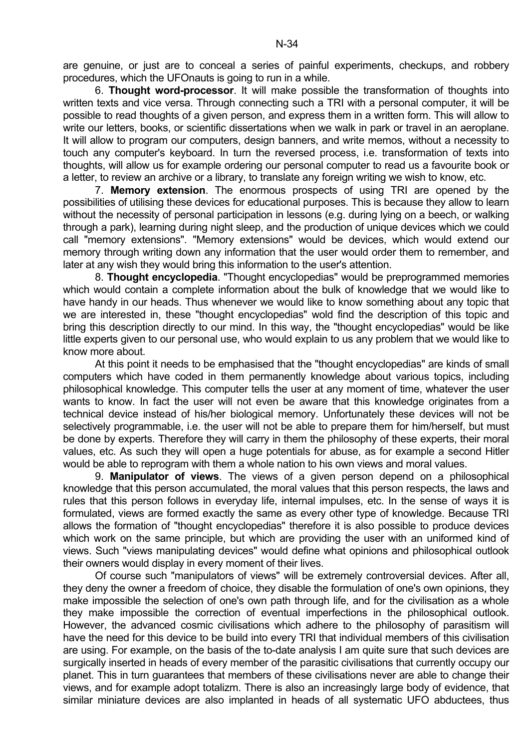are genuine, or just are to conceal a series of painful experiments, checkups, and robbery procedures, which the UFOnauts is going to run in a while.

 6. **Thought word-processor**. It will make possible the transformation of thoughts into written texts and vice versa. Through connecting such a TRI with a personal computer, it will be possible to read thoughts of a given person, and express them in a written form. This will allow to write our letters, books, or scientific dissertations when we walk in park or travel in an aeroplane. It will allow to program our computers, design banners, and write memos, without a necessity to touch any computer's keyboard. In turn the reversed process, i.e. transformation of texts into thoughts, will allow us for example ordering our personal computer to read us a favourite book or a letter, to review an archive or a library, to translate any foreign writing we wish to know, etc.

 7. **Memory extension**. The enormous prospects of using TRI are opened by the possibilities of utilising these devices for educational purposes. This is because they allow to learn without the necessity of personal participation in lessons (e.g. during lying on a beech, or walking through a park), learning during night sleep, and the production of unique devices which we could call "memory extensions". "Memory extensions" would be devices, which would extend our memory through writing down any information that the user would order them to remember, and later at any wish they would bring this information to the user's attention.

 8. **Thought encyclopedia**. "Thought encyclopedias" would be preprogrammed memories which would contain a complete information about the bulk of knowledge that we would like to have handy in our heads. Thus whenever we would like to know something about any topic that we are interested in, these "thought encyclopedias" wold find the description of this topic and bring this description directly to our mind. In this way, the "thought encyclopedias" would be like little experts given to our personal use, who would explain to us any problem that we would like to know more about.

 At this point it needs to be emphasised that the "thought encyclopedias" are kinds of small computers which have coded in them permanently knowledge about various topics, including philosophical knowledge. This computer tells the user at any moment of time, whatever the user wants to know. In fact the user will not even be aware that this knowledge originates from a technical device instead of his/her biological memory. Unfortunately these devices will not be selectively programmable, i.e. the user will not be able to prepare them for him/herself, but must be done by experts. Therefore they will carry in them the philosophy of these experts, their moral values, etc. As such they will open a huge potentials for abuse, as for example a second Hitler would be able to reprogram with them a whole nation to his own views and moral values.

 9. **Manipulator of views**. The views of a given person depend on a philosophical knowledge that this person accumulated, the moral values that this person respects, the laws and rules that this person follows in everyday life, internal impulses, etc. In the sense of ways it is formulated, views are formed exactly the same as every other type of knowledge. Because TRI allows the formation of "thought encyclopedias" therefore it is also possible to produce devices which work on the same principle, but which are providing the user with an uniformed kind of views. Such "views manipulating devices" would define what opinions and philosophical outlook their owners would display in every moment of their lives.

 Of course such "manipulators of views" will be extremely controversial devices. After all, they deny the owner a freedom of choice, they disable the formulation of one's own opinions, they make impossible the selection of one's own path through life, and for the civilisation as a whole they make impossible the correction of eventual imperfections in the philosophical outlook. However, the advanced cosmic civilisations which adhere to the philosophy of parasitism will have the need for this device to be build into every TRI that individual members of this civilisation are using. For example, on the basis of the to-date analysis I am quite sure that such devices are surgically inserted in heads of every member of the parasitic civilisations that currently occupy our planet. This in turn guarantees that members of these civilisations never are able to change their views, and for example adopt totalizm. There is also an increasingly large body of evidence, that similar miniature devices are also implanted in heads of all systematic UFO abductees, thus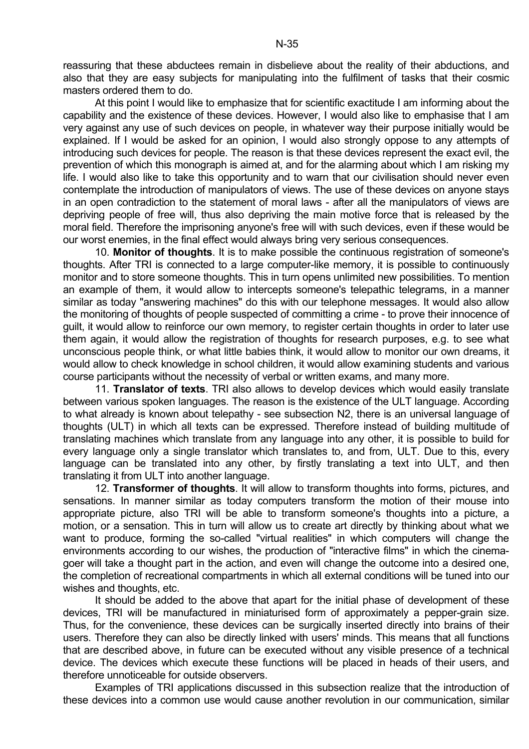reassuring that these abductees remain in disbelieve about the reality of their abductions, and also that they are easy subjects for manipulating into the fulfilment of tasks that their cosmic masters ordered them to do.

 At this point I would like to emphasize that for scientific exactitude I am informing about the capability and the existence of these devices. However, I would also like to emphasise that I am very against any use of such devices on people, in whatever way their purpose initially would be explained. If I would be asked for an opinion, I would also strongly oppose to any attempts of introducing such devices for people. The reason is that these devices represent the exact evil, the prevention of which this monograph is aimed at, and for the alarming about which I am risking my life. I would also like to take this opportunity and to warn that our civilisation should never even contemplate the introduction of manipulators of views. The use of these devices on anyone stays in an open contradiction to the statement of moral laws - after all the manipulators of views are depriving people of free will, thus also depriving the main motive force that is released by the moral field. Therefore the imprisoning anyone's free will with such devices, even if these would be our worst enemies, in the final effect would always bring very serious consequences.

 10. **Monitor of thoughts**. It is to make possible the continuous registration of someone's thoughts. After TRI is connected to a large computer-like memory, it is possible to continuously monitor and to store someone thoughts. This in turn opens unlimited new possibilities. To mention an example of them, it would allow to intercepts someone's telepathic telegrams, in a manner similar as today "answering machines" do this with our telephone messages. It would also allow the monitoring of thoughts of people suspected of committing a crime - to prove their innocence of guilt, it would allow to reinforce our own memory, to register certain thoughts in order to later use them again, it would allow the registration of thoughts for research purposes, e.g. to see what unconscious people think, or what little babies think, it would allow to monitor our own dreams, it would allow to check knowledge in school children, it would allow examining students and various course participants without the necessity of verbal or written exams, and many more.

 11. **Translator of texts**. TRI also allows to develop devices which would easily translate between various spoken languages. The reason is the existence of the ULT language. According to what already is known about telepathy - see subsection N2, there is an universal language of thoughts (ULT) in which all texts can be expressed. Therefore instead of building multitude of translating machines which translate from any language into any other, it is possible to build for every language only a single translator which translates to, and from, ULT. Due to this, every language can be translated into any other, by firstly translating a text into ULT, and then translating it from ULT into another language.

 12. **Transformer of thoughts**. It will allow to transform thoughts into forms, pictures, and sensations. In manner similar as today computers transform the motion of their mouse into appropriate picture, also TRI will be able to transform someone's thoughts into a picture, a motion, or a sensation. This in turn will allow us to create art directly by thinking about what we want to produce, forming the so-called "virtual realities" in which computers will change the environments according to our wishes, the production of "interactive films" in which the cinemagoer will take a thought part in the action, and even will change the outcome into a desired one, the completion of recreational compartments in which all external conditions will be tuned into our wishes and thoughts, etc.

 It should be added to the above that apart for the initial phase of development of these devices, TRI will be manufactured in miniaturised form of approximately a pepper-grain size. Thus, for the convenience, these devices can be surgically inserted directly into brains of their users. Therefore they can also be directly linked with users' minds. This means that all functions that are described above, in future can be executed without any visible presence of a technical device. The devices which execute these functions will be placed in heads of their users, and therefore unnoticeable for outside observers.

 Examples of TRI applications discussed in this subsection realize that the introduction of these devices into a common use would cause another revolution in our communication, similar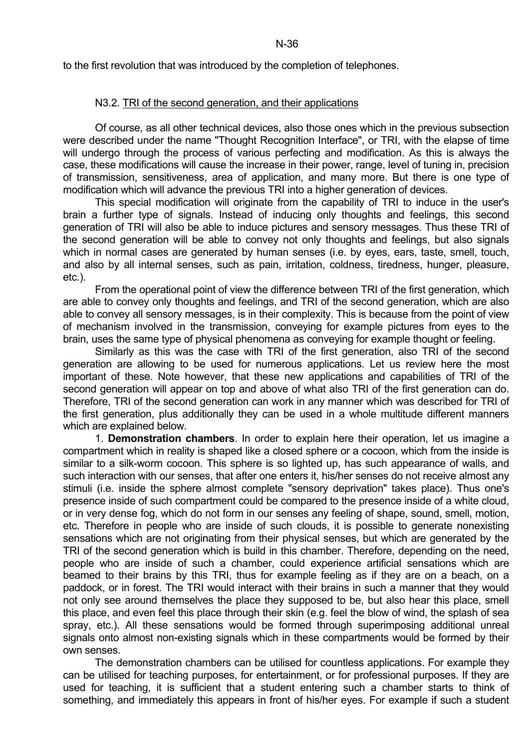to the first revolution that was introduced by the completion of telephones.

## N3.2. TRI of the second generation, and their applications

 Of course, as all other technical devices, also those ones which in the previous subsection were described under the name "Thought Recognition Interface", or TRI, with the elapse of time will undergo through the process of various perfecting and modification. As this is always the case, these modifications will cause the increase in their power, range, level of tuning in, precision of transmission, sensitiveness, area of application, and many more. But there is one type of modification which will advance the previous TRI into a higher generation of devices.

 This special modification will originate from the capability of TRI to induce in the user's brain a further type of signals. Instead of inducing only thoughts and feelings, this second generation of TRI will also be able to induce pictures and sensory messages. Thus these TRI of the second generation will be able to convey not only thoughts and feelings, but also signals which in normal cases are generated by human senses (i.e. by eyes, ears, taste, smell, touch, and also by all internal senses, such as pain, irritation, coldness, tiredness, hunger, pleasure, etc.).

 From the operational point of view the difference between TRI of the first generation, which are able to convey only thoughts and feelings, and TRI of the second generation, which are also able to convey all sensory messages, is in their complexity. This is because from the point of view of mechanism involved in the transmission, conveying for example pictures from eyes to the brain, uses the same type of physical phenomena as conveying for example thought or feeling.

 Similarly as this was the case with TRI of the first generation, also TRI of the second generation are allowing to be used for numerous applications. Let us review here the most important of these. Note however, that these new applications and capabilities of TRI of the second generation will appear on top and above of what also TRI of the first generation can do. Therefore, TRI of the second generation can work in any manner which was described for TRI of the first generation, plus additionally they can be used in a whole multitude different manners which are explained below.

 1. **Demonstration chambers**. In order to explain here their operation, let us imagine a compartment which in reality is shaped like a closed sphere or a cocoon, which from the inside is similar to a silk-worm cocoon. This sphere is so lighted up, has such appearance of walls, and such interaction with our senses, that after one enters it, his/her senses do not receive almost any stimuli (i.e. inside the sphere almost complete "sensory deprivation" takes place). Thus one's presence inside of such compartment could be compared to the presence inside of a white cloud, or in very dense fog, which do not form in our senses any feeling of shape, sound, smell, motion, etc. Therefore in people who are inside of such clouds, it is possible to generate nonexisting sensations which are not originating from their physical senses, but which are generated by the TRI of the second generation which is build in this chamber. Therefore, depending on the need, people who are inside of such a chamber, could experience artificial sensations which are beamed to their brains by this TRI, thus for example feeling as if they are on a beach, on a paddock, or in forest. The TRI would interact with their brains in such a manner that they would not only see around themselves the place they supposed to be, but also hear this place, smell this place, and even feel this place through their skin (e.g. feel the blow of wind, the splash of sea spray, etc.). All these sensations would be formed through superimposing additional unreal signals onto almost non-existing signals which in these compartments would be formed by their own senses.

 The demonstration chambers can be utilised for countless applications. For example they can be utilised for teaching purposes, for entertainment, or for professional purposes. If they are used for teaching, it is sufficient that a student entering such a chamber starts to think of something, and immediately this appears in front of his/her eyes. For example if such a student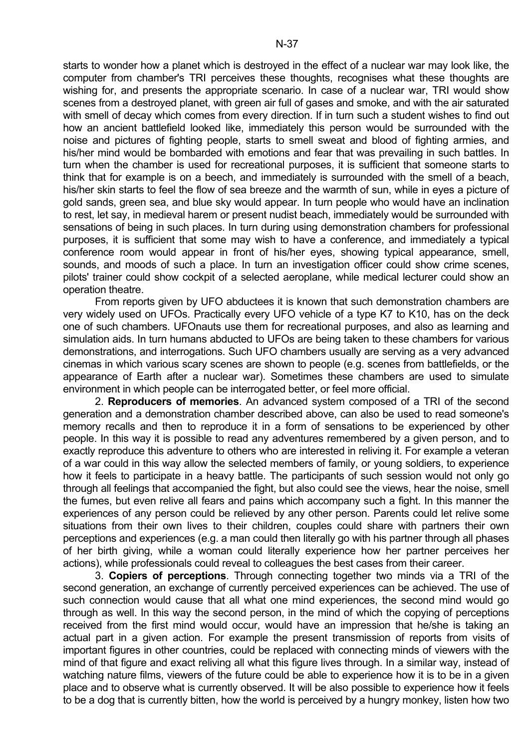starts to wonder how a planet which is destroyed in the effect of a nuclear war may look like, the computer from chamber's TRI perceives these thoughts, recognises what these thoughts are wishing for, and presents the appropriate scenario. In case of a nuclear war, TRI would show scenes from a destroyed planet, with green air full of gases and smoke, and with the air saturated with smell of decay which comes from every direction. If in turn such a student wishes to find out how an ancient battlefield looked like, immediately this person would be surrounded with the noise and pictures of fighting people, starts to smell sweat and blood of fighting armies, and his/her mind would be bombarded with emotions and fear that was prevailing in such battles. In turn when the chamber is used for recreational purposes, it is sufficient that someone starts to think that for example is on a beech, and immediately is surrounded with the smell of a beach, his/her skin starts to feel the flow of sea breeze and the warmth of sun, while in eyes a picture of gold sands, green sea, and blue sky would appear. In turn people who would have an inclination to rest, let say, in medieval harem or present nudist beach, immediately would be surrounded with sensations of being in such places. In turn during using demonstration chambers for professional purposes, it is sufficient that some may wish to have a conference, and immediately a typical conference room would appear in front of his/her eyes, showing typical appearance, smell, sounds, and moods of such a place. In turn an investigation officer could show crime scenes, pilots' trainer could show cockpit of a selected aeroplane, while medical lecturer could show an

operation theatre. From reports given by UFO abductees it is known that such demonstration chambers are very widely used on UFOs. Practically every UFO vehicle of a type K7 to K10, has on the deck one of such chambers. UFOnauts use them for recreational purposes, and also as learning and simulation aids. In turn humans abducted to UFOs are being taken to these chambers for various demonstrations, and interrogations. Such UFO chambers usually are serving as a very advanced cinemas in which various scary scenes are shown to people (e.g. scenes from battlefields, or the appearance of Earth after a nuclear war). Sometimes these chambers are used to simulate environment in which people can be interrogated better, or feel more official.

 2. **Reproducers of memories**. An advanced system composed of a TRI of the second generation and a demonstration chamber described above, can also be used to read someone's memory recalls and then to reproduce it in a form of sensations to be experienced by other people. In this way it is possible to read any adventures remembered by a given person, and to exactly reproduce this adventure to others who are interested in reliving it. For example a veteran of a war could in this way allow the selected members of family, or young soldiers, to experience how it feels to participate in a heavy battle. The participants of such session would not only go through all feelings that accompanied the fight, but also could see the views, hear the noise, smell the fumes, but even relive all fears and pains which accompany such a fight. In this manner the experiences of any person could be relieved by any other person. Parents could let relive some situations from their own lives to their children, couples could share with partners their own perceptions and experiences (e.g. a man could then literally go with his partner through all phases of her birth giving, while a woman could literally experience how her partner perceives her actions), while professionals could reveal to colleagues the best cases from their career.

 3. **Copiers of perceptions**. Through connecting together two minds via a TRI of the second generation, an exchange of currently perceived experiences can be achieved. The use of such connection would cause that all what one mind experiences, the second mind would go through as well. In this way the second person, in the mind of which the copying of perceptions received from the first mind would occur, would have an impression that he/she is taking an actual part in a given action. For example the present transmission of reports from visits of important figures in other countries, could be replaced with connecting minds of viewers with the mind of that figure and exact reliving all what this figure lives through. In a similar way, instead of watching nature films, viewers of the future could be able to experience how it is to be in a given place and to observe what is currently observed. It will be also possible to experience how it feels to be a dog that is currently bitten, how the world is perceived by a hungry monkey, listen how two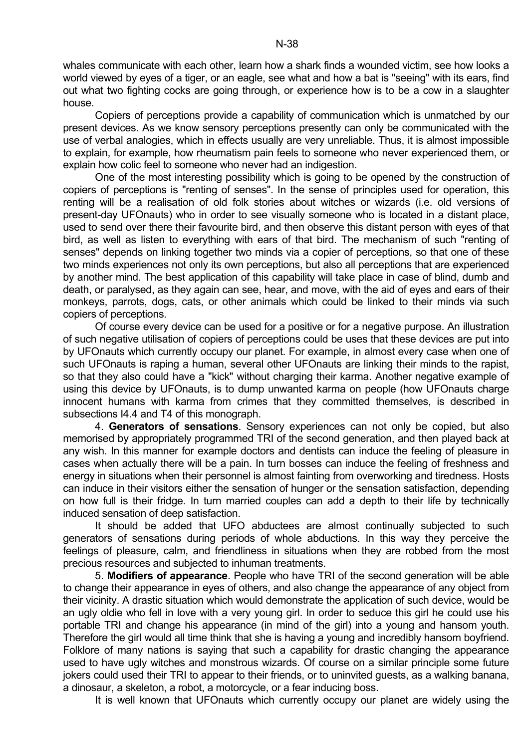whales communicate with each other, learn how a shark finds a wounded victim, see how looks a world viewed by eyes of a tiger, or an eagle, see what and how a bat is "seeing" with its ears, find out what two fighting cocks are going through, or experience how is to be a cow in a slaughter house.

 Copiers of perceptions provide a capability of communication which is unmatched by our present devices. As we know sensory perceptions presently can only be communicated with the use of verbal analogies, which in effects usually are very unreliable. Thus, it is almost impossible to explain, for example, how rheumatism pain feels to someone who never experienced them, or explain how colic feel to someone who never had an indigestion.

 One of the most interesting possibility which is going to be opened by the construction of copiers of perceptions is "renting of senses". In the sense of principles used for operation, this renting will be a realisation of old folk stories about witches or wizards (i.e. old versions of present-day UFOnauts) who in order to see visually someone who is located in a distant place, used to send over there their favourite bird, and then observe this distant person with eyes of that bird, as well as listen to everything with ears of that bird. The mechanism of such "renting of senses" depends on linking together two minds via a copier of perceptions, so that one of these two minds experiences not only its own perceptions, but also all perceptions that are experienced by another mind. The best application of this capability will take place in case of blind, dumb and death, or paralysed, as they again can see, hear, and move, with the aid of eyes and ears of their monkeys, parrots, dogs, cats, or other animals which could be linked to their minds via such copiers of perceptions.

 Of course every device can be used for a positive or for a negative purpose. An illustration of such negative utilisation of copiers of perceptions could be uses that these devices are put into by UFOnauts which currently occupy our planet. For example, in almost every case when one of such UFOnauts is raping a human, several other UFOnauts are linking their minds to the rapist, so that they also could have a "kick" without charging their karma. Another negative example of using this device by UFOnauts, is to dump unwanted karma on people (how UFOnauts charge innocent humans with karma from crimes that they committed themselves, is described in subsections I4.4 and T4 of this monograph.

 4. **Generators of sensations**. Sensory experiences can not only be copied, but also memorised by appropriately programmed TRI of the second generation, and then played back at any wish. In this manner for example doctors and dentists can induce the feeling of pleasure in cases when actually there will be a pain. In turn bosses can induce the feeling of freshness and energy in situations when their personnel is almost fainting from overworking and tiredness. Hosts can induce in their visitors either the sensation of hunger or the sensation satisfaction, depending on how full is their fridge. In turn married couples can add a depth to their life by technically induced sensation of deep satisfaction.

 It should be added that UFO abductees are almost continually subjected to such generators of sensations during periods of whole abductions. In this way they perceive the feelings of pleasure, calm, and friendliness in situations when they are robbed from the most precious resources and subjected to inhuman treatments.

 5. **Modifiers of appearance**. People who have TRI of the second generation will be able to change their appearance in eyes of others, and also change the appearance of any object from their vicinity. A drastic situation which would demonstrate the application of such device, would be an ugly oldie who fell in love with a very young girl. In order to seduce this girl he could use his portable TRI and change his appearance (in mind of the girl) into a young and hansom youth. Therefore the girl would all time think that she is having a young and incredibly hansom boyfriend. Folklore of many nations is saying that such a capability for drastic changing the appearance used to have ugly witches and monstrous wizards. Of course on a similar principle some future jokers could used their TRI to appear to their friends, or to uninvited guests, as a walking banana, a dinosaur, a skeleton, a robot, a motorcycle, or a fear inducing boss.

It is well known that UFOnauts which currently occupy our planet are widely using the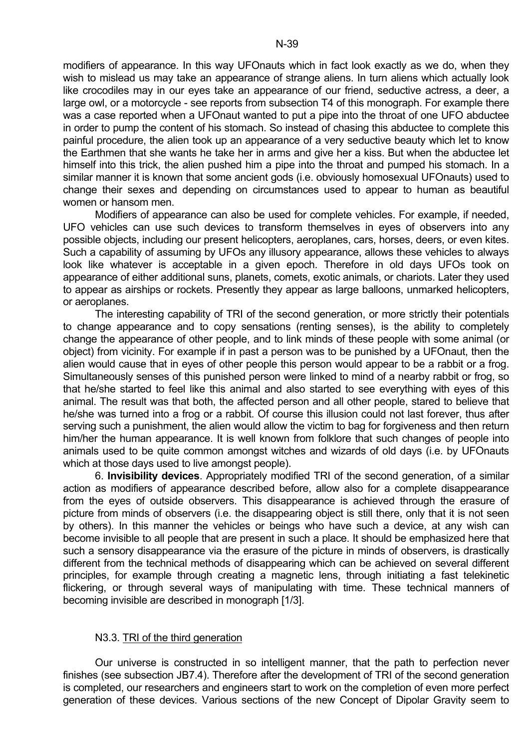modifiers of appearance. In this way UFOnauts which in fact look exactly as we do, when they wish to mislead us may take an appearance of strange aliens. In turn aliens which actually look like crocodiles may in our eyes take an appearance of our friend, seductive actress, a deer, a large owl, or a motorcycle - see reports from subsection T4 of this monograph. For example there was a case reported when a UFOnaut wanted to put a pipe into the throat of one UFO abductee in order to pump the content of his stomach. So instead of chasing this abductee to complete this painful procedure, the alien took up an appearance of a very seductive beauty which let to know the Earthmen that she wants he take her in arms and give her a kiss. But when the abductee let himself into this trick, the alien pushed him a pipe into the throat and pumped his stomach. In a similar manner it is known that some ancient gods (i.e. obviously homosexual UFOnauts) used to change their sexes and depending on circumstances used to appear to human as beautiful women or hansom men.

 Modifiers of appearance can also be used for complete vehicles. For example, if needed, UFO vehicles can use such devices to transform themselves in eyes of observers into any possible objects, including our present helicopters, aeroplanes, cars, horses, deers, or even kites. Such a capability of assuming by UFOs any illusory appearance, allows these vehicles to always look like whatever is acceptable in a given epoch. Therefore in old days UFOs took on appearance of either additional suns, planets, comets, exotic animals, or chariots. Later they used to appear as airships or rockets. Presently they appear as large balloons, unmarked helicopters, or aeroplanes.

 The interesting capability of TRI of the second generation, or more strictly their potentials to change appearance and to copy sensations (renting senses), is the ability to completely change the appearance of other people, and to link minds of these people with some animal (or object) from vicinity. For example if in past a person was to be punished by a UFOnaut, then the alien would cause that in eyes of other people this person would appear to be a rabbit or a frog. Simultaneously senses of this punished person were linked to mind of a nearby rabbit or frog, so that he/she started to feel like this animal and also started to see everything with eyes of this animal. The result was that both, the affected person and all other people, stared to believe that he/she was turned into a frog or a rabbit. Of course this illusion could not last forever, thus after serving such a punishment, the alien would allow the victim to bag for forgiveness and then return him/her the human appearance. It is well known from folklore that such changes of people into animals used to be quite common amongst witches and wizards of old days (i.e. by UFOnauts which at those days used to live amongst people).

 6. **Invisibility devices**. Appropriately modified TRI of the second generation, of a similar action as modifiers of appearance described before, allow also for a complete disappearance from the eyes of outside observers. This disappearance is achieved through the erasure of picture from minds of observers (i.e. the disappearing object is still there, only that it is not seen by others). In this manner the vehicles or beings who have such a device, at any wish can become invisible to all people that are present in such a place. It should be emphasized here that such a sensory disappearance via the erasure of the picture in minds of observers, is drastically different from the technical methods of disappearing which can be achieved on several different principles, for example through creating a magnetic lens, through initiating a fast telekinetic flickering, or through several ways of manipulating with time. These technical manners of becoming invisible are described in monograph [1/3].

# N3.3. TRI of the third generation

 Our universe is constructed in so intelligent manner, that the path to perfection never finishes (see subsection JB7.4). Therefore after the development of TRI of the second generation is completed, our researchers and engineers start to work on the completion of even more perfect generation of these devices. Various sections of the new Concept of Dipolar Gravity seem to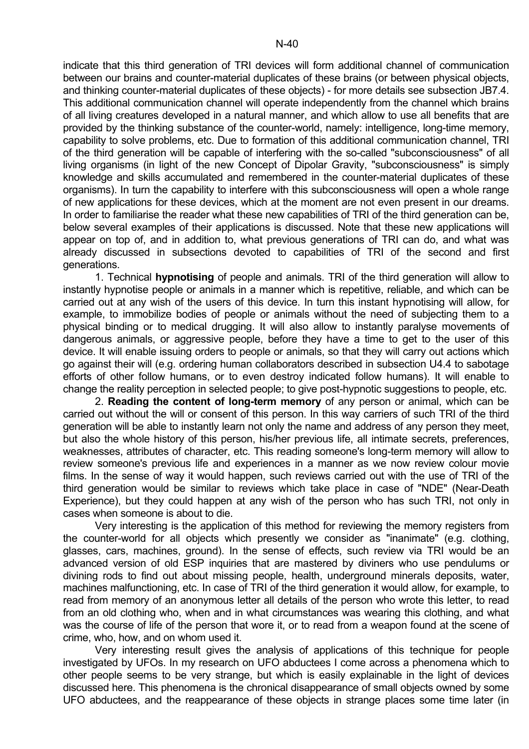indicate that this third generation of TRI devices will form additional channel of communication between our brains and counter-material duplicates of these brains (or between physical objects, and thinking counter-material duplicates of these objects) - for more details see subsection JB7.4. This additional communication channel will operate independently from the channel which brains of all living creatures developed in a natural manner, and which allow to use all benefits that are provided by the thinking substance of the counter-world, namely: intelligence, long-time memory, capability to solve problems, etc. Due to formation of this additional communication channel, TRI of the third generation will be capable of interfering with the so-called "subconsciousness" of all living organisms (in light of the new Concept of Dipolar Gravity, "subconsciousness" is simply knowledge and skills accumulated and remembered in the counter-material duplicates of these organisms). In turn the capability to interfere with this subconsciousness will open a whole range of new applications for these devices, which at the moment are not even present in our dreams. In order to familiarise the reader what these new capabilities of TRI of the third generation can be, below several examples of their applications is discussed. Note that these new applications will appear on top of, and in addition to, what previous generations of TRI can do, and what was already discussed in subsections devoted to capabilities of TRI of the second and first generations.

 1. Technical **hypnotising** of people and animals. TRI of the third generation will allow to instantly hypnotise people or animals in a manner which is repetitive, reliable, and which can be carried out at any wish of the users of this device. In turn this instant hypnotising will allow, for example, to immobilize bodies of people or animals without the need of subjecting them to a physical binding or to medical drugging. It will also allow to instantly paralyse movements of dangerous animals, or aggressive people, before they have a time to get to the user of this device. It will enable issuing orders to people or animals, so that they will carry out actions which go against their will (e.g. ordering human collaborators described in subsection U4.4 to sabotage efforts of other follow humans, or to even destroy indicated follow humans). It will enable to change the reality perception in selected people; to give post-hypnotic suggestions to people, etc.

 2. **Reading the content of long-term memory** of any person or animal, which can be carried out without the will or consent of this person. In this way carriers of such TRI of the third generation will be able to instantly learn not only the name and address of any person they meet, but also the whole history of this person, his/her previous life, all intimate secrets, preferences, weaknesses, attributes of character, etc. This reading someone's long-term memory will allow to review someone's previous life and experiences in a manner as we now review colour movie films. In the sense of way it would happen, such reviews carried out with the use of TRI of the third generation would be similar to reviews which take place in case of "NDE" (Near-Death Experience), but they could happen at any wish of the person who has such TRI, not only in cases when someone is about to die.

 Very interesting is the application of this method for reviewing the memory registers from the counter-world for all objects which presently we consider as "inanimate" (e.g. clothing, glasses, cars, machines, ground). In the sense of effects, such review via TRI would be an advanced version of old ESP inquiries that are mastered by diviners who use pendulums or divining rods to find out about missing people, health, underground minerals deposits, water, machines malfunctioning, etc. In case of TRI of the third generation it would allow, for example, to read from memory of an anonymous letter all details of the person who wrote this letter, to read from an old clothing who, when and in what circumstances was wearing this clothing, and what was the course of life of the person that wore it, or to read from a weapon found at the scene of crime, who, how, and on whom used it.

 Very interesting result gives the analysis of applications of this technique for people investigated by UFOs. In my research on UFO abductees I come across a phenomena which to other people seems to be very strange, but which is easily explainable in the light of devices discussed here. This phenomena is the chronical disappearance of small objects owned by some UFO abductees, and the reappearance of these objects in strange places some time later (in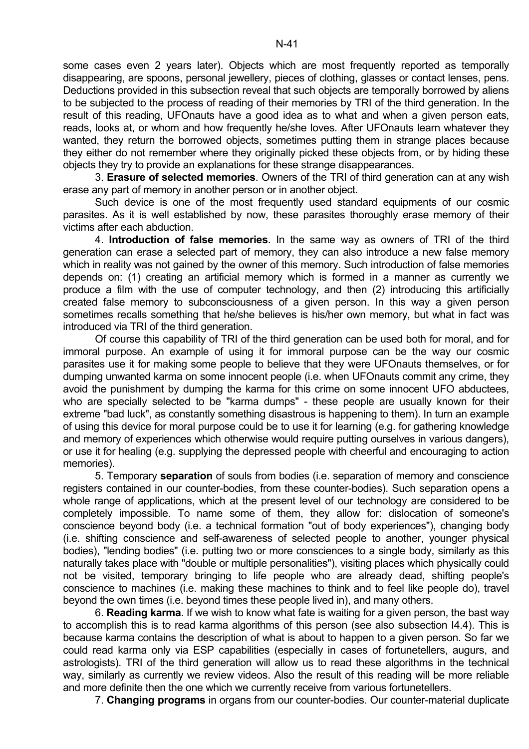some cases even 2 years later). Objects which are most frequently reported as temporally disappearing, are spoons, personal jewellery, pieces of clothing, glasses or contact lenses, pens. Deductions provided in this subsection reveal that such objects are temporally borrowed by aliens to be subjected to the process of reading of their memories by TRI of the third generation. In the result of this reading, UFOnauts have a good idea as to what and when a given person eats, reads, looks at, or whom and how frequently he/she loves. After UFOnauts learn whatever they wanted, they return the borrowed objects, sometimes putting them in strange places because they either do not remember where they originally picked these objects from, or by hiding these objects they try to provide an explanations for these strange disappearances.

 3. **Erasure of selected memories**. Owners of the TRI of third generation can at any wish erase any part of memory in another person or in another object.

 Such device is one of the most frequently used standard equipments of our cosmic parasites. As it is well established by now, these parasites thoroughly erase memory of their victims after each abduction.

 4. **Introduction of false memories**. In the same way as owners of TRI of the third generation can erase a selected part of memory, they can also introduce a new false memory which in reality was not gained by the owner of this memory. Such introduction of false memories depends on: (1) creating an artificial memory which is formed in a manner as currently we produce a film with the use of computer technology, and then (2) introducing this artificially created false memory to subconsciousness of a given person. In this way a given person sometimes recalls something that he/she believes is his/her own memory, but what in fact was introduced via TRI of the third generation.

 Of course this capability of TRI of the third generation can be used both for moral, and for immoral purpose. An example of using it for immoral purpose can be the way our cosmic parasites use it for making some people to believe that they were UFOnauts themselves, or for dumping unwanted karma on some innocent people (i.e. when UFOnauts commit any crime, they avoid the punishment by dumping the karma for this crime on some innocent UFO abductees, who are specially selected to be "karma dumps" - these people are usually known for their extreme "bad luck", as constantly something disastrous is happening to them). In turn an example of using this device for moral purpose could be to use it for learning (e.g. for gathering knowledge and memory of experiences which otherwise would require putting ourselves in various dangers), or use it for healing (e.g. supplying the depressed people with cheerful and encouraging to action memories).

 5. Temporary **separation** of souls from bodies (i.e. separation of memory and conscience registers contained in our counter-bodies, from these counter-bodies). Such separation opens a whole range of applications, which at the present level of our technology are considered to be completely impossible. To name some of them, they allow for: dislocation of someone's conscience beyond body (i.e. a technical formation "out of body experiences"), changing body (i.e. shifting conscience and self-awareness of selected people to another, younger physical bodies), "lending bodies" (i.e. putting two or more consciences to a single body, similarly as this naturally takes place with "double or multiple personalities"), visiting places which physically could not be visited, temporary bringing to life people who are already dead, shifting people's conscience to machines (i.e. making these machines to think and to feel like people do), travel beyond the own times (i.e. beyond times these people lived in), and many others.

 6. **Reading karma**. If we wish to know what fate is waiting for a given person, the bast way to accomplish this is to read karma algorithms of this person (see also subsection I4.4). This is because karma contains the description of what is about to happen to a given person. So far we could read karma only via ESP capabilities (especially in cases of fortunetellers, augurs, and astrologists). TRI of the third generation will allow us to read these algorithms in the technical way, similarly as currently we review videos. Also the result of this reading will be more reliable and more definite then the one which we currently receive from various fortunetellers.

7. **Changing programs** in organs from our counter-bodies. Our counter-material duplicate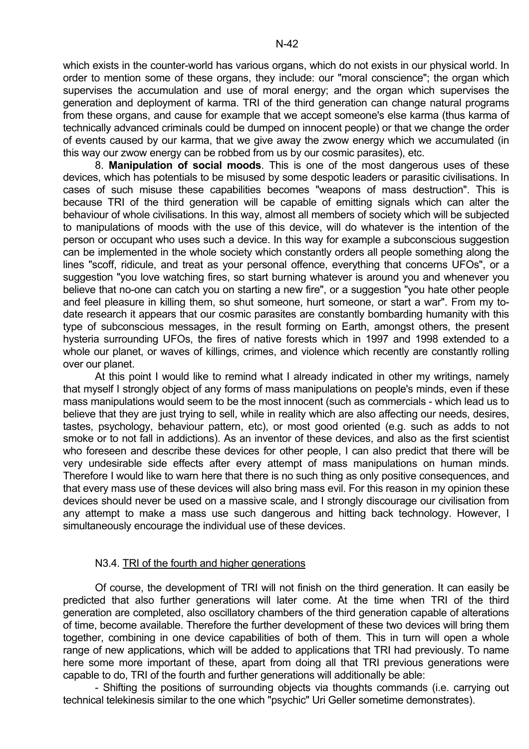which exists in the counter-world has various organs, which do not exists in our physical world. In order to mention some of these organs, they include: our "moral conscience"; the organ which supervises the accumulation and use of moral energy; and the organ which supervises the generation and deployment of karma. TRI of the third generation can change natural programs from these organs, and cause for example that we accept someone's else karma (thus karma of technically advanced criminals could be dumped on innocent people) or that we change the order of events caused by our karma, that we give away the zwow energy which we accumulated (in this way our zwow energy can be robbed from us by our cosmic parasites), etc.

 8. **Manipulation of social moods**. This is one of the most dangerous uses of these devices, which has potentials to be misused by some despotic leaders or parasitic civilisations. In cases of such misuse these capabilities becomes "weapons of mass destruction". This is because TRI of the third generation will be capable of emitting signals which can alter the behaviour of whole civilisations. In this way, almost all members of society which will be subjected to manipulations of moods with the use of this device, will do whatever is the intention of the person or occupant who uses such a device. In this way for example a subconscious suggestion can be implemented in the whole society which constantly orders all people something along the lines "scoff, ridicule, and treat as your personal offence, everything that concerns UFOs", or a suggestion "you love watching fires, so start burning whatever is around you and whenever you believe that no-one can catch you on starting a new fire", or a suggestion "you hate other people and feel pleasure in killing them, so shut someone, hurt someone, or start a war". From my todate research it appears that our cosmic parasites are constantly bombarding humanity with this type of subconscious messages, in the result forming on Earth, amongst others, the present hysteria surrounding UFOs, the fires of native forests which in 1997 and 1998 extended to a whole our planet, or waves of killings, crimes, and violence which recently are constantly rolling over our planet.

 At this point I would like to remind what I already indicated in other my writings, namely that myself I strongly object of any forms of mass manipulations on people's minds, even if these mass manipulations would seem to be the most innocent (such as commercials - which lead us to believe that they are just trying to sell, while in reality which are also affecting our needs, desires, tastes, psychology, behaviour pattern, etc), or most good oriented (e.g. such as adds to not smoke or to not fall in addictions). As an inventor of these devices, and also as the first scientist who foreseen and describe these devices for other people, I can also predict that there will be very undesirable side effects after every attempt of mass manipulations on human minds. Therefore I would like to warn here that there is no such thing as only positive consequences, and that every mass use of these devices will also bring mass evil. For this reason in my opinion these devices should never be used on a massive scale, and I strongly discourage our civilisation from any attempt to make a mass use such dangerous and hitting back technology. However, I simultaneously encourage the individual use of these devices.

#### N3.4. TRI of the fourth and higher generations

 Of course, the development of TRI will not finish on the third generation. It can easily be predicted that also further generations will later come. At the time when TRI of the third generation are completed, also oscillatory chambers of the third generation capable of alterations of time, become available. Therefore the further development of these two devices will bring them together, combining in one device capabilities of both of them. This in turn will open a whole range of new applications, which will be added to applications that TRI had previously. To name here some more important of these, apart from doing all that TRI previous generations were capable to do, TRI of the fourth and further generations will additionally be able:

 - Shifting the positions of surrounding objects via thoughts commands (i.e. carrying out technical telekinesis similar to the one which "psychic" Uri Geller sometime demonstrates).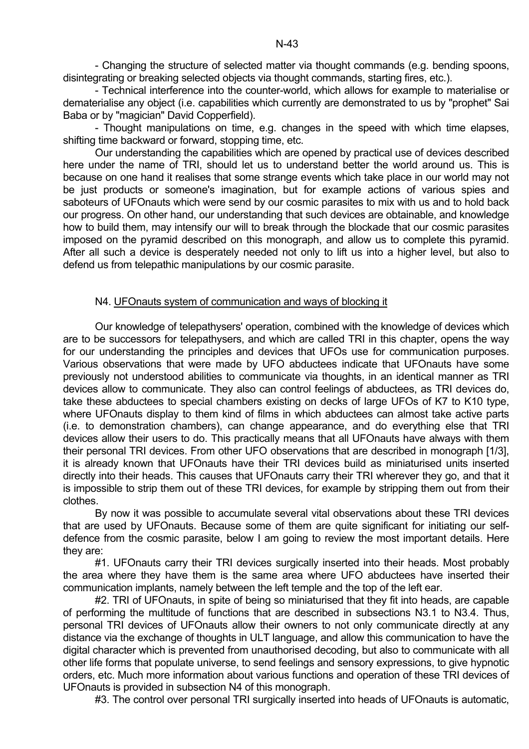- Changing the structure of selected matter via thought commands (e.g. bending spoons, disintegrating or breaking selected objects via thought commands, starting fires, etc.).

 - Technical interference into the counter-world, which allows for example to materialise or dematerialise any object (i.e. capabilities which currently are demonstrated to us by "prophet" Sai Baba or by "magician" David Copperfield).

 - Thought manipulations on time, e.g. changes in the speed with which time elapses, shifting time backward or forward, stopping time, etc.

 Our understanding the capabilities which are opened by practical use of devices described here under the name of TRI, should let us to understand better the world around us. This is because on one hand it realises that some strange events which take place in our world may not be just products or someone's imagination, but for example actions of various spies and saboteurs of UFOnauts which were send by our cosmic parasites to mix with us and to hold back our progress. On other hand, our understanding that such devices are obtainable, and knowledge how to build them, may intensify our will to break through the blockade that our cosmic parasites imposed on the pyramid described on this monograph, and allow us to complete this pyramid. After all such a device is desperately needed not only to lift us into a higher level, but also to defend us from telepathic manipulations by our cosmic parasite.

#### N4. UFOnauts system of communication and ways of blocking it

 Our knowledge of telepathysers' operation, combined with the knowledge of devices which are to be successors for telepathysers, and which are called TRI in this chapter, opens the way for our understanding the principles and devices that UFOs use for communication purposes. Various observations that were made by UFO abductees indicate that UFOnauts have some previously not understood abilities to communicate via thoughts, in an identical manner as TRI devices allow to communicate. They also can control feelings of abductees, as TRI devices do, take these abductees to special chambers existing on decks of large UFOs of K7 to K10 type, where UFOnauts display to them kind of films in which abductees can almost take active parts (i.e. to demonstration chambers), can change appearance, and do everything else that TRI devices allow their users to do. This practically means that all UFOnauts have always with them their personal TRI devices. From other UFO observations that are described in monograph [1/3], it is already known that UFOnauts have their TRI devices build as miniaturised units inserted directly into their heads. This causes that UFOnauts carry their TRI wherever they go, and that it is impossible to strip them out of these TRI devices, for example by stripping them out from their clothes.

 By now it was possible to accumulate several vital observations about these TRI devices that are used by UFOnauts. Because some of them are quite significant for initiating our selfdefence from the cosmic parasite, below I am going to review the most important details. Here they are:

 #1. UFOnauts carry their TRI devices surgically inserted into their heads. Most probably the area where they have them is the same area where UFO abductees have inserted their communication implants, namely between the left temple and the top of the left ear.

#2. TRI of UFOnauts, in spite of being so miniaturised that they fit into heads, are capable of performing the multitude of functions that are described in subsections N3.1 to N3.4. Thus, personal TRI devices of UFOnauts allow their owners to not only communicate directly at any distance via the exchange of thoughts in ULT language, and allow this communication to have the digital character which is prevented from unauthorised decoding, but also to communicate with all other life forms that populate universe, to send feelings and sensory expressions, to give hypnotic orders, etc. Much more information about various functions and operation of these TRI devices of UFOnauts is provided in subsection N4 of this monograph.

#3. The control over personal TRI surgically inserted into heads of UFOnauts is automatic,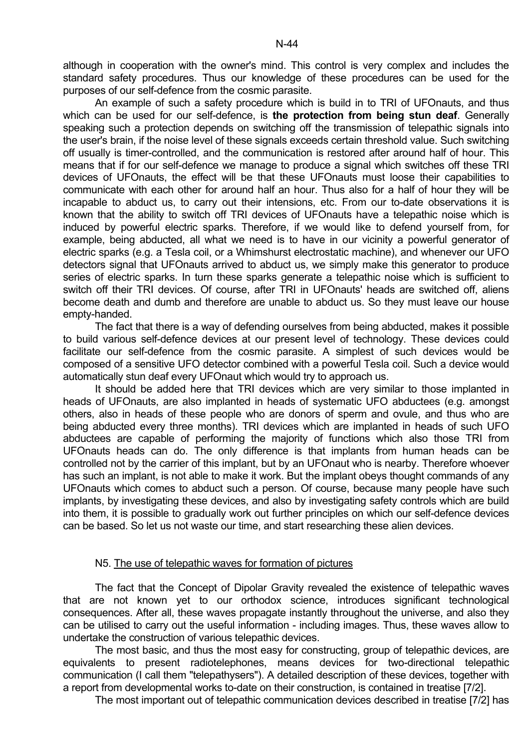although in cooperation with the owner's mind. This control is very complex and includes the standard safety procedures. Thus our knowledge of these procedures can be used for the purposes of our self-defence from the cosmic parasite.

 An example of such a safety procedure which is build in to TRI of UFOnauts, and thus which can be used for our self-defence, is **the protection from being stun deaf**. Generally speaking such a protection depends on switching off the transmission of telepathic signals into the user's brain, if the noise level of these signals exceeds certain threshold value. Such switching off usually is timer-controlled, and the communication is restored after around half of hour. This means that if for our self-defence we manage to produce a signal which switches off these TRI devices of UFOnauts, the effect will be that these UFOnauts must loose their capabilities to communicate with each other for around half an hour. Thus also for a half of hour they will be incapable to abduct us, to carry out their intensions, etc. From our to-date observations it is known that the ability to switch off TRI devices of UFOnauts have a telepathic noise which is induced by powerful electric sparks. Therefore, if we would like to defend yourself from, for example, being abducted, all what we need is to have in our vicinity a powerful generator of electric sparks (e.g. a Tesla coil, or a Whimshurst electrostatic machine), and whenever our UFO detectors signal that UFOnauts arrived to abduct us, we simply make this generator to produce series of electric sparks. In turn these sparks generate a telepathic noise which is sufficient to switch off their TRI devices. Of course, after TRI in UFOnauts' heads are switched off, aliens become death and dumb and therefore are unable to abduct us. So they must leave our house empty-handed.

 The fact that there is a way of defending ourselves from being abducted, makes it possible to build various self-defence devices at our present level of technology. These devices could facilitate our self-defence from the cosmic parasite. A simplest of such devices would be composed of a sensitive UFO detector combined with a powerful Tesla coil. Such a device would automatically stun deaf every UFOnaut which would try to approach us.

 It should be added here that TRI devices which are very similar to those implanted in heads of UFOnauts, are also implanted in heads of systematic UFO abductees (e.g. amongst others, also in heads of these people who are donors of sperm and ovule, and thus who are being abducted every three months). TRI devices which are implanted in heads of such UFO abductees are capable of performing the majority of functions which also those TRI from UFOnauts heads can do. The only difference is that implants from human heads can be controlled not by the carrier of this implant, but by an UFOnaut who is nearby. Therefore whoever has such an implant, is not able to make it work. But the implant obeys thought commands of any UFOnauts which comes to abduct such a person. Of course, because many people have such implants, by investigating these devices, and also by investigating safety controls which are build into them, it is possible to gradually work out further principles on which our self-defence devices can be based. So let us not waste our time, and start researching these alien devices.

## N5. The use of telepathic waves for formation of pictures

 The fact that the Concept of Dipolar Gravity revealed the existence of telepathic waves that are not known yet to our orthodox science, introduces significant technological consequences. After all, these waves propagate instantly throughout the universe, and also they can be utilised to carry out the useful information - including images. Thus, these waves allow to undertake the construction of various telepathic devices.

 The most basic, and thus the most easy for constructing, group of telepathic devices, are equivalents to present radiotelephones, means devices for two-directional telepathic communication (I call them "telepathysers"). A detailed description of these devices, together with a report from developmental works to-date on their construction, is contained in treatise [7/2].

The most important out of telepathic communication devices described in treatise [7/2] has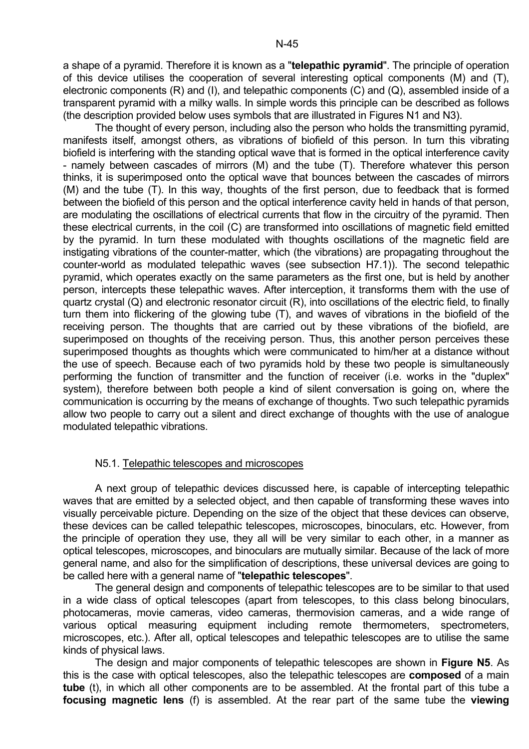a shape of a pyramid. Therefore it is known as a "**telepathic pyramid**". The principle of operation of this device utilises the cooperation of several interesting optical components (M) and (T), electronic components (R) and (I), and telepathic components (C) and (Q), assembled inside of a transparent pyramid with a milky walls. In simple words this principle can be described as follows (the description provided below uses symbols that are illustrated in Figures N1 and N3).

 The thought of every person, including also the person who holds the transmitting pyramid, manifests itself, amongst others, as vibrations of biofield of this person. In turn this vibrating biofield is interfering with the standing optical wave that is formed in the optical interference cavity - namely between cascades of mirrors (M) and the tube (T). Therefore whatever this person thinks, it is superimposed onto the optical wave that bounces between the cascades of mirrors (M) and the tube (T). In this way, thoughts of the first person, due to feedback that is formed between the biofield of this person and the optical interference cavity held in hands of that person, are modulating the oscillations of electrical currents that flow in the circuitry of the pyramid. Then these electrical currents, in the coil (C) are transformed into oscillations of magnetic field emitted by the pyramid. In turn these modulated with thoughts oscillations of the magnetic field are instigating vibrations of the counter-matter, which (the vibrations) are propagating throughout the counter-world as modulated telepathic waves (see subsection H7.1)). The second telepathic pyramid, which operates exactly on the same parameters as the first one, but is held by another person, intercepts these telepathic waves. After interception, it transforms them with the use of quartz crystal (Q) and electronic resonator circuit (R), into oscillations of the electric field, to finally turn them into flickering of the glowing tube (T), and waves of vibrations in the biofield of the receiving person. The thoughts that are carried out by these vibrations of the biofield, are superimposed on thoughts of the receiving person. Thus, this another person perceives these superimposed thoughts as thoughts which were communicated to him/her at a distance without the use of speech. Because each of two pyramids hold by these two people is simultaneously performing the function of transmitter and the function of receiver (i.e. works in the "duplex" system), therefore between both people a kind of silent conversation is going on, where the communication is occurring by the means of exchange of thoughts. Two such telepathic pyramids allow two people to carry out a silent and direct exchange of thoughts with the use of analogue modulated telepathic vibrations.

## N5.1. Telepathic telescopes and microscopes

 A next group of telepathic devices discussed here, is capable of intercepting telepathic waves that are emitted by a selected object, and then capable of transforming these waves into visually perceivable picture. Depending on the size of the object that these devices can observe, these devices can be called telepathic telescopes, microscopes, binoculars, etc. However, from the principle of operation they use, they all will be very similar to each other, in a manner as optical telescopes, microscopes, and binoculars are mutually similar. Because of the lack of more general name, and also for the simplification of descriptions, these universal devices are going to be called here with a general name of "**telepathic telescopes**".

 The general design and components of telepathic telescopes are to be similar to that used in a wide class of optical telescopes (apart from telescopes, to this class belong binoculars, photocameras, movie cameras, video cameras, thermovision cameras, and a wide range of various optical measuring equipment including remote thermometers, spectrometers, microscopes, etc.). After all, optical telescopes and telepathic telescopes are to utilise the same kinds of physical laws.

 The design and major components of telepathic telescopes are shown in **Figure N5**. As this is the case with optical telescopes, also the telepathic telescopes are **composed** of a main **tube** (t), in which all other components are to be assembled. At the frontal part of this tube a **focusing magnetic lens** (f) is assembled. At the rear part of the same tube the **viewing**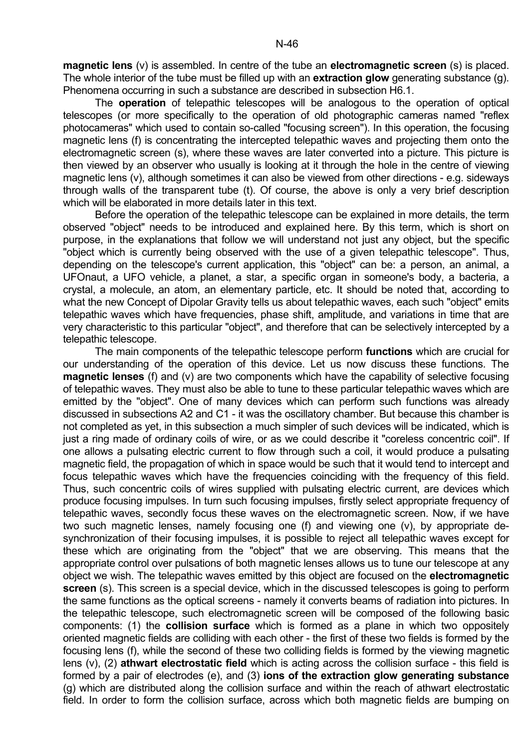**magnetic lens** (v) is assembled. In centre of the tube an **electromagnetic screen** (s) is placed. The whole interior of the tube must be filled up with an **extraction glow** generating substance (g). Phenomena occurring in such a substance are described in subsection H6.1.

 The **operation** of telepathic telescopes will be analogous to the operation of optical telescopes (or more specifically to the operation of old photographic cameras named "reflex photocameras" which used to contain so-called "focusing screen"). In this operation, the focusing magnetic lens (f) is concentrating the intercepted telepathic waves and projecting them onto the electromagnetic screen (s), where these waves are later converted into a picture. This picture is then viewed by an observer who usually is looking at it through the hole in the centre of viewing magnetic lens (v), although sometimes it can also be viewed from other directions - e.g. sideways through walls of the transparent tube (t). Of course, the above is only a very brief description which will be elaborated in more details later in this text.

 Before the operation of the telepathic telescope can be explained in more details, the term observed "object" needs to be introduced and explained here. By this term, which is short on purpose, in the explanations that follow we will understand not just any object, but the specific "object which is currently being observed with the use of a given telepathic telescope". Thus, depending on the telescope's current application, this "object" can be: a person, an animal, a UFOnaut, a UFO vehicle, a planet, a star, a specific organ in someone's body, a bacteria, a crystal, a molecule, an atom, an elementary particle, etc. It should be noted that, according to what the new Concept of Dipolar Gravity tells us about telepathic waves, each such "object" emits telepathic waves which have frequencies, phase shift, amplitude, and variations in time that are very characteristic to this particular "object", and therefore that can be selectively intercepted by a telepathic telescope.

 The main components of the telepathic telescope perform **functions** which are crucial for our understanding of the operation of this device. Let us now discuss these functions. The **magnetic lenses** (f) and (v) are two components which have the capability of selective focusing of telepathic waves. They must also be able to tune to these particular telepathic waves which are emitted by the "object". One of many devices which can perform such functions was already discussed in subsections A2 and C1 - it was the oscillatory chamber. But because this chamber is not completed as yet, in this subsection a much simpler of such devices will be indicated, which is just a ring made of ordinary coils of wire, or as we could describe it "coreless concentric coil". If one allows a pulsating electric current to flow through such a coil, it would produce a pulsating magnetic field, the propagation of which in space would be such that it would tend to intercept and focus telepathic waves which have the frequencies coinciding with the frequency of this field. Thus, such concentric coils of wires supplied with pulsating electric current, are devices which produce focusing impulses. In turn such focusing impulses, firstly select appropriate frequency of telepathic waves, secondly focus these waves on the electromagnetic screen. Now, if we have two such magnetic lenses, namely focusing one (f) and viewing one (v), by appropriate desynchronization of their focusing impulses, it is possible to reject all telepathic waves except for these which are originating from the "object" that we are observing. This means that the appropriate control over pulsations of both magnetic lenses allows us to tune our telescope at any object we wish. The telepathic waves emitted by this object are focused on the **electromagnetic screen** (s). This screen is a special device, which in the discussed telescopes is going to perform the same functions as the optical screens - namely it converts beams of radiation into pictures. In the telepathic telescope, such electromagnetic screen will be composed of the following basic components: (1) the **collision surface** which is formed as a plane in which two oppositely oriented magnetic fields are colliding with each other - the first of these two fields is formed by the focusing lens (f), while the second of these two colliding fields is formed by the viewing magnetic lens (v), (2) **athwart electrostatic field** which is acting across the collision surface - this field is formed by a pair of electrodes (e), and (3) **ions of the extraction glow generating substance** (g) which are distributed along the collision surface and within the reach of athwart electrostatic field. In order to form the collision surface, across which both magnetic fields are bumping on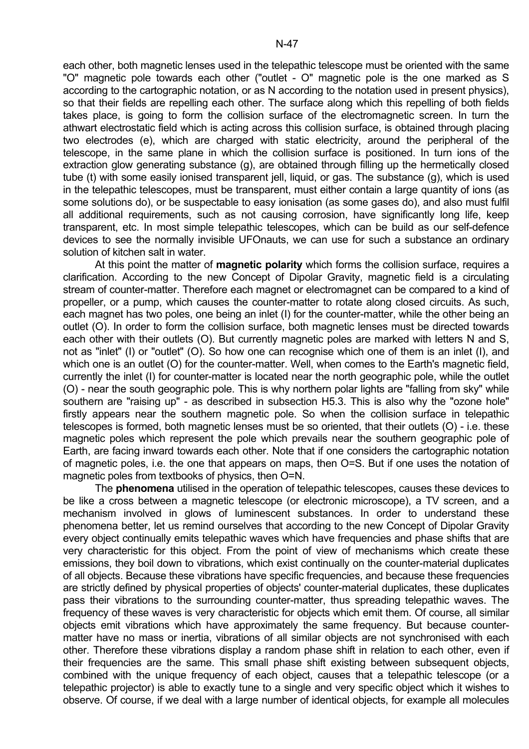each other, both magnetic lenses used in the telepathic telescope must be oriented with the same "O" magnetic pole towards each other ("outlet - O" magnetic pole is the one marked as S according to the cartographic notation, or as N according to the notation used in present physics), so that their fields are repelling each other. The surface along which this repelling of both fields takes place, is going to form the collision surface of the electromagnetic screen. In turn the athwart electrostatic field which is acting across this collision surface, is obtained through placing two electrodes (e), which are charged with static electricity, around the peripheral of the telescope, in the same plane in which the collision surface is positioned. In turn ions of the extraction glow generating substance (g), are obtained through filling up the hermetically closed tube (t) with some easily ionised transparent jell, liquid, or gas. The substance (g), which is used in the telepathic telescopes, must be transparent, must either contain a large quantity of ions (as some solutions do), or be suspectable to easy ionisation (as some gases do), and also must fulfil all additional requirements, such as not causing corrosion, have significantly long life, keep transparent, etc. In most simple telepathic telescopes, which can be build as our self-defence devices to see the normally invisible UFOnauts, we can use for such a substance an ordinary solution of kitchen salt in water.

 At this point the matter of **magnetic polarity** which forms the collision surface, requires a clarification. According to the new Concept of Dipolar Gravity, magnetic field is a circulating stream of counter-matter. Therefore each magnet or electromagnet can be compared to a kind of propeller, or a pump, which causes the counter-matter to rotate along closed circuits. As such, each magnet has two poles, one being an inlet (I) for the counter-matter, while the other being an outlet (O). In order to form the collision surface, both magnetic lenses must be directed towards each other with their outlets (O). But currently magnetic poles are marked with letters N and S, not as "inlet" (I) or "outlet" (O). So how one can recognise which one of them is an inlet (I), and which one is an outlet (O) for the counter-matter. Well, when comes to the Earth's magnetic field, currently the inlet (I) for counter-matter is located near the north geographic pole, while the outlet (O) - near the south geographic pole. This is why northern polar lights are "falling from sky" while southern are "raising up" - as described in subsection H5.3. This is also why the "ozone hole" firstly appears near the southern magnetic pole. So when the collision surface in telepathic telescopes is formed, both magnetic lenses must be so oriented, that their outlets (O) - i.e. these magnetic poles which represent the pole which prevails near the southern geographic pole of Earth, are facing inward towards each other. Note that if one considers the cartographic notation of magnetic poles, i.e. the one that appears on maps, then O=S. But if one uses the notation of magnetic poles from textbooks of physics, then O=N.

 The **phenomena** utilised in the operation of telepathic telescopes, causes these devices to be like a cross between a magnetic telescope (or electronic microscope), a TV screen, and a mechanism involved in glows of luminescent substances. In order to understand these phenomena better, let us remind ourselves that according to the new Concept of Dipolar Gravity every object continually emits telepathic waves which have frequencies and phase shifts that are very characteristic for this object. From the point of view of mechanisms which create these emissions, they boil down to vibrations, which exist continually on the counter-material duplicates of all objects. Because these vibrations have specific frequencies, and because these frequencies are strictly defined by physical properties of objects' counter-material duplicates, these duplicates pass their vibrations to the surrounding counter-matter, thus spreading telepathic waves. The frequency of these waves is very characteristic for objects which emit them. Of course, all similar objects emit vibrations which have approximately the same frequency. But because countermatter have no mass or inertia, vibrations of all similar objects are not synchronised with each other. Therefore these vibrations display a random phase shift in relation to each other, even if their frequencies are the same. This small phase shift existing between subsequent objects, combined with the unique frequency of each object, causes that a telepathic telescope (or a telepathic projector) is able to exactly tune to a single and very specific object which it wishes to observe. Of course, if we deal with a large number of identical objects, for example all molecules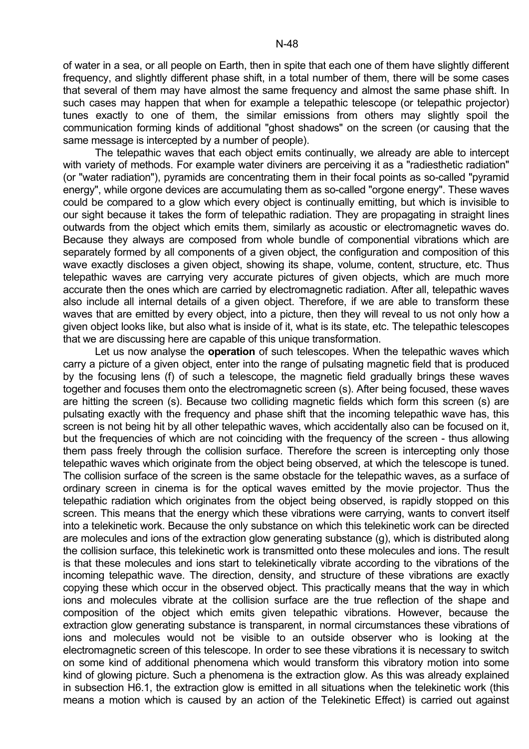of water in a sea, or all people on Earth, then in spite that each one of them have slightly different frequency, and slightly different phase shift, in a total number of them, there will be some cases that several of them may have almost the same frequency and almost the same phase shift. In such cases may happen that when for example a telepathic telescope (or telepathic projector) tunes exactly to one of them, the similar emissions from others may slightly spoil the communication forming kinds of additional "ghost shadows" on the screen (or causing that the same message is intercepted by a number of people).

 The telepathic waves that each object emits continually, we already are able to intercept with variety of methods. For example water diviners are perceiving it as a "radiesthetic radiation" (or "water radiation"), pyramids are concentrating them in their focal points as so-called "pyramid energy", while orgone devices are accumulating them as so-called "orgone energy". These waves could be compared to a glow which every object is continually emitting, but which is invisible to our sight because it takes the form of telepathic radiation. They are propagating in straight lines outwards from the object which emits them, similarly as acoustic or electromagnetic waves do. Because they always are composed from whole bundle of componential vibrations which are separately formed by all components of a given object, the configuration and composition of this wave exactly discloses a given object, showing its shape, volume, content, structure, etc. Thus telepathic waves are carrying very accurate pictures of given objects, which are much more accurate then the ones which are carried by electromagnetic radiation. After all, telepathic waves also include all internal details of a given object. Therefore, if we are able to transform these waves that are emitted by every object, into a picture, then they will reveal to us not only how a given object looks like, but also what is inside of it, what is its state, etc. The telepathic telescopes that we are discussing here are capable of this unique transformation.

 Let us now analyse the **operation** of such telescopes. When the telepathic waves which carry a picture of a given object, enter into the range of pulsating magnetic field that is produced by the focusing lens (f) of such a telescope, the magnetic field gradually brings these waves together and focuses them onto the electromagnetic screen (s). After being focused, these waves are hitting the screen (s). Because two colliding magnetic fields which form this screen (s) are pulsating exactly with the frequency and phase shift that the incoming telepathic wave has, this screen is not being hit by all other telepathic waves, which accidentally also can be focused on it, but the frequencies of which are not coinciding with the frequency of the screen - thus allowing them pass freely through the collision surface. Therefore the screen is intercepting only those telepathic waves which originate from the object being observed, at which the telescope is tuned. The collision surface of the screen is the same obstacle for the telepathic waves, as a surface of ordinary screen in cinema is for the optical waves emitted by the movie projector. Thus the telepathic radiation which originates from the object being observed, is rapidly stopped on this screen. This means that the energy which these vibrations were carrying, wants to convert itself into a telekinetic work. Because the only substance on which this telekinetic work can be directed are molecules and ions of the extraction glow generating substance (g), which is distributed along the collision surface, this telekinetic work is transmitted onto these molecules and ions. The result is that these molecules and ions start to telekinetically vibrate according to the vibrations of the incoming telepathic wave. The direction, density, and structure of these vibrations are exactly copying these which occur in the observed object. This practically means that the way in which ions and molecules vibrate at the collision surface are the true reflection of the shape and composition of the object which emits given telepathic vibrations. However, because the extraction glow generating substance is transparent, in normal circumstances these vibrations of ions and molecules would not be visible to an outside observer who is looking at the electromagnetic screen of this telescope. In order to see these vibrations it is necessary to switch on some kind of additional phenomena which would transform this vibratory motion into some kind of glowing picture. Such a phenomena is the extraction glow. As this was already explained in subsection H6.1, the extraction glow is emitted in all situations when the telekinetic work (this means a motion which is caused by an action of the Telekinetic Effect) is carried out against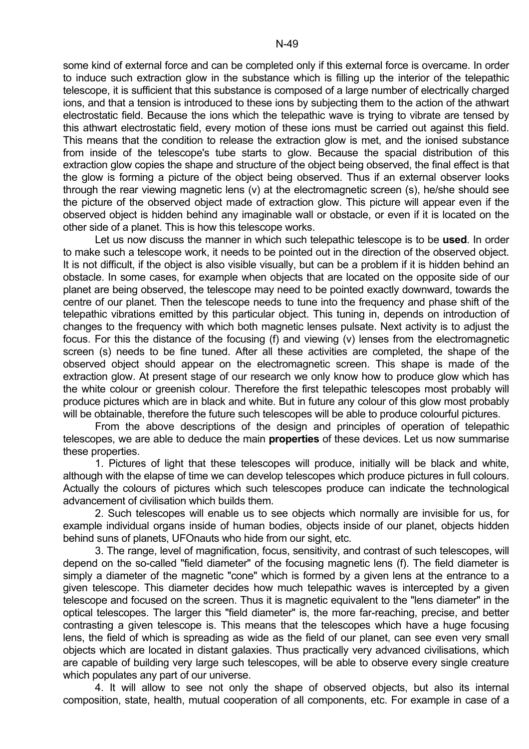some kind of external force and can be completed only if this external force is overcame. In order to induce such extraction glow in the substance which is filling up the interior of the telepathic telescope, it is sufficient that this substance is composed of a large number of electrically charged ions, and that a tension is introduced to these ions by subjecting them to the action of the athwart electrostatic field. Because the ions which the telepathic wave is trying to vibrate are tensed by this athwart electrostatic field, every motion of these ions must be carried out against this field. This means that the condition to release the extraction glow is met, and the ionised substance from inside of the telescope's tube starts to glow. Because the spacial distribution of this extraction glow copies the shape and structure of the object being observed, the final effect is that the glow is forming a picture of the object being observed. Thus if an external observer looks through the rear viewing magnetic lens (v) at the electromagnetic screen (s), he/she should see the picture of the observed object made of extraction glow. This picture will appear even if the observed object is hidden behind any imaginable wall or obstacle, or even if it is located on the other side of a planet. This is how this telescope works.

 Let us now discuss the manner in which such telepathic telescope is to be **used**. In order to make such a telescope work, it needs to be pointed out in the direction of the observed object. It is not difficult, if the object is also visible visually, but can be a problem if it is hidden behind an obstacle. In some cases, for example when objects that are located on the opposite side of our planet are being observed, the telescope may need to be pointed exactly downward, towards the centre of our planet. Then the telescope needs to tune into the frequency and phase shift of the telepathic vibrations emitted by this particular object. This tuning in, depends on introduction of changes to the frequency with which both magnetic lenses pulsate. Next activity is to adjust the focus. For this the distance of the focusing (f) and viewing (v) lenses from the electromagnetic screen (s) needs to be fine tuned. After all these activities are completed, the shape of the observed object should appear on the electromagnetic screen. This shape is made of the extraction glow. At present stage of our research we only know how to produce glow which has the white colour or greenish colour. Therefore the first telepathic telescopes most probably will produce pictures which are in black and white. But in future any colour of this glow most probably will be obtainable, therefore the future such telescopes will be able to produce colourful pictures.

 From the above descriptions of the design and principles of operation of telepathic telescopes, we are able to deduce the main **properties** of these devices. Let us now summarise these properties.

 1. Pictures of light that these telescopes will produce, initially will be black and white, although with the elapse of time we can develop telescopes which produce pictures in full colours. Actually the colours of pictures which such telescopes produce can indicate the technological advancement of civilisation which builds them.

 2. Such telescopes will enable us to see objects which normally are invisible for us, for example individual organs inside of human bodies, objects inside of our planet, objects hidden behind suns of planets, UFOnauts who hide from our sight, etc.

 3. The range, level of magnification, focus, sensitivity, and contrast of such telescopes, will depend on the so-called "field diameter" of the focusing magnetic lens (f). The field diameter is simply a diameter of the magnetic "cone" which is formed by a given lens at the entrance to a given telescope. This diameter decides how much telepathic waves is intercepted by a given telescope and focused on the screen. Thus it is magnetic equivalent to the "lens diameter" in the optical telescopes. The larger this "field diameter" is, the more far-reaching, precise, and better contrasting a given telescope is. This means that the telescopes which have a huge focusing lens, the field of which is spreading as wide as the field of our planet, can see even very small objects which are located in distant galaxies. Thus practically very advanced civilisations, which are capable of building very large such telescopes, will be able to observe every single creature which populates any part of our universe.

 4. It will allow to see not only the shape of observed objects, but also its internal composition, state, health, mutual cooperation of all components, etc. For example in case of a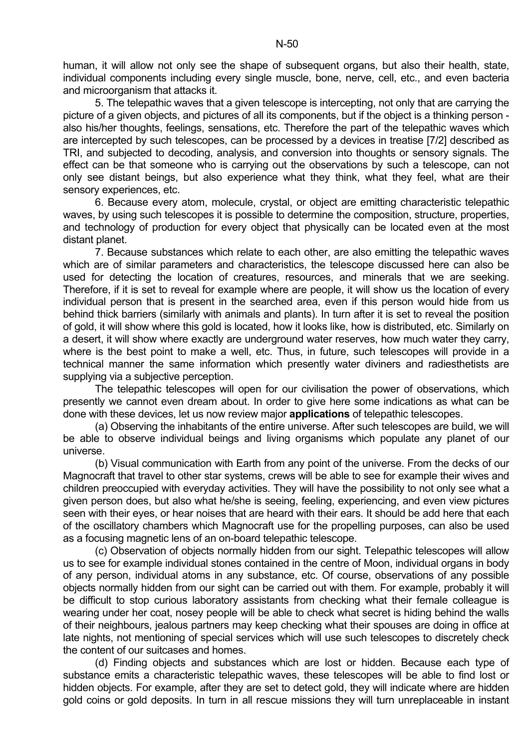human, it will allow not only see the shape of subsequent organs, but also their health, state, individual components including every single muscle, bone, nerve, cell, etc., and even bacteria and microorganism that attacks it.

 5. The telepathic waves that a given telescope is intercepting, not only that are carrying the picture of a given objects, and pictures of all its components, but if the object is a thinking person also his/her thoughts, feelings, sensations, etc. Therefore the part of the telepathic waves which are intercepted by such telescopes, can be processed by a devices in treatise [7/2] described as TRI, and subjected to decoding, analysis, and conversion into thoughts or sensory signals. The effect can be that someone who is carrying out the observations by such a telescope, can not only see distant beings, but also experience what they think, what they feel, what are their sensory experiences, etc.

 6. Because every atom, molecule, crystal, or object are emitting characteristic telepathic waves, by using such telescopes it is possible to determine the composition, structure, properties, and technology of production for every object that physically can be located even at the most distant planet.

 7. Because substances which relate to each other, are also emitting the telepathic waves which are of similar parameters and characteristics, the telescope discussed here can also be used for detecting the location of creatures, resources, and minerals that we are seeking. Therefore, if it is set to reveal for example where are people, it will show us the location of every individual person that is present in the searched area, even if this person would hide from us behind thick barriers (similarly with animals and plants). In turn after it is set to reveal the position of gold, it will show where this gold is located, how it looks like, how is distributed, etc. Similarly on a desert, it will show where exactly are underground water reserves, how much water they carry, where is the best point to make a well, etc. Thus, in future, such telescopes will provide in a technical manner the same information which presently water diviners and radiesthetists are supplying via a subjective perception.

 The telepathic telescopes will open for our civilisation the power of observations, which presently we cannot even dream about. In order to give here some indications as what can be done with these devices, let us now review major **applications** of telepathic telescopes.

 (a) Observing the inhabitants of the entire universe. After such telescopes are build, we will be able to observe individual beings and living organisms which populate any planet of our universe.

 (b) Visual communication with Earth from any point of the universe. From the decks of our Magnocraft that travel to other star systems, crews will be able to see for example their wives and children preoccupied with everyday activities. They will have the possibility to not only see what a given person does, but also what he/she is seeing, feeling, experiencing, and even view pictures seen with their eyes, or hear noises that are heard with their ears. It should be add here that each of the oscillatory chambers which Magnocraft use for the propelling purposes, can also be used as a focusing magnetic lens of an on-board telepathic telescope.

 (c) Observation of objects normally hidden from our sight. Telepathic telescopes will allow us to see for example individual stones contained in the centre of Moon, individual organs in body of any person, individual atoms in any substance, etc. Of course, observations of any possible objects normally hidden from our sight can be carried out with them. For example, probably it will be difficult to stop curious laboratory assistants from checking what their female colleague is wearing under her coat, nosey people will be able to check what secret is hiding behind the walls of their neighbours, jealous partners may keep checking what their spouses are doing in office at late nights, not mentioning of special services which will use such telescopes to discretely check the content of our suitcases and homes.

 (d) Finding objects and substances which are lost or hidden. Because each type of substance emits a characteristic telepathic waves, these telescopes will be able to find lost or hidden objects. For example, after they are set to detect gold, they will indicate where are hidden gold coins or gold deposits. In turn in all rescue missions they will turn unreplaceable in instant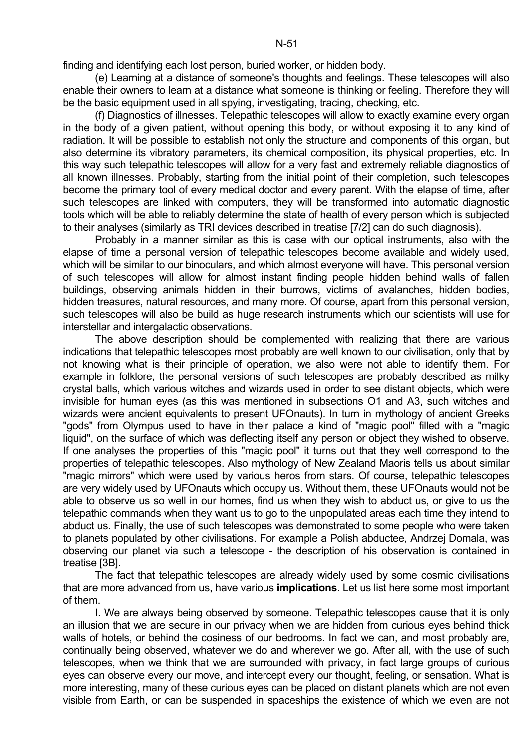finding and identifying each lost person, buried worker, or hidden body.

 (e) Learning at a distance of someone's thoughts and feelings. These telescopes will also enable their owners to learn at a distance what someone is thinking or feeling. Therefore they will be the basic equipment used in all spying, investigating, tracing, checking, etc.

 (f) Diagnostics of illnesses. Telepathic telescopes will allow to exactly examine every organ in the body of a given patient, without opening this body, or without exposing it to any kind of radiation. It will be possible to establish not only the structure and components of this organ, but also determine its vibratory parameters, its chemical composition, its physical properties, etc. In this way such telepathic telescopes will allow for a very fast and extremely reliable diagnostics of all known illnesses. Probably, starting from the initial point of their completion, such telescopes become the primary tool of every medical doctor and every parent. With the elapse of time, after such telescopes are linked with computers, they will be transformed into automatic diagnostic tools which will be able to reliably determine the state of health of every person which is subjected to their analyses (similarly as TRI devices described in treatise [7/2] can do such diagnosis).

 Probably in a manner similar as this is case with our optical instruments, also with the elapse of time a personal version of telepathic telescopes become available and widely used, which will be similar to our binoculars, and which almost everyone will have. This personal version of such telescopes will allow for almost instant finding people hidden behind walls of fallen buildings, observing animals hidden in their burrows, victims of avalanches, hidden bodies, hidden treasures, natural resources, and many more. Of course, apart from this personal version, such telescopes will also be build as huge research instruments which our scientists will use for interstellar and intergalactic observations.

 The above description should be complemented with realizing that there are various indications that telepathic telescopes most probably are well known to our civilisation, only that by not knowing what is their principle of operation, we also were not able to identify them. For example in folklore, the personal versions of such telescopes are probably described as milky crystal balls, which various witches and wizards used in order to see distant objects, which were invisible for human eyes (as this was mentioned in subsections O1 and A3, such witches and wizards were ancient equivalents to present UFOnauts). In turn in mythology of ancient Greeks "gods" from Olympus used to have in their palace a kind of "magic pool" filled with a "magic liquid", on the surface of which was deflecting itself any person or object they wished to observe. If one analyses the properties of this "magic pool" it turns out that they well correspond to the properties of telepathic telescopes. Also mythology of New Zealand Maoris tells us about similar "magic mirrors" which were used by various heros from stars. Of course, telepathic telescopes are very widely used by UFOnauts which occupy us. Without them, these UFOnauts would not be able to observe us so well in our homes, find us when they wish to abduct us, or give to us the telepathic commands when they want us to go to the unpopulated areas each time they intend to abduct us. Finally, the use of such telescopes was demonstrated to some people who were taken to planets populated by other civilisations. For example a Polish abductee, Andrzej Domala, was observing our planet via such a telescope - the description of his observation is contained in treatise [3B].

 The fact that telepathic telescopes are already widely used by some cosmic civilisations that are more advanced from us, have various **implications**. Let us list here some most important of them.

 I. We are always being observed by someone. Telepathic telescopes cause that it is only an illusion that we are secure in our privacy when we are hidden from curious eyes behind thick walls of hotels, or behind the cosiness of our bedrooms. In fact we can, and most probably are, continually being observed, whatever we do and wherever we go. After all, with the use of such telescopes, when we think that we are surrounded with privacy, in fact large groups of curious eyes can observe every our move, and intercept every our thought, feeling, or sensation. What is more interesting, many of these curious eyes can be placed on distant planets which are not even visible from Earth, or can be suspended in spaceships the existence of which we even are not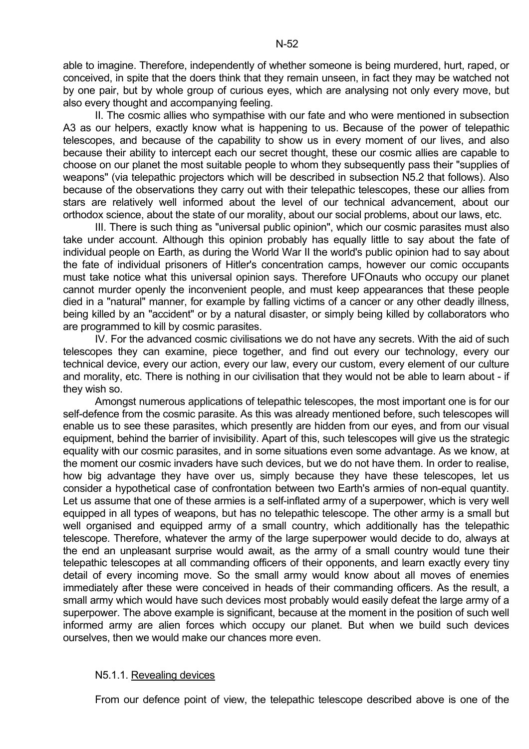able to imagine. Therefore, independently of whether someone is being murdered, hurt, raped, or conceived, in spite that the doers think that they remain unseen, in fact they may be watched not by one pair, but by whole group of curious eyes, which are analysing not only every move, but also every thought and accompanying feeling.

 II. The cosmic allies who sympathise with our fate and who were mentioned in subsection A3 as our helpers, exactly know what is happening to us. Because of the power of telepathic telescopes, and because of the capability to show us in every moment of our lives, and also because their ability to intercept each our secret thought, these our cosmic allies are capable to choose on our planet the most suitable people to whom they subsequently pass their "supplies of weapons" (via telepathic projectors which will be described in subsection N5.2 that follows). Also because of the observations they carry out with their telepathic telescopes, these our allies from stars are relatively well informed about the level of our technical advancement, about our orthodox science, about the state of our morality, about our social problems, about our laws, etc.

 III. There is such thing as "universal public opinion", which our cosmic parasites must also take under account. Although this opinion probably has equally little to say about the fate of individual people on Earth, as during the World War II the world's public opinion had to say about the fate of individual prisoners of Hitler's concentration camps, however our comic occupants must take notice what this universal opinion says. Therefore UFOnauts who occupy our planet cannot murder openly the inconvenient people, and must keep appearances that these people died in a "natural" manner, for example by falling victims of a cancer or any other deadly illness, being killed by an "accident" or by a natural disaster, or simply being killed by collaborators who are programmed to kill by cosmic parasites.

 IV. For the advanced cosmic civilisations we do not have any secrets. With the aid of such telescopes they can examine, piece together, and find out every our technology, every our technical device, every our action, every our law, every our custom, every element of our culture and morality, etc. There is nothing in our civilisation that they would not be able to learn about - if they wish so.

 Amongst numerous applications of telepathic telescopes, the most important one is for our self-defence from the cosmic parasite. As this was already mentioned before, such telescopes will enable us to see these parasites, which presently are hidden from our eyes, and from our visual equipment, behind the barrier of invisibility. Apart of this, such telescopes will give us the strategic equality with our cosmic parasites, and in some situations even some advantage. As we know, at the moment our cosmic invaders have such devices, but we do not have them. In order to realise, how big advantage they have over us, simply because they have these telescopes, let us consider a hypothetical case of confrontation between two Earth's armies of non-equal quantity. Let us assume that one of these armies is a self-inflated army of a superpower, which is very well equipped in all types of weapons, but has no telepathic telescope. The other army is a small but well organised and equipped army of a small country, which additionally has the telepathic telescope. Therefore, whatever the army of the large superpower would decide to do, always at the end an unpleasant surprise would await, as the army of a small country would tune their telepathic telescopes at all commanding officers of their opponents, and learn exactly every tiny detail of every incoming move. So the small army would know about all moves of enemies immediately after these were conceived in heads of their commanding officers. As the result, a small army which would have such devices most probably would easily defeat the large army of a superpower. The above example is significant, because at the moment in the position of such well informed army are alien forces which occupy our planet. But when we build such devices ourselves, then we would make our chances more even.

## N5.1.1. Revealing devices

From our defence point of view, the telepathic telescope described above is one of the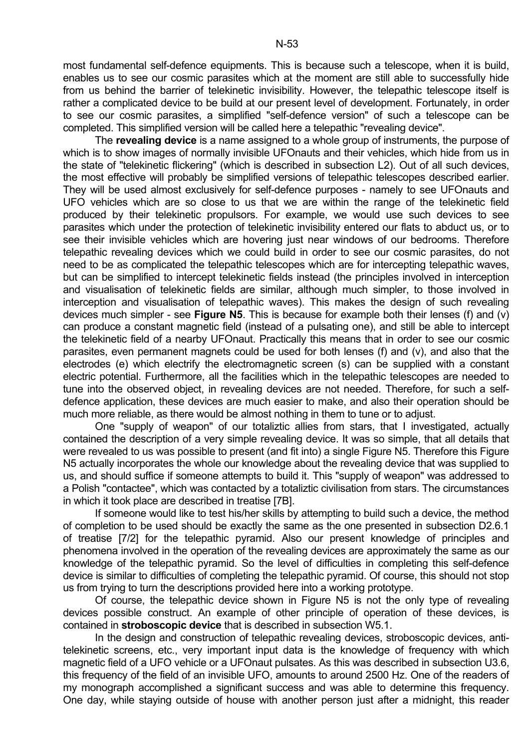most fundamental self-defence equipments. This is because such a telescope, when it is build, enables us to see our cosmic parasites which at the moment are still able to successfully hide from us behind the barrier of telekinetic invisibility. However, the telepathic telescope itself is rather a complicated device to be build at our present level of development. Fortunately, in order to see our cosmic parasites, a simplified "self-defence version" of such a telescope can be completed. This simplified version will be called here a telepathic "revealing device".

 The **revealing device** is a name assigned to a whole group of instruments, the purpose of which is to show images of normally invisible UFOnauts and their vehicles, which hide from us in the state of "telekinetic flickering" (which is described in subsection L2). Out of all such devices, the most effective will probably be simplified versions of telepathic telescopes described earlier. They will be used almost exclusively for self-defence purposes - namely to see UFOnauts and UFO vehicles which are so close to us that we are within the range of the telekinetic field produced by their telekinetic propulsors. For example, we would use such devices to see parasites which under the protection of telekinetic invisibility entered our flats to abduct us, or to see their invisible vehicles which are hovering just near windows of our bedrooms. Therefore telepathic revealing devices which we could build in order to see our cosmic parasites, do not need to be as complicated the telepathic telescopes which are for intercepting telepathic waves, but can be simplified to intercept telekinetic fields instead (the principles involved in interception and visualisation of telekinetic fields are similar, although much simpler, to those involved in interception and visualisation of telepathic waves). This makes the design of such revealing devices much simpler - see **Figure N5**. This is because for example both their lenses (f) and (v) can produce a constant magnetic field (instead of a pulsating one), and still be able to intercept the telekinetic field of a nearby UFOnaut. Practically this means that in order to see our cosmic parasites, even permanent magnets could be used for both lenses (f) and (v), and also that the electrodes (e) which electrify the electromagnetic screen (s) can be supplied with a constant electric potential. Furthermore, all the facilities which in the telepathic telescopes are needed to tune into the observed object, in revealing devices are not needed. Therefore, for such a selfdefence application, these devices are much easier to make, and also their operation should be much more reliable, as there would be almost nothing in them to tune or to adjust.

 One "supply of weapon" of our totaliztic allies from stars, that I investigated, actually contained the description of a very simple revealing device. It was so simple, that all details that were revealed to us was possible to present (and fit into) a single Figure N5. Therefore this Figure N5 actually incorporates the whole our knowledge about the revealing device that was supplied to us, and should suffice if someone attempts to build it. This "supply of weapon" was addressed to a Polish "contactee", which was contacted by a totaliztic civilisation from stars. The circumstances in which it took place are described in treatise [7B].

 If someone would like to test his/her skills by attempting to build such a device, the method of completion to be used should be exactly the same as the one presented in subsection D2.6.1 of treatise [7/2] for the telepathic pyramid. Also our present knowledge of principles and phenomena involved in the operation of the revealing devices are approximately the same as our knowledge of the telepathic pyramid. So the level of difficulties in completing this self-defence device is similar to difficulties of completing the telepathic pyramid. Of course, this should not stop us from trying to turn the descriptions provided here into a working prototype.

 Of course, the telepathic device shown in Figure N5 is not the only type of revealing devices possible construct. An example of other principle of operation of these devices, is contained in **stroboscopic device** that is described in subsection W5.1.

 In the design and construction of telepathic revealing devices, stroboscopic devices, antitelekinetic screens, etc., very important input data is the knowledge of frequency with which magnetic field of a UFO vehicle or a UFOnaut pulsates. As this was described in subsection U3.6, this frequency of the field of an invisible UFO, amounts to around 2500 Hz. One of the readers of my monograph accomplished a significant success and was able to determine this frequency. One day, while staying outside of house with another person just after a midnight, this reader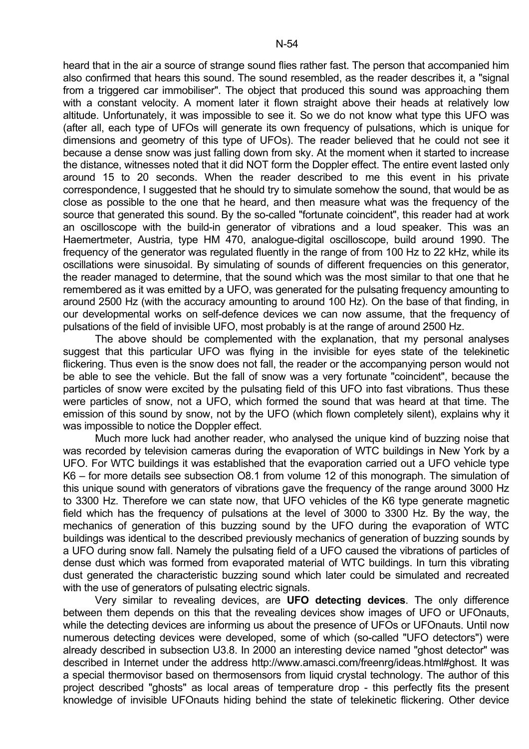heard that in the air a source of strange sound flies rather fast. The person that accompanied him also confirmed that hears this sound. The sound resembled, as the reader describes it, a "signal from a triggered car immobiliser". The object that produced this sound was approaching them with a constant velocity. A moment later it flown straight above their heads at relatively low altitude. Unfortunately, it was impossible to see it. So we do not know what type this UFO was (after all, each type of UFOs will generate its own frequency of pulsations, which is unique for dimensions and geometry of this type of UFOs). The reader believed that he could not see it because a dense snow was just falling down from sky. At the moment when it started to increase the distance, witnesses noted that it did NOT form the Doppler effect. The entire event lasted only around 15 to 20 seconds. When the reader described to me this event in his private correspondence, I suggested that he should try to simulate somehow the sound, that would be as close as possible to the one that he heard, and then measure what was the frequency of the source that generated this sound. By the so-called "fortunate coincident", this reader had at work an oscilloscope with the build-in generator of vibrations and a loud speaker. This was an Haemertmeter, Austria, type HM 470, analogue-digital oscilloscope, build around 1990. The frequency of the generator was regulated fluently in the range of from 100 Hz to 22 kHz, while its oscillations were sinusoidal. By simulating of sounds of different frequencies on this generator, the reader managed to determine, that the sound which was the most similar to that one that he remembered as it was emitted by a UFO, was generated for the pulsating frequency amounting to around 2500 Hz (with the accuracy amounting to around 100 Hz). On the base of that finding, in our developmental works on self-defence devices we can now assume, that the frequency of pulsations of the field of invisible UFO, most probably is at the range of around 2500 Hz.

 The above should be complemented with the explanation, that my personal analyses suggest that this particular UFO was flying in the invisible for eyes state of the telekinetic flickering. Thus even is the snow does not fall, the reader or the accompanying person would not be able to see the vehicle. But the fall of snow was a very fortunate "coincident", because the particles of snow were excited by the pulsating field of this UFO into fast vibrations. Thus these were particles of snow, not a UFO, which formed the sound that was heard at that time. The emission of this sound by snow, not by the UFO (which flown completely silent), explains why it was impossible to notice the Doppler effect.

 Much more luck had another reader, who analysed the unique kind of buzzing noise that was recorded by television cameras during the evaporation of WTC buildings in New York by a UFO. For WTC buildings it was established that the evaporation carried out a UFO vehicle type K6 – for more details see subsection O8.1 from volume 12 of this monograph. The simulation of this unique sound with generators of vibrations gave the frequency of the range around 3000 Hz to 3300 Hz. Therefore we can state now, that UFO vehicles of the K6 type generate magnetic field which has the frequency of pulsations at the level of 3000 to 3300 Hz. By the way, the mechanics of generation of this buzzing sound by the UFO during the evaporation of WTC buildings was identical to the described previously mechanics of generation of buzzing sounds by a UFO during snow fall. Namely the pulsating field of a UFO caused the vibrations of particles of dense dust which was formed from evaporated material of WTC buildings. In turn this vibrating dust generated the characteristic buzzing sound which later could be simulated and recreated with the use of generators of pulsating electric signals.

 Very similar to revealing devices, are **UFO detecting devices**. The only difference between them depends on this that the revealing devices show images of UFO or UFOnauts, while the detecting devices are informing us about the presence of UFOs or UFOnauts. Until now numerous detecting devices were developed, some of which (so-called "UFO detectors") were already described in subsection U3.8. In 2000 an interesting device named "ghost detector" was described in Internet under the address http://www.amasci.com/freenrg/ideas.html#ghost. It was a special thermovisor based on thermosensors from liquid crystal technology. The author of this project described "ghosts" as local areas of temperature drop - this perfectly fits the present knowledge of invisible UFOnauts hiding behind the state of telekinetic flickering. Other device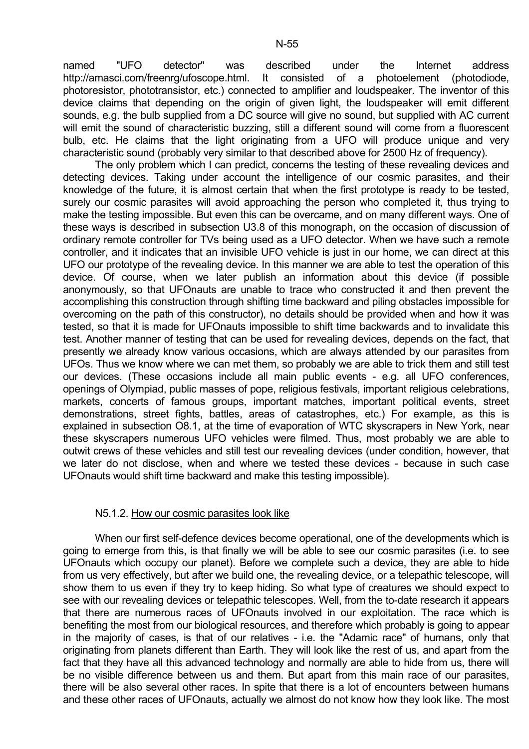named "UFO detector" was described under the Internet address http://amasci.com/freenrg/ufoscope.html. It consisted of a photoelement (photodiode, photoresistor, phototransistor, etc.) connected to amplifier and loudspeaker. The inventor of this device claims that depending on the origin of given light, the loudspeaker will emit different sounds, e.g. the bulb supplied from a DC source will give no sound, but supplied with AC current will emit the sound of characteristic buzzing, still a different sound will come from a fluorescent bulb, etc. He claims that the light originating from a UFO will produce unique and very characteristic sound (probably very similar to that described above for 2500 Hz of frequency).

 The only problem which I can predict, concerns the testing of these revealing devices and detecting devices. Taking under account the intelligence of our cosmic parasites, and their knowledge of the future, it is almost certain that when the first prototype is ready to be tested, surely our cosmic parasites will avoid approaching the person who completed it, thus trying to make the testing impossible. But even this can be overcame, and on many different ways. One of these ways is described in subsection U3.8 of this monograph, on the occasion of discussion of ordinary remote controller for TVs being used as a UFO detector. When we have such a remote controller, and it indicates that an invisible UFO vehicle is just in our home, we can direct at this UFO our prototype of the revealing device. In this manner we are able to test the operation of this device. Of course, when we later publish an information about this device (if possible anonymously, so that UFOnauts are unable to trace who constructed it and then prevent the accomplishing this construction through shifting time backward and piling obstacles impossible for overcoming on the path of this constructor), no details should be provided when and how it was tested, so that it is made for UFOnauts impossible to shift time backwards and to invalidate this test. Another manner of testing that can be used for revealing devices, depends on the fact, that presently we already know various occasions, which are always attended by our parasites from UFOs. Thus we know where we can met them, so probably we are able to trick them and still test our devices. (These occasions include all main public events - e.g. all UFO conferences, openings of Olympiad, public masses of pope, religious festivals, important religious celebrations, markets, concerts of famous groups, important matches, important political events, street demonstrations, street fights, battles, areas of catastrophes, etc.) For example, as this is explained in subsection O8.1, at the time of evaporation of WTC skyscrapers in New York, near these skyscrapers numerous UFO vehicles were filmed. Thus, most probably we are able to outwit crews of these vehicles and still test our revealing devices (under condition, however, that we later do not disclose, when and where we tested these devices - because in such case UFOnauts would shift time backward and make this testing impossible).

## N5.1.2. How our cosmic parasites look like

 When our first self-defence devices become operational, one of the developments which is going to emerge from this, is that finally we will be able to see our cosmic parasites (i.e. to see UFOnauts which occupy our planet). Before we complete such a device, they are able to hide from us very effectively, but after we build one, the revealing device, or a telepathic telescope, will show them to us even if they try to keep hiding. So what type of creatures we should expect to see with our revealing devices or telepathic telescopes. Well, from the to-date research it appears that there are numerous races of UFOnauts involved in our exploitation. The race which is benefiting the most from our biological resources, and therefore which probably is going to appear in the majority of cases, is that of our relatives - i.e. the "Adamic race" of humans, only that originating from planets different than Earth. They will look like the rest of us, and apart from the fact that they have all this advanced technology and normally are able to hide from us, there will be no visible difference between us and them. But apart from this main race of our parasites, there will be also several other races. In spite that there is a lot of encounters between humans and these other races of UFOnauts, actually we almost do not know how they look like. The most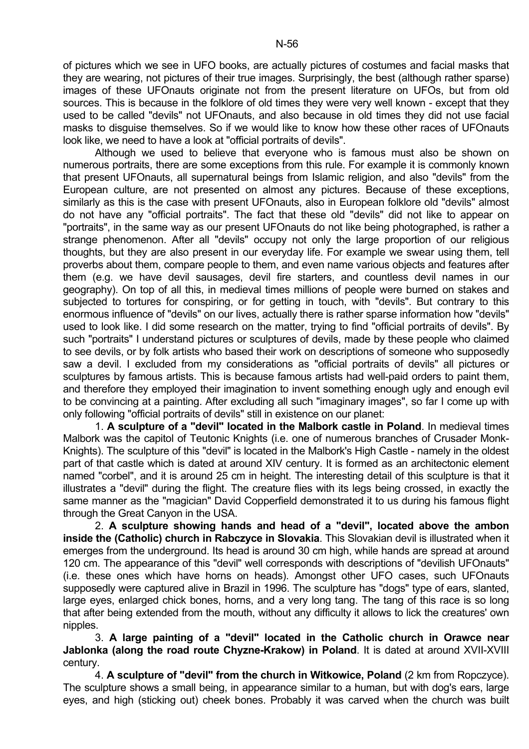of pictures which we see in UFO books, are actually pictures of costumes and facial masks that they are wearing, not pictures of their true images. Surprisingly, the best (although rather sparse) images of these UFOnauts originate not from the present literature on UFOs, but from old sources. This is because in the folklore of old times they were very well known - except that they used to be called "devils" not UFOnauts, and also because in old times they did not use facial masks to disguise themselves. So if we would like to know how these other races of UFOnauts look like, we need to have a look at "official portraits of devils".

 Although we used to believe that everyone who is famous must also be shown on numerous portraits, there are some exceptions from this rule. For example it is commonly known that present UFOnauts, all supernatural beings from Islamic religion, and also "devils" from the European culture, are not presented on almost any pictures. Because of these exceptions, similarly as this is the case with present UFOnauts, also in European folklore old "devils" almost do not have any "official portraits". The fact that these old "devils" did not like to appear on "portraits", in the same way as our present UFOnauts do not like being photographed, is rather a strange phenomenon. After all "devils" occupy not only the large proportion of our religious thoughts, but they are also present in our everyday life. For example we swear using them, tell proverbs about them, compare people to them, and even name various objects and features after them (e.g. we have devil sausages, devil fire starters, and countless devil names in our geography). On top of all this, in medieval times millions of people were burned on stakes and subjected to tortures for conspiring, or for getting in touch, with "devils". But contrary to this enormous influence of "devils" on our lives, actually there is rather sparse information how "devils" used to look like. I did some research on the matter, trying to find "official portraits of devils". By such "portraits" I understand pictures or sculptures of devils, made by these people who claimed to see devils, or by folk artists who based their work on descriptions of someone who supposedly saw a devil. I excluded from my considerations as "official portraits of devils" all pictures or sculptures by famous artists. This is because famous artists had well-paid orders to paint them, and therefore they employed their imagination to invent something enough ugly and enough evil to be convincing at a painting. After excluding all such "imaginary images", so far I come up with only following "official portraits of devils" still in existence on our planet:

 1. **A sculpture of a "devil" located in the Malbork castle in Poland**. In medieval times Malbork was the capitol of Teutonic Knights (i.e. one of numerous branches of Crusader Monk-Knights). The sculpture of this "devil" is located in the Malbork's High Castle - namely in the oldest part of that castle which is dated at around XIV century. It is formed as an architectonic element named "corbel", and it is around 25 cm in height. The interesting detail of this sculpture is that it illustrates a "devil" during the flight. The creature flies with its legs being crossed, in exactly the same manner as the "magician" David Copperfield demonstrated it to us during his famous flight through the Great Canyon in the USA.

 2. **A sculpture showing hands and head of a "devil", located above the ambon inside the (Catholic) church in Rabczyce in Slovakia**. This Slovakian devil is illustrated when it emerges from the underground. Its head is around 30 cm high, while hands are spread at around 120 cm. The appearance of this "devil" well corresponds with descriptions of "devilish UFOnauts" (i.e. these ones which have horns on heads). Amongst other UFO cases, such UFOnauts supposedly were captured alive in Brazil in 1996. The sculpture has "dogs" type of ears, slanted, large eyes, enlarged chick bones, horns, and a very long tang. The tang of this race is so long that after being extended from the mouth, without any difficulty it allows to lick the creatures' own nipples.

 3. **A large painting of a "devil" located in the Catholic church in Orawce near Jablonka (along the road route Chyzne-Krakow) in Poland.** It is dated at around XVII-XVIII century.

 4. **A sculpture of "devil" from the church in Witkowice, Poland** (2 km from Ropczyce). The sculpture shows a small being, in appearance similar to a human, but with dog's ears, large eyes, and high (sticking out) cheek bones. Probably it was carved when the church was built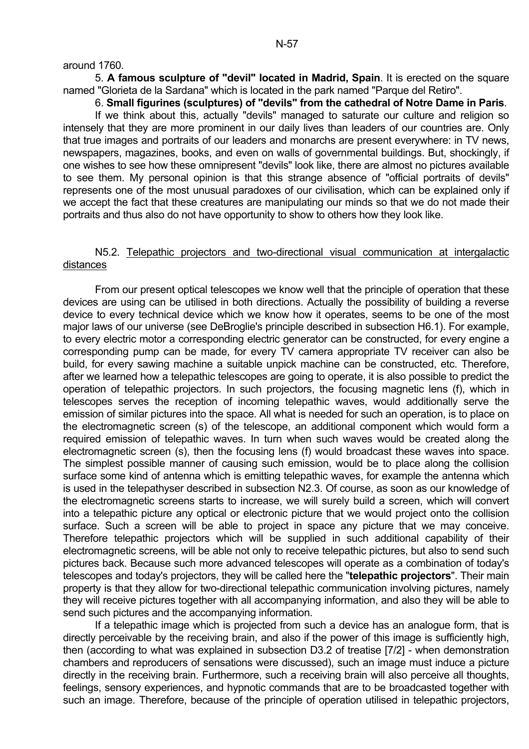#### around 1760.

 5. **A famous sculpture of "devil" located in Madrid, Spain**. It is erected on the square named "Glorieta de la Sardana" which is located in the park named "Parque del Retiro".

### 6. **Small figurines (sculptures) of "devils" from the cathedral of Notre Dame in Paris**.

 If we think about this, actually "devils" managed to saturate our culture and religion so intensely that they are more prominent in our daily lives than leaders of our countries are. Only that true images and portraits of our leaders and monarchs are present everywhere: in TV news, newspapers, magazines, books, and even on walls of governmental buildings. But, shockingly, if one wishes to see how these omnipresent "devils" look like, there are almost no pictures available to see them. My personal opinion is that this strange absence of "official portraits of devils" represents one of the most unusual paradoxes of our civilisation, which can be explained only if we accept the fact that these creatures are manipulating our minds so that we do not made their portraits and thus also do not have opportunity to show to others how they look like.

### N5.2. Telepathic projectors and two-directional visual communication at intergalactic distances

 From our present optical telescopes we know well that the principle of operation that these devices are using can be utilised in both directions. Actually the possibility of building a reverse device to every technical device which we know how it operates, seems to be one of the most major laws of our universe (see DeBroglie's principle described in subsection H6.1). For example, to every electric motor a corresponding electric generator can be constructed, for every engine a corresponding pump can be made, for every TV camera appropriate TV receiver can also be build, for every sawing machine a suitable unpick machine can be constructed, etc. Therefore, after we learned how a telepathic telescopes are going to operate, it is also possible to predict the operation of telepathic projectors. In such projectors, the focusing magnetic lens (f), which in telescopes serves the reception of incoming telepathic waves, would additionally serve the emission of similar pictures into the space. All what is needed for such an operation, is to place on the electromagnetic screen (s) of the telescope, an additional component which would form a required emission of telepathic waves. In turn when such waves would be created along the electromagnetic screen (s), then the focusing lens (f) would broadcast these waves into space. The simplest possible manner of causing such emission, would be to place along the collision surface some kind of antenna which is emitting telepathic waves, for example the antenna which is used in the telepathyser described in subsection N2.3. Of course, as soon as our knowledge of the electromagnetic screens starts to increase, we will surely build a screen, which will convert into a telepathic picture any optical or electronic picture that we would project onto the collision surface. Such a screen will be able to project in space any picture that we may conceive. Therefore telepathic projectors which will be supplied in such additional capability of their electromagnetic screens, will be able not only to receive telepathic pictures, but also to send such pictures back. Because such more advanced telescopes will operate as a combination of today's telescopes and today's projectors, they will be called here the "**telepathic projectors**". Their main property is that they allow for two-directional telepathic communication involving pictures, namely they will receive pictures together with all accompanying information, and also they will be able to send such pictures and the accompanying information.

 If a telepathic image which is projected from such a device has an analogue form, that is directly perceivable by the receiving brain, and also if the power of this image is sufficiently high, then (according to what was explained in subsection D3.2 of treatise [7/2] - when demonstration chambers and reproducers of sensations were discussed), such an image must induce a picture directly in the receiving brain. Furthermore, such a receiving brain will also perceive all thoughts, feelings, sensory experiences, and hypnotic commands that are to be broadcasted together with such an image. Therefore, because of the principle of operation utilised in telepathic projectors,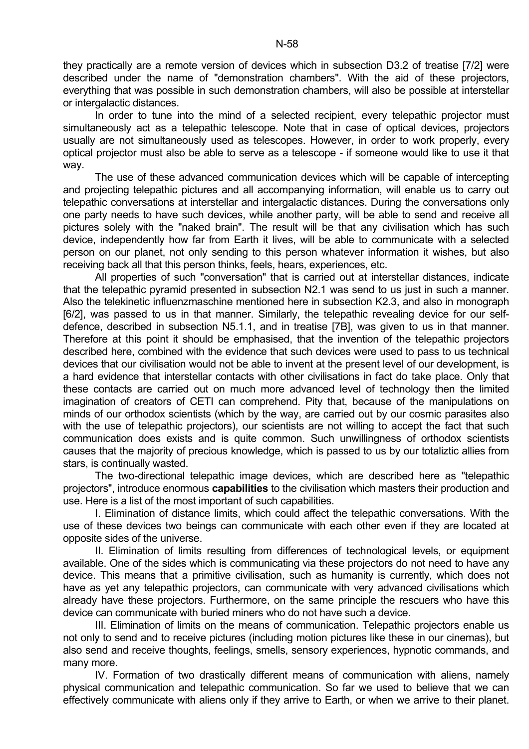they practically are a remote version of devices which in subsection D3.2 of treatise [7/2] were described under the name of "demonstration chambers". With the aid of these projectors, everything that was possible in such demonstration chambers, will also be possible at interstellar or intergalactic distances.

In order to tune into the mind of a selected recipient, every telepathic projector must simultaneously act as a telepathic telescope. Note that in case of optical devices, projectors usually are not simultaneously used as telescopes. However, in order to work properly, every optical projector must also be able to serve as a telescope - if someone would like to use it that way.

 The use of these advanced communication devices which will be capable of intercepting and projecting telepathic pictures and all accompanying information, will enable us to carry out telepathic conversations at interstellar and intergalactic distances. During the conversations only one party needs to have such devices, while another party, will be able to send and receive all pictures solely with the "naked brain". The result will be that any civilisation which has such device, independently how far from Earth it lives, will be able to communicate with a selected person on our planet, not only sending to this person whatever information it wishes, but also receiving back all that this person thinks, feels, hears, experiences, etc.

 All properties of such "conversation" that is carried out at interstellar distances, indicate that the telepathic pyramid presented in subsection N2.1 was send to us just in such a manner. Also the telekinetic influenzmaschine mentioned here in subsection K2.3, and also in monograph [6/2], was passed to us in that manner. Similarly, the telepathic revealing device for our selfdefence, described in subsection N5.1.1, and in treatise [7B], was given to us in that manner. Therefore at this point it should be emphasised, that the invention of the telepathic projectors described here, combined with the evidence that such devices were used to pass to us technical devices that our civilisation would not be able to invent at the present level of our development, is a hard evidence that interstellar contacts with other civilisations in fact do take place. Only that these contacts are carried out on much more advanced level of technology then the limited imagination of creators of CETI can comprehend. Pity that, because of the manipulations on minds of our orthodox scientists (which by the way, are carried out by our cosmic parasites also with the use of telepathic projectors), our scientists are not willing to accept the fact that such communication does exists and is quite common. Such unwillingness of orthodox scientists causes that the majority of precious knowledge, which is passed to us by our totaliztic allies from stars, is continually wasted.

 The two-directional telepathic image devices, which are described here as "telepathic projectors", introduce enormous **capabilities** to the civilisation which masters their production and use. Here is a list of the most important of such capabilities.

 I. Elimination of distance limits, which could affect the telepathic conversations. With the use of these devices two beings can communicate with each other even if they are located at opposite sides of the universe.

 II. Elimination of limits resulting from differences of technological levels, or equipment available. One of the sides which is communicating via these projectors do not need to have any device. This means that a primitive civilisation, such as humanity is currently, which does not have as yet any telepathic projectors, can communicate with very advanced civilisations which already have these projectors. Furthermore, on the same principle the rescuers who have this device can communicate with buried miners who do not have such a device.

 III. Elimination of limits on the means of communication. Telepathic projectors enable us not only to send and to receive pictures (including motion pictures like these in our cinemas), but also send and receive thoughts, feelings, smells, sensory experiences, hypnotic commands, and many more.

 IV. Formation of two drastically different means of communication with aliens, namely physical communication and telepathic communication. So far we used to believe that we can effectively communicate with aliens only if they arrive to Earth, or when we arrive to their planet.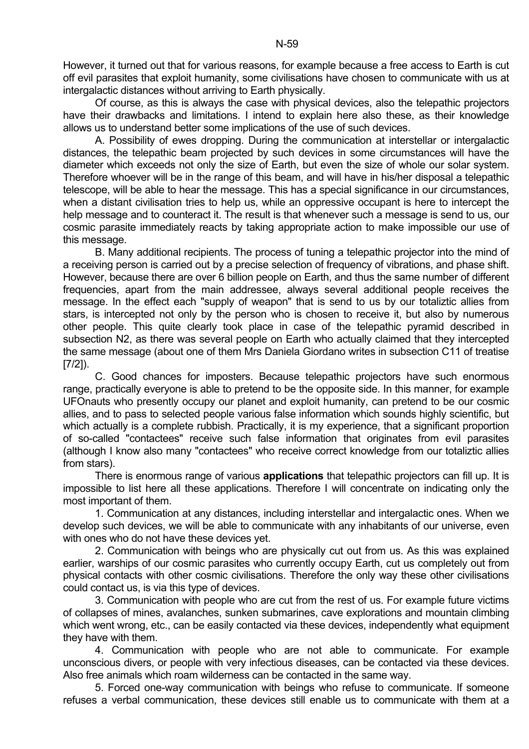However, it turned out that for various reasons, for example because a free access to Earth is cut off evil parasites that exploit humanity, some civilisations have chosen to communicate with us at intergalactic distances without arriving to Earth physically.

 Of course, as this is always the case with physical devices, also the telepathic projectors have their drawbacks and limitations. I intend to explain here also these, as their knowledge allows us to understand better some implications of the use of such devices.

 A. Possibility of ewes dropping. During the communication at interstellar or intergalactic distances, the telepathic beam projected by such devices in some circumstances will have the diameter which exceeds not only the size of Earth, but even the size of whole our solar system. Therefore whoever will be in the range of this beam, and will have in his/her disposal a telepathic telescope, will be able to hear the message. This has a special significance in our circumstances, when a distant civilisation tries to help us, while an oppressive occupant is here to intercept the help message and to counteract it. The result is that whenever such a message is send to us, our cosmic parasite immediately reacts by taking appropriate action to make impossible our use of this message.

 B. Many additional recipients. The process of tuning a telepathic projector into the mind of a receiving person is carried out by a precise selection of frequency of vibrations, and phase shift. However, because there are over 6 billion people on Earth, and thus the same number of different frequencies, apart from the main addressee, always several additional people receives the message. In the effect each "supply of weapon" that is send to us by our totaliztic allies from stars, is intercepted not only by the person who is chosen to receive it, but also by numerous other people. This quite clearly took place in case of the telepathic pyramid described in subsection N2, as there was several people on Earth who actually claimed that they intercepted the same message (about one of them Mrs Daniela Giordano writes in subsection C11 of treatise  $[7/2]$ ).

 C. Good chances for imposters. Because telepathic projectors have such enormous range, practically everyone is able to pretend to be the opposite side. In this manner, for example UFOnauts who presently occupy our planet and exploit humanity, can pretend to be our cosmic allies, and to pass to selected people various false information which sounds highly scientific, but which actually is a complete rubbish. Practically, it is my experience, that a significant proportion of so-called "contactees" receive such false information that originates from evil parasites (although I know also many "contactees" who receive correct knowledge from our totaliztic allies from stars).

 There is enormous range of various **applications** that telepathic projectors can fill up. It is impossible to list here all these applications. Therefore I will concentrate on indicating only the most important of them.

 1. Communication at any distances, including interstellar and intergalactic ones. When we develop such devices, we will be able to communicate with any inhabitants of our universe, even with ones who do not have these devices yet.

 2. Communication with beings who are physically cut out from us. As this was explained earlier, warships of our cosmic parasites who currently occupy Earth, cut us completely out from physical contacts with other cosmic civilisations. Therefore the only way these other civilisations could contact us, is via this type of devices.

 3. Communication with people who are cut from the rest of us. For example future victims of collapses of mines, avalanches, sunken submarines, cave explorations and mountain climbing which went wrong, etc., can be easily contacted via these devices, independently what equipment they have with them.

 4. Communication with people who are not able to communicate. For example unconscious divers, or people with very infectious diseases, can be contacted via these devices. Also free animals which roam wilderness can be contacted in the same way.

 5. Forced one-way communication with beings who refuse to communicate. If someone refuses a verbal communication, these devices still enable us to communicate with them at a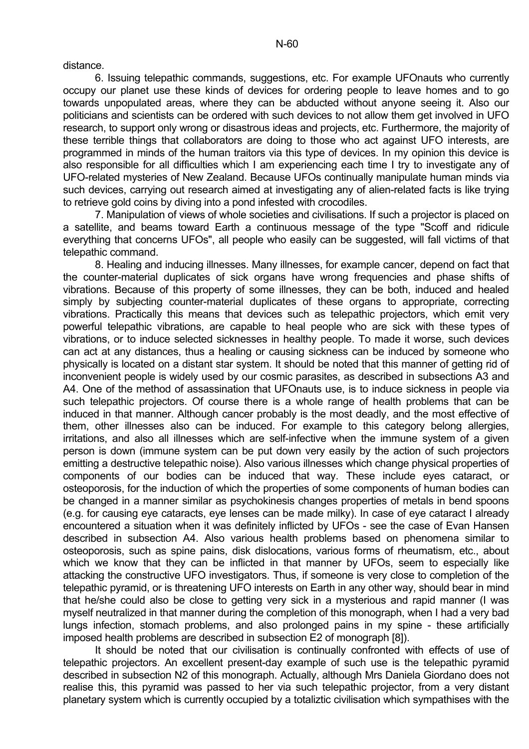distance.

 6. Issuing telepathic commands, suggestions, etc. For example UFOnauts who currently occupy our planet use these kinds of devices for ordering people to leave homes and to go towards unpopulated areas, where they can be abducted without anyone seeing it. Also our politicians and scientists can be ordered with such devices to not allow them get involved in UFO research, to support only wrong or disastrous ideas and projects, etc. Furthermore, the majority of these terrible things that collaborators are doing to those who act against UFO interests, are programmed in minds of the human traitors via this type of devices. In my opinion this device is also responsible for all difficulties which I am experiencing each time I try to investigate any of UFO-related mysteries of New Zealand. Because UFOs continually manipulate human minds via such devices, carrying out research aimed at investigating any of alien-related facts is like trying to retrieve gold coins by diving into a pond infested with crocodiles.

 7. Manipulation of views of whole societies and civilisations. If such a projector is placed on a satellite, and beams toward Earth a continuous message of the type "Scoff and ridicule everything that concerns UFOs", all people who easily can be suggested, will fall victims of that telepathic command.

 8. Healing and inducing illnesses. Many illnesses, for example cancer, depend on fact that the counter-material duplicates of sick organs have wrong frequencies and phase shifts of vibrations. Because of this property of some illnesses, they can be both, induced and healed simply by subjecting counter-material duplicates of these organs to appropriate, correcting vibrations. Practically this means that devices such as telepathic projectors, which emit very powerful telepathic vibrations, are capable to heal people who are sick with these types of vibrations, or to induce selected sicknesses in healthy people. To made it worse, such devices can act at any distances, thus a healing or causing sickness can be induced by someone who physically is located on a distant star system. It should be noted that this manner of getting rid of inconvenient people is widely used by our cosmic parasites, as described in subsections A3 and A4. One of the method of assassination that UFOnauts use, is to induce sickness in people via such telepathic projectors. Of course there is a whole range of health problems that can be induced in that manner. Although cancer probably is the most deadly, and the most effective of them, other illnesses also can be induced. For example to this category belong allergies, irritations, and also all illnesses which are self-infective when the immune system of a given person is down (immune system can be put down very easily by the action of such projectors emitting a destructive telepathic noise). Also various illnesses which change physical properties of components of our bodies can be induced that way. These include eyes cataract, or osteoporosis, for the induction of which the properties of some components of human bodies can be changed in a manner similar as psychokinesis changes properties of metals in bend spoons (e.g. for causing eye cataracts, eye lenses can be made milky). In case of eye cataract I already encountered a situation when it was definitely inflicted by UFOs - see the case of Evan Hansen described in subsection A4. Also various health problems based on phenomena similar to osteoporosis, such as spine pains, disk dislocations, various forms of rheumatism, etc., about which we know that they can be inflicted in that manner by UFOs, seem to especially like attacking the constructive UFO investigators. Thus, if someone is very close to completion of the telepathic pyramid, or is threatening UFO interests on Earth in any other way, should bear in mind that he/she could also be close to getting very sick in a mysterious and rapid manner (I was myself neutralized in that manner during the completion of this monograph, when I had a very bad lungs infection, stomach problems, and also prolonged pains in my spine - these artificially imposed health problems are described in subsection E2 of monograph [8]).

 It should be noted that our civilisation is continually confronted with effects of use of telepathic projectors. An excellent present-day example of such use is the telepathic pyramid described in subsection N2 of this monograph. Actually, although Mrs Daniela Giordano does not realise this, this pyramid was passed to her via such telepathic projector, from a very distant planetary system which is currently occupied by a totaliztic civilisation which sympathises with the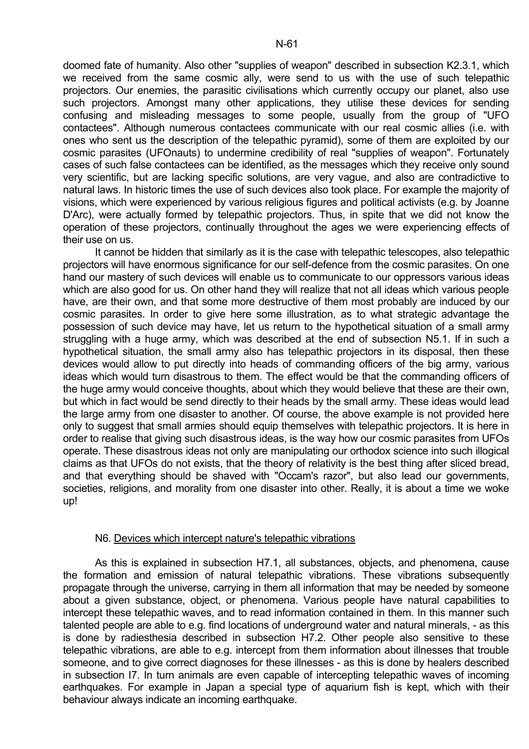doomed fate of humanity. Also other "supplies of weapon" described in subsection K2.3.1, which we received from the same cosmic ally, were send to us with the use of such telepathic projectors. Our enemies, the parasitic civilisations which currently occupy our planet, also use such projectors. Amongst many other applications, they utilise these devices for sending confusing and misleading messages to some people, usually from the group of "UFO contactees". Although numerous contactees communicate with our real cosmic allies (i.e. with ones who sent us the description of the telepathic pyramid), some of them are exploited by our cosmic parasites (UFOnauts) to undermine credibility of real "supplies of weapon". Fortunately cases of such false contactees can be identified, as the messages which they receive only sound very scientific, but are lacking specific solutions, are very vague, and also are contradictive to natural laws. In historic times the use of such devices also took place. For example the majority of visions, which were experienced by various religious figures and political activists (e.g. by Joanne D'Arc), were actually formed by telepathic projectors. Thus, in spite that we did not know the operation of these projectors, continually throughout the ages we were experiencing effects of their use on us.

 It cannot be hidden that similarly as it is the case with telepathic telescopes, also telepathic projectors will have enormous significance for our self-defence from the cosmic parasites. On one hand our mastery of such devices will enable us to communicate to our oppressors various ideas which are also good for us. On other hand they will realize that not all ideas which various people have, are their own, and that some more destructive of them most probably are induced by our cosmic parasites. In order to give here some illustration, as to what strategic advantage the possession of such device may have, let us return to the hypothetical situation of a small army struggling with a huge army, which was described at the end of subsection N5.1. If in such a hypothetical situation, the small army also has telepathic projectors in its disposal, then these devices would allow to put directly into heads of commanding officers of the big army, various ideas which would turn disastrous to them. The effect would be that the commanding officers of the huge army would conceive thoughts, about which they would believe that these are their own, but which in fact would be send directly to their heads by the small army. These ideas would lead the large army from one disaster to another. Of course, the above example is not provided here only to suggest that small armies should equip themselves with telepathic projectors. It is here in order to realise that giving such disastrous ideas, is the way how our cosmic parasites from UFOs operate. These disastrous ideas not only are manipulating our orthodox science into such illogical claims as that UFOs do not exists, that the theory of relativity is the best thing after sliced bread, and that everything should be shaved with "Occam's razor", but also lead our governments, societies, religions, and morality from one disaster into other. Really, it is about a time we woke up!

## N6. Devices which intercept nature's telepathic vibrations

 As this is explained in subsection H7.1, all substances, objects, and phenomena, cause the formation and emission of natural telepathic vibrations. These vibrations subsequently propagate through the universe, carrying in them all information that may be needed by someone about a given substance, object, or phenomena. Various people have natural capabilities to intercept these telepathic waves, and to read information contained in them. In this manner such talented people are able to e.g. find locations of underground water and natural minerals, - as this is done by radiesthesia described in subsection H7.2. Other people also sensitive to these telepathic vibrations, are able to e.g. intercept from them information about illnesses that trouble someone, and to give correct diagnoses for these illnesses - as this is done by healers described in subsection I7. In turn animals are even capable of intercepting telepathic waves of incoming earthquakes. For example in Japan a special type of aquarium fish is kept, which with their behaviour always indicate an incoming earthquake.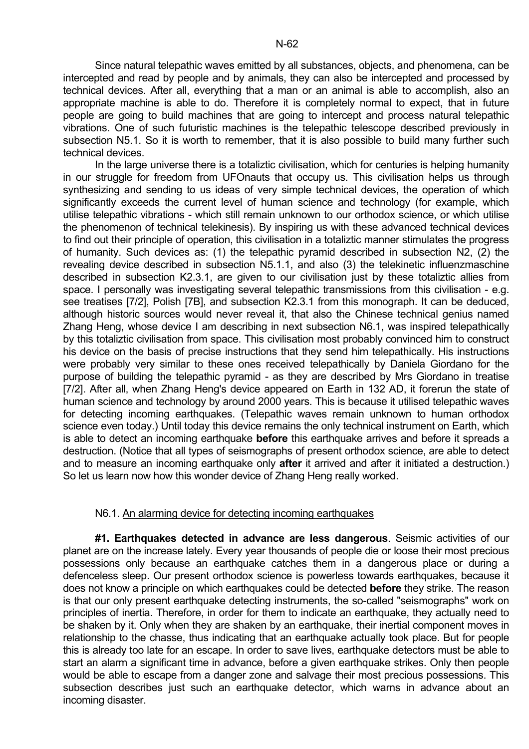Since natural telepathic waves emitted by all substances, objects, and phenomena, can be intercepted and read by people and by animals, they can also be intercepted and processed by technical devices. After all, everything that a man or an animal is able to accomplish, also an appropriate machine is able to do. Therefore it is completely normal to expect, that in future people are going to build machines that are going to intercept and process natural telepathic vibrations. One of such futuristic machines is the telepathic telescope described previously in subsection N5.1. So it is worth to remember, that it is also possible to build many further such technical devices.

 In the large universe there is a totaliztic civilisation, which for centuries is helping humanity in our struggle for freedom from UFOnauts that occupy us. This civilisation helps us through synthesizing and sending to us ideas of very simple technical devices, the operation of which significantly exceeds the current level of human science and technology (for example, which utilise telepathic vibrations - which still remain unknown to our orthodox science, or which utilise the phenomenon of technical telekinesis). By inspiring us with these advanced technical devices to find out their principle of operation, this civilisation in a totaliztic manner stimulates the progress of humanity. Such devices as: (1) the telepathic pyramid described in subsection N2, (2) the revealing device described in subsection N5.1.1, and also (3) the telekinetic influenzmaschine described in subsection K2.3.1, are given to our civilisation just by these totaliztic allies from space. I personally was investigating several telepathic transmissions from this civilisation - e.g. see treatises [7/2], Polish [7B], and subsection K2.3.1 from this monograph. It can be deduced, although historic sources would never reveal it, that also the Chinese technical genius named Zhang Heng, whose device I am describing in next subsection N6.1, was inspired telepathically by this totaliztic civilisation from space. This civilisation most probably convinced him to construct his device on the basis of precise instructions that they send him telepathically. His instructions were probably very similar to these ones received telepathically by Daniela Giordano for the purpose of building the telepathic pyramid - as they are described by Mrs Giordano in treatise [7/2]. After all, when Zhang Heng's device appeared on Earth in 132 AD, it forerun the state of human science and technology by around 2000 years. This is because it utilised telepathic waves for detecting incoming earthquakes. (Telepathic waves remain unknown to human orthodox science even today.) Until today this device remains the only technical instrument on Earth, which is able to detect an incoming earthquake **before** this earthquake arrives and before it spreads a destruction. (Notice that all types of seismographs of present orthodox science, are able to detect and to measure an incoming earthquake only **after** it arrived and after it initiated a destruction.) So let us learn now how this wonder device of Zhang Heng really worked.

## N6.1. An alarming device for detecting incoming earthquakes

 **#1. Earthquakes detected in advance are less dangerous**. Seismic activities of our planet are on the increase lately. Every year thousands of people die or loose their most precious possessions only because an earthquake catches them in a dangerous place or during a defenceless sleep. Our present orthodox science is powerless towards earthquakes, because it does not know a principle on which earthquakes could be detected **before** they strike. The reason is that our only present earthquake detecting instruments, the so-called "seismographs" work on principles of inertia. Therefore, in order for them to indicate an earthquake, they actually need to be shaken by it. Only when they are shaken by an earthquake, their inertial component moves in relationship to the chasse, thus indicating that an earthquake actually took place. But for people this is already too late for an escape. In order to save lives, earthquake detectors must be able to start an alarm a significant time in advance, before a given earthquake strikes. Only then people would be able to escape from a danger zone and salvage their most precious possessions. This subsection describes just such an earthquake detector, which warns in advance about an incoming disaster.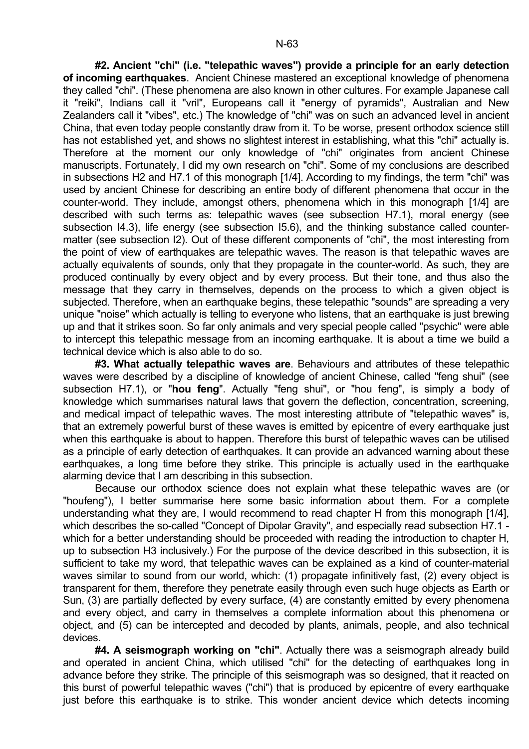**#2. Ancient "chi" (i.e. "telepathic waves") provide a principle for an early detection of incoming earthquakes**. Ancient Chinese mastered an exceptional knowledge of phenomena they called "chi". (These phenomena are also known in other cultures. For example Japanese call it "reiki", Indians call it "vril", Europeans call it "energy of pyramids", Australian and New Zealanders call it "vibes", etc.) The knowledge of "chi" was on such an advanced level in ancient China, that even today people constantly draw from it. To be worse, present orthodox science still has not established yet, and shows no slightest interest in establishing, what this "chi" actually is. Therefore at the moment our only knowledge of "chi" originates from ancient Chinese manuscripts. Fortunately, I did my own research on "chi". Some of my conclusions are described in subsections H2 and H7.1 of this monograph [1/4]. According to my findings, the term "chi" was used by ancient Chinese for describing an entire body of different phenomena that occur in the counter-world. They include, amongst others, phenomena which in this monograph [1/4] are described with such terms as: telepathic waves (see subsection H7.1), moral energy (see subsection I4.3), life energy (see subsection I5.6), and the thinking substance called countermatter (see subsection I2). Out of these different components of "chi", the most interesting from the point of view of earthquakes are telepathic waves. The reason is that telepathic waves are actually equivalents of sounds, only that they propagate in the counter-world. As such, they are produced continually by every object and by every process. But their tone, and thus also the message that they carry in themselves, depends on the process to which a given object is subjected. Therefore, when an earthquake begins, these telepathic "sounds" are spreading a very unique "noise" which actually is telling to everyone who listens, that an earthquake is just brewing up and that it strikes soon. So far only animals and very special people called "psychic" were able to intercept this telepathic message from an incoming earthquake. It is about a time we build a technical device which is also able to do so.

 **#3. What actually telepathic waves are**. Behaviours and attributes of these telepathic waves were described by a discipline of knowledge of ancient Chinese, called "feng shui" (see subsection H7.1), or "**hou feng**". Actually "feng shui", or "hou feng", is simply a body of knowledge which summarises natural laws that govern the deflection, concentration, screening, and medical impact of telepathic waves. The most interesting attribute of "telepathic waves" is, that an extremely powerful burst of these waves is emitted by epicentre of every earthquake just when this earthquake is about to happen. Therefore this burst of telepathic waves can be utilised as a principle of early detection of earthquakes. It can provide an advanced warning about these earthquakes, a long time before they strike. This principle is actually used in the earthquake alarming device that I am describing in this subsection.

 Because our orthodox science does not explain what these telepathic waves are (or "houfeng"), I better summarise here some basic information about them. For a complete understanding what they are, I would recommend to read chapter H from this monograph [1/4], which describes the so-called "Concept of Dipolar Gravity", and especially read subsection H7.1 which for a better understanding should be proceeded with reading the introduction to chapter H, up to subsection H3 inclusively.) For the purpose of the device described in this subsection, it is sufficient to take my word, that telepathic waves can be explained as a kind of counter-material waves similar to sound from our world, which: (1) propagate infinitively fast, (2) every object is transparent for them, therefore they penetrate easily through even such huge objects as Earth or Sun, (3) are partially deflected by every surface, (4) are constantly emitted by every phenomena and every object, and carry in themselves a complete information about this phenomena or object, and (5) can be intercepted and decoded by plants, animals, people, and also technical devices.

 **#4. A seismograph working on "chi"**. Actually there was a seismograph already build and operated in ancient China, which utilised "chi" for the detecting of earthquakes long in advance before they strike. The principle of this seismograph was so designed, that it reacted on this burst of powerful telepathic waves ("chi") that is produced by epicentre of every earthquake just before this earthquake is to strike. This wonder ancient device which detects incoming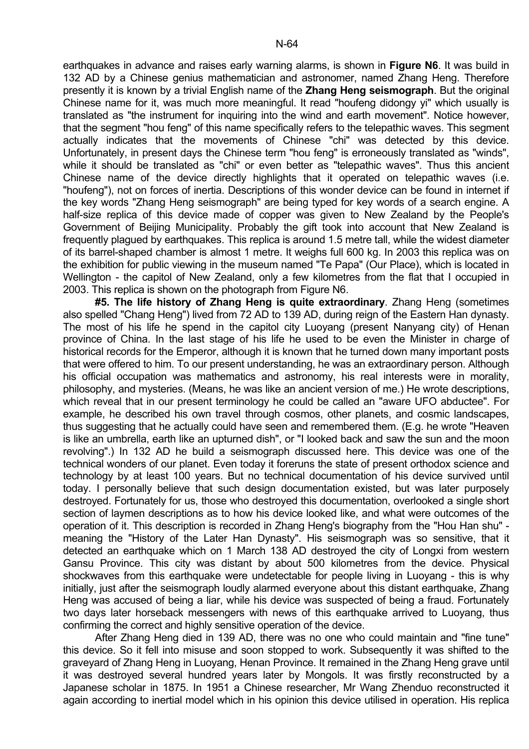earthquakes in advance and raises early warning alarms, is shown in **Figure N6**. It was build in 132 AD by a Chinese genius mathematician and astronomer, named Zhang Heng. Therefore presently it is known by a trivial English name of the **Zhang Heng seismograph**. But the original Chinese name for it, was much more meaningful. It read "houfeng didongy yi" which usually is translated as "the instrument for inquiring into the wind and earth movement". Notice however, that the segment "hou feng" of this name specifically refers to the telepathic waves. This segment actually indicates that the movements of Chinese "chi" was detected by this device. Unfortunately, in present days the Chinese term "hou feng" is erroneously translated as "winds", while it should be translated as "chi" or even better as "telepathic waves". Thus this ancient Chinese name of the device directly highlights that it operated on telepathic waves (i.e. "houfeng"), not on forces of inertia. Descriptions of this wonder device can be found in internet if the key words "Zhang Heng seismograph" are being typed for key words of a search engine. A half-size replica of this device made of copper was given to New Zealand by the People's Government of Beijing Municipality. Probably the gift took into account that New Zealand is frequently plagued by earthquakes. This replica is around 1.5 metre tall, while the widest diameter of its barrel-shaped chamber is almost 1 metre. It weighs full 600 kg. In 2003 this replica was on the exhibition for public viewing in the museum named "Te Papa" (Our Place), which is located in Wellington - the capitol of New Zealand, only a few kilometres from the flat that I occupied in 2003. This replica is shown on the photograph from Figure N6.

 **#5. The life history of Zhang Heng is quite extraordinary**. Zhang Heng (sometimes also spelled "Chang Heng") lived from 72 AD to 139 AD, during reign of the Eastern Han dynasty. The most of his life he spend in the capitol city Luoyang (present Nanyang city) of Henan province of China. In the last stage of his life he used to be even the Minister in charge of historical records for the Emperor, although it is known that he turned down many important posts that were offered to him. To our present understanding, he was an extraordinary person. Although his official occupation was mathematics and astronomy, his real interests were in morality, philosophy, and mysteries. (Means, he was like an ancient version of me.) He wrote descriptions, which reveal that in our present terminology he could be called an "aware UFO abductee". For example, he described his own travel through cosmos, other planets, and cosmic landscapes, thus suggesting that he actually could have seen and remembered them. (E.g. he wrote "Heaven is like an umbrella, earth like an upturned dish", or "I looked back and saw the sun and the moon revolving".) In 132 AD he build a seismograph discussed here. This device was one of the technical wonders of our planet. Even today it foreruns the state of present orthodox science and technology by at least 100 years. But no technical documentation of his device survived until today. I personally believe that such design documentation existed, but was later purposely destroyed. Fortunately for us, those who destroyed this documentation, overlooked a single short section of laymen descriptions as to how his device looked like, and what were outcomes of the operation of it. This description is recorded in Zhang Heng's biography from the "Hou Han shu" meaning the "History of the Later Han Dynasty". His seismograph was so sensitive, that it detected an earthquake which on 1 March 138 AD destroyed the city of Longxi from western Gansu Province. This city was distant by about 500 kilometres from the device. Physical shockwaves from this earthquake were undetectable for people living in Luoyang - this is why initially, just after the seismograph loudly alarmed everyone about this distant earthquake, Zhang Heng was accused of being a liar, while his device was suspected of being a fraud. Fortunately two days later horseback messengers with news of this earthquake arrived to Luoyang, thus confirming the correct and highly sensitive operation of the device.

 After Zhang Heng died in 139 AD, there was no one who could maintain and "fine tune" this device. So it fell into misuse and soon stopped to work. Subsequently it was shifted to the graveyard of Zhang Heng in Luoyang, Henan Province. It remained in the Zhang Heng grave until it was destroyed several hundred years later by Mongols. It was firstly reconstructed by a Japanese scholar in 1875. In 1951 a Chinese researcher, Mr Wang Zhenduo reconstructed it again according to inertial model which in his opinion this device utilised in operation. His replica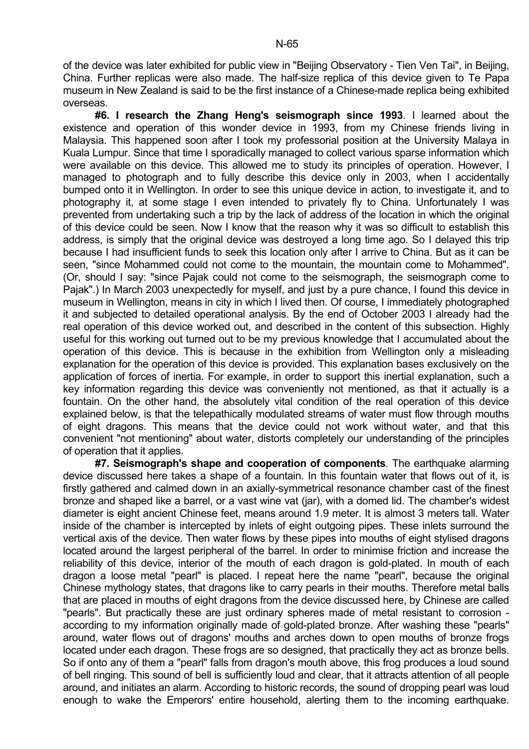of the device was later exhibited for public view in "Beijing Observatory - Tien Ven Tai", in Beijing, China. Further replicas were also made. The half-size replica of this device given to Te Papa museum in New Zealand is said to be the first instance of a Chinese-made replica being exhibited overseas.

 **#6. I research the Zhang Heng's seismograph since 1993**. I learned about the existence and operation of this wonder device in 1993, from my Chinese friends living in Malaysia. This happened soon after I took my professorial position at the University Malaya in Kuala Lumpur. Since that time I sporadically managed to collect various sparse information which were available on this device. This allowed me to study its principles of operation. However, I managed to photograph and to fully describe this device only in 2003, when I accidentally bumped onto it in Wellington. In order to see this unique device in action, to investigate it, and to photography it, at some stage I even intended to privately fly to China. Unfortunately I was prevented from undertaking such a trip by the lack of address of the location in which the original of this device could be seen. Now I know that the reason why it was so difficult to establish this address, is simply that the original device was destroyed a long time ago. So I delayed this trip because I had insufficient funds to seek this location only after I arrive to China. But as it can be seen, "since Mohammed could not come to the mountain, the mountain come to Mohammed". (Or, should I say: "since Pajak could not come to the seismograph, the seismograph come to Pajak".) In March 2003 unexpectedly for myself, and just by a pure chance, I found this device in museum in Wellington, means in city in which I lived then. Of course, I immediately photographed it and subjected to detailed operational analysis. By the end of October 2003 I already had the real operation of this device worked out, and described in the content of this subsection. Highly useful for this working out turned out to be my previous knowledge that I accumulated about the operation of this device. This is because in the exhibition from Wellington only a misleading explanation for the operation of this device is provided. This explanation bases exclusively on the application of forces of inertia. For example, in order to support this inertial explanation, such a key information regarding this device was conveniently not mentioned, as that it actually is a fountain. On the other hand, the absolutely vital condition of the real operation of this device explained below, is that the telepathically modulated streams of water must flow through mouths of eight dragons. This means that the device could not work without water, and that this convenient "not mentioning" about water, distorts completely our understanding of the principles of operation that it applies.

 **#7. Seismograph's shape and cooperation of components**. The earthquake alarming device discussed here takes a shape of a fountain. In this fountain water that flows out of it, is firstly gathered and calmed down in an axially-symmetrical resonance chamber cast of the finest bronze and shaped like a barrel, or a vast wine vat (jar), with a domed lid. The chamber's widest diameter is eight ancient Chinese feet, means around 1.9 meter. It is almost 3 meters tall. Water inside of the chamber is intercepted by inlets of eight outgoing pipes. These inlets surround the vertical axis of the device. Then water flows by these pipes into mouths of eight stylised dragons located around the largest peripheral of the barrel. In order to minimise friction and increase the reliability of this device, interior of the mouth of each dragon is gold-plated. In mouth of each dragon a loose metal "pearl" is placed. I repeat here the name "pearl", because the original Chinese mythology states, that dragons like to carry pearls in their mouths. Therefore metal balls that are placed in mouths of eight dragons from the device discussed here, by Chinese are called "pearls". But practically these are just ordinary spheres made of metal resistant to corrosion according to my information originally made of gold-plated bronze. After washing these "pearls" around, water flows out of dragons' mouths and arches down to open mouths of bronze frogs located under each dragon. These frogs are so designed, that practically they act as bronze bells. So if onto any of them a "pearl" falls from dragon's mouth above, this frog produces a loud sound of bell ringing. This sound of bell is sufficiently loud and clear, that it attracts attention of all people around, and initiates an alarm. According to historic records, the sound of dropping pearl was loud enough to wake the Emperors' entire household, alerting them to the incoming earthquake.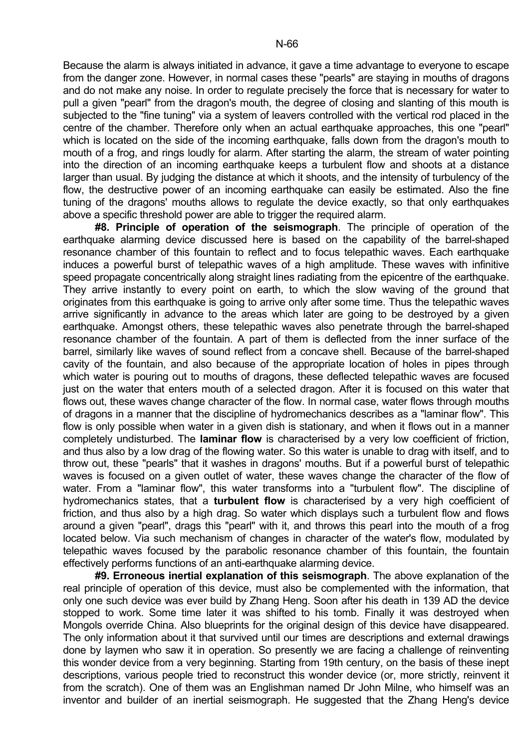Because the alarm is always initiated in advance, it gave a time advantage to everyone to escape from the danger zone. However, in normal cases these "pearls" are staying in mouths of dragons and do not make any noise. In order to regulate precisely the force that is necessary for water to pull a given "pearl" from the dragon's mouth, the degree of closing and slanting of this mouth is subjected to the "fine tuning" via a system of leavers controlled with the vertical rod placed in the centre of the chamber. Therefore only when an actual earthquake approaches, this one "pearl" which is located on the side of the incoming earthquake, falls down from the dragon's mouth to mouth of a frog, and rings loudly for alarm. After starting the alarm, the stream of water pointing into the direction of an incoming earthquake keeps a turbulent flow and shoots at a distance larger than usual. By judging the distance at which it shoots, and the intensity of turbulency of the flow, the destructive power of an incoming earthquake can easily be estimated. Also the fine tuning of the dragons' mouths allows to regulate the device exactly, so that only earthquakes above a specific threshold power are able to trigger the required alarm.

 **#8. Principle of operation of the seismograph**. The principle of operation of the earthquake alarming device discussed here is based on the capability of the barrel-shaped resonance chamber of this fountain to reflect and to focus telepathic waves. Each earthquake induces a powerful burst of telepathic waves of a high amplitude. These waves with infinitive speed propagate concentrically along straight lines radiating from the epicentre of the earthquake. They arrive instantly to every point on earth, to which the slow waving of the ground that originates from this earthquake is going to arrive only after some time. Thus the telepathic waves arrive significantly in advance to the areas which later are going to be destroyed by a given earthquake. Amongst others, these telepathic waves also penetrate through the barrel-shaped resonance chamber of the fountain. A part of them is deflected from the inner surface of the barrel, similarly like waves of sound reflect from a concave shell. Because of the barrel-shaped cavity of the fountain, and also because of the appropriate location of holes in pipes through which water is pouring out to mouths of dragons, these deflected telepathic waves are focused just on the water that enters mouth of a selected dragon. After it is focused on this water that flows out, these waves change character of the flow. In normal case, water flows through mouths of dragons in a manner that the discipline of hydromechanics describes as a "laminar flow". This flow is only possible when water in a given dish is stationary, and when it flows out in a manner completely undisturbed. The **laminar flow** is characterised by a very low coefficient of friction, and thus also by a low drag of the flowing water. So this water is unable to drag with itself, and to throw out, these "pearls" that it washes in dragons' mouths. But if a powerful burst of telepathic waves is focused on a given outlet of water, these waves change the character of the flow of water. From a "laminar flow", this water transforms into a "turbulent flow". The discipline of hydromechanics states, that a **turbulent flow** is characterised by a very high coefficient of friction, and thus also by a high drag. So water which displays such a turbulent flow and flows around a given "pearl", drags this "pearl" with it, and throws this pearl into the mouth of a frog located below. Via such mechanism of changes in character of the water's flow, modulated by telepathic waves focused by the parabolic resonance chamber of this fountain, the fountain effectively performs functions of an anti-earthquake alarming device.

 **#9. Erroneous inertial explanation of this seismograph**. The above explanation of the real principle of operation of this device, must also be complemented with the information, that only one such device was ever build by Zhang Heng. Soon after his death in 139 AD the device stopped to work. Some time later it was shifted to his tomb. Finally it was destroyed when Mongols override China. Also blueprints for the original design of this device have disappeared. The only information about it that survived until our times are descriptions and external drawings done by laymen who saw it in operation. So presently we are facing a challenge of reinventing this wonder device from a very beginning. Starting from 19th century, on the basis of these inept descriptions, various people tried to reconstruct this wonder device (or, more strictly, reinvent it from the scratch). One of them was an Englishman named Dr John Milne, who himself was an inventor and builder of an inertial seismograph. He suggested that the Zhang Heng's device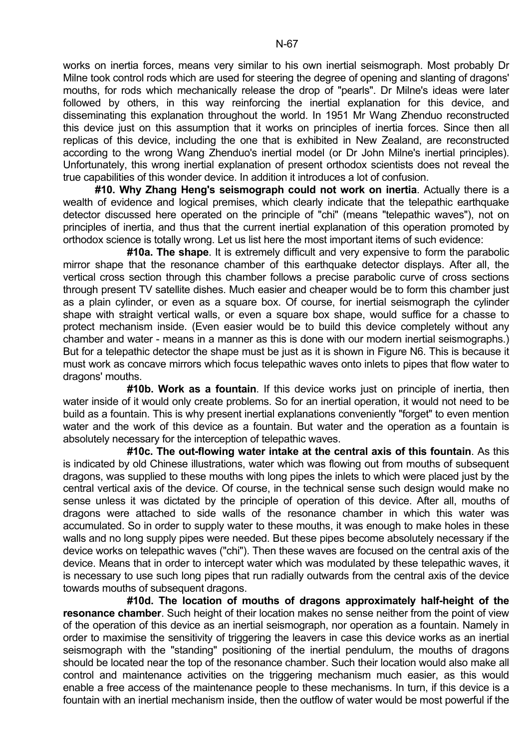works on inertia forces, means very similar to his own inertial seismograph. Most probably Dr Milne took control rods which are used for steering the degree of opening and slanting of dragons' mouths, for rods which mechanically release the drop of "pearls". Dr Milne's ideas were later followed by others, in this way reinforcing the inertial explanation for this device, and disseminating this explanation throughout the world. In 1951 Mr Wang Zhenduo reconstructed this device just on this assumption that it works on principles of inertia forces. Since then all replicas of this device, including the one that is exhibited in New Zealand, are reconstructed according to the wrong Wang Zhenduo's inertial model (or Dr John Milne's inertial principles). Unfortunately, this wrong inertial explanation of present orthodox scientists does not reveal the true capabilities of this wonder device. In addition it introduces a lot of confusion.

 **#10. Why Zhang Heng's seismograph could not work on inertia**. Actually there is a wealth of evidence and logical premises, which clearly indicate that the telepathic earthquake detector discussed here operated on the principle of "chi" (means "telepathic waves"), not on principles of inertia, and thus that the current inertial explanation of this operation promoted by orthodox science is totally wrong. Let us list here the most important items of such evidence:

 **#10a. The shape**. It is extremely difficult and very expensive to form the parabolic mirror shape that the resonance chamber of this earthquake detector displays. After all, the vertical cross section through this chamber follows a precise parabolic curve of cross sections through present TV satellite dishes. Much easier and cheaper would be to form this chamber just as a plain cylinder, or even as a square box. Of course, for inertial seismograph the cylinder shape with straight vertical walls, or even a square box shape, would suffice for a chasse to protect mechanism inside. (Even easier would be to build this device completely without any chamber and water - means in a manner as this is done with our modern inertial seismographs.) But for a telepathic detector the shape must be just as it is shown in Figure N6. This is because it must work as concave mirrors which focus telepathic waves onto inlets to pipes that flow water to dragons' mouths.

 **#10b. Work as a fountain**. If this device works just on principle of inertia, then water inside of it would only create problems. So for an inertial operation, it would not need to be build as a fountain. This is why present inertial explanations conveniently "forget" to even mention water and the work of this device as a fountain. But water and the operation as a fountain is absolutely necessary for the interception of telepathic waves.

 **#10c. The out-flowing water intake at the central axis of this fountain**. As this is indicated by old Chinese illustrations, water which was flowing out from mouths of subsequent dragons, was supplied to these mouths with long pipes the inlets to which were placed just by the central vertical axis of the device. Of course, in the technical sense such design would make no sense unless it was dictated by the principle of operation of this device. After all, mouths of dragons were attached to side walls of the resonance chamber in which this water was accumulated. So in order to supply water to these mouths, it was enough to make holes in these walls and no long supply pipes were needed. But these pipes become absolutely necessary if the device works on telepathic waves ("chi"). Then these waves are focused on the central axis of the device. Means that in order to intercept water which was modulated by these telepathic waves, it is necessary to use such long pipes that run radially outwards from the central axis of the device towards mouths of subsequent dragons.

 **#10d. The location of mouths of dragons approximately half-height of the resonance chamber**. Such height of their location makes no sense neither from the point of view of the operation of this device as an inertial seismograph, nor operation as a fountain. Namely in order to maximise the sensitivity of triggering the leavers in case this device works as an inertial seismograph with the "standing" positioning of the inertial pendulum, the mouths of dragons should be located near the top of the resonance chamber. Such their location would also make all control and maintenance activities on the triggering mechanism much easier, as this would enable a free access of the maintenance people to these mechanisms. In turn, if this device is a fountain with an inertial mechanism inside, then the outflow of water would be most powerful if the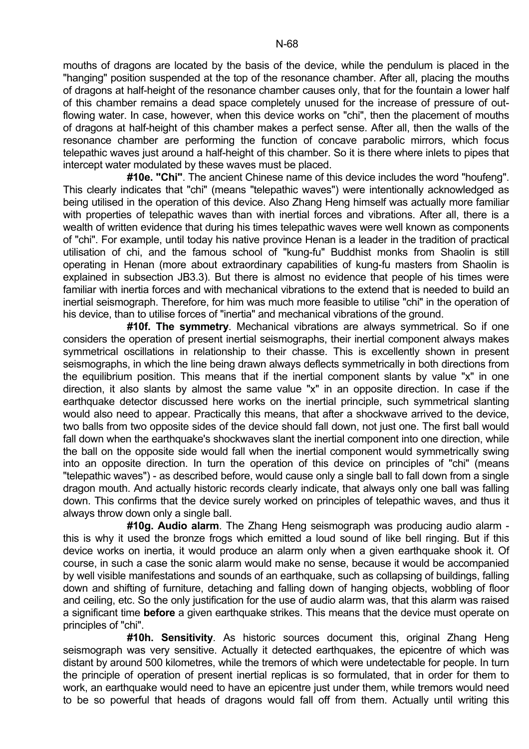mouths of dragons are located by the basis of the device, while the pendulum is placed in the "hanging" position suspended at the top of the resonance chamber. After all, placing the mouths of dragons at half-height of the resonance chamber causes only, that for the fountain a lower half of this chamber remains a dead space completely unused for the increase of pressure of outflowing water. In case, however, when this device works on "chi", then the placement of mouths of dragons at half-height of this chamber makes a perfect sense. After all, then the walls of the resonance chamber are performing the function of concave parabolic mirrors, which focus telepathic waves just around a half-height of this chamber. So it is there where inlets to pipes that intercept water modulated by these waves must be placed.

 **#10e. "Chi"**. The ancient Chinese name of this device includes the word "houfeng". This clearly indicates that "chi" (means "telepathic waves") were intentionally acknowledged as being utilised in the operation of this device. Also Zhang Heng himself was actually more familiar with properties of telepathic waves than with inertial forces and vibrations. After all, there is a wealth of written evidence that during his times telepathic waves were well known as components of "chi". For example, until today his native province Henan is a leader in the tradition of practical utilisation of chi, and the famous school of "kung-fu" Buddhist monks from Shaolin is still operating in Henan (more about extraordinary capabilities of kung-fu masters from Shaolin is explained in subsection JB3.3). But there is almost no evidence that people of his times were familiar with inertia forces and with mechanical vibrations to the extend that is needed to build an inertial seismograph. Therefore, for him was much more feasible to utilise "chi" in the operation of his device, than to utilise forces of "inertia" and mechanical vibrations of the ground.

 **#10f. The symmetry**. Mechanical vibrations are always symmetrical. So if one considers the operation of present inertial seismographs, their inertial component always makes symmetrical oscillations in relationship to their chasse. This is excellently shown in present seismographs, in which the line being drawn always deflects symmetrically in both directions from the equilibrium position. This means that if the inertial component slants by value "x" in one direction, it also slants by almost the same value "x" in an opposite direction. In case if the earthquake detector discussed here works on the inertial principle, such symmetrical slanting would also need to appear. Practically this means, that after a shockwave arrived to the device, two balls from two opposite sides of the device should fall down, not just one. The first ball would fall down when the earthquake's shockwaves slant the inertial component into one direction, while the ball on the opposite side would fall when the inertial component would symmetrically swing into an opposite direction. In turn the operation of this device on principles of "chi" (means "telepathic waves") - as described before, would cause only a single ball to fall down from a single dragon mouth. And actually historic records clearly indicate, that always only one ball was falling down. This confirms that the device surely worked on principles of telepathic waves, and thus it always throw down only a single ball.

 **#10g. Audio alarm**. The Zhang Heng seismograph was producing audio alarm this is why it used the bronze frogs which emitted a loud sound of like bell ringing. But if this device works on inertia, it would produce an alarm only when a given earthquake shook it. Of course, in such a case the sonic alarm would make no sense, because it would be accompanied by well visible manifestations and sounds of an earthquake, such as collapsing of buildings, falling down and shifting of furniture, detaching and falling down of hanging objects, wobbling of floor and ceiling, etc. So the only justification for the use of audio alarm was, that this alarm was raised a significant time **before** a given earthquake strikes. This means that the device must operate on principles of "chi".

 **#10h. Sensitivity**. As historic sources document this, original Zhang Heng seismograph was very sensitive. Actually it detected earthquakes, the epicentre of which was distant by around 500 kilometres, while the tremors of which were undetectable for people. In turn the principle of operation of present inertial replicas is so formulated, that in order for them to work, an earthquake would need to have an epicentre just under them, while tremors would need to be so powerful that heads of dragons would fall off from them. Actually until writing this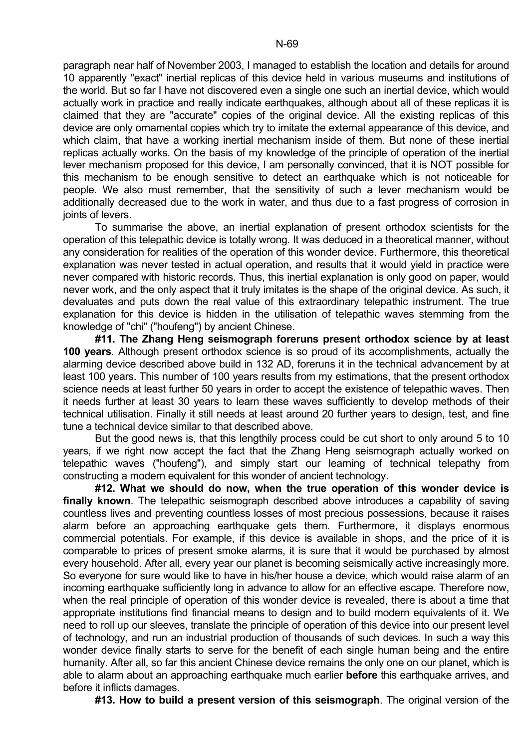paragraph near half of November 2003, I managed to establish the location and details for around 10 apparently "exact" inertial replicas of this device held in various museums and institutions of the world. But so far I have not discovered even a single one such an inertial device, which would actually work in practice and really indicate earthquakes, although about all of these replicas it is claimed that they are "accurate" copies of the original device. All the existing replicas of this device are only ornamental copies which try to imitate the external appearance of this device, and which claim, that have a working inertial mechanism inside of them. But none of these inertial replicas actually works. On the basis of my knowledge of the principle of operation of the inertial lever mechanism proposed for this device, I am personally convinced, that it is NOT possible for this mechanism to be enough sensitive to detect an earthquake which is not noticeable for people. We also must remember, that the sensitivity of such a lever mechanism would be additionally decreased due to the work in water, and thus due to a fast progress of corrosion in joints of levers.

 To summarise the above, an inertial explanation of present orthodox scientists for the operation of this telepathic device is totally wrong. It was deduced in a theoretical manner, without any consideration for realities of the operation of this wonder device. Furthermore, this theoretical explanation was never tested in actual operation, and results that it would yield in practice were never compared with historic records. Thus, this inertial explanation is only good on paper, would never work, and the only aspect that it truly imitates is the shape of the original device. As such, it devaluates and puts down the real value of this extraordinary telepathic instrument. The true explanation for this device is hidden in the utilisation of telepathic waves stemming from the knowledge of "chi" ("houfeng") by ancient Chinese.

 **#11. The Zhang Heng seismograph foreruns present orthodox science by at least 100 years**. Although present orthodox science is so proud of its accomplishments, actually the alarming device described above build in 132 AD, foreruns it in the technical advancement by at least 100 years. This number of 100 years results from my estimations, that the present orthodox science needs at least further 50 years in order to accept the existence of telepathic waves. Then it needs further at least 30 years to learn these waves sufficiently to develop methods of their technical utilisation. Finally it still needs at least around 20 further years to design, test, and fine tune a technical device similar to that described above.

 But the good news is, that this lengthily process could be cut short to only around 5 to 10 years, if we right now accept the fact that the Zhang Heng seismograph actually worked on telepathic waves ("houfeng"), and simply start our learning of technical telepathy from constructing a modern equivalent for this wonder of ancient technology.

 **#12. What we should do now, when the true operation of this wonder device is finally known**. The telepathic seismograph described above introduces a capability of saving countless lives and preventing countless losses of most precious possessions, because it raises alarm before an approaching earthquake gets them. Furthermore, it displays enormous commercial potentials. For example, if this device is available in shops, and the price of it is comparable to prices of present smoke alarms, it is sure that it would be purchased by almost every household. After all, every year our planet is becoming seismically active increasingly more. So everyone for sure would like to have in his/her house a device, which would raise alarm of an incoming earthquake sufficiently long in advance to allow for an effective escape. Therefore now, when the real principle of operation of this wonder device is revealed, there is about a time that appropriate institutions find financial means to design and to build modern equivalents of it. We need to roll up our sleeves, translate the principle of operation of this device into our present level of technology, and run an industrial production of thousands of such devices. In such a way this wonder device finally starts to serve for the benefit of each single human being and the entire humanity. After all, so far this ancient Chinese device remains the only one on our planet, which is able to alarm about an approaching earthquake much earlier **before** this earthquake arrives, and before it inflicts damages.

 **#13. How to build a present version of this seismograph**. The original version of the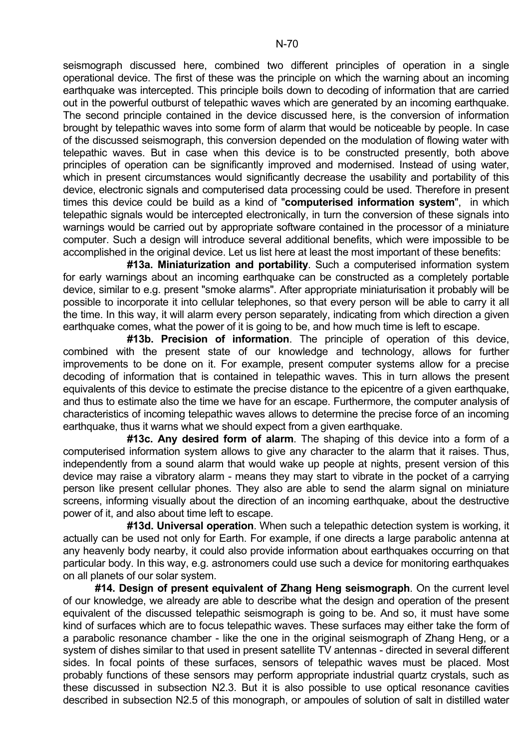seismograph discussed here, combined two different principles of operation in a single operational device. The first of these was the principle on which the warning about an incoming earthquake was intercepted. This principle boils down to decoding of information that are carried out in the powerful outburst of telepathic waves which are generated by an incoming earthquake. The second principle contained in the device discussed here, is the conversion of information brought by telepathic waves into some form of alarm that would be noticeable by people. In case of the discussed seismograph, this conversion depended on the modulation of flowing water with telepathic waves. But in case when this device is to be constructed presently, both above principles of operation can be significantly improved and modernised. Instead of using water, which in present circumstances would significantly decrease the usability and portability of this device, electronic signals and computerised data processing could be used. Therefore in present times this device could be build as a kind of "**computerised information system**", in which telepathic signals would be intercepted electronically, in turn the conversion of these signals into warnings would be carried out by appropriate software contained in the processor of a miniature computer. Such a design will introduce several additional benefits, which were impossible to be accomplished in the original device. Let us list here at least the most important of these benefits:

 **#13a. Miniaturization and portability**. Such a computerised information system for early warnings about an incoming earthquake can be constructed as a completely portable device, similar to e.g. present "smoke alarms". After appropriate miniaturisation it probably will be possible to incorporate it into cellular telephones, so that every person will be able to carry it all the time. In this way, it will alarm every person separately, indicating from which direction a given earthquake comes, what the power of it is going to be, and how much time is left to escape.

 **#13b. Precision of information**. The principle of operation of this device, combined with the present state of our knowledge and technology, allows for further improvements to be done on it. For example, present computer systems allow for a precise decoding of information that is contained in telepathic waves. This in turn allows the present equivalents of this device to estimate the precise distance to the epicentre of a given earthquake, and thus to estimate also the time we have for an escape. Furthermore, the computer analysis of characteristics of incoming telepathic waves allows to determine the precise force of an incoming earthquake, thus it warns what we should expect from a given earthquake.

 **#13c. Any desired form of alarm**. The shaping of this device into a form of a computerised information system allows to give any character to the alarm that it raises. Thus, independently from a sound alarm that would wake up people at nights, present version of this device may raise a vibratory alarm - means they may start to vibrate in the pocket of a carrying person like present cellular phones. They also are able to send the alarm signal on miniature screens, informing visually about the direction of an incoming earthquake, about the destructive power of it, and also about time left to escape.

 **#13d. Universal operation**. When such a telepathic detection system is working, it actually can be used not only for Earth. For example, if one directs a large parabolic antenna at any heavenly body nearby, it could also provide information about earthquakes occurring on that particular body. In this way, e.g. astronomers could use such a device for monitoring earthquakes on all planets of our solar system.

 **#14. Design of present equivalent of Zhang Heng seismograph**. On the current level of our knowledge, we already are able to describe what the design and operation of the present equivalent of the discussed telepathic seismograph is going to be. And so, it must have some kind of surfaces which are to focus telepathic waves. These surfaces may either take the form of a parabolic resonance chamber - like the one in the original seismograph of Zhang Heng, or a system of dishes similar to that used in present satellite TV antennas - directed in several different sides. In focal points of these surfaces, sensors of telepathic waves must be placed. Most probably functions of these sensors may perform appropriate industrial quartz crystals, such as these discussed in subsection N2.3. But it is also possible to use optical resonance cavities described in subsection N2.5 of this monograph, or ampoules of solution of salt in distilled water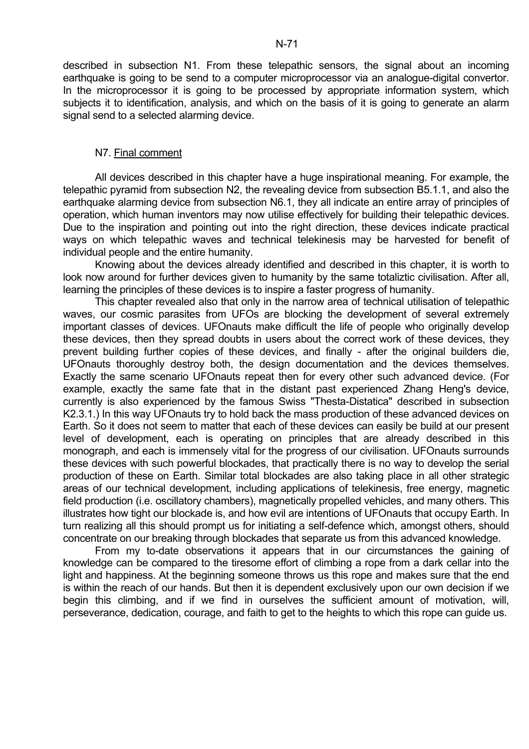described in subsection N1. From these telepathic sensors, the signal about an incoming earthquake is going to be send to a computer microprocessor via an analogue-digital convertor. In the microprocessor it is going to be processed by appropriate information system, which subjects it to identification, analysis, and which on the basis of it is going to generate an alarm signal send to a selected alarming device.

#### N7. Final comment

 All devices described in this chapter have a huge inspirational meaning. For example, the telepathic pyramid from subsection N2, the revealing device from subsection B5.1.1, and also the earthquake alarming device from subsection N6.1, they all indicate an entire array of principles of operation, which human inventors may now utilise effectively for building their telepathic devices. Due to the inspiration and pointing out into the right direction, these devices indicate practical ways on which telepathic waves and technical telekinesis may be harvested for benefit of individual people and the entire humanity.

 Knowing about the devices already identified and described in this chapter, it is worth to look now around for further devices given to humanity by the same totaliztic civilisation. After all, learning the principles of these devices is to inspire a faster progress of humanity.

 This chapter revealed also that only in the narrow area of technical utilisation of telepathic waves, our cosmic parasites from UFOs are blocking the development of several extremely important classes of devices. UFOnauts make difficult the life of people who originally develop these devices, then they spread doubts in users about the correct work of these devices, they prevent building further copies of these devices, and finally - after the original builders die, UFOnauts thoroughly destroy both, the design documentation and the devices themselves. Exactly the same scenario UFOnauts repeat then for every other such advanced device. (For example, exactly the same fate that in the distant past experienced Zhang Heng's device, currently is also experienced by the famous Swiss "Thesta-Distatica" described in subsection K2.3.1.) In this way UFOnauts try to hold back the mass production of these advanced devices on Earth. So it does not seem to matter that each of these devices can easily be build at our present level of development, each is operating on principles that are already described in this monograph, and each is immensely vital for the progress of our civilisation. UFOnauts surrounds these devices with such powerful blockades, that practically there is no way to develop the serial production of these on Earth. Similar total blockades are also taking place in all other strategic areas of our technical development, including applications of telekinesis, free energy, magnetic field production (i.e. oscillatory chambers), magnetically propelled vehicles, and many others. This illustrates how tight our blockade is, and how evil are intentions of UFOnauts that occupy Earth. In turn realizing all this should prompt us for initiating a self-defence which, amongst others, should concentrate on our breaking through blockades that separate us from this advanced knowledge.

 From my to-date observations it appears that in our circumstances the gaining of knowledge can be compared to the tiresome effort of climbing a rope from a dark cellar into the light and happiness. At the beginning someone throws us this rope and makes sure that the end is within the reach of our hands. But then it is dependent exclusively upon our own decision if we begin this climbing, and if we find in ourselves the sufficient amount of motivation, will, perseverance, dedication, courage, and faith to get to the heights to which this rope can guide us.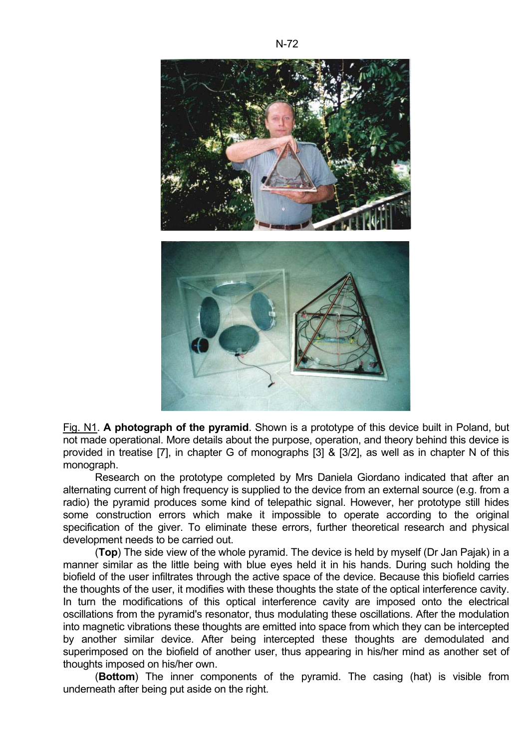

Fig. N1. **A photograph of the pyramid**. Shown is a prototype of this device built in Poland, but not made operational. More details about the purpose, operation, and theory behind this device is provided in treatise [7], in chapter G of monographs [3] & [3/2], as well as in chapter N of this monograph.

 Research on the prototype completed by Mrs Daniela Giordano indicated that after an alternating current of high frequency is supplied to the device from an external source (e.g. from a radio) the pyramid produces some kind of telepathic signal. However, her prototype still hides some construction errors which make it impossible to operate according to the original specification of the giver. To eliminate these errors, further theoretical research and physical development needs to be carried out.

 (**Top**) The side view of the whole pyramid. The device is held by myself (Dr Jan Pajak) in a manner similar as the little being with blue eyes held it in his hands. During such holding the biofield of the user infiltrates through the active space of the device. Because this biofield carries the thoughts of the user, it modifies with these thoughts the state of the optical interference cavity. In turn the modifications of this optical interference cavity are imposed onto the electrical oscillations from the pyramid's resonator, thus modulating these oscillations. After the modulation into magnetic vibrations these thoughts are emitted into space from which they can be intercepted by another similar device. After being intercepted these thoughts are demodulated and superimposed on the biofield of another user, thus appearing in his/her mind as another set of thoughts imposed on his/her own.

 (**Bottom**) The inner components of the pyramid. The casing (hat) is visible from underneath after being put aside on the right.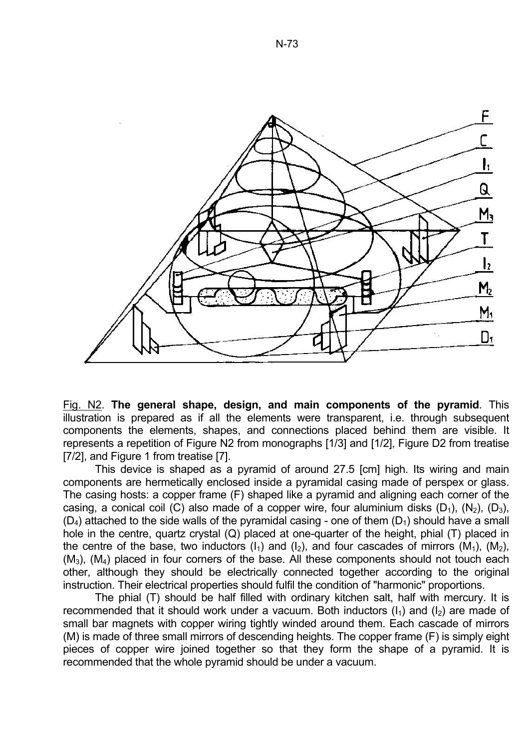

Fig. N2. **The general shape, design, and main components of the pyramid**. This illustration is prepared as if all the elements were transparent, i.e. through subsequent components the elements, shapes, and connections placed behind them are visible. It represents a repetition of Figure N2 from monographs [1/3] and [1/2], Figure D2 from treatise [7/2], and Figure 1 from treatise [7].

 This device is shaped as a pyramid of around 27.5 [cm] high. Its wiring and main components are hermetically enclosed inside a pyramidal casing made of perspex or glass. The casing hosts: a copper frame (F) shaped like a pyramid and aligning each corner of the casing, a conical coil (C) also made of a copper wire, four aluminium disks  $(D_1)$ ,  $(N_2)$ ,  $(D_3)$ ,  $(D_4)$  attached to the side walls of the pyramidal casing - one of them  $(D_1)$  should have a small hole in the centre, quartz crystal (Q) placed at one-quarter of the height, phial (T) placed in the centre of the base, two inductors  $(I_1)$  and  $(I_2)$ , and four cascades of mirrors  $(M_1)$ ,  $(M_2)$ ,  $(M_3)$ ,  $(M_4)$  placed in four corners of the base. All these components should not touch each other, although they should be electrically connected together according to the original instruction. Their electrical properties should fulfil the condition of "harmonic" proportions.

 The phial (T) should be half filled with ordinary kitchen salt, half with mercury. It is recommended that it should work under a vacuum. Both inductors  $(I_1)$  and  $(I_2)$  are made of small bar magnets with copper wiring tightly winded around them. Each cascade of mirrors (M) is made of three small mirrors of descending heights. The copper frame (F) is simply eight pieces of copper wire joined together so that they form the shape of a pyramid. It is recommended that the whole pyramid should be under a vacuum.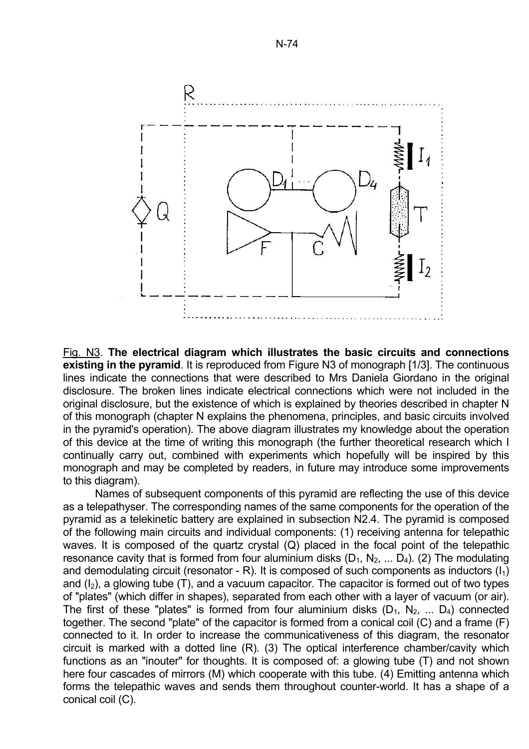

Fig. N3. **The electrical diagram which illustrates the basic circuits and connections existing in the pyramid.** It is reproduced from Figure N3 of monograph [1/3]. The continuous lines indicate the connections that were described to Mrs Daniela Giordano in the original disclosure. The broken lines indicate electrical connections which were not included in the original disclosure, but the existence of which is explained by theories described in chapter N of this monograph (chapter N explains the phenomena, principles, and basic circuits involved in the pyramid's operation). The above diagram illustrates my knowledge about the operation of this device at the time of writing this monograph (the further theoretical research which I continually carry out, combined with experiments which hopefully will be inspired by this monograph and may be completed by readers, in future may introduce some improvements to this diagram).

 Names of subsequent components of this pyramid are reflecting the use of this device as a telepathyser. The corresponding names of the same components for the operation of the pyramid as a telekinetic battery are explained in subsection N2.4. The pyramid is composed of the following main circuits and individual components: (1) receiving antenna for telepathic waves. It is composed of the quartz crystal (Q) placed in the focal point of the telepathic resonance cavity that is formed from four aluminium disks  $(D_1, N_2, ... D_4)$ . (2) The modulating and demodulating circuit (resonator - R). It is composed of such components as inductors  $(I_1)$ and  $(I_2)$ , a glowing tube (T), and a vacuum capacitor. The capacitor is formed out of two types of "plates" (which differ in shapes), separated from each other with a layer of vacuum (or air). The first of these "plates" is formed from four aluminium disks  $(D_1, N_2, \ldots, D_4)$  connected together. The second "plate" of the capacitor is formed from a conical coil (C) and a frame (F) connected to it. In order to increase the communicativeness of this diagram, the resonator circuit is marked with a dotted line (R). (3) The optical interference chamber/cavity which functions as an "inouter" for thoughts. It is composed of: a glowing tube (T) and not shown here four cascades of mirrors (M) which cooperate with this tube. (4) Emitting antenna which forms the telepathic waves and sends them throughout counter-world. It has a shape of a conical coil (C).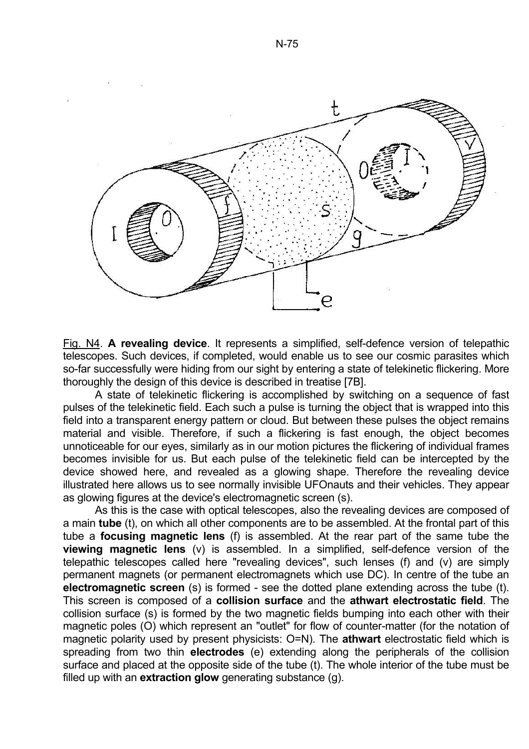

Fig. N4. **A revealing device**. It represents a simplified, self-defence version of telepathic telescopes. Such devices, if completed, would enable us to see our cosmic parasites which so-far successfully were hiding from our sight by entering a state of telekinetic flickering. More thoroughly the design of this device is described in treatise [7B].

 A state of telekinetic flickering is accomplished by switching on a sequence of fast pulses of the telekinetic field. Each such a pulse is turning the object that is wrapped into this field into a transparent energy pattern or cloud. But between these pulses the object remains material and visible. Therefore, if such a flickering is fast enough, the object becomes unnoticeable for our eyes, similarly as in our motion pictures the flickering of individual frames becomes invisible for us. But each pulse of the telekinetic field can be intercepted by the device showed here, and revealed as a glowing shape. Therefore the revealing device illustrated here allows us to see normally invisible UFOnauts and their vehicles. They appear as glowing figures at the device's electromagnetic screen (s).

 As this is the case with optical telescopes, also the revealing devices are composed of a main **tube** (t), on which all other components are to be assembled. At the frontal part of this tube a **focusing magnetic lens** (f) is assembled. At the rear part of the same tube the **viewing magnetic lens** (v) is assembled. In a simplified, self-defence version of the telepathic telescopes called here "revealing devices", such lenses (f) and (v) are simply permanent magnets (or permanent electromagnets which use DC). In centre of the tube an **electromagnetic screen** (s) is formed - see the dotted plane extending across the tube (t). This screen is composed of a **collision surface** and the **athwart electrostatic field**. The collision surface (s) is formed by the two magnetic fields bumping into each other with their magnetic poles (O) which represent an "outlet" for flow of counter-matter (for the notation of magnetic polarity used by present physicists: O=N). The **athwart** electrostatic field which is spreading from two thin **electrodes** (e) extending along the peripherals of the collision surface and placed at the opposite side of the tube (t). The whole interior of the tube must be filled up with an **extraction glow** generating substance (g).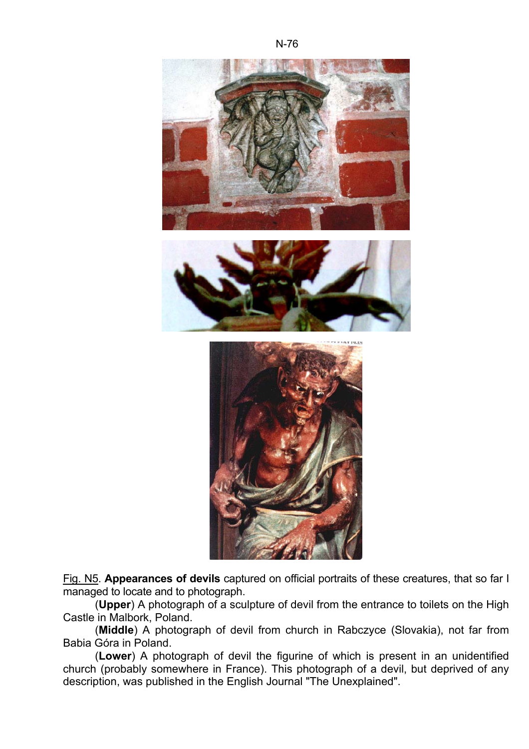



Fig. N5. **Appearances of devils** captured on official portraits of these creatures, that so far I managed to locate and to photograph.

 (**Upper**) A photograph of a sculpture of devil from the entrance to toilets on the High Castle in Malbork, Poland.

 (**Middle**) A photograph of devil from church in Rabczyce (Slovakia), not far from Babia Góra in Poland.

 (**Lower**) A photograph of devil the figurine of which is present in an unidentified church (probably somewhere in France). This photograph of a devil, but deprived of any description, was published in the English Journal "The Unexplained".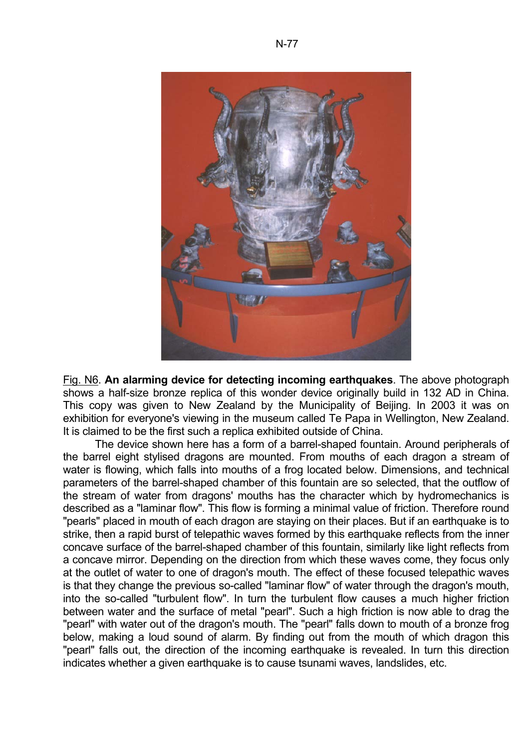



Fig. N6. **An alarming device for detecting incoming earthquakes**. The above photograph shows a half-size bronze replica of this wonder device originally build in 132 AD in China. This copy was given to New Zealand by the Municipality of Beijing. In 2003 it was on exhibition for everyone's viewing in the museum called Te Papa in Wellington, New Zealand. It is claimed to be the first such a replica exhibited outside of China.

 The device shown here has a form of a barrel-shaped fountain. Around peripherals of the barrel eight stylised dragons are mounted. From mouths of each dragon a stream of water is flowing, which falls into mouths of a frog located below. Dimensions, and technical parameters of the barrel-shaped chamber of this fountain are so selected, that the outflow of the stream of water from dragons' mouths has the character which by hydromechanics is described as a "laminar flow". This flow is forming a minimal value of friction. Therefore round "pearls" placed in mouth of each dragon are staying on their places. But if an earthquake is to strike, then a rapid burst of telepathic waves formed by this earthquake reflects from the inner concave surface of the barrel-shaped chamber of this fountain, similarly like light reflects from a concave mirror. Depending on the direction from which these waves come, they focus only at the outlet of water to one of dragon's mouth. The effect of these focused telepathic waves is that they change the previous so-called "laminar flow" of water through the dragon's mouth, into the so-called "turbulent flow". In turn the turbulent flow causes a much higher friction between water and the surface of metal "pearl". Such a high friction is now able to drag the "pearl" with water out of the dragon's mouth. The "pearl" falls down to mouth of a bronze frog below, making a loud sound of alarm. By finding out from the mouth of which dragon this "pearl" falls out, the direction of the incoming earthquake is revealed. In turn this direction indicates whether a given earthquake is to cause tsunami waves, landslides, etc.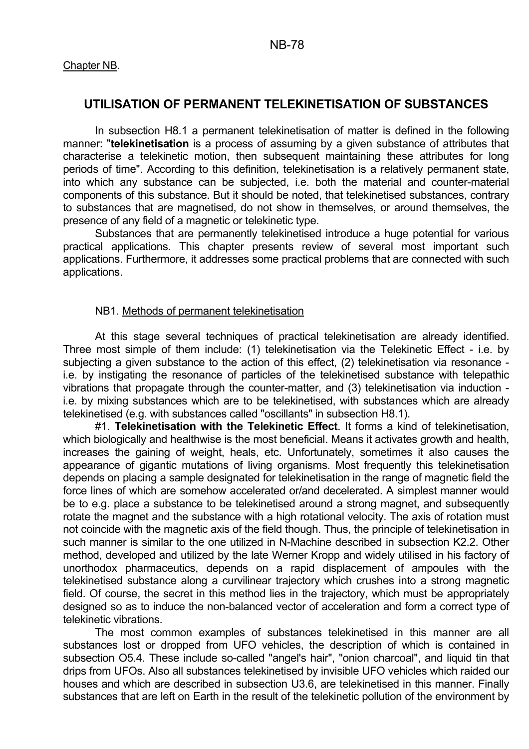# **UTILISATION OF PERMANENT TELEKINETISATION OF SUBSTANCES**

 In subsection H8.1 a permanent telekinetisation of matter is defined in the following manner: "**telekinetisation** is a process of assuming by a given substance of attributes that characterise a telekinetic motion, then subsequent maintaining these attributes for long periods of time". According to this definition, telekinetisation is a relatively permanent state, into which any substance can be subjected, i.e. both the material and counter-material components of this substance. But it should be noted, that telekinetised substances, contrary to substances that are magnetised, do not show in themselves, or around themselves, the presence of any field of a magnetic or telekinetic type.

 Substances that are permanently telekinetised introduce a huge potential for various practical applications. This chapter presents review of several most important such applications. Furthermore, it addresses some practical problems that are connected with such applications.

### NB1. Methods of permanent telekinetisation

 At this stage several techniques of practical telekinetisation are already identified. Three most simple of them include: (1) telekinetisation via the Telekinetic Effect - i.e. by subjecting a given substance to the action of this effect, (2) telekinetisation via resonance i.e. by instigating the resonance of particles of the telekinetised substance with telepathic vibrations that propagate through the counter-matter, and (3) telekinetisation via induction i.e. by mixing substances which are to be telekinetised, with substances which are already telekinetised (e.g. with substances called "oscillants" in subsection H8.1).

 #1. **Telekinetisation with the Telekinetic Effect**. It forms a kind of telekinetisation, which biologically and healthwise is the most beneficial. Means it activates growth and health, increases the gaining of weight, heals, etc. Unfortunately, sometimes it also causes the appearance of gigantic mutations of living organisms. Most frequently this telekinetisation depends on placing a sample designated for telekinetisation in the range of magnetic field the force lines of which are somehow accelerated or/and decelerated. A simplest manner would be to e.g. place a substance to be telekinetised around a strong magnet, and subsequently rotate the magnet and the substance with a high rotational velocity. The axis of rotation must not coincide with the magnetic axis of the field though. Thus, the principle of telekinetisation in such manner is similar to the one utilized in N-Machine described in subsection K2.2. Other method, developed and utilized by the late Werner Kropp and widely utilised in his factory of unorthodox pharmaceutics, depends on a rapid displacement of ampoules with the telekinetised substance along a curvilinear trajectory which crushes into a strong magnetic field. Of course, the secret in this method lies in the trajectory, which must be appropriately designed so as to induce the non-balanced vector of acceleration and form a correct type of telekinetic vibrations.

 The most common examples of substances telekinetised in this manner are all substances lost or dropped from UFO vehicles, the description of which is contained in subsection O5.4. These include so-called "angel's hair", "onion charcoal", and liquid tin that drips from UFOs. Also all substances telekinetised by invisible UFO vehicles which raided our houses and which are described in subsection U3.6, are telekinetised in this manner. Finally substances that are left on Earth in the result of the telekinetic pollution of the environment by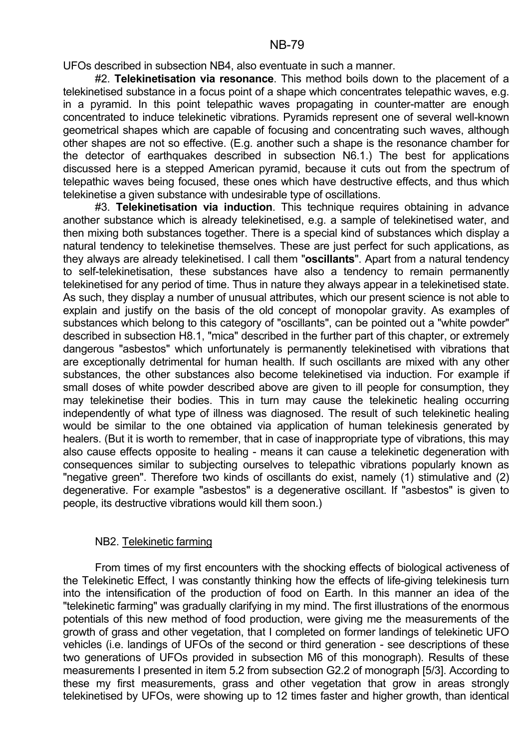UFOs described in subsection NB4, also eventuate in such a manner.

 #2. **Telekinetisation via resonance**. This method boils down to the placement of a telekinetised substance in a focus point of a shape which concentrates telepathic waves, e.g. in a pyramid. In this point telepathic waves propagating in counter-matter are enough concentrated to induce telekinetic vibrations. Pyramids represent one of several well-known geometrical shapes which are capable of focusing and concentrating such waves, although other shapes are not so effective. (E.g. another such a shape is the resonance chamber for the detector of earthquakes described in subsection N6.1.) The best for applications discussed here is a stepped American pyramid, because it cuts out from the spectrum of telepathic waves being focused, these ones which have destructive effects, and thus which telekinetise a given substance with undesirable type of oscillations.

 #3. **Telekinetisation via induction**. This technique requires obtaining in advance another substance which is already telekinetised, e.g. a sample of telekinetised water, and then mixing both substances together. There is a special kind of substances which display a natural tendency to telekinetise themselves. These are just perfect for such applications, as they always are already telekinetised. I call them "**oscillants**". Apart from a natural tendency to self-telekinetisation, these substances have also a tendency to remain permanently telekinetised for any period of time. Thus in nature they always appear in a telekinetised state. As such, they display a number of unusual attributes, which our present science is not able to explain and justify on the basis of the old concept of monopolar gravity. As examples of substances which belong to this category of "oscillants", can be pointed out a "white powder" described in subsection H8.1, "mica" described in the further part of this chapter, or extremely dangerous "asbestos" which unfortunately is permanently telekinetised with vibrations that are exceptionally detrimental for human health. If such oscillants are mixed with any other substances, the other substances also become telekinetised via induction. For example if small doses of white powder described above are given to ill people for consumption, they may telekinetise their bodies. This in turn may cause the telekinetic healing occurring independently of what type of illness was diagnosed. The result of such telekinetic healing would be similar to the one obtained via application of human telekinesis generated by healers. (But it is worth to remember, that in case of inappropriate type of vibrations, this may also cause effects opposite to healing - means it can cause a telekinetic degeneration with consequences similar to subjecting ourselves to telepathic vibrations popularly known as "negative green". Therefore two kinds of oscillants do exist, namely (1) stimulative and (2) degenerative. For example "asbestos" is a degenerative oscillant. If "asbestos" is given to people, its destructive vibrations would kill them soon.)

#### NB2. Telekinetic farming

 From times of my first encounters with the shocking effects of biological activeness of the Telekinetic Effect, I was constantly thinking how the effects of life-giving telekinesis turn into the intensification of the production of food on Earth. In this manner an idea of the "telekinetic farming" was gradually clarifying in my mind. The first illustrations of the enormous potentials of this new method of food production, were giving me the measurements of the growth of grass and other vegetation, that I completed on former landings of telekinetic UFO vehicles (i.e. landings of UFOs of the second or third generation - see descriptions of these two generations of UFOs provided in subsection M6 of this monograph). Results of these measurements I presented in item 5.2 from subsection G2.2 of monograph [5/3]. According to these my first measurements, grass and other vegetation that grow in areas strongly telekinetised by UFOs, were showing up to 12 times faster and higher growth, than identical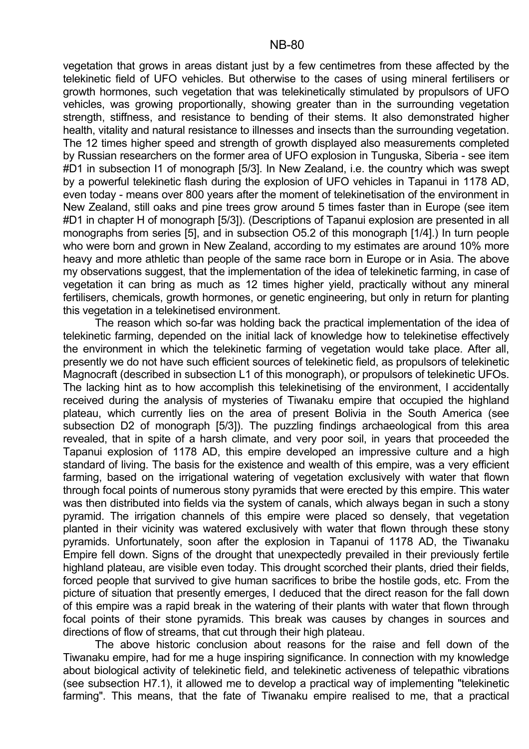vegetation that grows in areas distant just by a few centimetres from these affected by the telekinetic field of UFO vehicles. But otherwise to the cases of using mineral fertilisers or growth hormones, such vegetation that was telekinetically stimulated by propulsors of UFO vehicles, was growing proportionally, showing greater than in the surrounding vegetation strength, stiffness, and resistance to bending of their stems. It also demonstrated higher health, vitality and natural resistance to illnesses and insects than the surrounding vegetation. The 12 times higher speed and strength of growth displayed also measurements completed by Russian researchers on the former area of UFO explosion in Tunguska, Siberia - see item #D1 in subsection I1 of monograph [5/3]. In New Zealand, i.e. the country which was swept by a powerful telekinetic flash during the explosion of UFO vehicles in Tapanui in 1178 AD, even today - means over 800 years after the moment of telekinetisation of the environment in New Zealand, still oaks and pine trees grow around 5 times faster than in Europe (see item #D1 in chapter H of monograph [5/3]). (Descriptions of Tapanui explosion are presented in all monographs from series [5], and in subsection O5.2 of this monograph [1/4].) In turn people who were born and grown in New Zealand, according to my estimates are around 10% more heavy and more athletic than people of the same race born in Europe or in Asia. The above my observations suggest, that the implementation of the idea of telekinetic farming, in case of vegetation it can bring as much as 12 times higher yield, practically without any mineral fertilisers, chemicals, growth hormones, or genetic engineering, but only in return for planting this vegetation in a telekinetised environment.

 The reason which so-far was holding back the practical implementation of the idea of telekinetic farming, depended on the initial lack of knowledge how to telekinetise effectively the environment in which the telekinetic farming of vegetation would take place. After all, presently we do not have such efficient sources of telekinetic field, as propulsors of telekinetic Magnocraft (described in subsection L1 of this monograph), or propulsors of telekinetic UFOs. The lacking hint as to how accomplish this telekinetising of the environment, I accidentally received during the analysis of mysteries of Tiwanaku empire that occupied the highland plateau, which currently lies on the area of present Bolivia in the South America (see subsection D2 of monograph [5/3]). The puzzling findings archaeological from this area revealed, that in spite of a harsh climate, and very poor soil, in years that proceeded the Tapanui explosion of 1178 AD, this empire developed an impressive culture and a high standard of living. The basis for the existence and wealth of this empire, was a very efficient farming, based on the irrigational watering of vegetation exclusively with water that flown through focal points of numerous stony pyramids that were erected by this empire. This water was then distributed into fields via the system of canals, which always began in such a stony pyramid. The irrigation channels of this empire were placed so densely, that vegetation planted in their vicinity was watered exclusively with water that flown through these stony pyramids. Unfortunately, soon after the explosion in Tapanui of 1178 AD, the Tiwanaku Empire fell down. Signs of the drought that unexpectedly prevailed in their previously fertile highland plateau, are visible even today. This drought scorched their plants, dried their fields, forced people that survived to give human sacrifices to bribe the hostile gods, etc. From the picture of situation that presently emerges, I deduced that the direct reason for the fall down of this empire was a rapid break in the watering of their plants with water that flown through focal points of their stone pyramids. This break was causes by changes in sources and directions of flow of streams, that cut through their high plateau.

 The above historic conclusion about reasons for the raise and fell down of the Tiwanaku empire, had for me a huge inspiring significance. In connection with my knowledge about biological activity of telekinetic field, and telekinetic activeness of telepathic vibrations (see subsection H7.1), it allowed me to develop a practical way of implementing "telekinetic farming". This means, that the fate of Tiwanaku empire realised to me, that a practical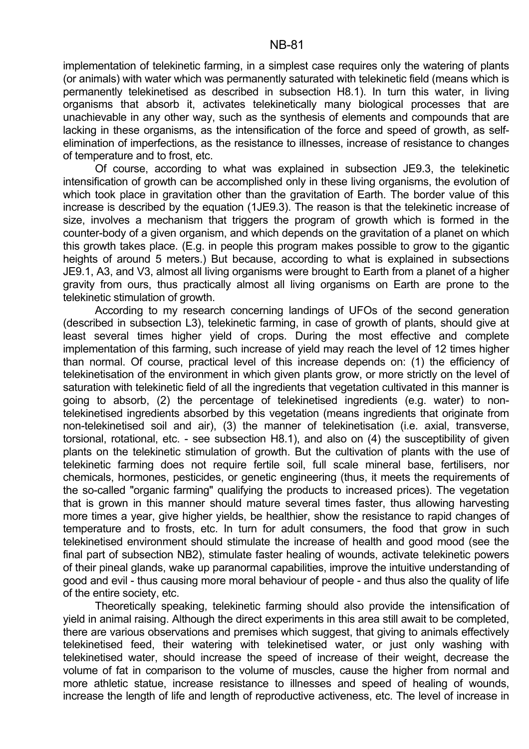implementation of telekinetic farming, in a simplest case requires only the watering of plants (or animals) with water which was permanently saturated with telekinetic field (means which is permanently telekinetised as described in subsection H8.1). In turn this water, in living organisms that absorb it, activates telekinetically many biological processes that are unachievable in any other way, such as the synthesis of elements and compounds that are lacking in these organisms, as the intensification of the force and speed of growth, as selfelimination of imperfections, as the resistance to illnesses, increase of resistance to changes of temperature and to frost, etc.

 Of course, according to what was explained in subsection JE9.3, the telekinetic intensification of growth can be accomplished only in these living organisms, the evolution of which took place in gravitation other than the gravitation of Earth. The border value of this increase is described by the equation (1JE9.3). The reason is that the telekinetic increase of size, involves a mechanism that triggers the program of growth which is formed in the counter-body of a given organism, and which depends on the gravitation of a planet on which this growth takes place. (E.g. in people this program makes possible to grow to the gigantic heights of around 5 meters.) But because, according to what is explained in subsections JE9.1, A3, and V3, almost all living organisms were brought to Earth from a planet of a higher gravity from ours, thus practically almost all living organisms on Earth are prone to the telekinetic stimulation of growth.

 According to my research concerning landings of UFOs of the second generation (described in subsection L3), telekinetic farming, in case of growth of plants, should give at least several times higher yield of crops. During the most effective and complete implementation of this farming, such increase of yield may reach the level of 12 times higher than normal. Of course, practical level of this increase depends on: (1) the efficiency of telekinetisation of the environment in which given plants grow, or more strictly on the level of saturation with telekinetic field of all the ingredients that vegetation cultivated in this manner is going to absorb, (2) the percentage of telekinetised ingredients (e.g. water) to nontelekinetised ingredients absorbed by this vegetation (means ingredients that originate from non-telekinetised soil and air), (3) the manner of telekinetisation (i.e. axial, transverse, torsional, rotational, etc. - see subsection H8.1), and also on (4) the susceptibility of given plants on the telekinetic stimulation of growth. But the cultivation of plants with the use of telekinetic farming does not require fertile soil, full scale mineral base, fertilisers, nor chemicals, hormones, pesticides, or genetic engineering (thus, it meets the requirements of the so-called "organic farming" qualifying the products to increased prices). The vegetation that is grown in this manner should mature several times faster, thus allowing harvesting more times a year, give higher yields, be healthier, show the resistance to rapid changes of temperature and to frosts, etc. In turn for adult consumers, the food that grow in such telekinetised environment should stimulate the increase of health and good mood (see the final part of subsection NB2), stimulate faster healing of wounds, activate telekinetic powers of their pineal glands, wake up paranormal capabilities, improve the intuitive understanding of good and evil - thus causing more moral behaviour of people - and thus also the quality of life of the entire society, etc.

 Theoretically speaking, telekinetic farming should also provide the intensification of yield in animal raising. Although the direct experiments in this area still await to be completed, there are various observations and premises which suggest, that giving to animals effectively telekinetised feed, their watering with telekinetised water, or just only washing with telekinetised water, should increase the speed of increase of their weight, decrease the volume of fat in comparison to the volume of muscles, cause the higher from normal and more athletic statue, increase resistance to illnesses and speed of healing of wounds, increase the length of life and length of reproductive activeness, etc. The level of increase in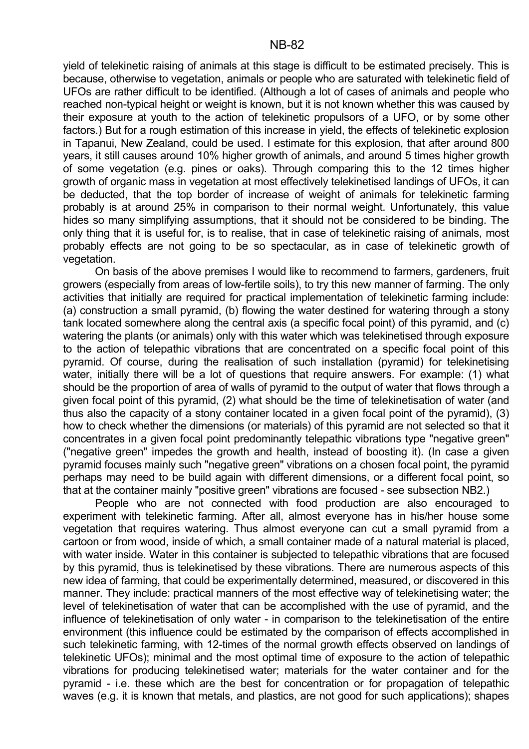yield of telekinetic raising of animals at this stage is difficult to be estimated precisely. This is because, otherwise to vegetation, animals or people who are saturated with telekinetic field of UFOs are rather difficult to be identified. (Although a lot of cases of animals and people who reached non-typical height or weight is known, but it is not known whether this was caused by their exposure at youth to the action of telekinetic propulsors of a UFO, or by some other factors.) But for a rough estimation of this increase in yield, the effects of telekinetic explosion in Tapanui, New Zealand, could be used. I estimate for this explosion, that after around 800 years, it still causes around 10% higher growth of animals, and around 5 times higher growth of some vegetation (e.g. pines or oaks). Through comparing this to the 12 times higher growth of organic mass in vegetation at most effectively telekinetised landings of UFOs, it can be deducted, that the top border of increase of weight of animals for telekinetic farming probably is at around 25% in comparison to their normal weight. Unfortunately, this value hides so many simplifying assumptions, that it should not be considered to be binding. The only thing that it is useful for, is to realise, that in case of telekinetic raising of animals, most probably effects are not going to be so spectacular, as in case of telekinetic growth of vegetation.

 On basis of the above premises I would like to recommend to farmers, gardeners, fruit growers (especially from areas of low-fertile soils), to try this new manner of farming. The only activities that initially are required for practical implementation of telekinetic farming include: (a) construction a small pyramid, (b) flowing the water destined for watering through a stony tank located somewhere along the central axis (a specific focal point) of this pyramid, and (c) watering the plants (or animals) only with this water which was telekinetised through exposure to the action of telepathic vibrations that are concentrated on a specific focal point of this pyramid. Of course, during the realisation of such installation (pyramid) for telekinetising water, initially there will be a lot of questions that require answers. For example: (1) what should be the proportion of area of walls of pyramid to the output of water that flows through a given focal point of this pyramid, (2) what should be the time of telekinetisation of water (and thus also the capacity of a stony container located in a given focal point of the pyramid), (3) how to check whether the dimensions (or materials) of this pyramid are not selected so that it concentrates in a given focal point predominantly telepathic vibrations type "negative green" ("negative green" impedes the growth and health, instead of boosting it). (In case a given pyramid focuses mainly such "negative green" vibrations on a chosen focal point, the pyramid perhaps may need to be build again with different dimensions, or a different focal point, so that at the container mainly "positive green" vibrations are focused - see subsection NB2.)

 People who are not connected with food production are also encouraged to experiment with telekinetic farming. After all, almost everyone has in his/her house some vegetation that requires watering. Thus almost everyone can cut a small pyramid from a cartoon or from wood, inside of which, a small container made of a natural material is placed, with water inside. Water in this container is subjected to telepathic vibrations that are focused by this pyramid, thus is telekinetised by these vibrations. There are numerous aspects of this new idea of farming, that could be experimentally determined, measured, or discovered in this manner. They include: practical manners of the most effective way of telekinetising water; the level of telekinetisation of water that can be accomplished with the use of pyramid, and the influence of telekinetisation of only water - in comparison to the telekinetisation of the entire environment (this influence could be estimated by the comparison of effects accomplished in such telekinetic farming, with 12-times of the normal growth effects observed on landings of telekinetic UFOs); minimal and the most optimal time of exposure to the action of telepathic vibrations for producing telekinetised water; materials for the water container and for the pyramid - i.e. these which are the best for concentration or for propagation of telepathic waves (e.g. it is known that metals, and plastics, are not good for such applications); shapes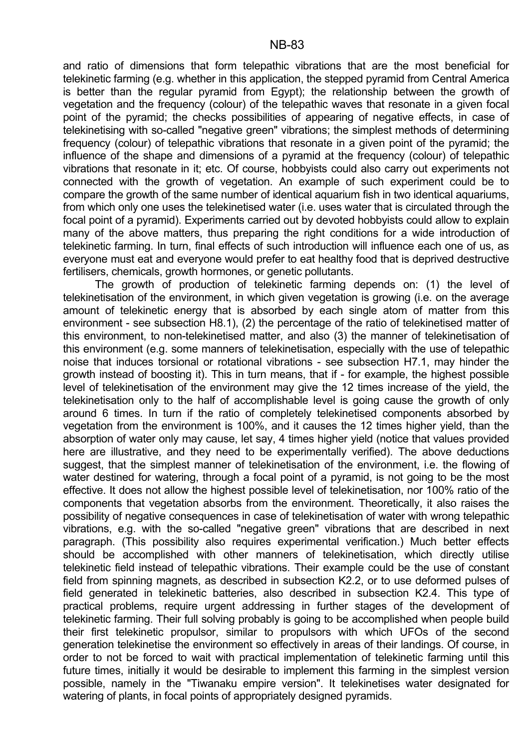and ratio of dimensions that form telepathic vibrations that are the most beneficial for telekinetic farming (e.g. whether in this application, the stepped pyramid from Central America is better than the regular pyramid from Egypt); the relationship between the growth of vegetation and the frequency (colour) of the telepathic waves that resonate in a given focal point of the pyramid; the checks possibilities of appearing of negative effects, in case of telekinetising with so-called "negative green" vibrations; the simplest methods of determining frequency (colour) of telepathic vibrations that resonate in a given point of the pyramid; the influence of the shape and dimensions of a pyramid at the frequency (colour) of telepathic vibrations that resonate in it; etc. Of course, hobbyists could also carry out experiments not connected with the growth of vegetation. An example of such experiment could be to compare the growth of the same number of identical aquarium fish in two identical aquariums, from which only one uses the telekinetised water (i.e. uses water that is circulated through the focal point of a pyramid). Experiments carried out by devoted hobbyists could allow to explain many of the above matters, thus preparing the right conditions for a wide introduction of telekinetic farming. In turn, final effects of such introduction will influence each one of us, as everyone must eat and everyone would prefer to eat healthy food that is deprived destructive fertilisers, chemicals, growth hormones, or genetic pollutants.

 The growth of production of telekinetic farming depends on: (1) the level of telekinetisation of the environment, in which given vegetation is growing (i.e. on the average amount of telekinetic energy that is absorbed by each single atom of matter from this environment - see subsection H8.1), (2) the percentage of the ratio of telekinetised matter of this environment, to non-telekinetised matter, and also (3) the manner of telekinetisation of this environment (e.g. some manners of telekinetisation, especially with the use of telepathic noise that induces torsional or rotational vibrations - see subsection H7.1, may hinder the growth instead of boosting it). This in turn means, that if - for example, the highest possible level of telekinetisation of the environment may give the 12 times increase of the yield, the telekinetisation only to the half of accomplishable level is going cause the growth of only around 6 times. In turn if the ratio of completely telekinetised components absorbed by vegetation from the environment is 100%, and it causes the 12 times higher yield, than the absorption of water only may cause, let say, 4 times higher yield (notice that values provided here are illustrative, and they need to be experimentally verified). The above deductions suggest, that the simplest manner of telekinetisation of the environment, i.e. the flowing of water destined for watering, through a focal point of a pyramid, is not going to be the most effective. It does not allow the highest possible level of telekinetisation, nor 100% ratio of the components that vegetation absorbs from the environment. Theoretically, it also raises the possibility of negative consequences in case of telekinetisation of water with wrong telepathic vibrations, e.g. with the so-called "negative green" vibrations that are described in next paragraph. (This possibility also requires experimental verification.) Much better effects should be accomplished with other manners of telekinetisation, which directly utilise telekinetic field instead of telepathic vibrations. Their example could be the use of constant field from spinning magnets, as described in subsection K2.2, or to use deformed pulses of field generated in telekinetic batteries, also described in subsection K2.4. This type of practical problems, require urgent addressing in further stages of the development of telekinetic farming. Their full solving probably is going to be accomplished when people build their first telekinetic propulsor, similar to propulsors with which UFOs of the second generation telekinetise the environment so effectively in areas of their landings. Of course, in order to not be forced to wait with practical implementation of telekinetic farming until this future times, initially it would be desirable to implement this farming in the simplest version possible, namely in the "Tiwanaku empire version". It telekinetises water designated for watering of plants, in focal points of appropriately designed pyramids.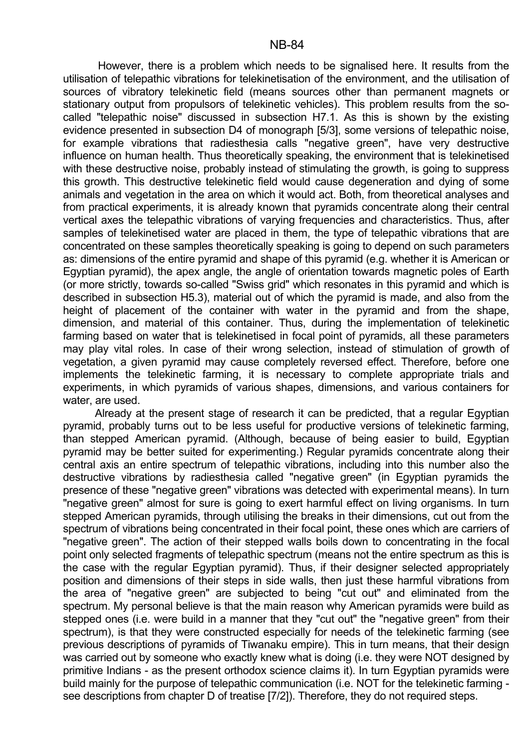However, there is a problem which needs to be signalised here. It results from the utilisation of telepathic vibrations for telekinetisation of the environment, and the utilisation of sources of vibratory telekinetic field (means sources other than permanent magnets or stationary output from propulsors of telekinetic vehicles). This problem results from the socalled "telepathic noise" discussed in subsection H7.1. As this is shown by the existing evidence presented in subsection D4 of monograph [5/3], some versions of telepathic noise, for example vibrations that radiesthesia calls "negative green", have very destructive influence on human health. Thus theoretically speaking, the environment that is telekinetised with these destructive noise, probably instead of stimulating the growth, is going to suppress this growth. This destructive telekinetic field would cause degeneration and dying of some animals and vegetation in the area on which it would act. Both, from theoretical analyses and from practical experiments, it is already known that pyramids concentrate along their central vertical axes the telepathic vibrations of varying frequencies and characteristics. Thus, after samples of telekinetised water are placed in them, the type of telepathic vibrations that are concentrated on these samples theoretically speaking is going to depend on such parameters as: dimensions of the entire pyramid and shape of this pyramid (e.g. whether it is American or Egyptian pyramid), the apex angle, the angle of orientation towards magnetic poles of Earth (or more strictly, towards so-called "Swiss grid" which resonates in this pyramid and which is described in subsection H5.3), material out of which the pyramid is made, and also from the height of placement of the container with water in the pyramid and from the shape, dimension, and material of this container. Thus, during the implementation of telekinetic farming based on water that is telekinetised in focal point of pyramids, all these parameters may play vital roles. In case of their wrong selection, instead of stimulation of growth of vegetation, a given pyramid may cause completely reversed effect. Therefore, before one implements the telekinetic farming, it is necessary to complete appropriate trials and experiments, in which pyramids of various shapes, dimensions, and various containers for water, are used.

 Already at the present stage of research it can be predicted, that a regular Egyptian pyramid, probably turns out to be less useful for productive versions of telekinetic farming, than stepped American pyramid. (Although, because of being easier to build, Egyptian pyramid may be better suited for experimenting.) Regular pyramids concentrate along their central axis an entire spectrum of telepathic vibrations, including into this number also the destructive vibrations by radiesthesia called "negative green" (in Egyptian pyramids the presence of these "negative green" vibrations was detected with experimental means). In turn "negative green" almost for sure is going to exert harmful effect on living organisms. In turn stepped American pyramids, through utilising the breaks in their dimensions, cut out from the spectrum of vibrations being concentrated in their focal point, these ones which are carriers of "negative green". The action of their stepped walls boils down to concentrating in the focal point only selected fragments of telepathic spectrum (means not the entire spectrum as this is the case with the regular Egyptian pyramid). Thus, if their designer selected appropriately position and dimensions of their steps in side walls, then just these harmful vibrations from the area of "negative green" are subjected to being "cut out" and eliminated from the spectrum. My personal believe is that the main reason why American pyramids were build as stepped ones (i.e. were build in a manner that they "cut out" the "negative green" from their spectrum), is that they were constructed especially for needs of the telekinetic farming (see previous descriptions of pyramids of Tiwanaku empire). This in turn means, that their design was carried out by someone who exactly knew what is doing (i.e. they were NOT designed by primitive Indians - as the present orthodox science claims it). In turn Egyptian pyramids were build mainly for the purpose of telepathic communication (i.e. NOT for the telekinetic farming see descriptions from chapter D of treatise [7/2]). Therefore, they do not required steps.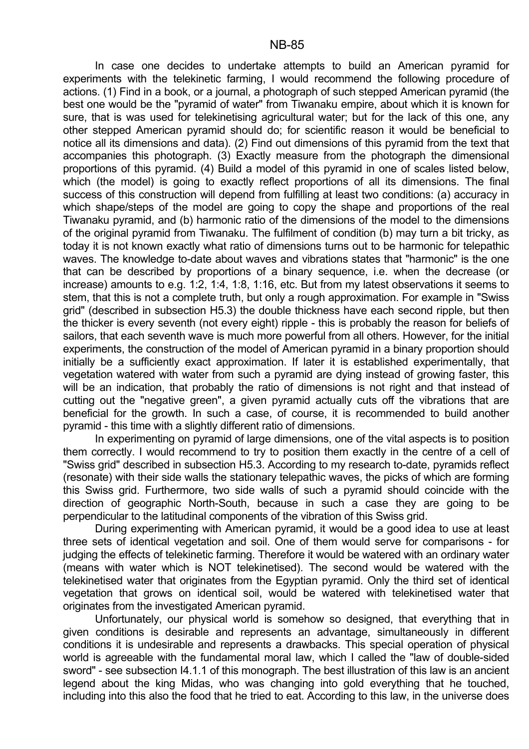In case one decides to undertake attempts to build an American pyramid for experiments with the telekinetic farming, I would recommend the following procedure of actions. (1) Find in a book, or a journal, a photograph of such stepped American pyramid (the best one would be the "pyramid of water" from Tiwanaku empire, about which it is known for sure, that is was used for telekinetising agricultural water; but for the lack of this one, any other stepped American pyramid should do; for scientific reason it would be beneficial to notice all its dimensions and data). (2) Find out dimensions of this pyramid from the text that accompanies this photograph. (3) Exactly measure from the photograph the dimensional proportions of this pyramid. (4) Build a model of this pyramid in one of scales listed below, which (the model) is going to exactly reflect proportions of all its dimensions. The final success of this construction will depend from fulfilling at least two conditions: (a) accuracy in which shape/steps of the model are going to copy the shape and proportions of the real Tiwanaku pyramid, and (b) harmonic ratio of the dimensions of the model to the dimensions of the original pyramid from Tiwanaku. The fulfilment of condition (b) may turn a bit tricky, as today it is not known exactly what ratio of dimensions turns out to be harmonic for telepathic waves. The knowledge to-date about waves and vibrations states that "harmonic" is the one that can be described by proportions of a binary sequence, i.e. when the decrease (or increase) amounts to e.g. 1:2, 1:4, 1:8, 1:16, etc. But from my latest observations it seems to stem, that this is not a complete truth, but only a rough approximation. For example in "Swiss grid" (described in subsection H5.3) the double thickness have each second ripple, but then the thicker is every seventh (not every eight) ripple - this is probably the reason for beliefs of sailors, that each seventh wave is much more powerful from all others. However, for the initial experiments, the construction of the model of American pyramid in a binary proportion should initially be a sufficiently exact approximation. If later it is established experimentally, that vegetation watered with water from such a pyramid are dying instead of growing faster, this will be an indication, that probably the ratio of dimensions is not right and that instead of cutting out the "negative green", a given pyramid actually cuts off the vibrations that are beneficial for the growth. In such a case, of course, it is recommended to build another pyramid - this time with a slightly different ratio of dimensions.

 In experimenting on pyramid of large dimensions, one of the vital aspects is to position them correctly. I would recommend to try to position them exactly in the centre of a cell of "Swiss grid" described in subsection H5.3. According to my research to-date, pyramids reflect (resonate) with their side walls the stationary telepathic waves, the picks of which are forming this Swiss grid. Furthermore, two side walls of such a pyramid should coincide with the direction of geographic North-South, because in such a case they are going to be perpendicular to the latitudinal components of the vibration of this Swiss grid.

 During experimenting with American pyramid, it would be a good idea to use at least three sets of identical vegetation and soil. One of them would serve for comparisons - for judging the effects of telekinetic farming. Therefore it would be watered with an ordinary water (means with water which is NOT telekinetised). The second would be watered with the telekinetised water that originates from the Egyptian pyramid. Only the third set of identical vegetation that grows on identical soil, would be watered with telekinetised water that originates from the investigated American pyramid.

 Unfortunately, our physical world is somehow so designed, that everything that in given conditions is desirable and represents an advantage, simultaneously in different conditions it is undesirable and represents a drawbacks. This special operation of physical world is agreeable with the fundamental moral law, which I called the "law of double-sided sword" - see subsection I4.1.1 of this monograph. The best illustration of this law is an ancient legend about the king Midas, who was changing into gold everything that he touched, including into this also the food that he tried to eat. According to this law, in the universe does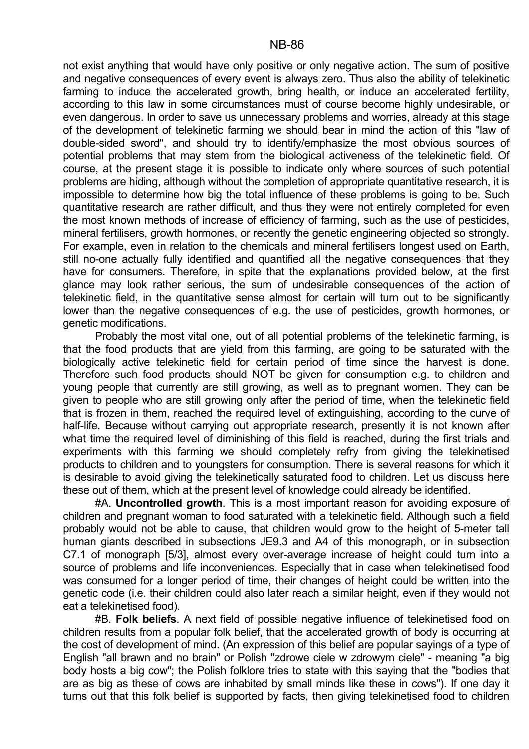not exist anything that would have only positive or only negative action. The sum of positive and negative consequences of every event is always zero. Thus also the ability of telekinetic farming to induce the accelerated growth, bring health, or induce an accelerated fertility, according to this law in some circumstances must of course become highly undesirable, or even dangerous. In order to save us unnecessary problems and worries, already at this stage of the development of telekinetic farming we should bear in mind the action of this "law of double-sided sword", and should try to identify/emphasize the most obvious sources of potential problems that may stem from the biological activeness of the telekinetic field. Of course, at the present stage it is possible to indicate only where sources of such potential problems are hiding, although without the completion of appropriate quantitative research, it is impossible to determine how big the total influence of these problems is going to be. Such quantitative research are rather difficult, and thus they were not entirely completed for even the most known methods of increase of efficiency of farming, such as the use of pesticides, mineral fertilisers, growth hormones, or recently the genetic engineering objected so strongly. For example, even in relation to the chemicals and mineral fertilisers longest used on Earth, still no-one actually fully identified and quantified all the negative consequences that they have for consumers. Therefore, in spite that the explanations provided below, at the first glance may look rather serious, the sum of undesirable consequences of the action of telekinetic field, in the quantitative sense almost for certain will turn out to be significantly lower than the negative consequences of e.g. the use of pesticides, growth hormones, or genetic modifications.

 Probably the most vital one, out of all potential problems of the telekinetic farming, is that the food products that are yield from this farming, are going to be saturated with the biologically active telekinetic field for certain period of time since the harvest is done. Therefore such food products should NOT be given for consumption e.g. to children and young people that currently are still growing, as well as to pregnant women. They can be given to people who are still growing only after the period of time, when the telekinetic field that is frozen in them, reached the required level of extinguishing, according to the curve of half-life. Because without carrying out appropriate research, presently it is not known after what time the required level of diminishing of this field is reached, during the first trials and experiments with this farming we should completely refry from giving the telekinetised products to children and to youngsters for consumption. There is several reasons for which it is desirable to avoid giving the telekinetically saturated food to children. Let us discuss here these out of them, which at the present level of knowledge could already be identified.

 #A. **Uncontrolled growth**. This is a most important reason for avoiding exposure of children and pregnant woman to food saturated with a telekinetic field. Although such a field probably would not be able to cause, that children would grow to the height of 5-meter tall human giants described in subsections JE9.3 and A4 of this monograph, or in subsection C7.1 of monograph [5/3], almost every over-average increase of height could turn into a source of problems and life inconveniences. Especially that in case when telekinetised food was consumed for a longer period of time, their changes of height could be written into the genetic code (i.e. their children could also later reach a similar height, even if they would not eat a telekinetised food).

 #B. **Folk beliefs**. A next field of possible negative influence of telekinetised food on children results from a popular folk belief, that the accelerated growth of body is occurring at the cost of development of mind. (An expression of this belief are popular sayings of a type of English "all brawn and no brain" or Polish "zdrowe ciele w zdrowym ciele" - meaning "a big body hosts a big cow"; the Polish folklore tries to state with this saying that the "bodies that are as big as these of cows are inhabited by small minds like these in cows"). If one day it turns out that this folk belief is supported by facts, then giving telekinetised food to children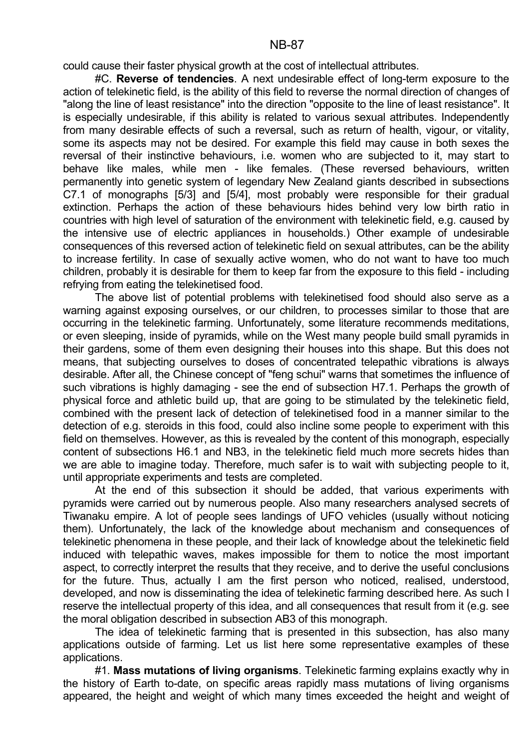could cause their faster physical growth at the cost of intellectual attributes.

 #C. **Reverse of tendencies**. A next undesirable effect of long-term exposure to the action of telekinetic field, is the ability of this field to reverse the normal direction of changes of "along the line of least resistance" into the direction "opposite to the line of least resistance". It is especially undesirable, if this ability is related to various sexual attributes. Independently from many desirable effects of such a reversal, such as return of health, vigour, or vitality, some its aspects may not be desired. For example this field may cause in both sexes the reversal of their instinctive behaviours, i.e. women who are subjected to it, may start to behave like males, while men - like females. (These reversed behaviours, written permanently into genetic system of legendary New Zealand giants described in subsections C7.1 of monographs [5/3] and [5/4], most probably were responsible for their gradual extinction. Perhaps the action of these behaviours hides behind very low birth ratio in countries with high level of saturation of the environment with telekinetic field, e.g. caused by the intensive use of electric appliances in households.) Other example of undesirable consequences of this reversed action of telekinetic field on sexual attributes, can be the ability to increase fertility. In case of sexually active women, who do not want to have too much children, probably it is desirable for them to keep far from the exposure to this field - including refrying from eating the telekinetised food.

 The above list of potential problems with telekinetised food should also serve as a warning against exposing ourselves, or our children, to processes similar to those that are occurring in the telekinetic farming. Unfortunately, some literature recommends meditations, or even sleeping, inside of pyramids, while on the West many people build small pyramids in their gardens, some of them even designing their houses into this shape. But this does not means, that subjecting ourselves to doses of concentrated telepathic vibrations is always desirable. After all, the Chinese concept of "feng schui" warns that sometimes the influence of such vibrations is highly damaging - see the end of subsection H7.1. Perhaps the growth of physical force and athletic build up, that are going to be stimulated by the telekinetic field, combined with the present lack of detection of telekinetised food in a manner similar to the detection of e.g. steroids in this food, could also incline some people to experiment with this field on themselves. However, as this is revealed by the content of this monograph, especially content of subsections H6.1 and NB3, in the telekinetic field much more secrets hides than we are able to imagine today. Therefore, much safer is to wait with subjecting people to it, until appropriate experiments and tests are completed.

 At the end of this subsection it should be added, that various experiments with pyramids were carried out by numerous people. Also many researchers analysed secrets of Tiwanaku empire. A lot of people sees landings of UFO vehicles (usually without noticing them). Unfortunately, the lack of the knowledge about mechanism and consequences of telekinetic phenomena in these people, and their lack of knowledge about the telekinetic field induced with telepathic waves, makes impossible for them to notice the most important aspect, to correctly interpret the results that they receive, and to derive the useful conclusions for the future. Thus, actually I am the first person who noticed, realised, understood, developed, and now is disseminating the idea of telekinetic farming described here. As such I reserve the intellectual property of this idea, and all consequences that result from it (e.g. see the moral obligation described in subsection AB3 of this monograph.

 The idea of telekinetic farming that is presented in this subsection, has also many applications outside of farming. Let us list here some representative examples of these applications.

 #1. **Mass mutations of living organisms**. Telekinetic farming explains exactly why in the history of Earth to-date, on specific areas rapidly mass mutations of living organisms appeared, the height and weight of which many times exceeded the height and weight of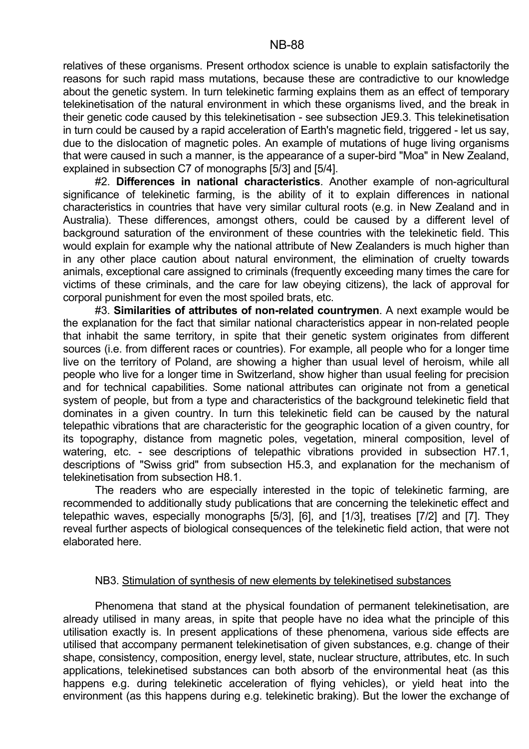relatives of these organisms. Present orthodox science is unable to explain satisfactorily the reasons for such rapid mass mutations, because these are contradictive to our knowledge about the genetic system. In turn telekinetic farming explains them as an effect of temporary telekinetisation of the natural environment in which these organisms lived, and the break in their genetic code caused by this telekinetisation - see subsection JE9.3. This telekinetisation in turn could be caused by a rapid acceleration of Earth's magnetic field, triggered - let us say, due to the dislocation of magnetic poles. An example of mutations of huge living organisms that were caused in such a manner, is the appearance of a super-bird "Moa" in New Zealand, explained in subsection C7 of monographs [5/3] and [5/4].

 #2. **Differences in national characteristics**. Another example of non-agricultural significance of telekinetic farming, is the ability of it to explain differences in national characteristics in countries that have very similar cultural roots (e.g. in New Zealand and in Australia). These differences, amongst others, could be caused by a different level of background saturation of the environment of these countries with the telekinetic field. This would explain for example why the national attribute of New Zealanders is much higher than in any other place caution about natural environment, the elimination of cruelty towards animals, exceptional care assigned to criminals (frequently exceeding many times the care for victims of these criminals, and the care for law obeying citizens), the lack of approval for corporal punishment for even the most spoiled brats, etc.

 #3. **Similarities of attributes of non-related countrymen**. A next example would be the explanation for the fact that similar national characteristics appear in non-related people that inhabit the same territory, in spite that their genetic system originates from different sources (i.e. from different races or countries). For example, all people who for a longer time live on the territory of Poland, are showing a higher than usual level of heroism, while all people who live for a longer time in Switzerland, show higher than usual feeling for precision and for technical capabilities. Some national attributes can originate not from a genetical system of people, but from a type and characteristics of the background telekinetic field that dominates in a given country. In turn this telekinetic field can be caused by the natural telepathic vibrations that are characteristic for the geographic location of a given country, for its topography, distance from magnetic poles, vegetation, mineral composition, level of watering, etc. - see descriptions of telepathic vibrations provided in subsection H7.1, descriptions of "Swiss grid" from subsection H5.3, and explanation for the mechanism of telekinetisation from subsection H8.1.

 The readers who are especially interested in the topic of telekinetic farming, are recommended to additionally study publications that are concerning the telekinetic effect and telepathic waves, especially monographs [5/3], [6], and [1/3], treatises [7/2] and [7]. They reveal further aspects of biological consequences of the telekinetic field action, that were not elaborated here.

#### NB3. Stimulation of synthesis of new elements by telekinetised substances

 Phenomena that stand at the physical foundation of permanent telekinetisation, are already utilised in many areas, in spite that people have no idea what the principle of this utilisation exactly is. In present applications of these phenomena, various side effects are utilised that accompany permanent telekinetisation of given substances, e.g. change of their shape, consistency, composition, energy level, state, nuclear structure, attributes, etc. In such applications, telekinetised substances can both absorb of the environmental heat (as this happens e.g. during telekinetic acceleration of flying vehicles), or yield heat into the environment (as this happens during e.g. telekinetic braking). But the lower the exchange of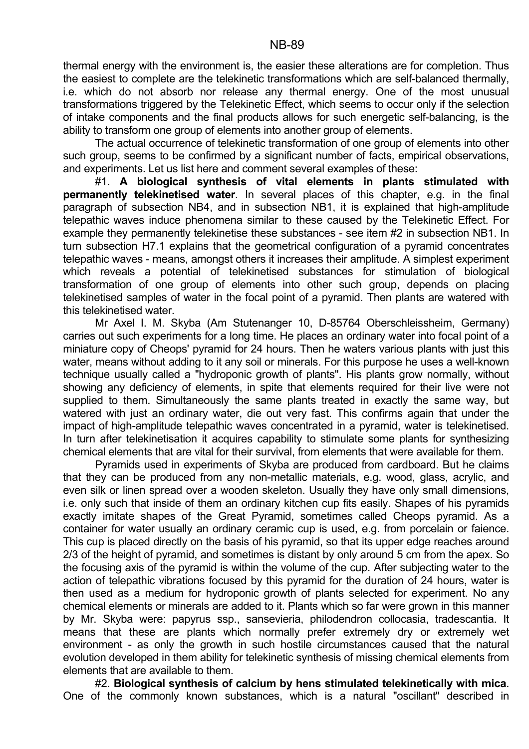thermal energy with the environment is, the easier these alterations are for completion. Thus the easiest to complete are the telekinetic transformations which are self-balanced thermally, i.e. which do not absorb nor release any thermal energy. One of the most unusual transformations triggered by the Telekinetic Effect, which seems to occur only if the selection of intake components and the final products allows for such energetic self-balancing, is the ability to transform one group of elements into another group of elements.

 The actual occurrence of telekinetic transformation of one group of elements into other such group, seems to be confirmed by a significant number of facts, empirical observations, and experiments. Let us list here and comment several examples of these:

 #1. **A biological synthesis of vital elements in plants stimulated with permanently telekinetised water**. In several places of this chapter, e.g. in the final paragraph of subsection NB4, and in subsection NB1, it is explained that high-amplitude telepathic waves induce phenomena similar to these caused by the Telekinetic Effect. For example they permanently telekinetise these substances - see item #2 in subsection NB1. In turn subsection H7.1 explains that the geometrical configuration of a pyramid concentrates telepathic waves - means, amongst others it increases their amplitude. A simplest experiment which reveals a potential of telekinetised substances for stimulation of biological transformation of one group of elements into other such group, depends on placing telekinetised samples of water in the focal point of a pyramid. Then plants are watered with this telekinetised water.

 Mr Axel I. M. Skyba (Am Stutenanger 10, D-85764 Oberschleissheim, Germany) carries out such experiments for a long time. He places an ordinary water into focal point of a miniature copy of Cheops' pyramid for 24 hours. Then he waters various plants with just this water, means without adding to it any soil or minerals. For this purpose he uses a well-known technique usually called a "hydroponic growth of plants". His plants grow normally, without showing any deficiency of elements, in spite that elements required for their live were not supplied to them. Simultaneously the same plants treated in exactly the same way, but watered with just an ordinary water, die out very fast. This confirms again that under the impact of high-amplitude telepathic waves concentrated in a pyramid, water is telekinetised. In turn after telekinetisation it acquires capability to stimulate some plants for synthesizing chemical elements that are vital for their survival, from elements that were available for them.

 Pyramids used in experiments of Skyba are produced from cardboard. But he claims that they can be produced from any non-metallic materials, e.g. wood, glass, acrylic, and even silk or linen spread over a wooden skeleton. Usually they have only small dimensions, i.e. only such that inside of them an ordinary kitchen cup fits easily. Shapes of his pyramids exactly imitate shapes of the Great Pyramid, sometimes called Cheops pyramid. As a container for water usually an ordinary ceramic cup is used, e.g. from porcelain or faience. This cup is placed directly on the basis of his pyramid, so that its upper edge reaches around 2/3 of the height of pyramid, and sometimes is distant by only around 5 cm from the apex. So the focusing axis of the pyramid is within the volume of the cup. After subjecting water to the action of telepathic vibrations focused by this pyramid for the duration of 24 hours, water is then used as a medium for hydroponic growth of plants selected for experiment. No any chemical elements or minerals are added to it. Plants which so far were grown in this manner by Mr. Skyba were: papyrus ssp., sansevieria, philodendron collocasia, tradescantia. It means that these are plants which normally prefer extremely dry or extremely wet environment - as only the growth in such hostile circumstances caused that the natural evolution developed in them ability for telekinetic synthesis of missing chemical elements from elements that are available to them.

 #2. **Biological synthesis of calcium by hens stimulated telekinetically with mica**. One of the commonly known substances, which is a natural "oscillant" described in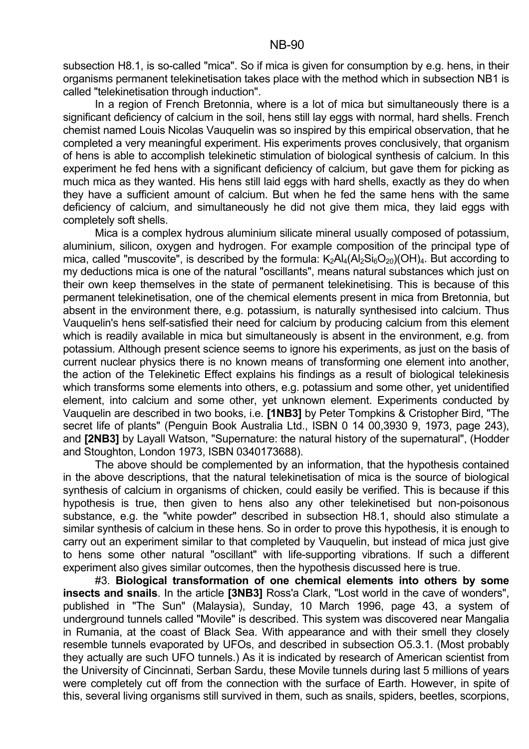subsection H8.1, is so-called "mica". So if mica is given for consumption by e.g. hens, in their organisms permanent telekinetisation takes place with the method which in subsection NB1 is called "telekinetisation through induction".

 In a region of French Bretonnia, where is a lot of mica but simultaneously there is a significant deficiency of calcium in the soil, hens still lay eggs with normal, hard shells. French chemist named Louis Nicolas Vauquelin was so inspired by this empirical observation, that he completed a very meaningful experiment. His experiments proves conclusively, that organism of hens is able to accomplish telekinetic stimulation of biological synthesis of calcium. In this experiment he fed hens with a significant deficiency of calcium, but gave them for picking as much mica as they wanted. His hens still laid eggs with hard shells, exactly as they do when they have a sufficient amount of calcium. But when he fed the same hens with the same deficiency of calcium, and simultaneously he did not give them mica, they laid eggs with completely soft shells.

 Mica is a complex hydrous aluminium silicate mineral usually composed of potassium, aluminium, silicon, oxygen and hydrogen. For example composition of the principal type of mica, called "muscovite", is described by the formula:  $K_2A_4(A_2S_6O_{20})(OH)_4$ . But according to my deductions mica is one of the natural "oscillants", means natural substances which just on their own keep themselves in the state of permanent telekinetising. This is because of this permanent telekinetisation, one of the chemical elements present in mica from Bretonnia, but absent in the environment there, e.g. potassium, is naturally synthesised into calcium. Thus Vauquelin's hens self-satisfied their need for calcium by producing calcium from this element which is readily available in mica but simultaneously is absent in the environment, e.g. from potassium. Although present science seems to ignore his experiments, as just on the basis of current nuclear physics there is no known means of transforming one element into another, the action of the Telekinetic Effect explains his findings as a result of biological telekinesis which transforms some elements into others, e.g. potassium and some other, yet unidentified element, into calcium and some other, yet unknown element. Experiments conducted by Vauquelin are described in two books, i.e. **[1NB3]** by Peter Tompkins & Cristopher Bird, "The secret life of plants" (Penguin Book Australia Ltd., ISBN 0 14 00,3930 9, 1973, page 243), and **[2NB3]** by Layall Watson, "Supernature: the natural history of the supernatural", (Hodder and Stoughton, London 1973, ISBN 0340173688).

 The above should be complemented by an information, that the hypothesis contained in the above descriptions, that the natural telekinetisation of mica is the source of biological synthesis of calcium in organisms of chicken, could easily be verified. This is because if this hypothesis is true, then given to hens also any other telekinetised but non-poisonous substance, e.g. the "white powder" described in subsection H8.1, should also stimulate a similar synthesis of calcium in these hens. So in order to prove this hypothesis, it is enough to carry out an experiment similar to that completed by Vauquelin, but instead of mica just give to hens some other natural "oscillant" with life-supporting vibrations. If such a different experiment also gives similar outcomes, then the hypothesis discussed here is true.

 #3. **Biological transformation of one chemical elements into others by some insects and snails**. In the article **[3NB3]** Ross'a Clark, "Lost world in the cave of wonders", published in "The Sun" (Malaysia), Sunday, 10 March 1996, page 43, a system of underground tunnels called "Movile" is described. This system was discovered near Mangalia in Rumania, at the coast of Black Sea. With appearance and with their smell they closely resemble tunnels evaporated by UFOs, and described in subsection O5.3.1. (Most probably they actually are such UFO tunnels.) As it is indicated by research of American scientist from the University of Cincinnati, Serban Sardu, these Movile tunnels during last 5 millions of years were completely cut off from the connection with the surface of Earth. However, in spite of this, several living organisms still survived in them, such as snails, spiders, beetles, scorpions,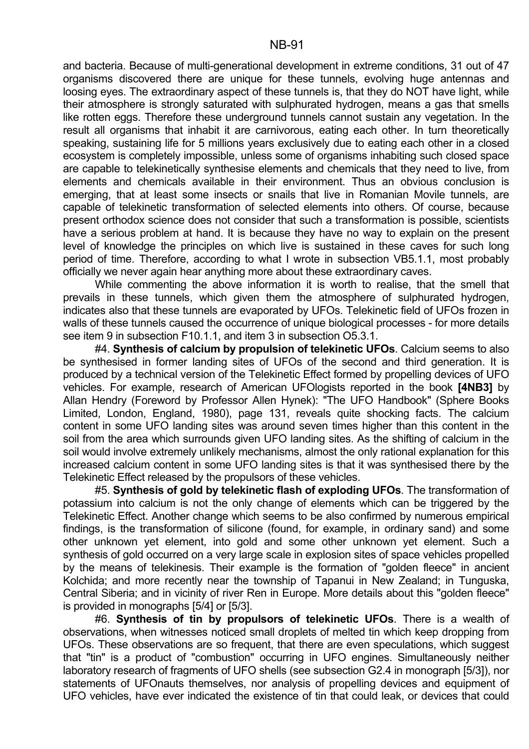and bacteria. Because of multi-generational development in extreme conditions, 31 out of 47 organisms discovered there are unique for these tunnels, evolving huge antennas and loosing eyes. The extraordinary aspect of these tunnels is, that they do NOT have light, while their atmosphere is strongly saturated with sulphurated hydrogen, means a gas that smells like rotten eggs. Therefore these underground tunnels cannot sustain any vegetation. In the result all organisms that inhabit it are carnivorous, eating each other. In turn theoretically speaking, sustaining life for 5 millions years exclusively due to eating each other in a closed ecosystem is completely impossible, unless some of organisms inhabiting such closed space are capable to telekinetically synthesise elements and chemicals that they need to live, from elements and chemicals available in their environment. Thus an obvious conclusion is emerging, that at least some insects or snails that live in Romanian Movile tunnels, are capable of telekinetic transformation of selected elements into others. Of course, because present orthodox science does not consider that such a transformation is possible, scientists have a serious problem at hand. It is because they have no way to explain on the present level of knowledge the principles on which live is sustained in these caves for such long period of time. Therefore, according to what I wrote in subsection VB5.1.1, most probably officially we never again hear anything more about these extraordinary caves.

 While commenting the above information it is worth to realise, that the smell that prevails in these tunnels, which given them the atmosphere of sulphurated hydrogen, indicates also that these tunnels are evaporated by UFOs. Telekinetic field of UFOs frozen in walls of these tunnels caused the occurrence of unique biological processes - for more details see item 9 in subsection F10.1.1, and item 3 in subsection O5.3.1.

 #4. **Synthesis of calcium by propulsion of telekinetic UFOs**. Calcium seems to also be synthesised in former landing sites of UFOs of the second and third generation. It is produced by a technical version of the Telekinetic Effect formed by propelling devices of UFO vehicles. For example, research of American UFOlogists reported in the book **[4NB3]** by Allan Hendry (Foreword by Professor Allen Hynek): "The UFO Handbook" (Sphere Books Limited, London, England, 1980), page 131, reveals quite shocking facts. The calcium content in some UFO landing sites was around seven times higher than this content in the soil from the area which surrounds given UFO landing sites. As the shifting of calcium in the soil would involve extremely unlikely mechanisms, almost the only rational explanation for this increased calcium content in some UFO landing sites is that it was synthesised there by the Telekinetic Effect released by the propulsors of these vehicles.

 #5. **Synthesis of gold by telekinetic flash of exploding UFOs**. The transformation of potassium into calcium is not the only change of elements which can be triggered by the Telekinetic Effect. Another change which seems to be also confirmed by numerous empirical findings, is the transformation of silicone (found, for example, in ordinary sand) and some other unknown yet element, into gold and some other unknown yet element. Such a synthesis of gold occurred on a very large scale in explosion sites of space vehicles propelled by the means of telekinesis. Their example is the formation of "golden fleece" in ancient Kolchida; and more recently near the township of Tapanui in New Zealand; in Tunguska, Central Siberia; and in vicinity of river Ren in Europe. More details about this "golden fleece" is provided in monographs [5/4] or [5/3].

 #6. **Synthesis of tin by propulsors of telekinetic UFOs**. There is a wealth of observations, when witnesses noticed small droplets of melted tin which keep dropping from UFOs. These observations are so frequent, that there are even speculations, which suggest that "tin" is a product of "combustion" occurring in UFO engines. Simultaneously neither laboratory research of fragments of UFO shells (see subsection G2.4 in monograph [5/3]), nor statements of UFOnauts themselves, nor analysis of propelling devices and equipment of UFO vehicles, have ever indicated the existence of tin that could leak, or devices that could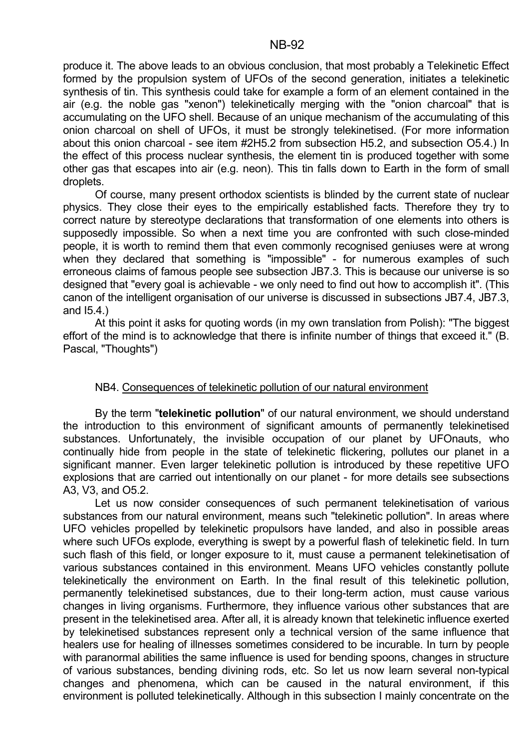produce it. The above leads to an obvious conclusion, that most probably a Telekinetic Effect formed by the propulsion system of UFOs of the second generation, initiates a telekinetic synthesis of tin. This synthesis could take for example a form of an element contained in the air (e.g. the noble gas "xenon") telekinetically merging with the "onion charcoal" that is accumulating on the UFO shell. Because of an unique mechanism of the accumulating of this onion charcoal on shell of UFOs, it must be strongly telekinetised. (For more information about this onion charcoal - see item #2H5.2 from subsection H5.2, and subsection O5.4.) In the effect of this process nuclear synthesis, the element tin is produced together with some other gas that escapes into air (e.g. neon). This tin falls down to Earth in the form of small droplets.

 Of course, many present orthodox scientists is blinded by the current state of nuclear physics. They close their eyes to the empirically established facts. Therefore they try to correct nature by stereotype declarations that transformation of one elements into others is supposedly impossible. So when a next time you are confronted with such close-minded people, it is worth to remind them that even commonly recognised geniuses were at wrong when they declared that something is "impossible" - for numerous examples of such erroneous claims of famous people see subsection JB7.3. This is because our universe is so designed that "every goal is achievable - we only need to find out how to accomplish it". (This canon of the intelligent organisation of our universe is discussed in subsections JB7.4, JB7.3, and I5.4.)

 At this point it asks for quoting words (in my own translation from Polish): "The biggest effort of the mind is to acknowledge that there is infinite number of things that exceed it." (B. Pascal, "Thoughts")

## NB4. Consequences of telekinetic pollution of our natural environment

 By the term "**telekinetic pollution**" of our natural environment, we should understand the introduction to this environment of significant amounts of permanently telekinetised substances. Unfortunately, the invisible occupation of our planet by UFOnauts, who continually hide from people in the state of telekinetic flickering, pollutes our planet in a significant manner. Even larger telekinetic pollution is introduced by these repetitive UFO explosions that are carried out intentionally on our planet - for more details see subsections A3, V3, and O5.2.

 Let us now consider consequences of such permanent telekinetisation of various substances from our natural environment, means such "telekinetic pollution". In areas where UFO vehicles propelled by telekinetic propulsors have landed, and also in possible areas where such UFOs explode, everything is swept by a powerful flash of telekinetic field. In turn such flash of this field, or longer exposure to it, must cause a permanent telekinetisation of various substances contained in this environment. Means UFO vehicles constantly pollute telekinetically the environment on Earth. In the final result of this telekinetic pollution, permanently telekinetised substances, due to their long-term action, must cause various changes in living organisms. Furthermore, they influence various other substances that are present in the telekinetised area. After all, it is already known that telekinetic influence exerted by telekinetised substances represent only a technical version of the same influence that healers use for healing of illnesses sometimes considered to be incurable. In turn by people with paranormal abilities the same influence is used for bending spoons, changes in structure of various substances, bending divining rods, etc. So let us now learn several non-typical changes and phenomena, which can be caused in the natural environment, if this environment is polluted telekinetically. Although in this subsection I mainly concentrate on the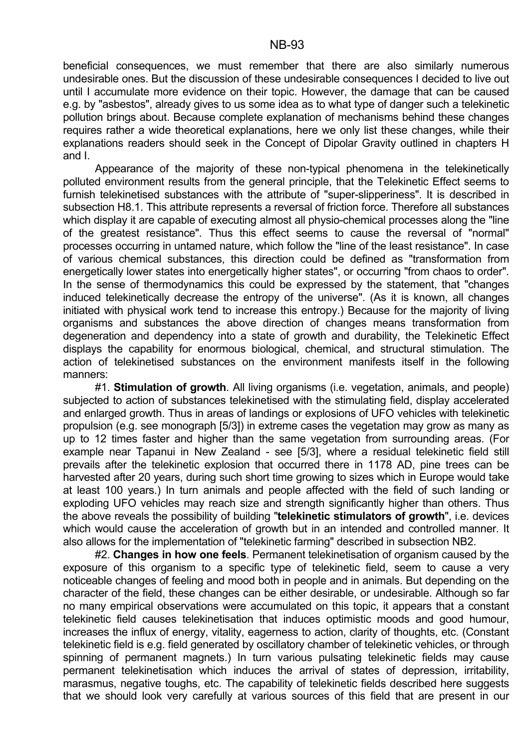beneficial consequences, we must remember that there are also similarly numerous undesirable ones. But the discussion of these undesirable consequences I decided to live out until I accumulate more evidence on their topic. However, the damage that can be caused e.g. by "asbestos", already gives to us some idea as to what type of danger such a telekinetic pollution brings about. Because complete explanation of mechanisms behind these changes requires rather a wide theoretical explanations, here we only list these changes, while their explanations readers should seek in the Concept of Dipolar Gravity outlined in chapters H and I.

 Appearance of the majority of these non-typical phenomena in the telekinetically polluted environment results from the general principle, that the Telekinetic Effect seems to furnish telekinetised substances with the attribute of "super-slipperiness". It is described in subsection H8.1. This attribute represents a reversal of friction force. Therefore all substances which display it are capable of executing almost all physio-chemical processes along the "line of the greatest resistance". Thus this effect seems to cause the reversal of "normal" processes occurring in untamed nature, which follow the "line of the least resistance". In case of various chemical substances, this direction could be defined as "transformation from energetically lower states into energetically higher states", or occurring "from chaos to order". In the sense of thermodynamics this could be expressed by the statement, that "changes induced telekinetically decrease the entropy of the universe". (As it is known, all changes initiated with physical work tend to increase this entropy.) Because for the majority of living organisms and substances the above direction of changes means transformation from degeneration and dependency into a state of growth and durability, the Telekinetic Effect displays the capability for enormous biological, chemical, and structural stimulation. The action of telekinetised substances on the environment manifests itself in the following manners:

 #1. **Stimulation of growth**. All living organisms (i.e. vegetation, animals, and people) subjected to action of substances telekinetised with the stimulating field, display accelerated and enlarged growth. Thus in areas of landings or explosions of UFO vehicles with telekinetic propulsion (e.g. see monograph [5/3]) in extreme cases the vegetation may grow as many as up to 12 times faster and higher than the same vegetation from surrounding areas. (For example near Tapanui in New Zealand - see [5/3], where a residual telekinetic field still prevails after the telekinetic explosion that occurred there in 1178 AD, pine trees can be harvested after 20 years, during such short time growing to sizes which in Europe would take at least 100 years.) In turn animals and people affected with the field of such landing or exploding UFO vehicles may reach size and strength significantly higher than others. Thus the above reveals the possibility of building "**telekinetic stimulators of growth**", i.e. devices which would cause the acceleration of growth but in an intended and controlled manner. It also allows for the implementation of "telekinetic farming" described in subsection NB2.

 #2. **Changes in how one feels**. Permanent telekinetisation of organism caused by the exposure of this organism to a specific type of telekinetic field, seem to cause a very noticeable changes of feeling and mood both in people and in animals. But depending on the character of the field, these changes can be either desirable, or undesirable. Although so far no many empirical observations were accumulated on this topic, it appears that a constant telekinetic field causes telekinetisation that induces optimistic moods and good humour, increases the influx of energy, vitality, eagerness to action, clarity of thoughts, etc. (Constant telekinetic field is e.g. field generated by oscillatory chamber of telekinetic vehicles, or through spinning of permanent magnets.) In turn various pulsating telekinetic fields may cause permanent telekinetisation which induces the arrival of states of depression, irritability, marasmus, negative toughs, etc. The capability of telekinetic fields described here suggests that we should look very carefully at various sources of this field that are present in our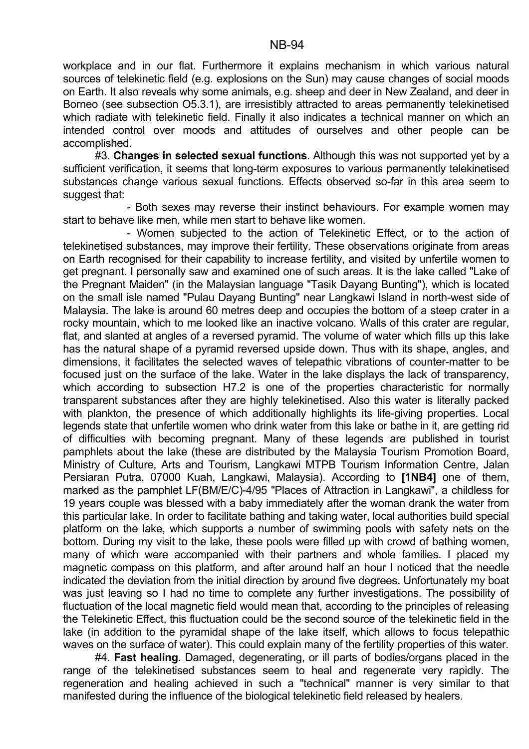workplace and in our flat. Furthermore it explains mechanism in which various natural sources of telekinetic field (e.g. explosions on the Sun) may cause changes of social moods on Earth. It also reveals why some animals, e.g. sheep and deer in New Zealand, and deer in Borneo (see subsection O5.3.1), are irresistibly attracted to areas permanently telekinetised which radiate with telekinetic field. Finally it also indicates a technical manner on which an intended control over moods and attitudes of ourselves and other people can be accomplished.

 #3. **Changes in selected sexual functions**. Although this was not supported yet by a sufficient verification, it seems that long-term exposures to various permanently telekinetised substances change various sexual functions. Effects observed so-far in this area seem to suggest that:

 - Both sexes may reverse their instinct behaviours. For example women may start to behave like men, while men start to behave like women.

 - Women subjected to the action of Telekinetic Effect, or to the action of telekinetised substances, may improve their fertility. These observations originate from areas on Earth recognised for their capability to increase fertility, and visited by unfertile women to get pregnant. I personally saw and examined one of such areas. It is the lake called "Lake of the Pregnant Maiden" (in the Malaysian language "Tasik Dayang Bunting"), which is located on the small isle named "Pulau Dayang Bunting" near Langkawi Island in north-west side of Malaysia. The lake is around 60 metres deep and occupies the bottom of a steep crater in a rocky mountain, which to me looked like an inactive volcano. Walls of this crater are regular, flat, and slanted at angles of a reversed pyramid. The volume of water which fills up this lake has the natural shape of a pyramid reversed upside down. Thus with its shape, angles, and dimensions, it facilitates the selected waves of telepathic vibrations of counter-matter to be focused just on the surface of the lake. Water in the lake displays the lack of transparency, which according to subsection H7.2 is one of the properties characteristic for normally transparent substances after they are highly telekinetised. Also this water is literally packed with plankton, the presence of which additionally highlights its life-giving properties. Local legends state that unfertile women who drink water from this lake or bathe in it, are getting rid of difficulties with becoming pregnant. Many of these legends are published in tourist pamphlets about the lake (these are distributed by the Malaysia Tourism Promotion Board, Ministry of Culture, Arts and Tourism, Langkawi MTPB Tourism Information Centre, Jalan Persiaran Putra, 07000 Kuah, Langkawi, Malaysia). According to **[1NB4]** one of them, marked as the pamphlet LF(BM/E/C)-4/95 "Places of Attraction in Langkawi", a childless for 19 years couple was blessed with a baby immediately after the woman drank the water from this particular lake. In order to facilitate bathing and taking water, local authorities build special platform on the lake, which supports a number of swimming pools with safety nets on the bottom. During my visit to the lake, these pools were filled up with crowd of bathing women, many of which were accompanied with their partners and whole families. I placed my magnetic compass on this platform, and after around half an hour I noticed that the needle indicated the deviation from the initial direction by around five degrees. Unfortunately my boat was just leaving so I had no time to complete any further investigations. The possibility of fluctuation of the local magnetic field would mean that, according to the principles of releasing the Telekinetic Effect, this fluctuation could be the second source of the telekinetic field in the lake (in addition to the pyramidal shape of the lake itself, which allows to focus telepathic waves on the surface of water). This could explain many of the fertility properties of this water.

 #4. **Fast healing**. Damaged, degenerating, or ill parts of bodies/organs placed in the range of the telekinetised substances seem to heal and regenerate very rapidly. The regeneration and healing achieved in such a "technical" manner is very similar to that manifested during the influence of the biological telekinetic field released by healers.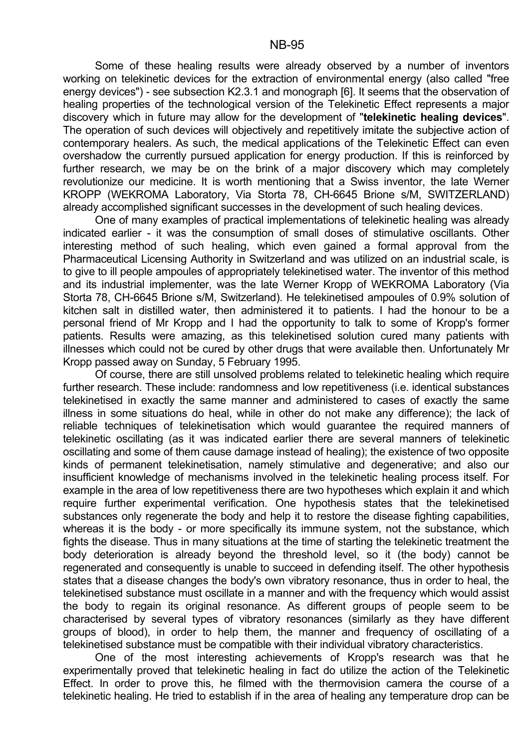Some of these healing results were already observed by a number of inventors working on telekinetic devices for the extraction of environmental energy (also called "free energy devices") - see subsection K2.3.1 and monograph [6]. It seems that the observation of healing properties of the technological version of the Telekinetic Effect represents a major discovery which in future may allow for the development of "**telekinetic healing devices**". The operation of such devices will objectively and repetitively imitate the subjective action of contemporary healers. As such, the medical applications of the Telekinetic Effect can even overshadow the currently pursued application for energy production. If this is reinforced by further research, we may be on the brink of a major discovery which may completely revolutionize our medicine. It is worth mentioning that a Swiss inventor, the late Werner KROPP (WEKROMA Laboratory, Via Storta 78, CH-6645 Brione s/M, SWITZERLAND) already accomplished significant successes in the development of such healing devices.

 One of many examples of practical implementations of telekinetic healing was already indicated earlier - it was the consumption of small doses of stimulative oscillants. Other interesting method of such healing, which even gained a formal approval from the Pharmaceutical Licensing Authority in Switzerland and was utilized on an industrial scale, is to give to ill people ampoules of appropriately telekinetised water. The inventor of this method and its industrial implementer, was the late Werner Kropp of WEKROMA Laboratory (Via Storta 78, CH-6645 Brione s/M, Switzerland). He telekinetised ampoules of 0.9% solution of kitchen salt in distilled water, then administered it to patients. I had the honour to be a personal friend of Mr Kropp and I had the opportunity to talk to some of Kropp's former patients. Results were amazing, as this telekinetised solution cured many patients with illnesses which could not be cured by other drugs that were available then. Unfortunately Mr Kropp passed away on Sunday, 5 February 1995.

 Of course, there are still unsolved problems related to telekinetic healing which require further research. These include: randomness and low repetitiveness (i.e. identical substances telekinetised in exactly the same manner and administered to cases of exactly the same illness in some situations do heal, while in other do not make any difference); the lack of reliable techniques of telekinetisation which would guarantee the required manners of telekinetic oscillating (as it was indicated earlier there are several manners of telekinetic oscillating and some of them cause damage instead of healing); the existence of two opposite kinds of permanent telekinetisation, namely stimulative and degenerative; and also our insufficient knowledge of mechanisms involved in the telekinetic healing process itself. For example in the area of low repetitiveness there are two hypotheses which explain it and which require further experimental verification. One hypothesis states that the telekinetised substances only regenerate the body and help it to restore the disease fighting capabilities, whereas it is the body - or more specifically its immune system, not the substance, which fights the disease. Thus in many situations at the time of starting the telekinetic treatment the body deterioration is already beyond the threshold level, so it (the body) cannot be regenerated and consequently is unable to succeed in defending itself. The other hypothesis states that a disease changes the body's own vibratory resonance, thus in order to heal, the telekinetised substance must oscillate in a manner and with the frequency which would assist the body to regain its original resonance. As different groups of people seem to be characterised by several types of vibratory resonances (similarly as they have different groups of blood), in order to help them, the manner and frequency of oscillating of a telekinetised substance must be compatible with their individual vibratory characteristics.

 One of the most interesting achievements of Kropp's research was that he experimentally proved that telekinetic healing in fact do utilize the action of the Telekinetic Effect. In order to prove this, he filmed with the thermovision camera the course of a telekinetic healing. He tried to establish if in the area of healing any temperature drop can be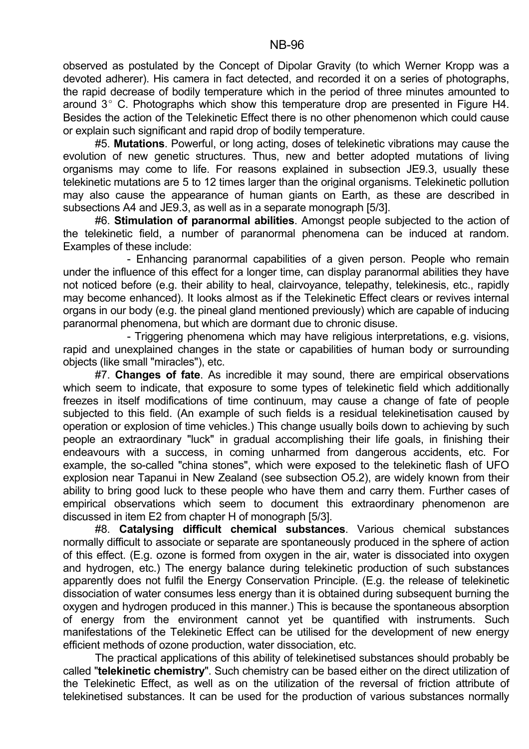observed as postulated by the Concept of Dipolar Gravity (to which Werner Kropp was a devoted adherer). His camera in fact detected, and recorded it on a series of photographs, the rapid decrease of bodily temperature which in the period of three minutes amounted to around  $3^{\circ}$  C. Photographs which show this temperature drop are presented in Figure H4. Besides the action of the Telekinetic Effect there is no other phenomenon which could cause or explain such significant and rapid drop of bodily temperature.

 #5. **Mutations**. Powerful, or long acting, doses of telekinetic vibrations may cause the evolution of new genetic structures. Thus, new and better adopted mutations of living organisms may come to life. For reasons explained in subsection JE9.3, usually these telekinetic mutations are 5 to 12 times larger than the original organisms. Telekinetic pollution may also cause the appearance of human giants on Earth, as these are described in subsections A4 and JE9.3, as well as in a separate monograph [5/3].

 #6. **Stimulation of paranormal abilities**. Amongst people subjected to the action of the telekinetic field, a number of paranormal phenomena can be induced at random. Examples of these include:

 - Enhancing paranormal capabilities of a given person. People who remain under the influence of this effect for a longer time, can display paranormal abilities they have not noticed before (e.g. their ability to heal, clairvoyance, telepathy, telekinesis, etc., rapidly may become enhanced). It looks almost as if the Telekinetic Effect clears or revives internal organs in our body (e.g. the pineal gland mentioned previously) which are capable of inducing paranormal phenomena, but which are dormant due to chronic disuse.

 - Triggering phenomena which may have religious interpretations, e.g. visions, rapid and unexplained changes in the state or capabilities of human body or surrounding objects (like small "miracles"), etc.

 #7. **Changes of fate**. As incredible it may sound, there are empirical observations which seem to indicate, that exposure to some types of telekinetic field which additionally freezes in itself modifications of time continuum, may cause a change of fate of people subjected to this field. (An example of such fields is a residual telekinetisation caused by operation or explosion of time vehicles.) This change usually boils down to achieving by such people an extraordinary "luck" in gradual accomplishing their life goals, in finishing their endeavours with a success, in coming unharmed from dangerous accidents, etc. For example, the so-called "china stones", which were exposed to the telekinetic flash of UFO explosion near Tapanui in New Zealand (see subsection O5.2), are widely known from their ability to bring good luck to these people who have them and carry them. Further cases of empirical observations which seem to document this extraordinary phenomenon are discussed in item E2 from chapter H of monograph [5/3].

 #8. **Catalysing difficult chemical substances**. Various chemical substances normally difficult to associate or separate are spontaneously produced in the sphere of action of this effect. (E.g. ozone is formed from oxygen in the air, water is dissociated into oxygen and hydrogen, etc.) The energy balance during telekinetic production of such substances apparently does not fulfil the Energy Conservation Principle. (E.g. the release of telekinetic dissociation of water consumes less energy than it is obtained during subsequent burning the oxygen and hydrogen produced in this manner.) This is because the spontaneous absorption of energy from the environment cannot yet be quantified with instruments. Such manifestations of the Telekinetic Effect can be utilised for the development of new energy efficient methods of ozone production, water dissociation, etc.

 The practical applications of this ability of telekinetised substances should probably be called "**telekinetic chemistry**". Such chemistry can be based either on the direct utilization of the Telekinetic Effect, as well as on the utilization of the reversal of friction attribute of telekinetised substances. It can be used for the production of various substances normally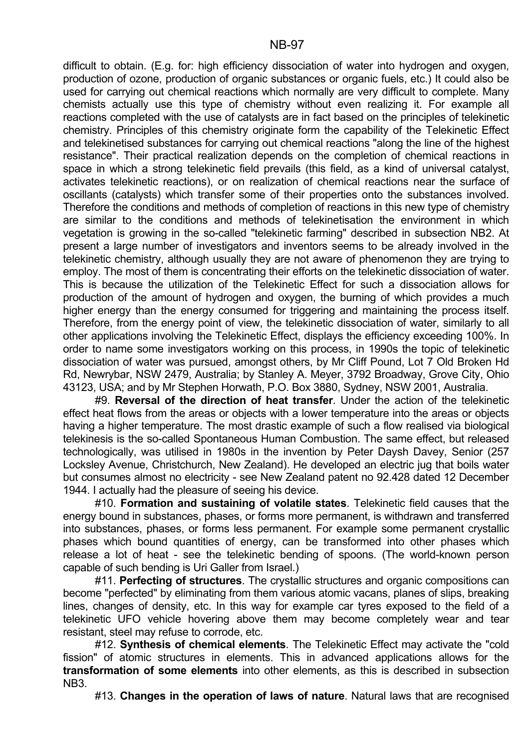difficult to obtain. (E.g. for: high efficiency dissociation of water into hydrogen and oxygen, production of ozone, production of organic substances or organic fuels, etc.) It could also be used for carrying out chemical reactions which normally are very difficult to complete. Many chemists actually use this type of chemistry without even realizing it. For example all reactions completed with the use of catalysts are in fact based on the principles of telekinetic chemistry. Principles of this chemistry originate form the capability of the Telekinetic Effect and telekinetised substances for carrying out chemical reactions "along the line of the highest resistance". Their practical realization depends on the completion of chemical reactions in space in which a strong telekinetic field prevails (this field, as a kind of universal catalyst, activates telekinetic reactions), or on realization of chemical reactions near the surface of oscillants (catalysts) which transfer some of their properties onto the substances involved. Therefore the conditions and methods of completion of reactions in this new type of chemistry are similar to the conditions and methods of telekinetisation the environment in which vegetation is growing in the so-called "telekinetic farming" described in subsection NB2. At present a large number of investigators and inventors seems to be already involved in the telekinetic chemistry, although usually they are not aware of phenomenon they are trying to employ. The most of them is concentrating their efforts on the telekinetic dissociation of water. This is because the utilization of the Telekinetic Effect for such a dissociation allows for production of the amount of hydrogen and oxygen, the burning of which provides a much higher energy than the energy consumed for triggering and maintaining the process itself. Therefore, from the energy point of view, the telekinetic dissociation of water, similarly to all other applications involving the Telekinetic Effect, displays the efficiency exceeding 100%. In order to name some investigators working on this process, in 1990s the topic of telekinetic dissociation of water was pursued, amongst others, by Mr Cliff Pound, Lot 7 Old Broken Hd Rd, Newrybar, NSW 2479, Australia; by Stanley A. Meyer, 3792 Broadway, Grove City, Ohio 43123, USA; and by Mr Stephen Horwath, P.O. Box 3880, Sydney, NSW 2001, Australia.

 #9. **Reversal of the direction of heat transfer**. Under the action of the telekinetic effect heat flows from the areas or objects with a lower temperature into the areas or objects having a higher temperature. The most drastic example of such a flow realised via biological telekinesis is the so-called Spontaneous Human Combustion. The same effect, but released technologically, was utilised in 1980s in the invention by Peter Daysh Davey, Senior (257 Locksley Avenue, Christchurch, New Zealand). He developed an electric jug that boils water but consumes almost no electricity - see New Zealand patent no 92.428 dated 12 December 1944. I actually had the pleasure of seeing his device.

 #10. **Formation and sustaining of volatile states**. Telekinetic field causes that the energy bound in substances, phases, or forms more permanent, is withdrawn and transferred into substances, phases, or forms less permanent. For example some permanent crystallic phases which bound quantities of energy, can be transformed into other phases which release a lot of heat - see the telekinetic bending of spoons. (The world-known person capable of such bending is Uri Galler from Israel.)

 #11. **Perfecting of structures**. The crystallic structures and organic compositions can become "perfected" by eliminating from them various atomic vacans, planes of slips, breaking lines, changes of density, etc. In this way for example car tyres exposed to the field of a telekinetic UFO vehicle hovering above them may become completely wear and tear resistant, steel may refuse to corrode, etc.

 #12. **Synthesis of chemical elements**. The Telekinetic Effect may activate the "cold fission" of atomic structures in elements. This in advanced applications allows for the **transformation of some elements** into other elements, as this is described in subsection NB3.

#13. **Changes in the operation of laws of nature**. Natural laws that are recognised